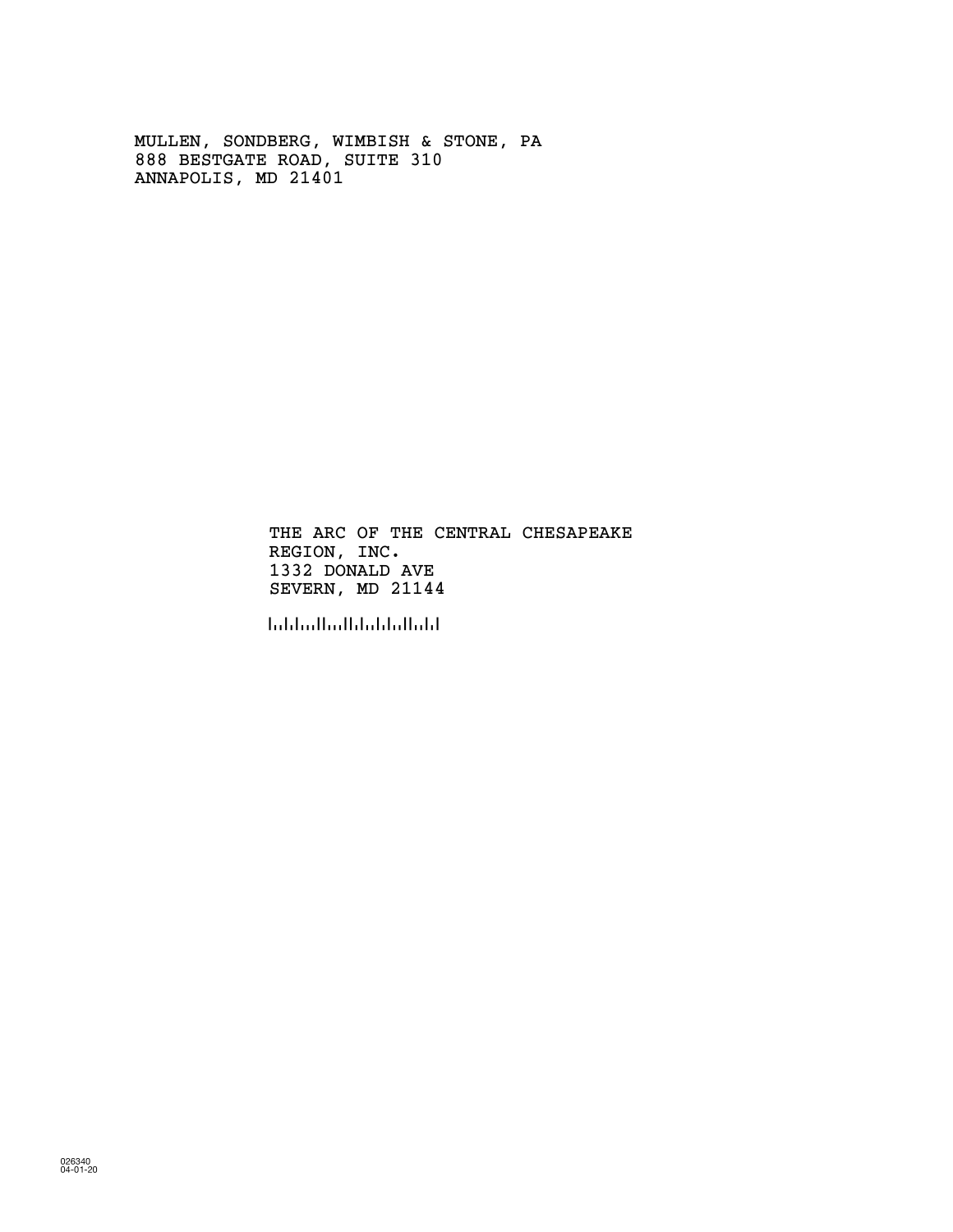MULLEN, SONDBERG, WIMBISH & STONE, PA 888 BESTGATE ROAD, SUITE 310 ANNAPOLIS, MD 21401

> REGION, INC. 1332 DONALD AVE THE ARC OF THE CENTRAL CHESAPEAKE SEVERN, MD 21144

!211448!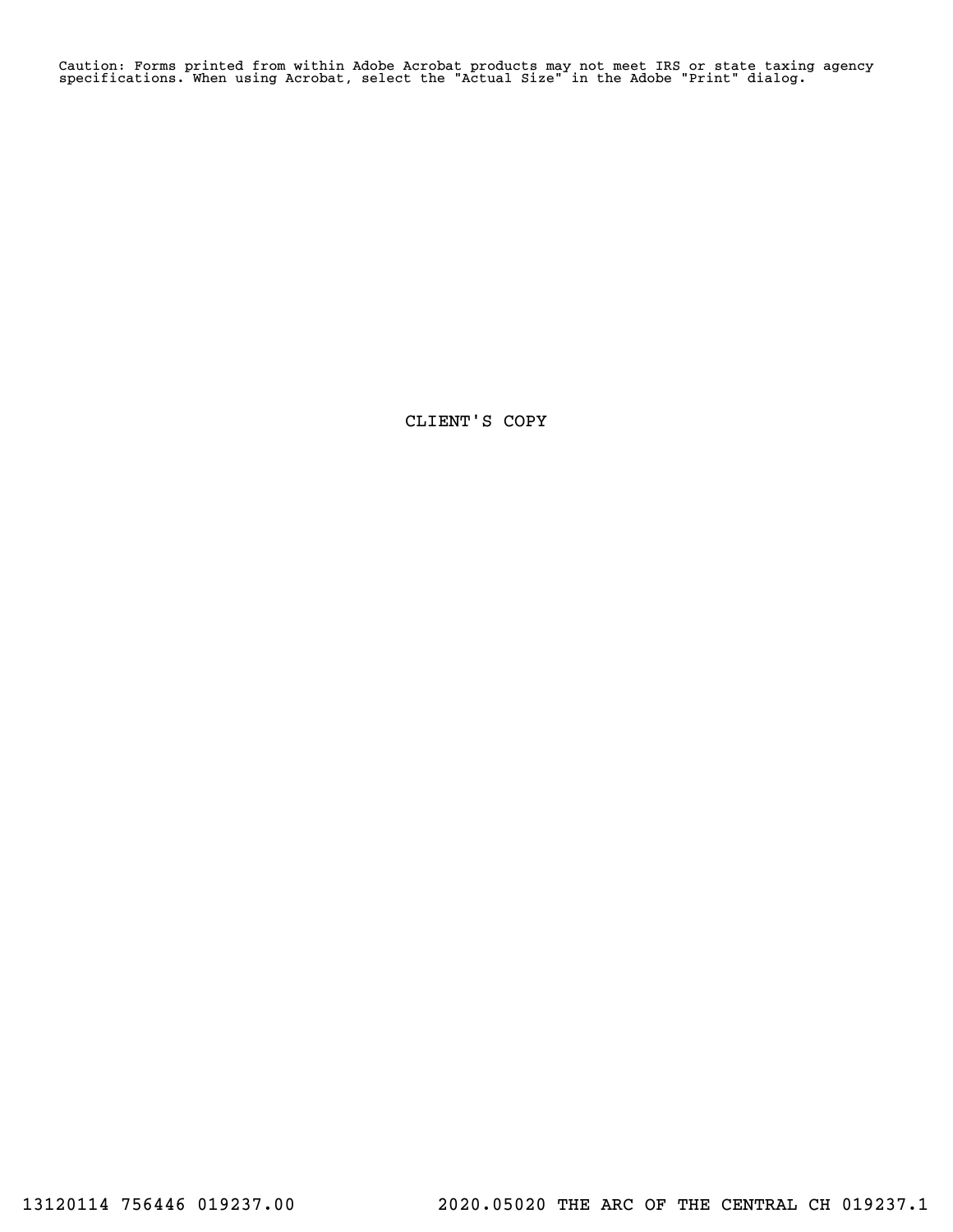Caution: Forms printed from within Adobe Acrobat products may not meet IRS or state taxing agency specifications. When using Acrobat, select the "Actual Size" in the Adobe "Print" dialog.

CLIENT'S COPY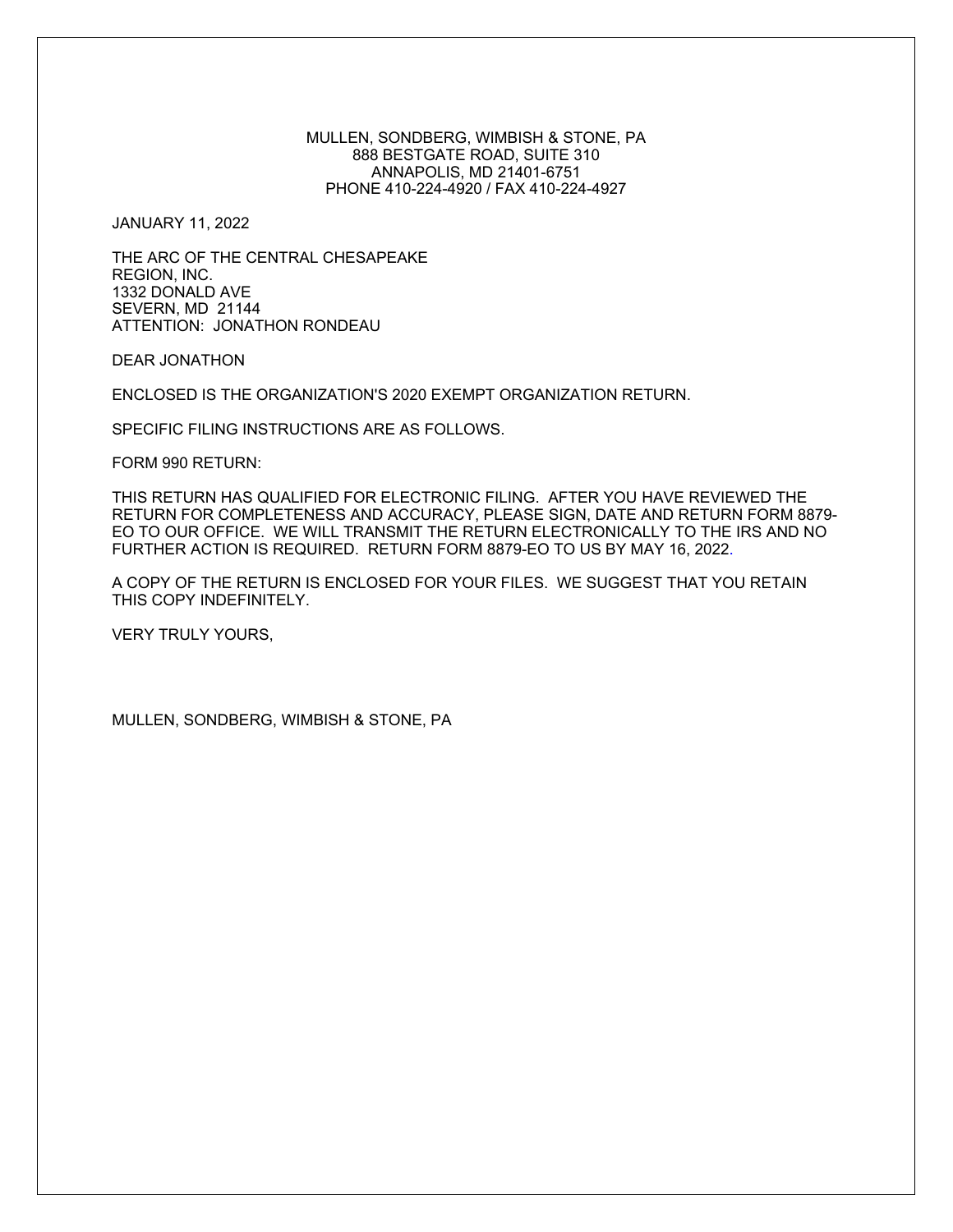#### MULLEN, SONDBERG, WIMBISH & STONE, PA 888 BESTGATE ROAD, SUITE 310 ANNAPOLIS, MD 21401-6751 PHONE 410-224-4920 / FAX 410-224-4927

JANUARY 11, 2022

THE ARC OF THE CENTRAL CHESAPEAKE REGION, INC. 1332 DONALD AVE SEVERN, MD 21144 ATTENTION: JONATHON RONDEAU

DEAR JONATHON

ENCLOSED IS THE ORGANIZATION'S 2020 EXEMPT ORGANIZATION RETURN.

SPECIFIC FILING INSTRUCTIONS ARE AS FOLLOWS.

FORM 990 RETURN:

THIS RETURN HAS QUALIFIED FOR ELECTRONIC FILING. AFTER YOU HAVE REVIEWED THE RETURN FOR COMPLETENESS AND ACCURACY, PLEASE SIGN, DATE AND RETURN FORM 8879- EO TO OUR OFFICE. WE WILL TRANSMIT THE RETURN ELECTRONICALLY TO THE IRS AND NO FURTHER ACTION IS REQUIRED. RETURN FORM 8879-EO TO US BY MAY 16, 2022.

A COPY OF THE RETURN IS ENCLOSED FOR YOUR FILES. WE SUGGEST THAT YOU RETAIN THIS COPY INDEFINITELY.

VERY TRULY YOURS,

MULLEN, SONDBERG, WIMBISH & STONE, PA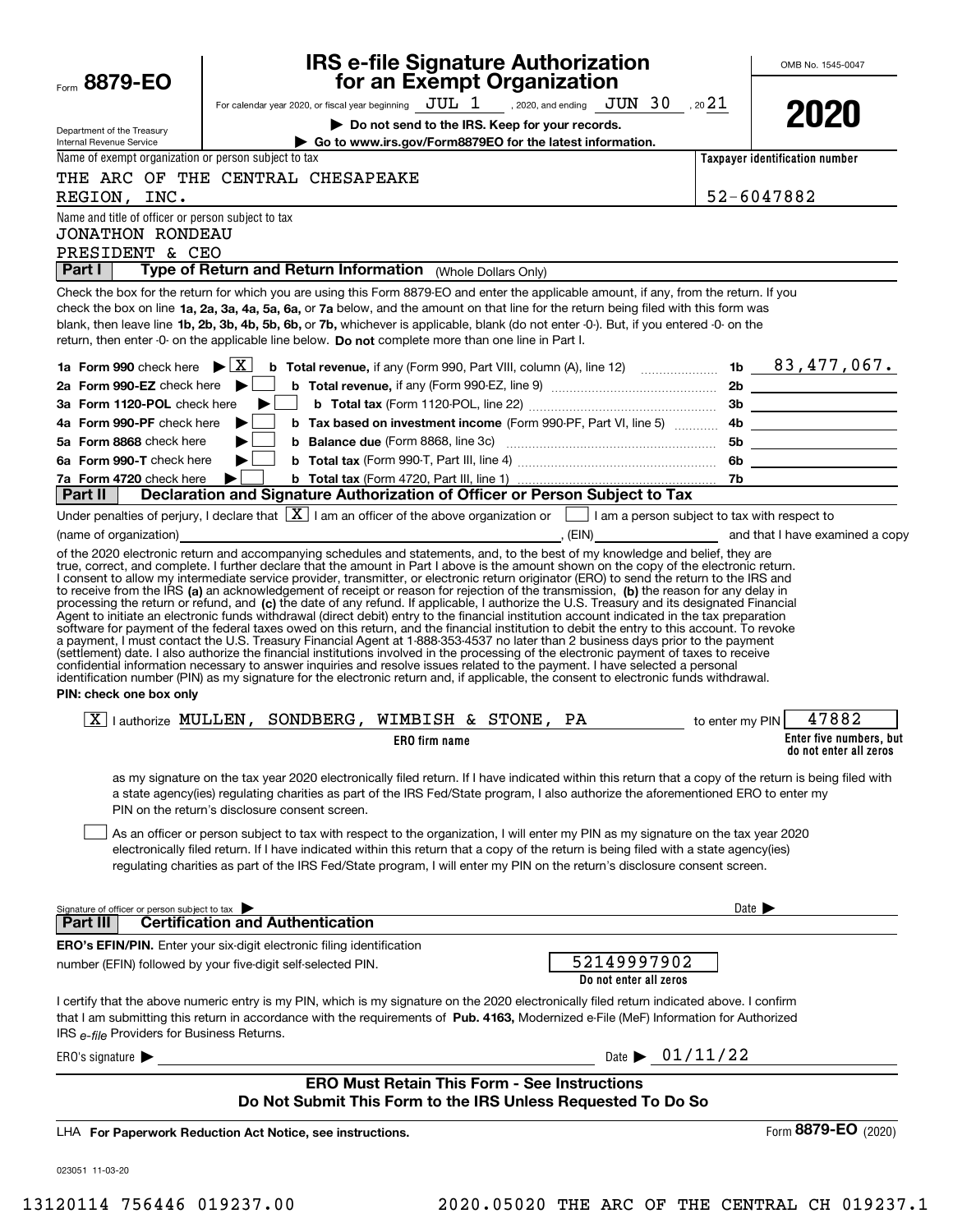| Form 8879-EO                                                 | <b>IRS e-file Signature Authorization</b><br>for an Exempt Organization                                                                                                                                                                                                                                                                                                                                                                                                                                                                                                                                                                                                                                                                                                                                                                           | OMB No. 1545-0047          |                                |  |
|--------------------------------------------------------------|---------------------------------------------------------------------------------------------------------------------------------------------------------------------------------------------------------------------------------------------------------------------------------------------------------------------------------------------------------------------------------------------------------------------------------------------------------------------------------------------------------------------------------------------------------------------------------------------------------------------------------------------------------------------------------------------------------------------------------------------------------------------------------------------------------------------------------------------------|----------------------------|--------------------------------|--|
|                                                              | For calendar year 2020, or fiscal year beginning $JUL$ $1$ , 2020, and ending $JUN$ $30$ , 20 $21$                                                                                                                                                                                                                                                                                                                                                                                                                                                                                                                                                                                                                                                                                                                                                |                            |                                |  |
|                                                              | Do not send to the IRS. Keep for your records.                                                                                                                                                                                                                                                                                                                                                                                                                                                                                                                                                                                                                                                                                                                                                                                                    |                            | 2020                           |  |
| Department of the Treasury<br>Internal Revenue Service       | Go to www.irs.gov/Form8879EO for the latest information.                                                                                                                                                                                                                                                                                                                                                                                                                                                                                                                                                                                                                                                                                                                                                                                          |                            |                                |  |
| Name of exempt organization or person subject to tax         |                                                                                                                                                                                                                                                                                                                                                                                                                                                                                                                                                                                                                                                                                                                                                                                                                                                   |                            | Taxpayer identification number |  |
|                                                              | THE ARC OF THE CENTRAL CHESAPEAKE                                                                                                                                                                                                                                                                                                                                                                                                                                                                                                                                                                                                                                                                                                                                                                                                                 |                            |                                |  |
| REGION, INC.                                                 | <u> 1989 - Johann Stein, marwolaethau a bhann an t-Amhain an t-Amhain an t-Amhain an t-Amhain an t-Amhain an t-A</u>                                                                                                                                                                                                                                                                                                                                                                                                                                                                                                                                                                                                                                                                                                                              |                            | 52-6047882                     |  |
| Name and title of officer or person subject to tax           |                                                                                                                                                                                                                                                                                                                                                                                                                                                                                                                                                                                                                                                                                                                                                                                                                                                   |                            |                                |  |
| JONATHON RONDEAU                                             |                                                                                                                                                                                                                                                                                                                                                                                                                                                                                                                                                                                                                                                                                                                                                                                                                                                   |                            |                                |  |
| PRESIDENT & CEO                                              |                                                                                                                                                                                                                                                                                                                                                                                                                                                                                                                                                                                                                                                                                                                                                                                                                                                   |                            |                                |  |
| Part I                                                       | Type of Return and Return Information (Whole Dollars Only)                                                                                                                                                                                                                                                                                                                                                                                                                                                                                                                                                                                                                                                                                                                                                                                        |                            |                                |  |
|                                                              | Check the box for the return for which you are using this Form 8879-EO and enter the applicable amount, if any, from the return. If you<br>check the box on line 1a, 2a, 3a, 4a, 5a, 6a, or 7a below, and the amount on that line for the return being filed with this form was<br>blank, then leave line 1b, 2b, 3b, 4b, 5b, 6b, or 7b, whichever is applicable, blank (do not enter -0-). But, if you entered -0- on the<br>return, then enter -0- on the applicable line below. Do not complete more than one line in Part I.                                                                                                                                                                                                                                                                                                                  |                            |                                |  |
| 1a Form 990 check here $\blacktriangleright$ $\mid$ X $\mid$ | <b>b</b> Total revenue, if any (Form 990, Part VIII, column (A), line 12) $\ldots$ 1b $83,477,067$ .                                                                                                                                                                                                                                                                                                                                                                                                                                                                                                                                                                                                                                                                                                                                              |                            |                                |  |
| 2a Form 990-EZ check here $\blacktriangleright$              |                                                                                                                                                                                                                                                                                                                                                                                                                                                                                                                                                                                                                                                                                                                                                                                                                                                   |                            |                                |  |
| 3a Form 1120-POL check here                                  | ▶                                                                                                                                                                                                                                                                                                                                                                                                                                                                                                                                                                                                                                                                                                                                                                                                                                                 |                            |                                |  |
| 4a Form 990-PF check here                                    | b Tax based on investment income (Form 990-PF, Part VI, line 5) 4b ______________<br>▶                                                                                                                                                                                                                                                                                                                                                                                                                                                                                                                                                                                                                                                                                                                                                            |                            |                                |  |
| 5a Form 8868 check here                                      | ▶                                                                                                                                                                                                                                                                                                                                                                                                                                                                                                                                                                                                                                                                                                                                                                                                                                                 |                            |                                |  |
| 6a Form 990-T check here                                     | ▶                                                                                                                                                                                                                                                                                                                                                                                                                                                                                                                                                                                                                                                                                                                                                                                                                                                 |                            |                                |  |
| 7a Form 4720 check here<br>Part II                           | ▶<br>Declaration and Signature Authorization of Officer or Person Subject to Tax                                                                                                                                                                                                                                                                                                                                                                                                                                                                                                                                                                                                                                                                                                                                                                  |                            |                                |  |
|                                                              | Under penalties of perjury, I declare that $\boxed{\mathbf{X}}$ I am an officer of the above organization or $\boxed{\phantom{\mathbf{X}}}$ I am a person subject to tax with respect to                                                                                                                                                                                                                                                                                                                                                                                                                                                                                                                                                                                                                                                          |                            |                                |  |
|                                                              |                                                                                                                                                                                                                                                                                                                                                                                                                                                                                                                                                                                                                                                                                                                                                                                                                                                   |                            |                                |  |
| PIN: check one box only                                      | Agent to initiate an electronic funds withdrawal (direct debit) entry to the financial institution account indicated in the tax preparation<br>software for payment of the federal taxes owed on this return, and the financial institution to debit the entry to this account. To revoke<br>a payment, I must contact the U.S. Treasury Financial Agent at 1-888-353-4537 no later than 2 business days prior to the payment<br>(settlement) date. I also authorize the financial institutions involved in the processing of the electronic payment of taxes to receive<br>confidential information necessary to answer inquiries and resolve issues related to the payment. I have selected a personal<br>identification number (PIN) as my signature for the electronic return and, if applicable, the consent to electronic funds withdrawal. |                            |                                |  |
|                                                              | $\boxed{X}$   authorize MULLEN, SONDBERG, WIMBISH & STONE, PA to enter my PIN                                                                                                                                                                                                                                                                                                                                                                                                                                                                                                                                                                                                                                                                                                                                                                     |                            | 47882                          |  |
|                                                              | <b>ERO</b> firm name                                                                                                                                                                                                                                                                                                                                                                                                                                                                                                                                                                                                                                                                                                                                                                                                                              |                            | Enter five numbers, but        |  |
|                                                              | as my signature on the tax year 2020 electronically filed return. If I have indicated within this return that a copy of the return is being filed with<br>a state agency(ies) regulating charities as part of the IRS Fed/State program, I also authorize the aforementioned ERO to enter my<br>PIN on the return's disclosure consent screen.<br>As an officer or person subject to tax with respect to the organization, I will enter my PIN as my signature on the tax year 2020<br>electronically filed return. If I have indicated within this return that a copy of the return is being filed with a state agency(ies)<br>regulating charities as part of the IRS Fed/State program, I will enter my PIN on the return's disclosure consent screen.                                                                                         |                            | do not enter all zeros         |  |
| Signature of officer or person subject to tax                |                                                                                                                                                                                                                                                                                                                                                                                                                                                                                                                                                                                                                                                                                                                                                                                                                                                   | Date $\blacktriangleright$ |                                |  |
| Part III                                                     | <b>Certification and Authentication</b>                                                                                                                                                                                                                                                                                                                                                                                                                                                                                                                                                                                                                                                                                                                                                                                                           |                            |                                |  |
|                                                              | <b>ERO's EFIN/PIN.</b> Enter your six-digit electronic filing identification<br>52149997902<br>number (EFIN) followed by your five-digit self-selected PIN.<br>Do not enter all zeros                                                                                                                                                                                                                                                                                                                                                                                                                                                                                                                                                                                                                                                             |                            |                                |  |
| IRS e-file Providers for Business Returns.                   | I certify that the above numeric entry is my PIN, which is my signature on the 2020 electronically filed return indicated above. I confirm<br>that I am submitting this return in accordance with the requirements of Pub. 4163, Modernized e-File (MeF) Information for Authorized                                                                                                                                                                                                                                                                                                                                                                                                                                                                                                                                                               |                            |                                |  |
| ERO's signature $\blacktriangleright$                        | Date $\triangleright$ 01/11/22                                                                                                                                                                                                                                                                                                                                                                                                                                                                                                                                                                                                                                                                                                                                                                                                                    |                            |                                |  |
|                                                              | <b>ERO Must Retain This Form - See Instructions</b><br>Do Not Submit This Form to the IRS Unless Requested To Do So                                                                                                                                                                                                                                                                                                                                                                                                                                                                                                                                                                                                                                                                                                                               |                            |                                |  |
|                                                              | LHA For Paperwork Reduction Act Notice, see instructions.                                                                                                                                                                                                                                                                                                                                                                                                                                                                                                                                                                                                                                                                                                                                                                                         |                            | Form 8879-EO (2020)            |  |
| 023051 11-03-20                                              |                                                                                                                                                                                                                                                                                                                                                                                                                                                                                                                                                                                                                                                                                                                                                                                                                                                   |                            |                                |  |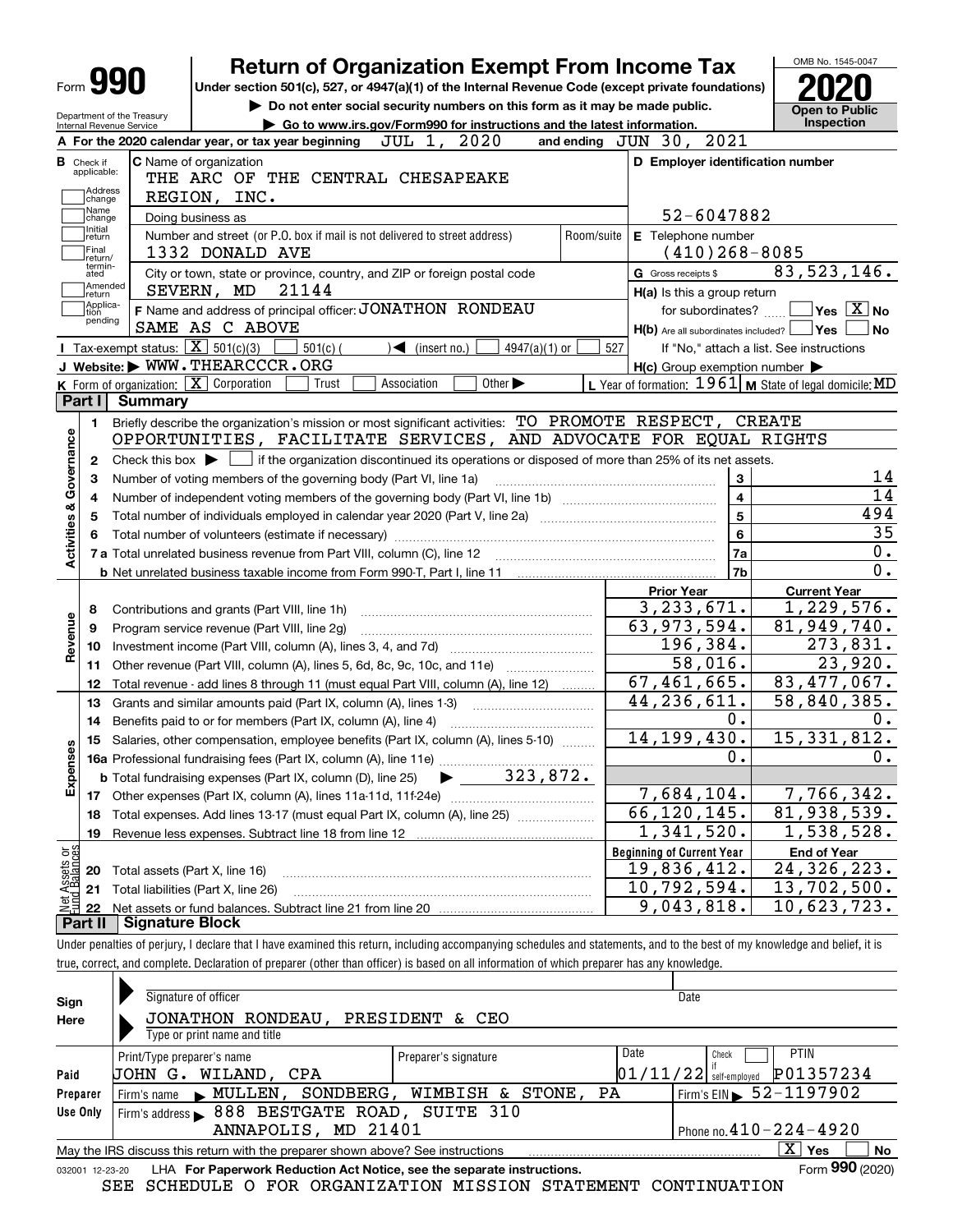|                                  | <b>Return of Organization Exempt From Income Tax</b>                                                                                                |            |                                                     | OMB No. 1545-0047                                         |
|----------------------------------|-----------------------------------------------------------------------------------------------------------------------------------------------------|------------|-----------------------------------------------------|-----------------------------------------------------------|
| <b>Form 990</b>                  | Under section 501(c), 527, or 4947(a)(1) of the Internal Revenue Code (except private foundations)                                                  |            |                                                     |                                                           |
| Department of the Treasury       | Do not enter social security numbers on this form as it may be made public.                                                                         |            |                                                     | <b>Open to Public</b>                                     |
| Internal Revenue Service         | Go to www.irs.gov/Form990 for instructions and the latest information.                                                                              |            |                                                     | Inspection                                                |
|                                  | A For the 2020 calendar year, or tax year beginning $JUL$ 1, $2020$                                                                                 |            | 2021<br>and ending $JUN$ 30,                        |                                                           |
| <b>B</b> Check if<br>applicable: | <b>C</b> Name of organization                                                                                                                       |            | D Employer identification number                    |                                                           |
| Address                          | THE ARC OF THE CENTRAL CHESAPEAKE                                                                                                                   |            |                                                     |                                                           |
| change<br>Name                   | REGION, INC.                                                                                                                                        |            |                                                     |                                                           |
| change<br>  Initial              | Doing business as                                                                                                                                   |            | 52-6047882                                          |                                                           |
| return<br> Final                 | Number and street (or P.O. box if mail is not delivered to street address)<br>1332 DONALD AVE                                                       | Room/suite | E Telephone number<br>$(410)$ 268-8085              |                                                           |
| return/<br>termin-               | City or town, state or province, country, and ZIP or foreign postal code                                                                            |            | G Gross receipts \$                                 | 83, 523, 146.                                             |
| ated<br>Amended                  | 21144<br>SEVERN, MD                                                                                                                                 |            |                                                     |                                                           |
| return<br>Applica-               | F Name and address of principal officer: JONATHON RONDEAU                                                                                           |            | H(a) Is this a group return                         | $\sqrt{}$ Yes $\sqrt{X}$ No                               |
| tion<br>pending                  | SAME AS C ABOVE                                                                                                                                     |            | for subordinates?                                   | ∣Yes<br><b>No</b>                                         |
|                                  | Tax-exempt status: $\boxed{\mathbf{X}}$ 501(c)(3)<br>4947(a)(1) or<br>$501(c)$ (<br>$\sqrt{\bullet}$ (insert no.)                                   | 527        | $H(b)$ Are all subordinates included?               |                                                           |
|                                  | J Website: WWW.THEARCCCR.ORG                                                                                                                        |            |                                                     | If "No," attach a list. See instructions                  |
|                                  | K Form of organization: X Corporation<br>Association<br>Other $\blacktriangleright$<br>Trust                                                        |            | $H(c)$ Group exemption number $\blacktriangleright$ | L Year of formation: $1961$ M State of legal domicile: MD |
| Part I                           | <b>Summary</b>                                                                                                                                      |            |                                                     |                                                           |
|                                  | Briefly describe the organization's mission or most significant activities: TO PROMOTE RESPECT, CREATE                                              |            |                                                     |                                                           |
| 1.                               | OPPORTUNITIES, FACILITATE SERVICES, AND ADVOCATE FOR EQUAL RIGHTS                                                                                   |            |                                                     |                                                           |
| Governance                       | Check this box $\blacktriangleright$ $\blacksquare$ if the organization discontinued its operations or disposed of more than 25% of its net assets. |            |                                                     |                                                           |
| 2                                |                                                                                                                                                     |            |                                                     | 14                                                        |
| з                                | Number of voting members of the governing body (Part VI, line 1a)                                                                                   |            | 3<br>$\overline{\mathbf{4}}$                        | 14                                                        |
| 4                                |                                                                                                                                                     | 5          | 494                                                 |                                                           |
| <b>Activities &amp;</b><br>5     |                                                                                                                                                     |            | 6                                                   | 35                                                        |
| 6                                |                                                                                                                                                     |            |                                                     | 0.                                                        |
|                                  | 7 a Total unrelated business revenue from Part VIII, column (C), line 12                                                                            |            | 7a<br>7b                                            | $\overline{0}$ .                                          |
|                                  |                                                                                                                                                     |            |                                                     |                                                           |
|                                  |                                                                                                                                                     |            | <b>Prior Year</b><br>3, 233, 671.                   | <b>Current Year</b><br>1,229,576.                         |
| 8                                | Contributions and grants (Part VIII, line 1h)                                                                                                       |            | 63, 973, 594.                                       | 81,949,740.                                               |
| Revenue<br>9                     | Program service revenue (Part VIII, line 2g)                                                                                                        |            | 196,384.                                            | 273,831.                                                  |
| 10                               |                                                                                                                                                     |            | 58,016.                                             | 23,920.                                                   |
| 11                               | Other revenue (Part VIII, column (A), lines 5, 6d, 8c, 9c, 10c, and 11e)                                                                            |            | 67,461,665.                                         | 83,477,067.                                               |
| 12                               | Total revenue - add lines 8 through 11 (must equal Part VIII, column (A), line 12)                                                                  |            |                                                     |                                                           |
| 13                               | Grants and similar amounts paid (Part IX, column (A), lines 1-3)                                                                                    |            | 44, 236, 611.                                       | 58,840,385.                                               |
| 14                               | Benefits paid to or for members (Part IX, column (A), line 4)                                                                                       |            | 0.                                                  | 0.                                                        |
| 15<br>w                          | Salaries, other compensation, employee benefits (Part IX, column (A), lines 5-10)                                                                   |            | 14, 199, 430.                                       | 15, 331, 812.                                             |
|                                  |                                                                                                                                                     |            | Ο.                                                  | $\mathbf{0}$ .                                            |
| Expense                          | 323,872.<br><b>b</b> Total fundraising expenses (Part IX, column (D), line 25)                                                                      |            |                                                     |                                                           |
| 17                               |                                                                                                                                                     |            | 7,684,104.                                          | 7,766,342.                                                |
| 18                               | Total expenses. Add lines 13-17 (must equal Part IX, column (A), line 25)                                                                           |            | 66,120,145.                                         | 81,938,539.                                               |
| 19                               |                                                                                                                                                     |            | 1,341,520.                                          | 1,538,528.                                                |
|                                  |                                                                                                                                                     |            | <b>Beginning of Current Year</b>                    | <b>End of Year</b>                                        |
| 20                               | Total assets (Part X, line 16)                                                                                                                      |            | 19,836,412.                                         | 24,326,223.                                               |
| Net Assets or<br>21              | Total liabilities (Part X, line 26)                                                                                                                 |            | 10,792,594.                                         | 13,702,500.                                               |
| 22                               |                                                                                                                                                     |            | 9,043,818.                                          | 10,623,723.                                               |
| Part II                          | <b>Signature Block</b>                                                                                                                              |            |                                                     |                                                           |

| Sign                                         | Signature of officer                                                                                     |                      | Date |                                        |  |  |  |  |  |  |  |
|----------------------------------------------|----------------------------------------------------------------------------------------------------------|----------------------|------|----------------------------------------|--|--|--|--|--|--|--|
| JONATHON RONDEAU.<br>PRESIDENT & CEO<br>Here |                                                                                                          |                      |      |                                        |  |  |  |  |  |  |  |
|                                              | Type or print name and title                                                                             |                      |      |                                        |  |  |  |  |  |  |  |
|                                              | Print/Type preparer's name                                                                               | Preparer's signature | Date | <b>PTIN</b><br>Check                   |  |  |  |  |  |  |  |
| Paid                                         | WILAND,<br>UOHN G.<br>CPA                                                                                |                      |      | P01357234<br>$01/11/22$ self-employed  |  |  |  |  |  |  |  |
| Preparer                                     | SONDBERG,<br>MULLEN,<br>Firm's name<br>$\mathbf{r}$                                                      | WIMBISH & STONE, PA  |      | Firm's EIN $\triangleright$ 52-1197902 |  |  |  |  |  |  |  |
| Use Only                                     | 888 BESTGATE ROAD, SUITE 310<br>Firm's address                                                           |                      |      |                                        |  |  |  |  |  |  |  |
|                                              | Phone no. $410 - 224 - 4920$<br>ANNAPOLIS, MD 21401                                                      |                      |      |                                        |  |  |  |  |  |  |  |
|                                              | x<br>Yes<br><b>No</b><br>May the IRS discuss this return with the preparer shown above? See instructions |                      |      |                                        |  |  |  |  |  |  |  |
| 032001 12-23-20                              | LHA For Paperwork Reduction Act Notice, see the separate instructions.                                   |                      |      | Form 990 (2020)                        |  |  |  |  |  |  |  |

SEE SCHEDULE O FOR ORGANIZATION MISSION STATEMENT CONTINUATION

true, correct, and complete. Declaration of preparer (other than officer) is based on all information of which preparer has any knowledge.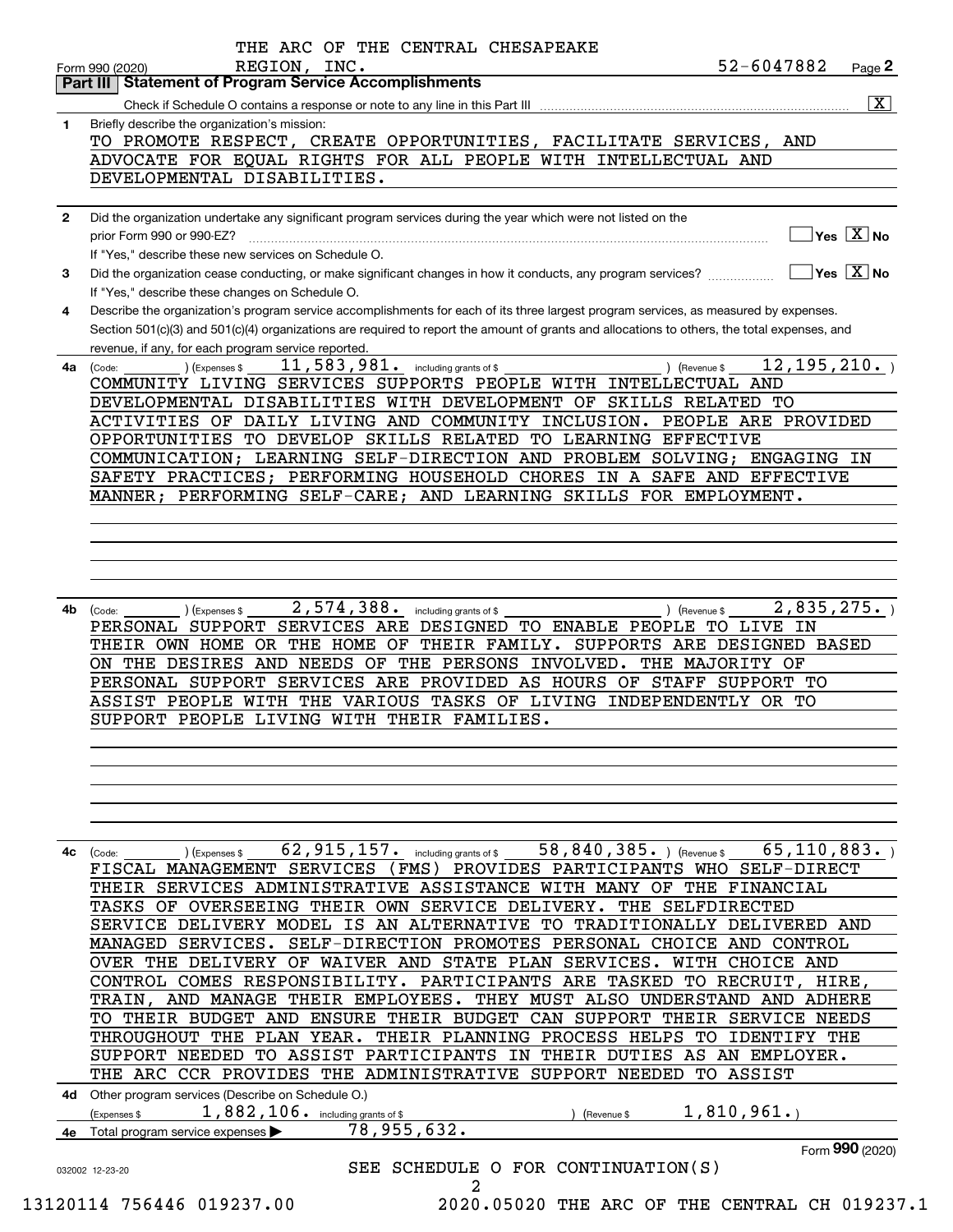|              | <b>Statement of Program Service Accomplishments</b><br>Part III                                                                                                      |
|--------------|----------------------------------------------------------------------------------------------------------------------------------------------------------------------|
|              | $\overline{\mathbf{x}}$                                                                                                                                              |
| $\mathbf{1}$ | Briefly describe the organization's mission:                                                                                                                         |
|              | TO PROMOTE RESPECT, CREATE OPPORTUNITIES, FACILITATE SERVICES, AND                                                                                                   |
|              | ADVOCATE FOR EQUAL RIGHTS FOR ALL PEOPLE WITH INTELLECTUAL AND                                                                                                       |
|              | DEVELOPMENTAL DISABILITIES.                                                                                                                                          |
| $\mathbf{2}$ | Did the organization undertake any significant program services during the year which were not listed on the                                                         |
|              | $\sqrt{}$ Yes $\sqrt{X}$ No                                                                                                                                          |
|              | If "Yes," describe these new services on Schedule O.                                                                                                                 |
| 3            | $\overline{\mathsf{Yes}}$ $\overline{\mathsf{X}}$ No<br>Did the organization cease conducting, or make significant changes in how it conducts, any program services? |
|              | If "Yes," describe these changes on Schedule O.                                                                                                                      |
| 4            | Describe the organization's program service accomplishments for each of its three largest program services, as measured by expenses.                                 |
|              | Section 501(c)(3) and 501(c)(4) organizations are required to report the amount of grants and allocations to others, the total expenses, and                         |
|              | revenue, if any, for each program service reported.                                                                                                                  |
| 4a           | 11,583,981. including grants of \$<br>12, 195, 210.<br>(Expenses \$<br>) (Revenue \$<br>(Code:                                                                       |
|              | COMMUNITY LIVING SERVICES SUPPORTS PEOPLE WITH INTELLECTUAL AND                                                                                                      |
|              | DEVELOPMENTAL DISABILITIES WITH DEVELOPMENT OF SKILLS RELATED TO                                                                                                     |
|              | ACTIVITIES OF DAILY LIVING AND COMMUNITY INCLUSION. PEOPLE ARE PROVIDED                                                                                              |
|              | OPPORTUNITIES TO DEVELOP SKILLS RELATED TO LEARNING EFFECTIVE                                                                                                        |
|              | COMMUNICATION; LEARNING SELF-DIRECTION AND PROBLEM SOLVING; ENGAGING IN                                                                                              |
|              | SAFETY PRACTICES; PERFORMING HOUSEHOLD CHORES IN A SAFE AND EFFECTIVE                                                                                                |
|              | MANNER; PERFORMING SELF-CARE; AND LEARNING SKILLS FOR EMPLOYMENT.                                                                                                    |
|              |                                                                                                                                                                      |
|              |                                                                                                                                                                      |
|              |                                                                                                                                                                      |
|              |                                                                                                                                                                      |
|              |                                                                                                                                                                      |
| 4b           | 2,574,388. including grants of \$<br>2,835,275.                                                                                                                      |
|              | ) (Expenses \$<br>) (Revenue \$<br>(Code:                                                                                                                            |
|              |                                                                                                                                                                      |
|              | PERSONAL SUPPORT SERVICES ARE DESIGNED TO ENABLE PEOPLE TO LIVE IN                                                                                                   |
|              | THEIR OWN HOME OR THE HOME OF THEIR FAMILY. SUPPORTS ARE DESIGNED BASED                                                                                              |
|              | ON THE DESIRES AND NEEDS OF THE PERSONS INVOLVED. THE MAJORITY OF                                                                                                    |
|              | PERSONAL SUPPORT SERVICES ARE PROVIDED AS HOURS OF STAFF SUPPORT TO                                                                                                  |
|              | ASSIST PEOPLE WITH THE VARIOUS TASKS OF LIVING INDEPENDENTLY OR TO                                                                                                   |
|              | SUPPORT PEOPLE LIVING WITH THEIR FAMILIES.                                                                                                                           |
|              |                                                                                                                                                                      |
|              |                                                                                                                                                                      |
|              |                                                                                                                                                                      |
|              |                                                                                                                                                                      |
|              |                                                                                                                                                                      |
| 4с           | 58,840,385. ) (Revenue \$<br>65, 110, 883.<br>$62$ , $915$ , $157$ . including grants of \$<br>) (Expenses \$<br>(Code:                                              |
|              | FISCAL MANAGEMENT SERVICES (FMS) PROVIDES PARTICIPANTS WHO SELF-DIRECT                                                                                               |
|              | THEIR SERVICES ADMINISTRATIVE ASSISTANCE WITH MANY OF<br>THE FINANCIAL                                                                                               |
|              | TASKS OF OVERSEEING THEIR OWN SERVICE DELIVERY. THE SELFDIRECTED                                                                                                     |
|              | SERVICE DELIVERY MODEL IS AN ALTERNATIVE TO TRADITIONALLY DELIVERED AND                                                                                              |
|              | MANAGED SERVICES.<br>SELF-DIRECTION PROMOTES PERSONAL CHOICE AND CONTROL                                                                                             |
|              | OVER THE DELIVERY OF WAIVER AND STATE PLAN SERVICES. WITH CHOICE AND                                                                                                 |
|              | CONTROL COMES RESPONSIBILITY. PARTICIPANTS ARE TASKED TO RECRUIT, HIRE,                                                                                              |
|              | TRAIN, AND MANAGE THEIR EMPLOYEES. THEY MUST ALSO UNDERSTAND AND ADHERE                                                                                              |
|              | TO THEIR BUDGET AND ENSURE THEIR BUDGET CAN SUPPORT THEIR SERVICE NEEDS                                                                                              |
|              | THEIR PLANNING PROCESS HELPS TO<br>THROUGHOUT THE<br>PLAN YEAR.<br><b>IDENTIFY THE</b>                                                                               |
|              | TO ASSIST PARTICIPANTS IN THEIR DUTIES AS AN EMPLOYER.<br>SUPPORT NEEDED                                                                                             |
|              | THE ARC CCR PROVIDES THE ADMINISTRATIVE SUPPORT NEEDED<br>TO ASSIST                                                                                                  |
|              | 4d Other program services (Describe on Schedule O.)                                                                                                                  |
|              | 1,810,961.<br>1,882,106. including grants of \$<br>Expenses \$<br>(Revenue \$                                                                                        |
|              | 78,955,632.<br>Total program service expenses                                                                                                                        |
|              | Form 990 (2020)<br>SCHEDULE O FOR CONTINUATION(S)<br>SEE<br>032002 12-23-20                                                                                          |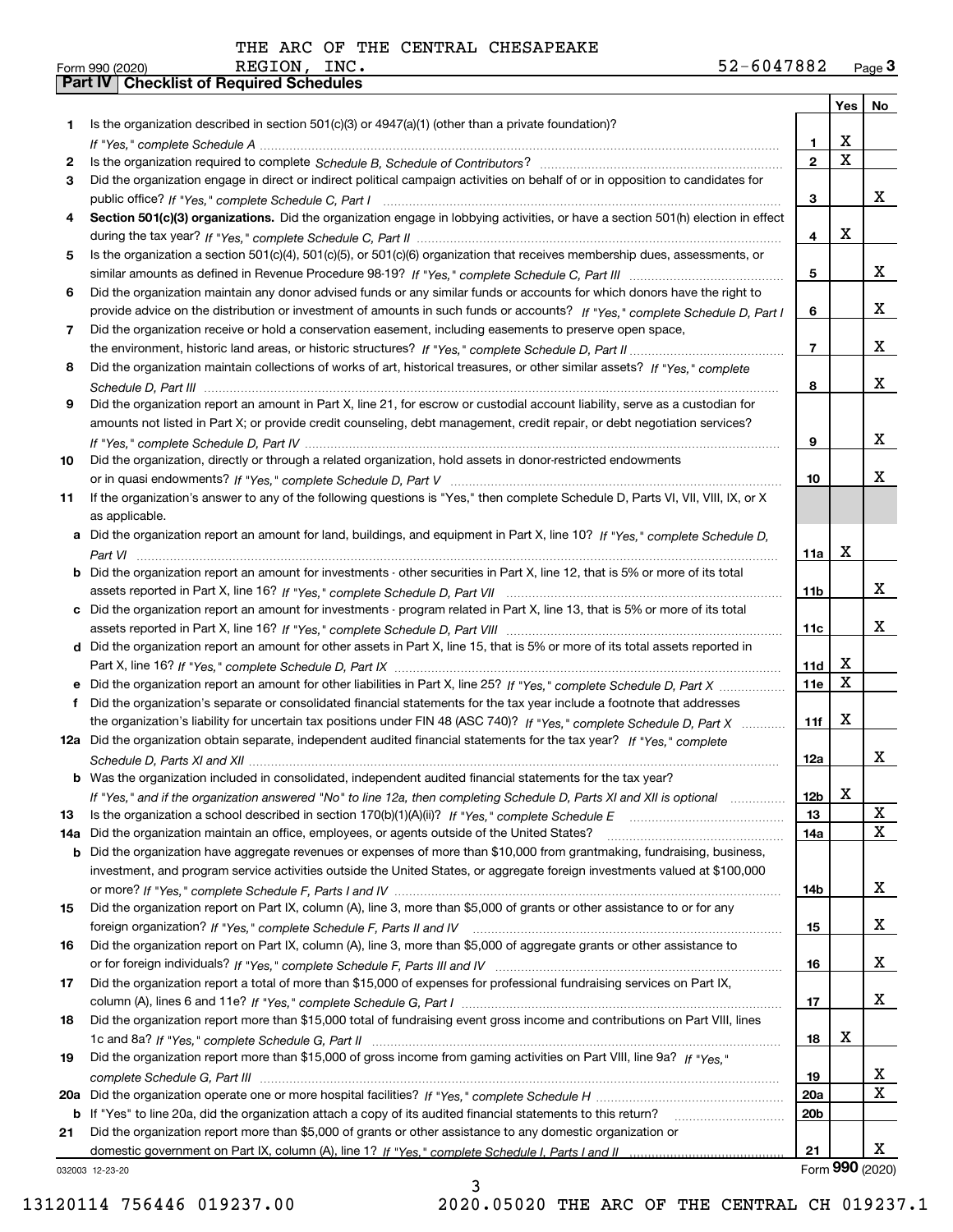|     |                                                                                                                                                 |                 | Yes $ $     | No              |
|-----|-------------------------------------------------------------------------------------------------------------------------------------------------|-----------------|-------------|-----------------|
| 1   | Is the organization described in section $501(c)(3)$ or $4947(a)(1)$ (other than a private foundation)?                                         |                 |             |                 |
|     |                                                                                                                                                 | 1.              | x           |                 |
| 2   |                                                                                                                                                 | $\mathbf{2}$    | $\mathbf X$ |                 |
| 3   | Did the organization engage in direct or indirect political campaign activities on behalf of or in opposition to candidates for                 |                 |             |                 |
|     |                                                                                                                                                 | 3               |             | x               |
| 4   | Section 501(c)(3) organizations. Did the organization engage in lobbying activities, or have a section 501(h) election in effect                |                 |             |                 |
|     |                                                                                                                                                 | 4               | x           |                 |
| 5   | Is the organization a section 501(c)(4), 501(c)(5), or 501(c)(6) organization that receives membership dues, assessments, or                    |                 |             |                 |
|     |                                                                                                                                                 | 5               |             | x               |
| 6   | Did the organization maintain any donor advised funds or any similar funds or accounts for which donors have the right to                       |                 |             |                 |
|     | provide advice on the distribution or investment of amounts in such funds or accounts? If "Yes," complete Schedule D, Part I                    | 6               |             | x               |
| 7   | Did the organization receive or hold a conservation easement, including easements to preserve open space,                                       |                 |             |                 |
|     |                                                                                                                                                 | $\overline{7}$  |             | x               |
| 8   | Did the organization maintain collections of works of art, historical treasures, or other similar assets? If "Yes," complete                    |                 |             |                 |
|     |                                                                                                                                                 | 8               |             | x               |
| 9   | Did the organization report an amount in Part X, line 21, for escrow or custodial account liability, serve as a custodian for                   |                 |             |                 |
|     | amounts not listed in Part X; or provide credit counseling, debt management, credit repair, or debt negotiation services?                       |                 |             | x               |
|     |                                                                                                                                                 | 9               |             |                 |
| 10  | Did the organization, directly or through a related organization, hold assets in donor-restricted endowments                                    |                 |             | x               |
|     |                                                                                                                                                 | 10              |             |                 |
| 11  | If the organization's answer to any of the following questions is "Yes," then complete Schedule D, Parts VI, VII, VIII, IX, or X                |                 |             |                 |
|     | as applicable.<br>a Did the organization report an amount for land, buildings, and equipment in Part X, line 10? If "Yes." complete Schedule D. |                 |             |                 |
|     |                                                                                                                                                 | 11a             | x           |                 |
|     | <b>b</b> Did the organization report an amount for investments - other securities in Part X, line 12, that is 5% or more of its total           |                 |             |                 |
|     |                                                                                                                                                 | 11 <sub>b</sub> |             | x               |
|     | c Did the organization report an amount for investments - program related in Part X, line 13, that is 5% or more of its total                   |                 |             |                 |
|     |                                                                                                                                                 | 11c             |             | x               |
|     | d Did the organization report an amount for other assets in Part X, line 15, that is 5% or more of its total assets reported in                 |                 |             |                 |
|     |                                                                                                                                                 | 11d             | х           |                 |
|     |                                                                                                                                                 | 11e             | X           |                 |
| f   | Did the organization's separate or consolidated financial statements for the tax year include a footnote that addresses                         |                 |             |                 |
|     | the organization's liability for uncertain tax positions under FIN 48 (ASC 740)? If "Yes," complete Schedule D, Part X                          | 11f             | x           |                 |
|     | 12a Did the organization obtain separate, independent audited financial statements for the tax year? If "Yes," complete                         |                 |             |                 |
|     |                                                                                                                                                 | 12a             |             | x               |
|     | <b>b</b> Was the organization included in consolidated, independent audited financial statements for the tax year?                              |                 |             |                 |
|     | If "Yes," and if the organization answered "No" to line 12a, then completing Schedule D, Parts XI and XII is optional                           | 12 <sub>b</sub> | X           |                 |
| 13  | Is the organization a school described in section 170(b)(1)(A)(ii)? If "Yes," complete Schedule E                                               | 13              |             | X               |
| 14a | Did the organization maintain an office, employees, or agents outside of the United States?                                                     | 14a             |             | X               |
| b   | Did the organization have aggregate revenues or expenses of more than \$10,000 from grantmaking, fundraising, business,                         |                 |             |                 |
|     | investment, and program service activities outside the United States, or aggregate foreign investments valued at \$100,000                      |                 |             |                 |
|     |                                                                                                                                                 | 14b             |             | x               |
| 15  | Did the organization report on Part IX, column (A), line 3, more than \$5,000 of grants or other assistance to or for any                       |                 |             |                 |
|     |                                                                                                                                                 | 15              |             | x               |
| 16  | Did the organization report on Part IX, column (A), line 3, more than \$5,000 of aggregate grants or other assistance to                        |                 |             |                 |
|     |                                                                                                                                                 | 16              |             | x               |
| 17  | Did the organization report a total of more than \$15,000 of expenses for professional fundraising services on Part IX,                         |                 |             |                 |
|     |                                                                                                                                                 | 17              |             | x               |
| 18  | Did the organization report more than \$15,000 total of fundraising event gross income and contributions on Part VIII, lines                    |                 |             |                 |
|     |                                                                                                                                                 | 18              | x           |                 |
| 19  | Did the organization report more than \$15,000 of gross income from gaming activities on Part VIII, line 9a? If "Yes."                          |                 |             |                 |
|     |                                                                                                                                                 | 19              |             | x               |
|     |                                                                                                                                                 | <b>20a</b>      |             | X               |
|     | b If "Yes" to line 20a, did the organization attach a copy of its audited financial statements to this return?                                  | 20 <sub>b</sub> |             |                 |
| 21  | Did the organization report more than \$5,000 of grants or other assistance to any domestic organization or                                     |                 |             |                 |
|     |                                                                                                                                                 | 21              |             | x               |
|     | 032003 12-23-20                                                                                                                                 |                 |             | Form 990 (2020) |

3

032003 12-23-20

13120114 756446 019237.00 2020.05020 THE ARC OF THE CENTRAL CH 019237.1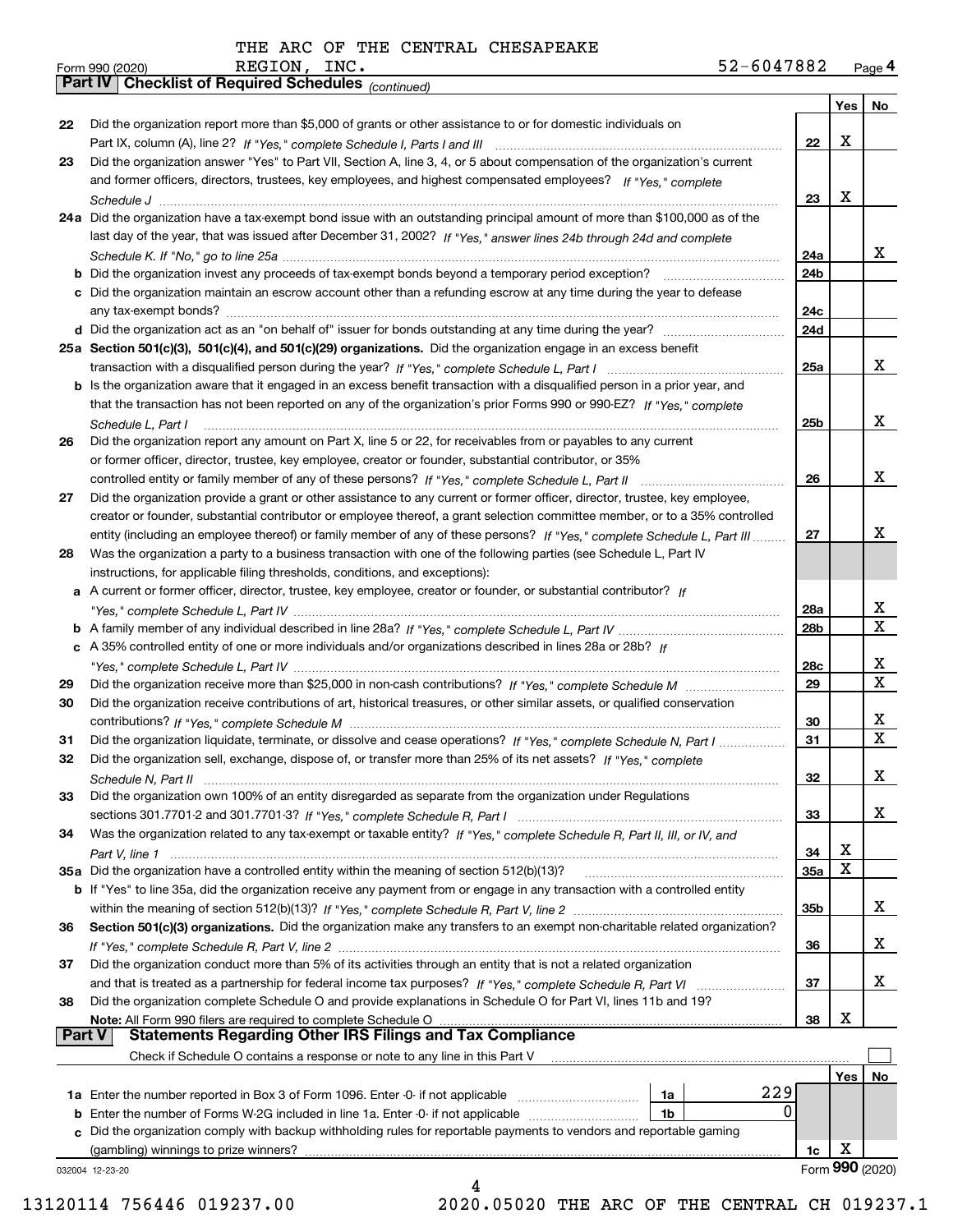*(continued)*

|               |                                                                                                                              |            | Yes | No               |
|---------------|------------------------------------------------------------------------------------------------------------------------------|------------|-----|------------------|
| 22            | Did the organization report more than \$5,000 of grants or other assistance to or for domestic individuals on                |            |     |                  |
|               |                                                                                                                              | 22         | х   |                  |
| 23            | Did the organization answer "Yes" to Part VII, Section A, line 3, 4, or 5 about compensation of the organization's current   |            |     |                  |
|               | and former officers, directors, trustees, key employees, and highest compensated employees? If "Yes," complete               |            |     |                  |
|               |                                                                                                                              | 23         | х   |                  |
|               | 24a Did the organization have a tax-exempt bond issue with an outstanding principal amount of more than \$100,000 as of the  |            |     |                  |
|               | last day of the year, that was issued after December 31, 2002? If "Yes," answer lines 24b through 24d and complete           |            |     |                  |
|               |                                                                                                                              | 24a        |     | x                |
|               | <b>b</b> Did the organization invest any proceeds of tax-exempt bonds beyond a temporary period exception?                   | 24b        |     |                  |
|               | c Did the organization maintain an escrow account other than a refunding escrow at any time during the year to defease       |            |     |                  |
|               | any tax-exempt bonds?                                                                                                        | 24c        |     |                  |
|               | d Did the organization act as an "on behalf of" issuer for bonds outstanding at any time during the year?                    | 24d        |     |                  |
|               | 25a Section 501(c)(3), 501(c)(4), and 501(c)(29) organizations. Did the organization engage in an excess benefit             |            |     |                  |
|               |                                                                                                                              | 25a        |     | x                |
|               | b Is the organization aware that it engaged in an excess benefit transaction with a disqualified person in a prior year, and |            |     |                  |
|               | that the transaction has not been reported on any of the organization's prior Forms 990 or 990-EZ? If "Yes." complete        |            |     |                  |
|               | Schedule L, Part I                                                                                                           | 25b        |     | х                |
| 26            | Did the organization report any amount on Part X, line 5 or 22, for receivables from or payables to any current              |            |     |                  |
|               | or former officer, director, trustee, key employee, creator or founder, substantial contributor, or 35%                      |            |     |                  |
|               |                                                                                                                              | 26         |     | х                |
| 27            | Did the organization provide a grant or other assistance to any current or former officer, director, trustee, key employee,  |            |     |                  |
|               | creator or founder, substantial contributor or employee thereof, a grant selection committee member, or to a 35% controlled  |            |     |                  |
|               | entity (including an employee thereof) or family member of any of these persons? If "Yes," complete Schedule L, Part III     | 27         |     | x                |
| 28            | Was the organization a party to a business transaction with one of the following parties (see Schedule L, Part IV            |            |     |                  |
|               | instructions, for applicable filing thresholds, conditions, and exceptions):                                                 |            |     |                  |
|               | a A current or former officer, director, trustee, key employee, creator or founder, or substantial contributor? If           |            |     |                  |
|               |                                                                                                                              |            |     | x                |
|               |                                                                                                                              | <b>28a</b> |     | $\mathbf X$      |
|               |                                                                                                                              | 28b        |     |                  |
|               | c A 35% controlled entity of one or more individuals and/or organizations described in lines 28a or 28b? If                  |            |     |                  |
|               |                                                                                                                              | 28c        |     | x<br>$\mathbf X$ |
| 29            |                                                                                                                              | 29         |     |                  |
| 30            | Did the organization receive contributions of art, historical treasures, or other similar assets, or qualified conservation  |            |     |                  |
|               |                                                                                                                              | 30         |     | x<br>$\mathbf X$ |
| 31            | Did the organization liquidate, terminate, or dissolve and cease operations? If "Yes," complete Schedule N, Part I           | 31         |     |                  |
| 32            | Did the organization sell, exchange, dispose of, or transfer more than 25% of its net assets? If "Yes," complete             |            |     |                  |
|               |                                                                                                                              | 32         |     | х                |
| 33            | Did the organization own 100% of an entity disregarded as separate from the organization under Regulations                   |            |     |                  |
|               |                                                                                                                              | 33         |     | х                |
| 34            | Was the organization related to any tax-exempt or taxable entity? If "Yes," complete Schedule R, Part II, III, or IV, and    |            |     |                  |
|               |                                                                                                                              | 34         | х   |                  |
|               | 35a Did the organization have a controlled entity within the meaning of section 512(b)(13)?                                  | <b>35a</b> | X   |                  |
|               | b If "Yes" to line 35a, did the organization receive any payment from or engage in any transaction with a controlled entity  |            |     |                  |
|               |                                                                                                                              | 35b        |     | X                |
| 36            | Section 501(c)(3) organizations. Did the organization make any transfers to an exempt non-charitable related organization?   |            |     |                  |
|               |                                                                                                                              | 36         |     | x                |
| 37            | Did the organization conduct more than 5% of its activities through an entity that is not a related organization             |            |     |                  |
|               | and that is treated as a partnership for federal income tax purposes? If "Yes," complete Schedule R, Part VI                 | 37         |     | x                |
| 38            | Did the organization complete Schedule O and provide explanations in Schedule O for Part VI, lines 11b and 19?               |            |     |                  |
|               | Note: All Form 990 filers are required to complete Schedule O                                                                | 38         | х   |                  |
| <b>Part V</b> | <b>Statements Regarding Other IRS Filings and Tax Compliance</b>                                                             |            |     |                  |
|               | Check if Schedule O contains a response or note to any line in this Part V                                                   |            |     |                  |
|               |                                                                                                                              |            | Yes | No.              |
|               | 229<br>1a Enter the number reported in Box 3 of Form 1096. Enter -0- if not applicable<br>1a                                 |            |     |                  |
|               | 0<br><b>b</b> Enter the number of Forms W-2G included in line 1a. Enter -0- if not applicable <i>manumumumum</i><br>1b       |            |     |                  |
| c             | Did the organization comply with backup withholding rules for reportable payments to vendors and reportable gaming           |            |     |                  |
|               | (gambling) winnings to prize winners?                                                                                        | 1c         | х   |                  |
|               | 032004 12-23-20                                                                                                              |            |     | Form 990 (2020)  |
|               |                                                                                                                              |            |     |                  |

13120114 756446 019237.00 2020.05020 THE ARC OF THE CENTRAL CH 019237.1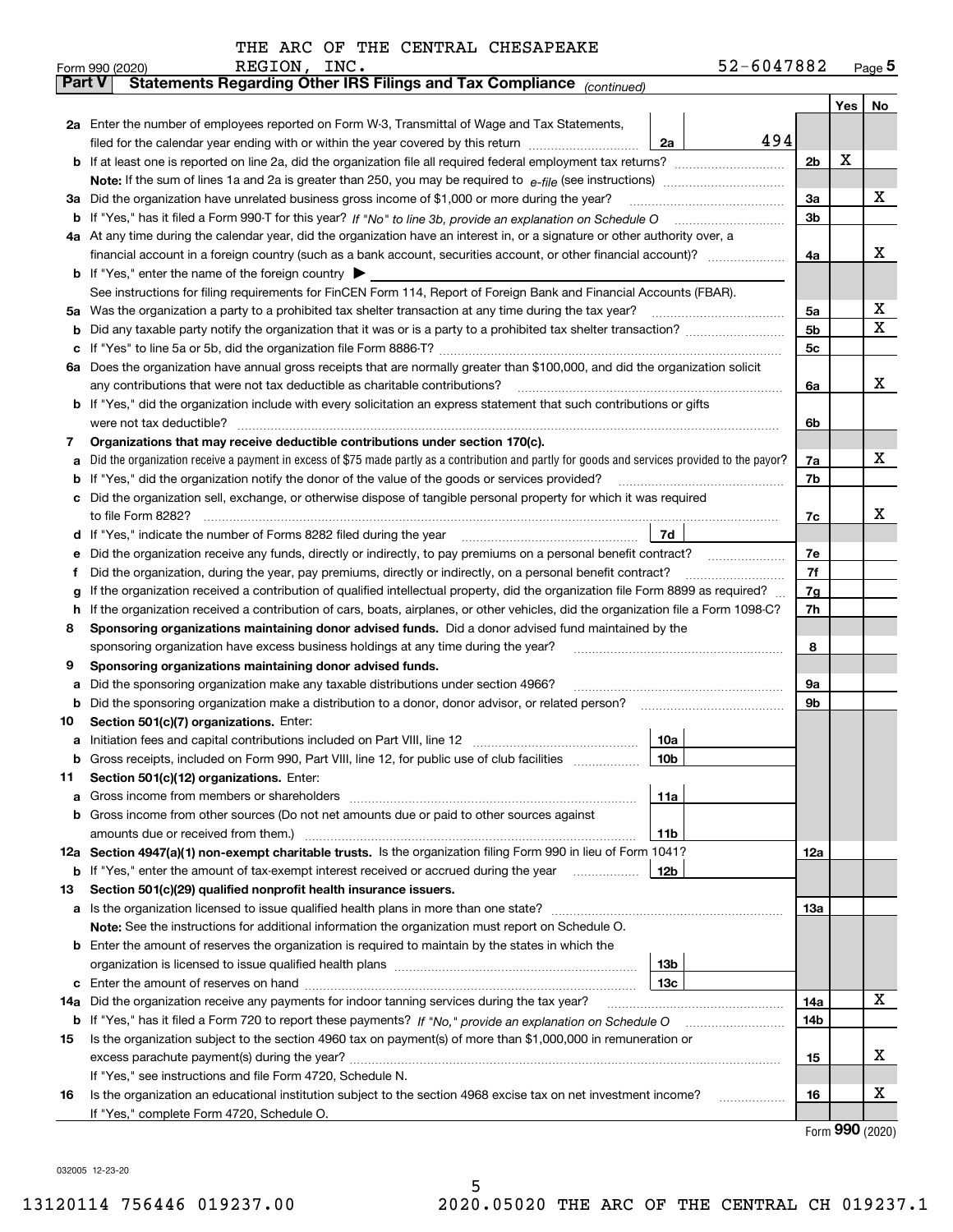| THE ARC OF THE CENTRAL CHESAPEAKE |
|-----------------------------------|
|                                   |

|               | 52-6047882<br>REGION, INC.<br>Form 990 (2020)                                                                                                   |                |   | Page <sub>5</sub> |  |  |  |  |  |  |
|---------------|-------------------------------------------------------------------------------------------------------------------------------------------------|----------------|---|-------------------|--|--|--|--|--|--|
| <b>Part V</b> | Statements Regarding Other IRS Filings and Tax Compliance (continued)                                                                           |                |   |                   |  |  |  |  |  |  |
|               |                                                                                                                                                 |                |   | Yes   No          |  |  |  |  |  |  |
|               | 2a Enter the number of employees reported on Form W-3, Transmittal of Wage and Tax Statements,                                                  |                |   |                   |  |  |  |  |  |  |
|               | 494<br>filed for the calendar year ending with or within the year covered by this return <i>manumumumum</i><br>2a                               |                |   |                   |  |  |  |  |  |  |
|               |                                                                                                                                                 | 2 <sub>b</sub> | х |                   |  |  |  |  |  |  |
|               |                                                                                                                                                 |                |   |                   |  |  |  |  |  |  |
|               | 3a Did the organization have unrelated business gross income of \$1,000 or more during the year?                                                | 3a             |   | х                 |  |  |  |  |  |  |
|               |                                                                                                                                                 | 3 <sub>b</sub> |   |                   |  |  |  |  |  |  |
|               | 4a At any time during the calendar year, did the organization have an interest in, or a signature or other authority over, a                    |                |   |                   |  |  |  |  |  |  |
|               |                                                                                                                                                 | 4a             |   | х                 |  |  |  |  |  |  |
|               | <b>b</b> If "Yes," enter the name of the foreign country $\triangleright$                                                                       |                |   |                   |  |  |  |  |  |  |
|               | See instructions for filing requirements for FinCEN Form 114, Report of Foreign Bank and Financial Accounts (FBAR).                             |                |   | х                 |  |  |  |  |  |  |
|               |                                                                                                                                                 |                |   |                   |  |  |  |  |  |  |
| b             |                                                                                                                                                 |                |   |                   |  |  |  |  |  |  |
| c             |                                                                                                                                                 | 5c             |   |                   |  |  |  |  |  |  |
|               | 6a Does the organization have annual gross receipts that are normally greater than \$100,000, and did the organization solicit                  |                |   |                   |  |  |  |  |  |  |
|               |                                                                                                                                                 | 6a             |   | х                 |  |  |  |  |  |  |
|               | <b>b</b> If "Yes," did the organization include with every solicitation an express statement that such contributions or gifts                   |                |   |                   |  |  |  |  |  |  |
|               |                                                                                                                                                 | 6b             |   |                   |  |  |  |  |  |  |
| 7             | Organizations that may receive deductible contributions under section 170(c).                                                                   |                |   |                   |  |  |  |  |  |  |
| а             | Did the organization receive a payment in excess of \$75 made partly as a contribution and partly for goods and services provided to the payor? | 7a             |   | x                 |  |  |  |  |  |  |
|               | <b>b</b> If "Yes," did the organization notify the donor of the value of the goods or services provided?                                        | 7b             |   |                   |  |  |  |  |  |  |
|               | c Did the organization sell, exchange, or otherwise dispose of tangible personal property for which it was required                             |                |   |                   |  |  |  |  |  |  |
|               |                                                                                                                                                 | 7c             |   | х                 |  |  |  |  |  |  |
|               | 7d                                                                                                                                              |                |   |                   |  |  |  |  |  |  |
| е             | Did the organization receive any funds, directly or indirectly, to pay premiums on a personal benefit contract?                                 |                |   |                   |  |  |  |  |  |  |
| f             | Did the organization, during the year, pay premiums, directly or indirectly, on a personal benefit contract?                                    | 7f             |   |                   |  |  |  |  |  |  |
| g             | If the organization received a contribution of qualified intellectual property, did the organization file Form 8899 as required?                | 7g             |   |                   |  |  |  |  |  |  |
| h.            | If the organization received a contribution of cars, boats, airplanes, or other vehicles, did the organization file a Form 1098-C?              | 7h             |   |                   |  |  |  |  |  |  |
| 8             | Sponsoring organizations maintaining donor advised funds. Did a donor advised fund maintained by the                                            |                |   |                   |  |  |  |  |  |  |
|               | sponsoring organization have excess business holdings at any time during the year?                                                              | 8              |   |                   |  |  |  |  |  |  |
| 9             | Sponsoring organizations maintaining donor advised funds.                                                                                       |                |   |                   |  |  |  |  |  |  |
| а             | Did the sponsoring organization make any taxable distributions under section 4966?                                                              | 9а             |   |                   |  |  |  |  |  |  |
| b             | Did the sponsoring organization make a distribution to a donor, donor advisor, or related person?                                               | 9b             |   |                   |  |  |  |  |  |  |
| 10            | Section 501(c)(7) organizations. Enter:                                                                                                         |                |   |                   |  |  |  |  |  |  |
|               | 10a                                                                                                                                             |                |   |                   |  |  |  |  |  |  |
|               | 10b <br>Gross receipts, included on Form 990, Part VIII, line 12, for public use of club facilities                                             |                |   |                   |  |  |  |  |  |  |
| 11            | Section 501(c)(12) organizations. Enter:                                                                                                        |                |   |                   |  |  |  |  |  |  |
| a             | Gross income from members or shareholders<br>11a                                                                                                |                |   |                   |  |  |  |  |  |  |
|               | b Gross income from other sources (Do not net amounts due or paid to other sources against                                                      |                |   |                   |  |  |  |  |  |  |
|               | 11b<br>12a Section 4947(a)(1) non-exempt charitable trusts. Is the organization filing Form 990 in lieu of Form 1041?                           |                |   |                   |  |  |  |  |  |  |
|               |                                                                                                                                                 | 12a            |   |                   |  |  |  |  |  |  |
|               | 12b<br><b>b</b> If "Yes," enter the amount of tax-exempt interest received or accrued during the year                                           |                |   |                   |  |  |  |  |  |  |
| 13            | Section 501(c)(29) qualified nonprofit health insurance issuers.                                                                                |                |   |                   |  |  |  |  |  |  |
|               | a Is the organization licensed to issue qualified health plans in more than one state?                                                          | 13а            |   |                   |  |  |  |  |  |  |
|               | Note: See the instructions for additional information the organization must report on Schedule O.                                               |                |   |                   |  |  |  |  |  |  |
|               | <b>b</b> Enter the amount of reserves the organization is required to maintain by the states in which the                                       |                |   |                   |  |  |  |  |  |  |
|               | 13b                                                                                                                                             |                |   |                   |  |  |  |  |  |  |
|               | 13с                                                                                                                                             |                |   | x                 |  |  |  |  |  |  |
|               | 14a Did the organization receive any payments for indoor tanning services during the tax year?                                                  | 14a            |   |                   |  |  |  |  |  |  |
|               | <b>b</b> If "Yes," has it filed a Form 720 to report these payments? If "No," provide an explanation on Schedule O                              | 14b            |   |                   |  |  |  |  |  |  |
| 15            | Is the organization subject to the section 4960 tax on payment(s) of more than \$1,000,000 in remuneration or                                   |                |   | х                 |  |  |  |  |  |  |
|               |                                                                                                                                                 | 15             |   |                   |  |  |  |  |  |  |
|               | If "Yes," see instructions and file Form 4720, Schedule N.                                                                                      |                |   | х                 |  |  |  |  |  |  |
| 16            | Is the organization an educational institution subject to the section 4968 excise tax on net investment income?                                 | 16             |   |                   |  |  |  |  |  |  |
|               | If "Yes," complete Form 4720, Schedule O.                                                                                                       |                |   |                   |  |  |  |  |  |  |

5

Form (2020) **990**

032005 12-23-20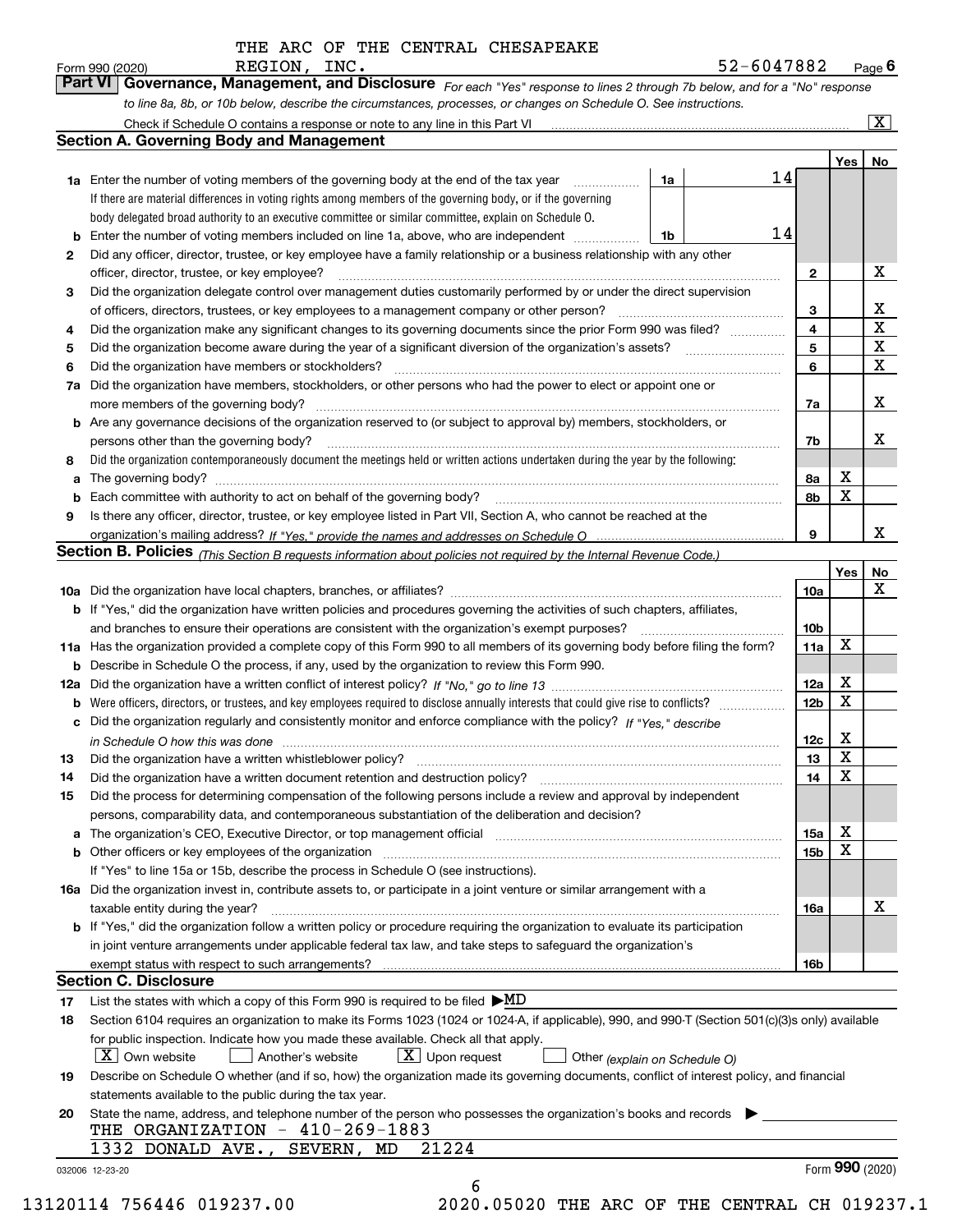*For each "Yes" response to lines 2 through 7b below, and for a "No" response to line 8a, 8b, or 10b below, describe the circumstances, processes, or changes on Schedule O. See instructions.* Form 990 (2020) REGION, INC.<br>**Part VI Governance, Management, and Disclosure** For each "Yes" response to lines 2 through 7b below, and for a "No" response

|     |                                                                                                                                                                            |                               |                 | Yes <sub>1</sub> | No                      |
|-----|----------------------------------------------------------------------------------------------------------------------------------------------------------------------------|-------------------------------|-----------------|------------------|-------------------------|
|     | <b>1a</b> Enter the number of voting members of the governing body at the end of the tax year<br>.                                                                         | 1a                            | 14              |                  |                         |
|     | If there are material differences in voting rights among members of the governing body, or if the governing                                                                |                               |                 |                  |                         |
|     | body delegated broad authority to an executive committee or similar committee, explain on Schedule O.                                                                      |                               |                 |                  |                         |
|     | <b>b</b> Enter the number of voting members included on line 1a, above, who are independent <i>manumum</i>                                                                 | 1b                            | 14              |                  |                         |
| 2   | Did any officer, director, trustee, or key employee have a family relationship or a business relationship with any other                                                   |                               |                 |                  |                         |
|     | officer, director, trustee, or key employee?                                                                                                                               |                               | $\mathbf{2}$    |                  | X                       |
| 3   | Did the organization delegate control over management duties customarily performed by or under the direct supervision                                                      |                               |                 |                  |                         |
|     |                                                                                                                                                                            |                               | 3               |                  | х                       |
| 4   | Did the organization make any significant changes to its governing documents since the prior Form 990 was filed?                                                           |                               | 4               |                  | $\overline{\texttt{x}}$ |
| 5   |                                                                                                                                                                            |                               | 5               |                  | $\overline{\mathbf{x}}$ |
| 6   | Did the organization have members or stockholders?                                                                                                                         |                               | 6               |                  | $\overline{\mathbf{x}}$ |
| 7a  | Did the organization have members, stockholders, or other persons who had the power to elect or appoint one or                                                             |                               |                 |                  |                         |
|     |                                                                                                                                                                            |                               | 7a              |                  | X                       |
|     | <b>b</b> Are any governance decisions of the organization reserved to (or subject to approval by) members, stockholders, or                                                |                               |                 |                  |                         |
|     | persons other than the governing body?                                                                                                                                     |                               | 7b              |                  | x                       |
| 8   | Did the organization contemporaneously document the meetings held or written actions undertaken during the year by the following:                                          |                               |                 |                  |                         |
| a   |                                                                                                                                                                            |                               | 8a              | х                |                         |
|     |                                                                                                                                                                            |                               | 8b              | X                |                         |
| 9   | Is there any officer, director, trustee, or key employee listed in Part VII, Section A, who cannot be reached at the                                                       |                               |                 |                  |                         |
|     |                                                                                                                                                                            |                               | 9               |                  | x                       |
|     | Section B. Policies (This Section B requests information about policies not required by the Internal Revenue Code.)                                                        |                               |                 |                  |                         |
|     |                                                                                                                                                                            |                               |                 | Yes              | No                      |
|     |                                                                                                                                                                            |                               | 10a             |                  | $\mathbf X$             |
|     | b If "Yes," did the organization have written policies and procedures governing the activities of such chapters, affiliates,                                               |                               |                 |                  |                         |
|     |                                                                                                                                                                            |                               | 10 <sub>b</sub> |                  |                         |
|     | 11a Has the organization provided a complete copy of this Form 990 to all members of its governing body before filing the form?                                            |                               | 11a             | X                |                         |
|     | <b>b</b> Describe in Schedule O the process, if any, used by the organization to review this Form 990.                                                                     |                               |                 |                  |                         |
| 12a |                                                                                                                                                                            |                               | 12a             | х                |                         |
| b   |                                                                                                                                                                            |                               | 12 <sub>b</sub> | $\mathbf X$      |                         |
|     | c Did the organization regularly and consistently monitor and enforce compliance with the policy? If "Yes," describe                                                       |                               |                 |                  |                         |
|     | in Schedule O how this was done www.communication.com/www.communications.com/www.communications.com/                                                                       |                               | 12c             | х                |                         |
| 13  |                                                                                                                                                                            |                               | 13              | X                |                         |
| 14  | Did the organization have a written document retention and destruction policy? manufactured and the organization have a written document retention and destruction policy? |                               | 14              | $\mathbf X$      |                         |
| 15  | Did the process for determining compensation of the following persons include a review and approval by independent                                                         |                               |                 |                  |                         |
|     | persons, comparability data, and contemporaneous substantiation of the deliberation and decision?                                                                          |                               |                 |                  |                         |
|     |                                                                                                                                                                            |                               | 15a             | х                |                         |
|     | <b>b</b> Other officers or key employees of the organization                                                                                                               |                               | 15b             | $\mathbf X$      |                         |
|     | If "Yes" to line 15a or 15b, describe the process in Schedule O (see instructions).                                                                                        |                               |                 |                  |                         |
|     | 16a Did the organization invest in, contribute assets to, or participate in a joint venture or similar arrangement with a                                                  |                               |                 |                  |                         |
|     | taxable entity during the year?                                                                                                                                            |                               | 16a             |                  | х                       |
|     | <b>b</b> If "Yes," did the organization follow a written policy or procedure requiring the organization to evaluate its participation                                      |                               |                 |                  |                         |
|     | in joint venture arrangements under applicable federal tax law, and take steps to safeguard the organization's                                                             |                               |                 |                  |                         |
|     |                                                                                                                                                                            |                               | 16b             |                  |                         |
|     | <b>Section C. Disclosure</b>                                                                                                                                               |                               |                 |                  |                         |
| 17  | List the states with which a copy of this Form 990 is required to be filed $\blacktriangleright \text{MD}$                                                                 |                               |                 |                  |                         |
| 18  | Section 6104 requires an organization to make its Forms 1023 (1024 or 1024-A, if applicable), 990, and 990-T (Section 501(c)(3)s only) available                           |                               |                 |                  |                         |
|     | for public inspection. Indicate how you made these available. Check all that apply.                                                                                        |                               |                 |                  |                         |
|     | $X$ Upon request<br>$\lfloor X \rfloor$ Own website<br>Another's website                                                                                                   | Other (explain on Schedule O) |                 |                  |                         |
| 19  | Describe on Schedule O whether (and if so, how) the organization made its governing documents, conflict of interest policy, and financial                                  |                               |                 |                  |                         |
|     | statements available to the public during the tax year.                                                                                                                    |                               |                 |                  |                         |
| 20  | State the name, address, and telephone number of the person who possesses the organization's books and records                                                             |                               |                 |                  |                         |
|     | THE ORGANIZATION $-$ 410-269-1883                                                                                                                                          |                               |                 |                  |                         |
|     | 21224<br>SEVERN, MD<br>1332 DONALD AVE.,                                                                                                                                   |                               |                 |                  |                         |
|     |                                                                                                                                                                            |                               |                 |                  | Form 990 (2020)         |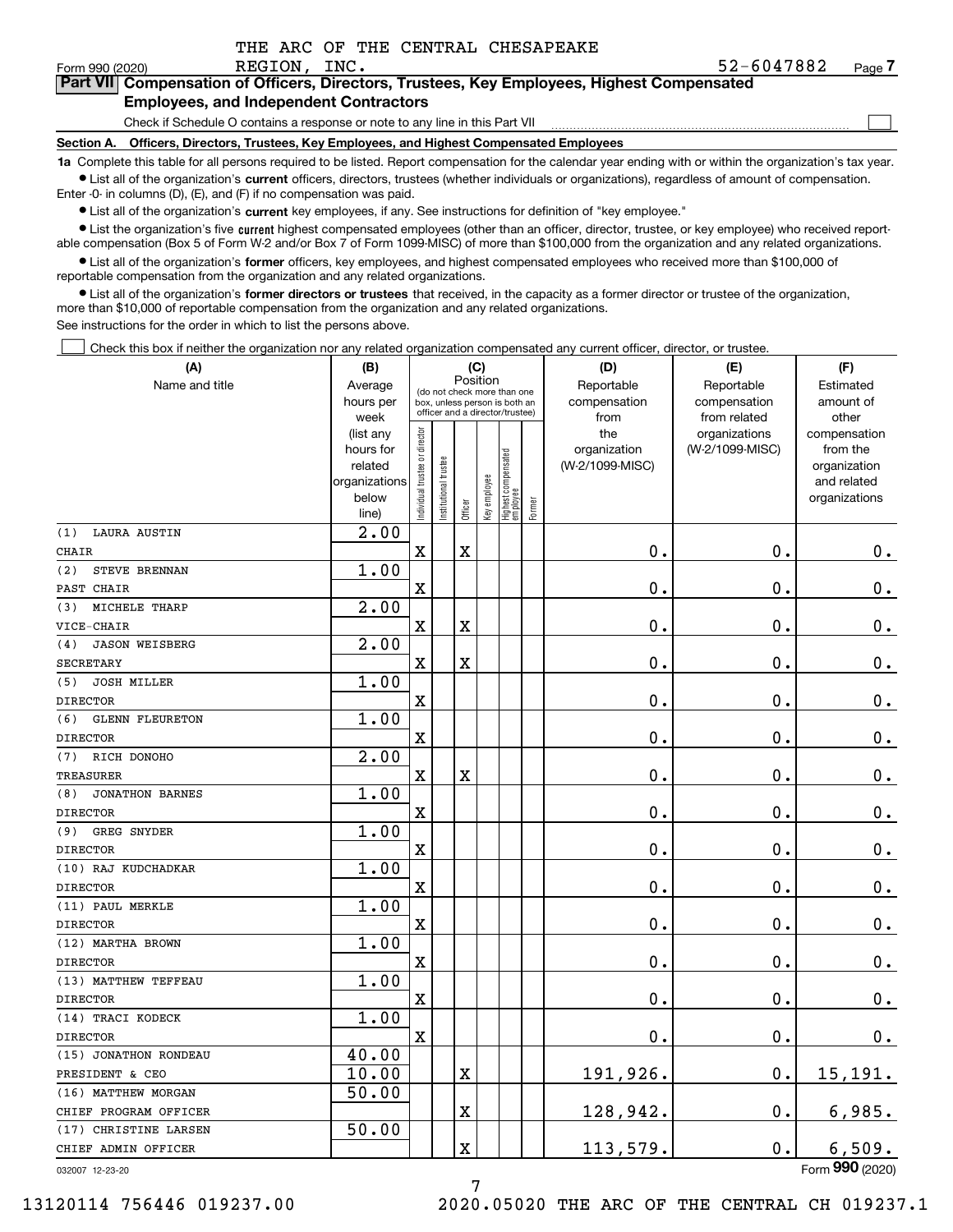| THE ARC OF THE CENTRAL CHESAPEAKE |
|-----------------------------------|
|-----------------------------------|

 $\mathcal{L}^{\text{max}}$ 

| orm 990 (2020) <sup>.</sup> |                                               | REGION, | INC. |                                                                                            | 52-6047882 | Page <i>I</i> |
|-----------------------------|-----------------------------------------------|---------|------|--------------------------------------------------------------------------------------------|------------|---------------|
|                             |                                               |         |      | Part VII Compensation of Officers, Directors, Trustees, Key Employees, Highest Compensated |            |               |
|                             | <b>Employees, and Independent Contractors</b> |         |      |                                                                                            |            |               |

Check if Schedule O contains a response or note to any line in this Part VII

**Section A. Officers, Directors, Trustees, Key Employees, and Highest Compensated Employees**

**1a**  Complete this table for all persons required to be listed. Report compensation for the calendar year ending with or within the organization's tax year. **•** List all of the organization's current officers, directors, trustees (whether individuals or organizations), regardless of amount of compensation.

Enter -0- in columns (D), (E), and (F) if no compensation was paid.

 $\bullet$  List all of the organization's  $\,$ current key employees, if any. See instructions for definition of "key employee."

**•** List the organization's five current highest compensated employees (other than an officer, director, trustee, or key employee) who received reportable compensation (Box 5 of Form W-2 and/or Box 7 of Form 1099-MISC) of more than \$100,000 from the organization and any related organizations.

**•** List all of the organization's former officers, key employees, and highest compensated employees who received more than \$100,000 of reportable compensation from the organization and any related organizations.

**former directors or trustees**  ¥ List all of the organization's that received, in the capacity as a former director or trustee of the organization, more than \$10,000 of reportable compensation from the organization and any related organizations.

See instructions for the order in which to list the persons above.

Check this box if neither the organization nor any related organization compensated any current officer, director, or trustee.  $\mathcal{L}^{\text{max}}$ 

| (A)                           | (B)                                                                 |                                |                                                                  |                         | (C)          |                                   |        | (D)                                            | (E)                                              | (F)                                                                               |
|-------------------------------|---------------------------------------------------------------------|--------------------------------|------------------------------------------------------------------|-------------------------|--------------|-----------------------------------|--------|------------------------------------------------|--------------------------------------------------|-----------------------------------------------------------------------------------|
| Name and title                | Average                                                             |                                | (do not check more than one                                      | Position                |              |                                   |        | Reportable                                     | Reportable                                       | Estimated                                                                         |
|                               | hours per                                                           |                                | box, unless person is both an<br>officer and a director/trustee) |                         |              |                                   |        | compensation                                   | compensation                                     | amount of                                                                         |
|                               | week<br>(list any<br>hours for<br>related<br>organizations<br>below | n dividual trustee or director | nstitutional trustee                                             |                         | key employee | Highest compensated<br>  employee |        | from<br>the<br>organization<br>(W-2/1099-MISC) | from related<br>organizations<br>(W-2/1099-MISC) | other<br>compensation<br>from the<br>organization<br>and related<br>organizations |
|                               | line)                                                               |                                |                                                                  | Officer                 |              |                                   | Former |                                                |                                                  |                                                                                   |
| (1)<br><b>LAURA AUSTIN</b>    | $\overline{2.00}$                                                   |                                |                                                                  |                         |              |                                   |        |                                                |                                                  |                                                                                   |
| <b>CHAIR</b>                  |                                                                     | $\mathbf X$                    |                                                                  | X                       |              |                                   |        | $\mathbf 0$ .                                  | $\mathbf 0$ .                                    | $0_{.}$                                                                           |
| (2)<br>STEVE BRENNAN          | 1.00                                                                |                                |                                                                  |                         |              |                                   |        |                                                |                                                  |                                                                                   |
| PAST CHAIR                    |                                                                     | $\mathbf X$                    |                                                                  |                         |              |                                   |        | $\mathbf 0$ .                                  | 0.                                               | $\mathbf 0$ .                                                                     |
| MICHELE THARP<br>(3)          | 2.00                                                                |                                |                                                                  |                         |              |                                   |        |                                                |                                                  |                                                                                   |
| VICE-CHAIR                    |                                                                     | $\mathbf X$                    |                                                                  | X                       |              |                                   |        | 0.                                             | $\mathbf 0$ .                                    | $0_{.}$                                                                           |
| (4)<br><b>JASON WEISBERG</b>  | 2.00                                                                |                                |                                                                  |                         |              |                                   |        |                                                |                                                  |                                                                                   |
| <b>SECRETARY</b>              |                                                                     | $\mathbf x$                    |                                                                  | $\overline{\textbf{X}}$ |              |                                   |        | $\mathbf 0$ .                                  | $\mathbf 0$ .                                    | $0_{.}$                                                                           |
| <b>JOSH MILLER</b><br>(5)     | 1.00                                                                |                                |                                                                  |                         |              |                                   |        |                                                |                                                  |                                                                                   |
| <b>DIRECTOR</b>               |                                                                     | $\mathbf X$                    |                                                                  |                         |              |                                   |        | $\mathbf 0$ .                                  | $\mathbf 0$ .                                    | $\mathbf 0$ .                                                                     |
| (6)<br><b>GLENN FLEURETON</b> | 1.00                                                                |                                |                                                                  |                         |              |                                   |        |                                                |                                                  |                                                                                   |
| <b>DIRECTOR</b>               |                                                                     | $\overline{\textbf{X}}$        |                                                                  |                         |              |                                   |        | $\mathbf 0$ .                                  | $\mathbf 0$ .                                    | $\mathbf 0$ .                                                                     |
| RICH DONOHO<br>(7)            | 2.00                                                                |                                |                                                                  |                         |              |                                   |        |                                                |                                                  |                                                                                   |
| <b>TREASURER</b>              |                                                                     | $\mathbf X$                    |                                                                  | $\overline{\textbf{X}}$ |              |                                   |        | 0.                                             | 0.                                               | $\mathbf 0$ .                                                                     |
| (8)<br><b>JONATHON BARNES</b> | 1.00                                                                |                                |                                                                  |                         |              |                                   |        |                                                |                                                  |                                                                                   |
| <b>DIRECTOR</b>               |                                                                     | $\mathbf x$                    |                                                                  |                         |              |                                   |        | 0.                                             | $\mathbf 0$ .                                    | $\mathbf 0$ .                                                                     |
| GREG SNYDER<br>(9)            | 1.00                                                                |                                |                                                                  |                         |              |                                   |        |                                                |                                                  |                                                                                   |
| <b>DIRECTOR</b>               |                                                                     | $\mathbf X$                    |                                                                  |                         |              |                                   |        | $\mathbf 0$ .                                  | 0.                                               | $\mathbf 0$ .                                                                     |
| (10) RAJ KUDCHADKAR           | 1.00                                                                |                                |                                                                  |                         |              |                                   |        |                                                |                                                  |                                                                                   |
| <b>DIRECTOR</b>               |                                                                     | $\mathbf X$                    |                                                                  |                         |              |                                   |        | $\mathbf 0$ .                                  | $\mathbf 0$ .                                    | $\mathbf 0$ .                                                                     |
| (11) PAUL MERKLE              | 1.00                                                                |                                |                                                                  |                         |              |                                   |        |                                                |                                                  |                                                                                   |
| <b>DIRECTOR</b>               |                                                                     | $\mathbf X$                    |                                                                  |                         |              |                                   |        | 0.                                             | $\mathbf 0$ .                                    | $\mathbf 0$ .                                                                     |
| (12) MARTHA BROWN             | 1.00                                                                |                                |                                                                  |                         |              |                                   |        |                                                |                                                  |                                                                                   |
| <b>DIRECTOR</b>               |                                                                     | $\mathbf x$                    |                                                                  |                         |              |                                   |        | $\mathbf 0$ .                                  | $\mathbf 0$ .                                    | $0_{.}$                                                                           |
| (13) MATTHEW TEFFEAU          | 1.00                                                                |                                |                                                                  |                         |              |                                   |        |                                                |                                                  |                                                                                   |
| <b>DIRECTOR</b>               |                                                                     | $\mathbf X$                    |                                                                  |                         |              |                                   |        | $\mathbf 0$ .                                  | $\mathbf 0$ .                                    | $\mathbf 0$ .                                                                     |
| (14) TRACI KODECK             | 1.00                                                                |                                |                                                                  |                         |              |                                   |        |                                                |                                                  |                                                                                   |
| <b>DIRECTOR</b>               |                                                                     | $\mathbf X$                    |                                                                  |                         |              |                                   |        | 0.                                             | $\mathbf 0$ .                                    | $\mathbf 0$ .                                                                     |
| (15) JONATHON RONDEAU         | 40.00                                                               |                                |                                                                  |                         |              |                                   |        |                                                |                                                  |                                                                                   |
| PRESIDENT & CEO               | 10.00                                                               |                                |                                                                  | X                       |              |                                   |        | 191,926.                                       | 0.                                               | 15,191.                                                                           |
| (16) MATTHEW MORGAN           | 50.00                                                               |                                |                                                                  |                         |              |                                   |        |                                                |                                                  |                                                                                   |
| CHIEF PROGRAM OFFICER         |                                                                     |                                |                                                                  | X                       |              |                                   |        | 128,942.                                       | 0.                                               | 6,985.                                                                            |
| (17) CHRISTINE LARSEN         | 50.00                                                               |                                |                                                                  |                         |              |                                   |        |                                                |                                                  |                                                                                   |
| CHIEF ADMIN OFFICER           |                                                                     |                                |                                                                  | X                       |              |                                   |        | 113,579.                                       | 0.                                               | 6,509.                                                                            |

7

032007 12-23-20

Form (2020) **990**

13120114 756446 019237.00 2020.05020 THE ARC OF THE CENTRAL CH 019237.1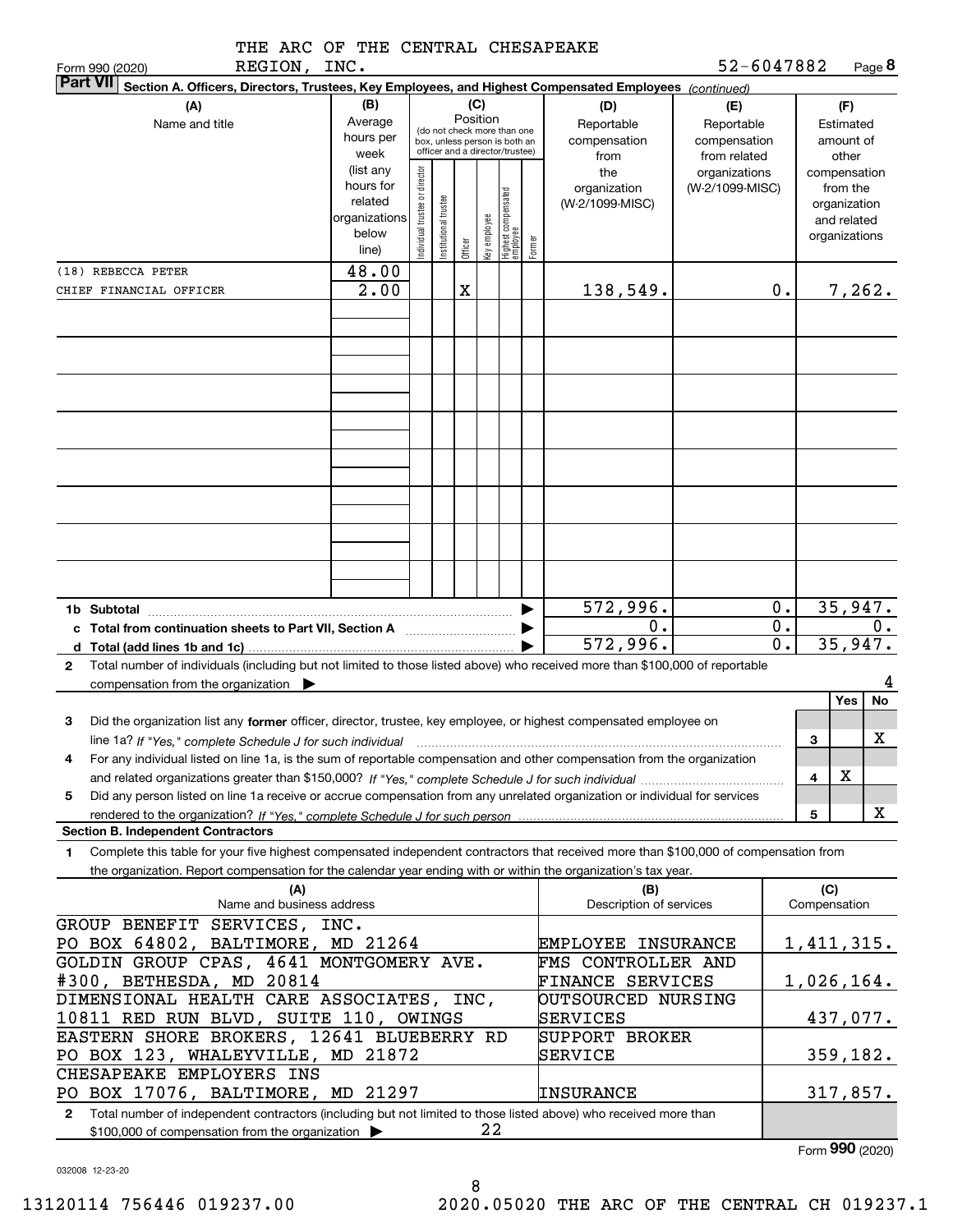| THE ARC OF THE CENTRAL CHESAPEAKE                                                                                                            |                   |                                |                       |          |              |                                                                  |        |                            |                               |                  |              |                       |             |
|----------------------------------------------------------------------------------------------------------------------------------------------|-------------------|--------------------------------|-----------------------|----------|--------------|------------------------------------------------------------------|--------|----------------------------|-------------------------------|------------------|--------------|-----------------------|-------------|
| REGION, INC.<br>Form 990 (2020)                                                                                                              |                   |                                |                       |          |              |                                                                  |        |                            | 52-6047882                    |                  |              |                       | Page 8      |
| <b>Part VII</b><br>Section A. Officers, Directors, Trustees, Key Employees, and Highest Compensated Employees (continued)                    |                   |                                |                       |          |              |                                                                  |        |                            |                               |                  |              |                       |             |
| (A)                                                                                                                                          | (B)               |                                |                       |          | (C)          |                                                                  |        | (D)                        | (E)                           |                  |              | (F)                   |             |
| Name and title                                                                                                                               | Average           |                                |                       | Position |              | (do not check more than one                                      |        | Reportable                 | Reportable                    |                  |              | Estimated             |             |
|                                                                                                                                              | hours per<br>week |                                |                       |          |              | box, unless person is both an<br>officer and a director/trustee) |        | compensation               | compensation                  |                  |              | amount of             |             |
|                                                                                                                                              | (list any         |                                |                       |          |              |                                                                  |        | from<br>the                | from related<br>organizations |                  |              | other<br>compensation |             |
|                                                                                                                                              | hours for         |                                |                       |          |              |                                                                  |        | organization               | (W-2/1099-MISC)               |                  |              | from the              |             |
|                                                                                                                                              | related           |                                |                       |          |              |                                                                  |        | (W-2/1099-MISC)            |                               |                  |              | organization          |             |
|                                                                                                                                              | organizations     |                                |                       |          |              |                                                                  |        |                            |                               |                  |              | and related           |             |
|                                                                                                                                              | below             | Individual trustee or director | Institutional trustee |          | Key employee | Highest compensated<br>employee                                  |        |                            |                               |                  |              | organizations         |             |
|                                                                                                                                              | line)             |                                |                       | Officer  |              |                                                                  | Former |                            |                               |                  |              |                       |             |
| (18) REBECCA PETER                                                                                                                           | 48.00             |                                |                       |          |              |                                                                  |        |                            |                               |                  |              |                       |             |
| CHIEF FINANCIAL OFFICER                                                                                                                      | $\overline{2.00}$ |                                |                       | X        |              |                                                                  |        | 138,549.                   |                               | 0.               |              | 7,262.                |             |
|                                                                                                                                              |                   |                                |                       |          |              |                                                                  |        |                            |                               |                  |              |                       |             |
|                                                                                                                                              |                   |                                |                       |          |              |                                                                  |        |                            |                               |                  |              |                       |             |
|                                                                                                                                              |                   |                                |                       |          |              |                                                                  |        |                            |                               |                  |              |                       |             |
|                                                                                                                                              |                   |                                |                       |          |              |                                                                  |        |                            |                               |                  |              |                       |             |
|                                                                                                                                              |                   |                                |                       |          |              |                                                                  |        |                            |                               |                  |              |                       |             |
|                                                                                                                                              |                   |                                |                       |          |              |                                                                  |        |                            |                               |                  |              |                       |             |
|                                                                                                                                              |                   |                                |                       |          |              |                                                                  |        |                            |                               |                  |              |                       |             |
|                                                                                                                                              |                   |                                |                       |          |              |                                                                  |        |                            |                               |                  |              |                       |             |
|                                                                                                                                              |                   |                                |                       |          |              |                                                                  |        |                            |                               |                  |              |                       |             |
|                                                                                                                                              |                   |                                |                       |          |              |                                                                  |        |                            |                               |                  |              |                       |             |
|                                                                                                                                              |                   |                                |                       |          |              |                                                                  |        |                            |                               |                  |              |                       |             |
|                                                                                                                                              |                   |                                |                       |          |              |                                                                  |        |                            |                               |                  |              |                       |             |
|                                                                                                                                              |                   |                                |                       |          |              |                                                                  |        |                            |                               |                  |              |                       |             |
|                                                                                                                                              |                   |                                |                       |          |              |                                                                  |        |                            |                               |                  |              |                       |             |
|                                                                                                                                              |                   |                                |                       |          |              |                                                                  |        |                            |                               |                  |              |                       |             |
| 1b Subtotal                                                                                                                                  |                   |                                |                       |          |              |                                                                  |        | 572,996.                   |                               | 0.               |              | 35,947.               |             |
|                                                                                                                                              |                   |                                |                       |          |              |                                                                  |        | 0.                         |                               | $\overline{0}$ . |              |                       | 0.          |
| d Total (add lines 1b and 1c)                                                                                                                |                   |                                |                       |          |              |                                                                  |        | 572,996.                   |                               | $\overline{0}$ . |              | 35,947.               |             |
| Total number of individuals (including but not limited to those listed above) who received more than \$100,000 of reportable<br>$\mathbf{2}$ |                   |                                |                       |          |              |                                                                  |        |                            |                               |                  |              |                       |             |
| compensation from the organization                                                                                                           |                   |                                |                       |          |              |                                                                  |        |                            |                               |                  |              |                       | 4           |
|                                                                                                                                              |                   |                                |                       |          |              |                                                                  |        |                            |                               |                  |              | Yes                   | No          |
| з<br>Did the organization list any former officer, director, trustee, key employee, or highest compensated employee on                       |                   |                                |                       |          |              |                                                                  |        |                            |                               |                  |              |                       |             |
| line 1a? If "Yes," complete Schedule J for such individual manufactured contained and the Yes," complete Schedule J for such individual      |                   |                                |                       |          |              |                                                                  |        |                            |                               |                  | 3            |                       | $\mathbf X$ |
| For any individual listed on line 1a, is the sum of reportable compensation and other compensation from the organization<br>4                |                   |                                |                       |          |              |                                                                  |        |                            |                               |                  |              |                       |             |
|                                                                                                                                              |                   |                                |                       |          |              |                                                                  |        |                            |                               |                  | 4            | х                     |             |
| Did any person listed on line 1a receive or accrue compensation from any unrelated organization or individual for services<br>5              |                   |                                |                       |          |              |                                                                  |        |                            |                               |                  |              |                       |             |
|                                                                                                                                              |                   |                                |                       |          |              |                                                                  |        |                            |                               |                  | 5            |                       | x           |
| <b>Section B. Independent Contractors</b>                                                                                                    |                   |                                |                       |          |              |                                                                  |        |                            |                               |                  |              |                       |             |
| Complete this table for your five highest compensated independent contractors that received more than \$100,000 of compensation from<br>1    |                   |                                |                       |          |              |                                                                  |        |                            |                               |                  |              |                       |             |
| the organization. Report compensation for the calendar year ending with or within the organization's tax year.                               |                   |                                |                       |          |              |                                                                  |        |                            |                               |                  |              |                       |             |
| (A)                                                                                                                                          |                   |                                |                       |          |              |                                                                  |        | (B)                        |                               |                  | (C)          |                       |             |
| Name and business address                                                                                                                    |                   |                                |                       |          |              |                                                                  |        | Description of services    |                               |                  | Compensation |                       |             |
| GROUP BENEFIT SERVICES, INC.                                                                                                                 |                   |                                |                       |          |              |                                                                  |        |                            |                               |                  |              |                       |             |
| PO BOX 64802, BALTIMORE, MD 21264                                                                                                            |                   |                                |                       |          |              |                                                                  |        | EMPLOYEE INSURANCE         |                               |                  | 1,411,315.   |                       |             |
| GOLDIN GROUP CPAS, 4641 MONTGOMERY AVE.                                                                                                      |                   |                                |                       |          |              |                                                                  |        | FMS CONTROLLER AND         |                               |                  |              |                       |             |
| #300, BETHESDA, MD 20814                                                                                                                     |                   |                                |                       |          |              |                                                                  |        | FINANCE SERVICES           |                               |                  | 1,026,164.   |                       |             |
| DIMENSIONAL HEALTH CARE ASSOCIATES, INC,                                                                                                     |                   |                                |                       |          |              |                                                                  |        | OUTSOURCED NURSING         |                               |                  |              |                       |             |
| 10811 RED RUN BLVD, SUITE 110, OWINGS<br>EASTERN SHORE BROKERS, 12641 BLUEBERRY RD                                                           |                   |                                |                       |          |              |                                                                  |        | SERVICES<br>SUPPORT BROKER |                               |                  |              | 437,077.              |             |
| PO BOX 123, WHALEYVILLE, MD 21872                                                                                                            |                   |                                |                       |          |              |                                                                  |        | SERVICE                    |                               |                  |              | 359,182.              |             |
| CHESAPEAKE EMPLOYERS INS                                                                                                                     |                   |                                |                       |          |              |                                                                  |        |                            |                               |                  |              |                       |             |
| PO BOX 17076, BALTIMORE, MD 21297                                                                                                            |                   |                                |                       |          |              |                                                                  |        | INSURANCE                  |                               |                  |              | 317,857.              |             |
|                                                                                                                                              |                   |                                |                       |          |              |                                                                  |        |                            |                               |                  |              |                       |             |

Form (2020) **990**

032008 12-23-20

**2**

22

Total number of independent contractors (including but not limited to those listed above) who received more than

\$100,000 of compensation from the organization  $\blacktriangleright$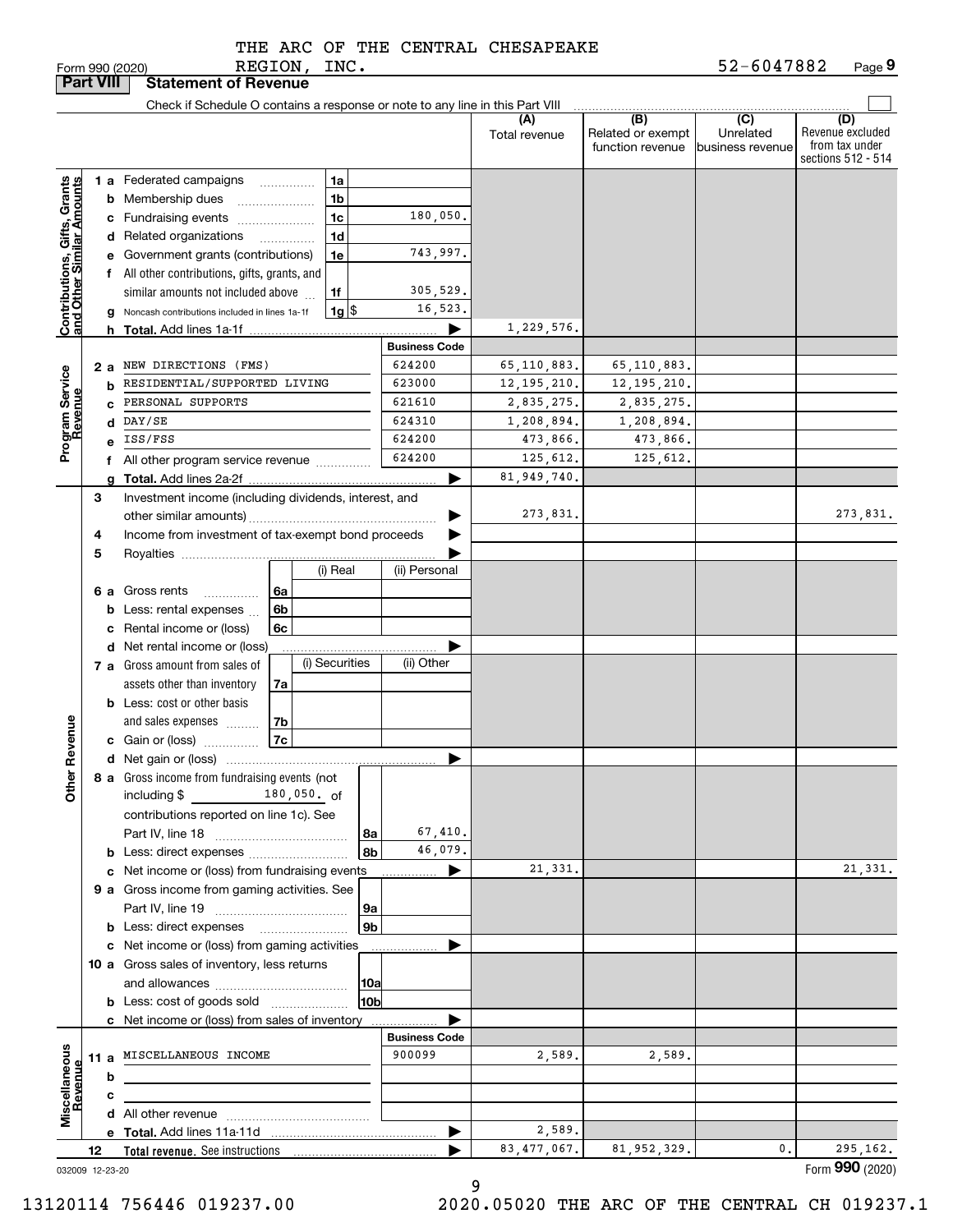REGION, INC.

THE ARC OF THE CENTRAL CHESAPEAKE

|                                                           | <b>Part VIII</b>                                                                      |                              | <b>Statement of Revenue</b>                                                   |                      |                        |                                              |                                      |                                                                 |
|-----------------------------------------------------------|---------------------------------------------------------------------------------------|------------------------------|-------------------------------------------------------------------------------|----------------------|------------------------|----------------------------------------------|--------------------------------------|-----------------------------------------------------------------|
|                                                           |                                                                                       |                              | Check if Schedule O contains a response or note to any line in this Part VIII |                      |                        |                                              |                                      |                                                                 |
|                                                           |                                                                                       |                              |                                                                               |                      | (A)<br>Total revenue   | (B)<br>Related or exempt<br>function revenue | (C)<br>Unrelated<br>business revenue | (D)<br>Revenue excluded<br>from tax under<br>sections 512 - 514 |
|                                                           |                                                                                       |                              | 1 a Federated campaigns<br>1a                                                 |                      |                        |                                              |                                      |                                                                 |
|                                                           |                                                                                       |                              | 1 <sub>b</sub><br><b>b</b> Membership dues                                    |                      |                        |                                              |                                      |                                                                 |
|                                                           |                                                                                       |                              | 1c<br>c Fundraising events                                                    | 180,050.             |                        |                                              |                                      |                                                                 |
|                                                           |                                                                                       |                              | 1d<br>d Related organizations<br>.                                            |                      |                        |                                              |                                      |                                                                 |
| Contributions, Gifts, Grants<br>and Other Similar Amounts |                                                                                       |                              | e Government grants (contributions)<br>1e                                     | 743,997.             |                        |                                              |                                      |                                                                 |
|                                                           |                                                                                       |                              | f All other contributions, gifts, grants, and                                 |                      |                        |                                              |                                      |                                                                 |
|                                                           |                                                                                       |                              | similar amounts not included above<br>1f                                      | 305,529.             |                        |                                              |                                      |                                                                 |
|                                                           |                                                                                       | g                            | $1g$ $\frac{1}{3}$<br>Noncash contributions included in lines 1a-1f           | 16,523.              |                        |                                              |                                      |                                                                 |
|                                                           |                                                                                       | h.                           |                                                                               | ▶                    | 1,229,576.             |                                              |                                      |                                                                 |
|                                                           |                                                                                       |                              |                                                                               | <b>Business Code</b> |                        |                                              |                                      |                                                                 |
|                                                           | NEW DIRECTIONS (FMS)<br>2 a<br>RESIDENTIAL/SUPPORTED LIVING<br>b<br>PERSONAL SUPPORTS |                              |                                                                               | 624200               | 65,110,883.            | 65,110,883.                                  |                                      |                                                                 |
|                                                           |                                                                                       |                              |                                                                               | 623000<br>621610     | 12, 195, 210.          | 12, 195, 210.                                |                                      |                                                                 |
|                                                           |                                                                                       | c                            | $d$ DAY/SE                                                                    | 624310               | 2,835,275.             | 2,835,275.                                   |                                      |                                                                 |
|                                                           |                                                                                       |                              | ISS/FSS                                                                       | 624200               | 1,208,894.<br>473,866. | 1,208,894.<br>473,866.                       |                                      |                                                                 |
| Program Service<br>Revenue                                |                                                                                       | e                            | f All other program service revenue                                           | 624200               | 125,612.               | 125,612.                                     |                                      |                                                                 |
|                                                           |                                                                                       |                              |                                                                               | ▶                    | 81,949,740.            |                                              |                                      |                                                                 |
|                                                           | 3                                                                                     |                              | Investment income (including dividends, interest, and                         |                      |                        |                                              |                                      |                                                                 |
|                                                           |                                                                                       |                              |                                                                               |                      | 273,831.               |                                              |                                      | 273,831.                                                        |
|                                                           | 4                                                                                     |                              | Income from investment of tax-exempt bond proceeds                            |                      |                        |                                              |                                      |                                                                 |
|                                                           | 5                                                                                     |                              |                                                                               |                      |                        |                                              |                                      |                                                                 |
|                                                           |                                                                                       |                              | (i) Real                                                                      | (ii) Personal        |                        |                                              |                                      |                                                                 |
|                                                           |                                                                                       |                              | 6 a Gross rents<br>6a<br>.                                                    |                      |                        |                                              |                                      |                                                                 |
|                                                           |                                                                                       |                              | <b>b</b> Less: rental expenses<br>6b                                          |                      |                        |                                              |                                      |                                                                 |
|                                                           |                                                                                       | c                            | Rental income or (loss)<br>6c                                                 |                      |                        |                                              |                                      |                                                                 |
|                                                           |                                                                                       |                              | d Net rental income or (loss)                                                 |                      |                        |                                              |                                      |                                                                 |
|                                                           |                                                                                       |                              | (i) Securities<br>7 a Gross amount from sales of                              | (ii) Other           |                        |                                              |                                      |                                                                 |
|                                                           |                                                                                       |                              | assets other than inventory<br>7a                                             |                      |                        |                                              |                                      |                                                                 |
|                                                           |                                                                                       |                              | <b>b</b> Less: cost or other basis                                            |                      |                        |                                              |                                      |                                                                 |
|                                                           |                                                                                       |                              | and sales expenses<br>7b                                                      |                      |                        |                                              |                                      |                                                                 |
| Revenue                                                   |                                                                                       |                              | <b>7c</b><br>c Gain or (loss)                                                 |                      |                        |                                              |                                      |                                                                 |
|                                                           |                                                                                       |                              |                                                                               | ▶                    |                        |                                              |                                      |                                                                 |
| Other                                                     |                                                                                       |                              | 8 a Gross income from fundraising events (not                                 |                      |                        |                                              |                                      |                                                                 |
|                                                           |                                                                                       | 180,050. of<br>including $$$ |                                                                               |                      |                        |                                              |                                      |                                                                 |
|                                                           |                                                                                       |                              | contributions reported on line 1c). See                                       |                      |                        |                                              |                                      |                                                                 |
|                                                           |                                                                                       |                              | 8а                                                                            | 67,410.              |                        |                                              |                                      |                                                                 |
|                                                           |                                                                                       |                              | 8b                                                                            | 46,079.              |                        |                                              |                                      |                                                                 |
|                                                           |                                                                                       |                              | c Net income or (loss) from fundraising events                                | ▶                    | 21,331.                |                                              |                                      | 21,331.                                                         |
|                                                           |                                                                                       |                              | 9 a Gross income from gaming activities. See                                  |                      |                        |                                              |                                      |                                                                 |
|                                                           |                                                                                       |                              | 9а<br>9 <sub>b</sub>                                                          |                      |                        |                                              |                                      |                                                                 |
|                                                           |                                                                                       |                              | c Net income or (loss) from gaming activities                                 |                      |                        |                                              |                                      |                                                                 |
|                                                           |                                                                                       |                              | 10 a Gross sales of inventory, less returns                                   | .                    |                        |                                              |                                      |                                                                 |
|                                                           |                                                                                       |                              | 10a                                                                           |                      |                        |                                              |                                      |                                                                 |
|                                                           |                                                                                       |                              | 10b<br><b>b</b> Less: cost of goods sold                                      |                      |                        |                                              |                                      |                                                                 |
|                                                           |                                                                                       |                              | c Net income or (loss) from sales of inventory                                |                      |                        |                                              |                                      |                                                                 |
|                                                           |                                                                                       |                              |                                                                               | <b>Business Code</b> |                        |                                              |                                      |                                                                 |
|                                                           |                                                                                       |                              | 11 a MISCELLANEOUS INCOME                                                     | 900099               | 2,589.                 | 2,589.                                       |                                      |                                                                 |
|                                                           |                                                                                       | b                            |                                                                               |                      |                        |                                              |                                      |                                                                 |
|                                                           |                                                                                       | с                            |                                                                               |                      |                        |                                              |                                      |                                                                 |
| Miscellaneous<br>Revenue                                  |                                                                                       |                              |                                                                               |                      |                        |                                              |                                      |                                                                 |
|                                                           |                                                                                       |                              |                                                                               | ▶                    | 2,589.                 |                                              |                                      |                                                                 |
|                                                           | 12                                                                                    |                              |                                                                               |                      | 83, 477, 067.          | 81, 952, 329.                                | $\mathbf{0}$ .                       | 295,162.                                                        |
| 032009 12-23-20                                           |                                                                                       |                              |                                                                               |                      |                        |                                              |                                      | Form 990 (2020)                                                 |

032009 12-23-20

9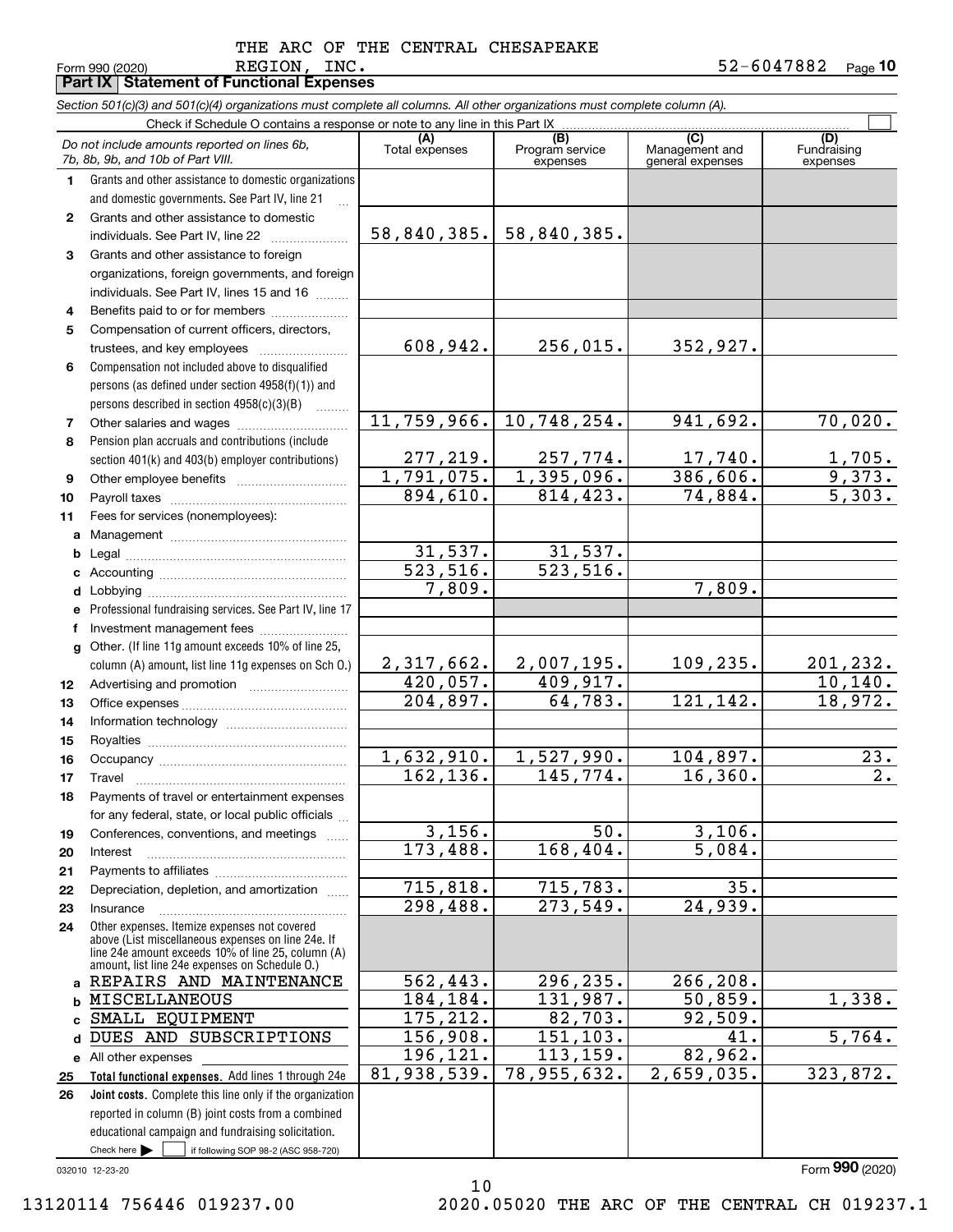#### Form 990 (2020) REGION, INC. 5 2-6 0 4 7 8 8 2 <sub>Page</sub> THE ARC OF THE CENTRAL CHESAPEAKE

|              | <b>Part IX   Statement of Functional Expenses</b>                                                                                                                                                          |                                   |                                    |                                           |                                |  |  |  |  |  |
|--------------|------------------------------------------------------------------------------------------------------------------------------------------------------------------------------------------------------------|-----------------------------------|------------------------------------|-------------------------------------------|--------------------------------|--|--|--|--|--|
|              | Section 501(c)(3) and 501(c)(4) organizations must complete all columns. All other organizations must complete column (A).                                                                                 |                                   |                                    |                                           |                                |  |  |  |  |  |
|              | Check if Schedule O contains a response or note to any line in this Part IX                                                                                                                                |                                   |                                    |                                           |                                |  |  |  |  |  |
|              | Do not include amounts reported on lines 6b,<br>7b, 8b, 9b, and 10b of Part VIII.                                                                                                                          | (A)<br>Total expenses             | (B)<br>Program service<br>expenses | (C)<br>Management and<br>general expenses | (D)<br>Fundraising<br>expenses |  |  |  |  |  |
| 1.           | Grants and other assistance to domestic organizations                                                                                                                                                      |                                   |                                    |                                           |                                |  |  |  |  |  |
|              | and domestic governments. See Part IV, line 21                                                                                                                                                             |                                   |                                    |                                           |                                |  |  |  |  |  |
| $\mathbf{2}$ | Grants and other assistance to domestic                                                                                                                                                                    |                                   |                                    |                                           |                                |  |  |  |  |  |
|              | individuals. See Part IV, line 22                                                                                                                                                                          | 58,840,385.                       | 58,840,385.                        |                                           |                                |  |  |  |  |  |
| 3            | Grants and other assistance to foreign                                                                                                                                                                     |                                   |                                    |                                           |                                |  |  |  |  |  |
|              | organizations, foreign governments, and foreign                                                                                                                                                            |                                   |                                    |                                           |                                |  |  |  |  |  |
|              | individuals. See Part IV, lines 15 and 16                                                                                                                                                                  |                                   |                                    |                                           |                                |  |  |  |  |  |
| 4            | Benefits paid to or for members                                                                                                                                                                            |                                   |                                    |                                           |                                |  |  |  |  |  |
| 5            | Compensation of current officers, directors,                                                                                                                                                               |                                   |                                    |                                           |                                |  |  |  |  |  |
|              | trustees, and key employees                                                                                                                                                                                | 608,942.                          | 256,015.                           | 352,927.                                  |                                |  |  |  |  |  |
| 6            | Compensation not included above to disqualified                                                                                                                                                            |                                   |                                    |                                           |                                |  |  |  |  |  |
|              | persons (as defined under section 4958(f)(1)) and                                                                                                                                                          |                                   |                                    |                                           |                                |  |  |  |  |  |
|              | persons described in section 4958(c)(3)(B)<br>.                                                                                                                                                            |                                   |                                    |                                           |                                |  |  |  |  |  |
| 7            |                                                                                                                                                                                                            | 11,759,966.                       | 10,748,254.                        | 941,692.                                  | 70,020.                        |  |  |  |  |  |
| 8            | Pension plan accruals and contributions (include                                                                                                                                                           |                                   |                                    |                                           |                                |  |  |  |  |  |
|              | section 401(k) and 403(b) employer contributions)                                                                                                                                                          | 277,219.                          | 257,774.                           | 17,740.                                   | $\frac{1,705.}{9,373.}$        |  |  |  |  |  |
| 9            |                                                                                                                                                                                                            | 1,791,075.                        | 1,395,096.                         | 386,606.                                  |                                |  |  |  |  |  |
| 10           |                                                                                                                                                                                                            | 894,610.                          | 814,423.                           | 74,884.                                   | $\overline{5,303.}$            |  |  |  |  |  |
| 11           | Fees for services (nonemployees):                                                                                                                                                                          |                                   |                                    |                                           |                                |  |  |  |  |  |
| a            |                                                                                                                                                                                                            |                                   |                                    |                                           |                                |  |  |  |  |  |
| b            |                                                                                                                                                                                                            | 31,537.<br>$\overline{523,516}$ . | 31,537.<br>$\overline{523,516}$ .  |                                           |                                |  |  |  |  |  |
|              |                                                                                                                                                                                                            | 7,809.                            |                                    | 7,809.                                    |                                |  |  |  |  |  |
| d            | Lobbying                                                                                                                                                                                                   |                                   |                                    |                                           |                                |  |  |  |  |  |
|              | Professional fundraising services. See Part IV, line 17                                                                                                                                                    |                                   |                                    |                                           |                                |  |  |  |  |  |
|              | Investment management fees<br>Other. (If line 11g amount exceeds 10% of line 25,                                                                                                                           |                                   |                                    |                                           |                                |  |  |  |  |  |
| g            | column (A) amount, list line 11g expenses on Sch O.)                                                                                                                                                       | 2,317,662.                        | 2,007,195.                         | 109,235.                                  | 201,232.                       |  |  |  |  |  |
| 12           | Advertising and promotion <i>manually contained</i>                                                                                                                                                        | 420,057.                          | 409,917.                           |                                           | 10, 140.                       |  |  |  |  |  |
| 13           |                                                                                                                                                                                                            | 204,897.                          | 64,783.                            | 121, 142.                                 | 18,972.                        |  |  |  |  |  |
| 14           |                                                                                                                                                                                                            |                                   |                                    |                                           |                                |  |  |  |  |  |
| 15           |                                                                                                                                                                                                            |                                   |                                    |                                           |                                |  |  |  |  |  |
| 16           |                                                                                                                                                                                                            | 1,632,910.                        | 1,527,990.                         | 104,897.                                  | 23.                            |  |  |  |  |  |
| 17           | Travel                                                                                                                                                                                                     | 162, 136.                         | 145,774.                           | 16,360.                                   | $\overline{2}$ .               |  |  |  |  |  |
| 18           | Payments of travel or entertainment expenses                                                                                                                                                               |                                   |                                    |                                           |                                |  |  |  |  |  |
|              | for any federal, state, or local public officials                                                                                                                                                          |                                   |                                    |                                           |                                |  |  |  |  |  |
| 19           | Conferences, conventions, and meetings                                                                                                                                                                     | 3,156.                            | 50.                                | 3,106.                                    |                                |  |  |  |  |  |
| 20           | Interest                                                                                                                                                                                                   | 173,488.                          | 168,404.                           | 5,084.                                    |                                |  |  |  |  |  |
| 21           |                                                                                                                                                                                                            |                                   |                                    |                                           |                                |  |  |  |  |  |
| 22           | Depreciation, depletion, and amortization                                                                                                                                                                  | 715,818.                          | 715, 783.                          | 35.                                       |                                |  |  |  |  |  |
| 23           | Insurance                                                                                                                                                                                                  | 298,488.                          | 273,549.                           | $\overline{24,939}$ .                     |                                |  |  |  |  |  |
| 24           | Other expenses. Itemize expenses not covered<br>above (List miscellaneous expenses on line 24e. If<br>line 24e amount exceeds 10% of line 25, column (A)<br>amount, list line 24e expenses on Schedule 0.) |                                   |                                    |                                           |                                |  |  |  |  |  |
|              | REPAIRS AND MAINTENANCE                                                                                                                                                                                    | 562, 443.                         | 296,235.                           | 266,208.                                  |                                |  |  |  |  |  |
| b            | MISCELLANEOUS                                                                                                                                                                                              | 184,184.                          | 131,987.                           | 50,859.                                   | 1,338.                         |  |  |  |  |  |
|              | SMALL EQUIPMENT                                                                                                                                                                                            | 175, 212.                         | 82,703.                            | 92,509.                                   |                                |  |  |  |  |  |
| d            | DUES AND SUBSCRIPTIONS                                                                                                                                                                                     | 156,908.                          | 151,103.                           | 41.                                       | 5,764.                         |  |  |  |  |  |
|              | e All other expenses                                                                                                                                                                                       | 196, 121.                         | 113, 159.                          | 82,962.                                   |                                |  |  |  |  |  |
| 25           | Total functional expenses. Add lines 1 through 24e                                                                                                                                                         | 81,938,539.                       | 78,955,632.                        | 2,659,035.                                | 323,872.                       |  |  |  |  |  |
| 26           | Joint costs. Complete this line only if the organization                                                                                                                                                   |                                   |                                    |                                           |                                |  |  |  |  |  |
|              | reported in column (B) joint costs from a combined                                                                                                                                                         |                                   |                                    |                                           |                                |  |  |  |  |  |

10

032010 12-23-20

Check here  $\blacktriangleright$ 

Check here  $\bullet$  if following SOP 98-2 (ASC 958-720)

educational campaign and fundraising solicitation.

Form (2020) **990**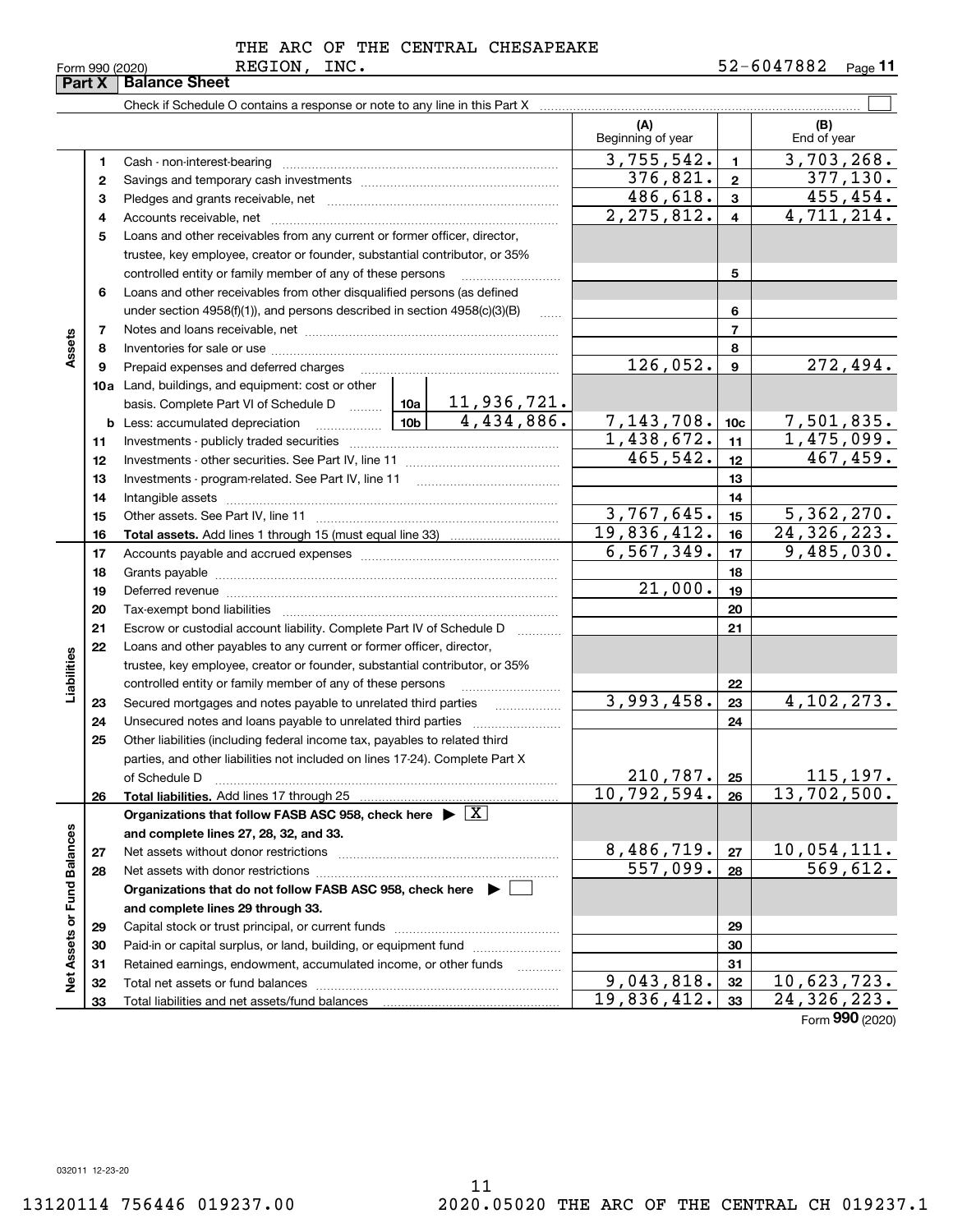|  | Form 990 (2020) |
|--|-----------------|
|  |                 |

## REGION, INC. THE ARC OF THE CENTRAL CHESAPEAKE

|                             | Part X | <b>Balance Sheet</b>                                                                                                                                                                                                           |                 |             |                          |                 |                    |
|-----------------------------|--------|--------------------------------------------------------------------------------------------------------------------------------------------------------------------------------------------------------------------------------|-----------------|-------------|--------------------------|-----------------|--------------------|
|                             |        | Check if Schedule O contains a response or note to any line in this Part X [11] contains the containmal contains a response or note to any line in this Part X [11] contains the Contains and Contains the Contains the Contai |                 |             |                          |                 |                    |
|                             |        |                                                                                                                                                                                                                                |                 |             | (A)<br>Beginning of year |                 | (B)<br>End of year |
|                             | 1      |                                                                                                                                                                                                                                |                 |             | 3,755,542.               | $\blacksquare$  | 3,703,268.         |
|                             | 2      |                                                                                                                                                                                                                                |                 |             | 376,821.                 | $\overline{2}$  | 377, 130.          |
|                             | з      |                                                                                                                                                                                                                                |                 |             | 486,618.                 | $\mathbf{3}$    | 455, 454.          |
|                             | 4      |                                                                                                                                                                                                                                |                 |             | $\overline{2,275,812}$ . | $\overline{4}$  | 4,711,214.         |
|                             | 5      | Loans and other receivables from any current or former officer, director,                                                                                                                                                      |                 |             |                          |                 |                    |
|                             |        | trustee, key employee, creator or founder, substantial contributor, or 35%                                                                                                                                                     |                 |             |                          |                 |                    |
|                             |        | controlled entity or family member of any of these persons                                                                                                                                                                     |                 |             |                          | 5               |                    |
|                             | 6      | Loans and other receivables from other disqualified persons (as defined                                                                                                                                                        |                 |             |                          |                 |                    |
|                             |        | under section $4958(f)(1)$ , and persons described in section $4958(c)(3)(B)$                                                                                                                                                  |                 | $\ldots$    |                          | 6               |                    |
|                             | 7      |                                                                                                                                                                                                                                |                 |             |                          | $\overline{7}$  |                    |
| Assets                      | 8      |                                                                                                                                                                                                                                |                 |             |                          | 8               |                    |
|                             | 9      | Prepaid expenses and deferred charges                                                                                                                                                                                          |                 |             | 126,052.                 | $\mathbf{9}$    | 272,494.           |
|                             |        | <b>10a</b> Land, buildings, and equipment: cost or other                                                                                                                                                                       |                 |             |                          |                 |                    |
|                             |        | basis. Complete Part VI of Schedule D  10a                                                                                                                                                                                     |                 | 11,936,721. |                          |                 |                    |
|                             | b      | Less: accumulated depreciation<br>. 1                                                                                                                                                                                          | 10 <sub>b</sub> | 4,434,886.  | 7,143,708.               | 10 <sub>c</sub> | 7,501,835.         |
|                             | 11     |                                                                                                                                                                                                                                |                 | 1,438,672.  | 11                       | 1,475,099.      |                    |
|                             | 12     |                                                                                                                                                                                                                                |                 | 465,542.    | 12                       | 467,459.        |                    |
|                             | 13     |                                                                                                                                                                                                                                |                 |             | 13                       |                 |                    |
|                             | 14     |                                                                                                                                                                                                                                |                 |             |                          | 14              |                    |
|                             | 15     |                                                                                                                                                                                                                                |                 |             | 3,767,645.               | 15              | 5,362,270.         |
|                             | 16     |                                                                                                                                                                                                                                | 19,836,412.     | 16          | 24, 326, 223.            |                 |                    |
|                             | 17     |                                                                                                                                                                                                                                |                 |             | 6, 567, 349.             | 17              | 9,485,030.         |
|                             | 18     |                                                                                                                                                                                                                                |                 | 18          |                          |                 |                    |
|                             | 19     | Deferred revenue manual contracts and contracts are contracted and contract and contract are contracted and contract are contracted and contract are contracted and contract are contracted and contract are contracted and co |                 |             | 21,000.                  | 19              |                    |
|                             | 20     |                                                                                                                                                                                                                                |                 |             |                          | 20              |                    |
|                             | 21     | Escrow or custodial account liability. Complete Part IV of Schedule D                                                                                                                                                          |                 | .           |                          | 21              |                    |
|                             | 22     | Loans and other payables to any current or former officer, director,                                                                                                                                                           |                 |             |                          |                 |                    |
|                             |        | trustee, key employee, creator or founder, substantial contributor, or 35%                                                                                                                                                     |                 |             |                          |                 |                    |
| Liabilities                 |        | controlled entity or family member of any of these persons                                                                                                                                                                     |                 |             |                          | 22              |                    |
|                             | 23     | Secured mortgages and notes payable to unrelated third parties                                                                                                                                                                 |                 |             | 3,993,458.               | 23              | 4,102,273.         |
|                             | 24     | Unsecured notes and loans payable to unrelated third parties                                                                                                                                                                   |                 |             |                          | 24              |                    |
|                             | 25     | Other liabilities (including federal income tax, payables to related third                                                                                                                                                     |                 |             |                          |                 |                    |
|                             |        | parties, and other liabilities not included on lines 17-24). Complete Part X                                                                                                                                                   |                 |             |                          |                 |                    |
|                             |        | of Schedule D                                                                                                                                                                                                                  |                 |             | 210, 787.                | 25              | <u>115,197.</u>    |
|                             | 26     | Total liabilities. Add lines 17 through 25                                                                                                                                                                                     |                 |             | 10,792,594.              | 26              | 13,702,500.        |
|                             |        | Organizations that follow FASB ASC 958, check here $\blacktriangleright \boxed{X}$                                                                                                                                             |                 |             |                          |                 |                    |
|                             |        | and complete lines 27, 28, 32, and 33.                                                                                                                                                                                         |                 |             |                          |                 |                    |
|                             | 27     | Net assets without donor restrictions                                                                                                                                                                                          |                 |             | 8,486,719.               | 27              | 10, 054, 111.      |
|                             | 28     |                                                                                                                                                                                                                                |                 |             | 557,099.                 | 28              | 569,612.           |
|                             |        | Organizations that do not follow FASB ASC 958, check here $\blacktriangleright$                                                                                                                                                |                 |             |                          |                 |                    |
|                             |        | and complete lines 29 through 33.                                                                                                                                                                                              |                 |             |                          |                 |                    |
| Net Assets or Fund Balances | 29     |                                                                                                                                                                                                                                |                 |             |                          | 29              |                    |
|                             | 30     | Paid-in or capital surplus, or land, building, or equipment fund                                                                                                                                                               |                 |             |                          | 30              |                    |
|                             | 31     | Retained earnings, endowment, accumulated income, or other funds                                                                                                                                                               |                 |             |                          | 31              |                    |
|                             | 32     | Total net assets or fund balances                                                                                                                                                                                              |                 |             | 9,043,818.               | 32              | 10,623,723.        |
|                             | 33     |                                                                                                                                                                                                                                |                 | 19,836,412. | 33                       | 24,326,223.     |                    |

Form (2020) **990**

032011 12-23-20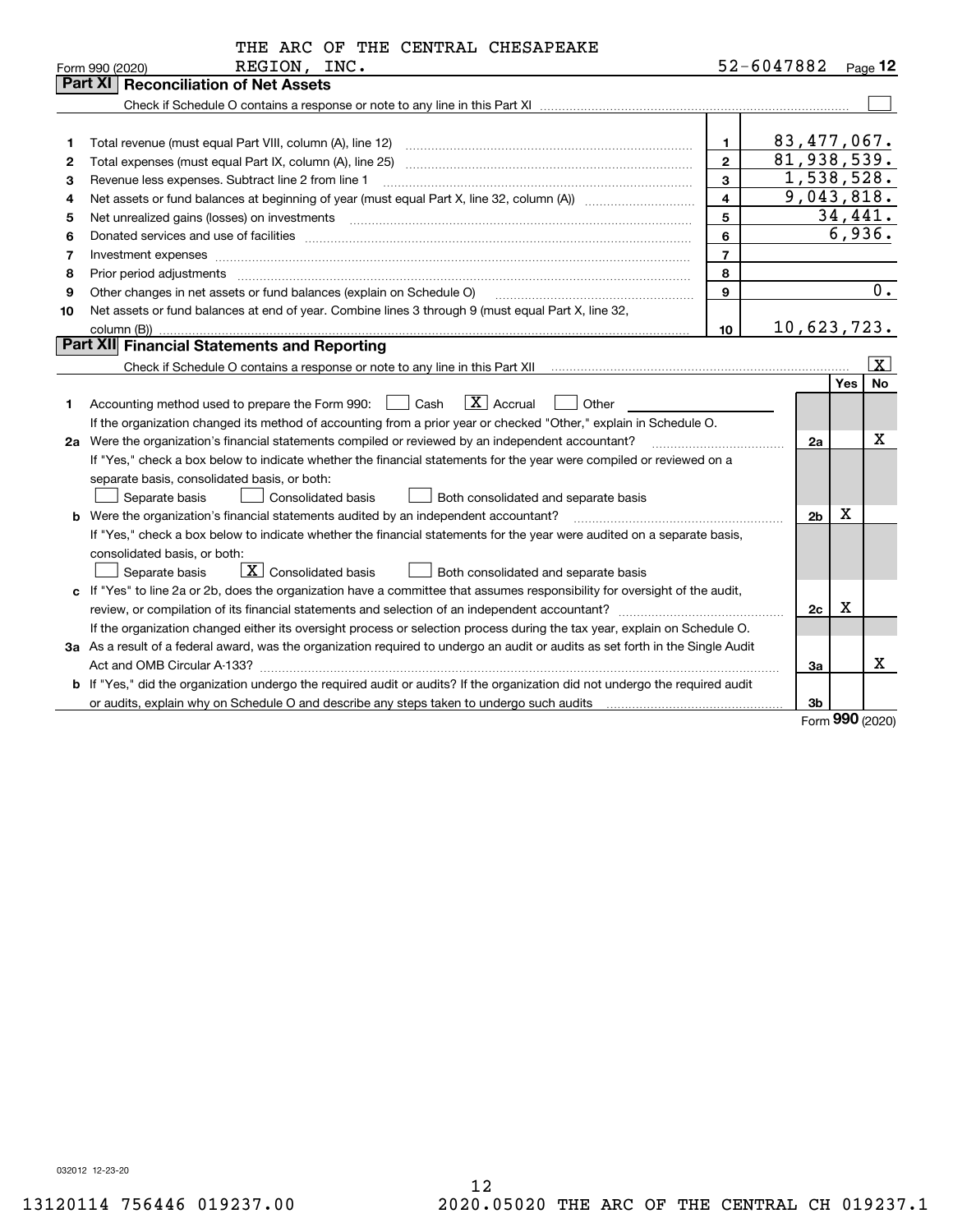|              | THE ARC OF THE CENTRAL CHESAPEAKE                                                                                                                                                                                              |                     |            |                |             |                    |  |
|--------------|--------------------------------------------------------------------------------------------------------------------------------------------------------------------------------------------------------------------------------|---------------------|------------|----------------|-------------|--------------------|--|
|              | REGION, INC.<br>Form 990 (2020)<br><b>Reconciliation of Net Assets</b><br>Part XI I                                                                                                                                            |                     | 52-6047882 |                |             | $Page$ 12          |  |
|              |                                                                                                                                                                                                                                |                     |            |                |             |                    |  |
|              |                                                                                                                                                                                                                                |                     |            |                |             |                    |  |
| 1            |                                                                                                                                                                                                                                | 1.                  |            | 83,477,067.    |             |                    |  |
| $\mathbf{2}$ |                                                                                                                                                                                                                                | $\overline{2}$      |            |                | 81,938,539. |                    |  |
| 3            | Revenue less expenses. Subtract line 2 from line 1                                                                                                                                                                             |                     |            |                | 1,538,528.  |                    |  |
| 4            |                                                                                                                                                                                                                                | 3<br>$\overline{4}$ |            |                |             | 9,043,818.         |  |
| 5            | Net unrealized gains (losses) on investments [11] [12] non-manufactured manufactured manufactured manufactured manufactured manufactured manufactured manufactured manufactured manufactured manufactured manufactured manufac | 5                   |            |                |             | 34,441.            |  |
| 6            |                                                                                                                                                                                                                                | 6                   |            |                |             | 6,936.             |  |
| 7            | Investment expenses www.communication.com/www.communication.com/www.communication.com/www.com/www.com/www.com/                                                                                                                 | $\overline{7}$      |            |                |             |                    |  |
| 8            | Prior period adjustments                                                                                                                                                                                                       | 8                   |            |                |             |                    |  |
| 9            | Other changes in net assets or fund balances (explain on Schedule O)                                                                                                                                                           | 9                   |            |                |             | 0.                 |  |
| 10           | Net assets or fund balances at end of year. Combine lines 3 through 9 (must equal Part X, line 32,                                                                                                                             |                     |            |                |             |                    |  |
|              | 10,623,723.<br>10<br>column (B))                                                                                                                                                                                               |                     |            |                |             |                    |  |
|              | Part XII Financial Statements and Reporting                                                                                                                                                                                    |                     |            |                |             |                    |  |
|              |                                                                                                                                                                                                                                |                     |            |                |             | $\boxed{\text{X}}$ |  |
|              |                                                                                                                                                                                                                                |                     |            |                | <b>Yes</b>  | <b>No</b>          |  |
| 1            | $\boxed{\textbf{X}}$ Accrual<br>Accounting method used to prepare the Form 990: <u>I</u> Cash<br>Other                                                                                                                         |                     |            |                |             |                    |  |
|              | If the organization changed its method of accounting from a prior year or checked "Other," explain in Schedule O.                                                                                                              |                     |            |                |             |                    |  |
|              | 2a Were the organization's financial statements compiled or reviewed by an independent accountant?                                                                                                                             |                     |            | 2a             |             | x                  |  |
|              | If "Yes," check a box below to indicate whether the financial statements for the year were compiled or reviewed on a                                                                                                           |                     |            |                |             |                    |  |
|              | separate basis, consolidated basis, or both:                                                                                                                                                                                   |                     |            |                |             |                    |  |
|              | Consolidated basis<br>Separate basis<br>Both consolidated and separate basis                                                                                                                                                   |                     |            |                |             |                    |  |
|              | <b>b</b> Were the organization's financial statements audited by an independent accountant?                                                                                                                                    |                     |            | 2 <sub>b</sub> | х           |                    |  |
|              | If "Yes," check a box below to indicate whether the financial statements for the year were audited on a separate basis,                                                                                                        |                     |            |                |             |                    |  |
|              | consolidated basis, or both:                                                                                                                                                                                                   |                     |            |                |             |                    |  |
|              | $\boxed{\textbf{X}}$ Consolidated basis<br>Separate basis<br><b>Both consolidated and separate basis</b>                                                                                                                       |                     |            |                |             |                    |  |
|              | c If "Yes" to line 2a or 2b, does the organization have a committee that assumes responsibility for oversight of the audit,                                                                                                    |                     |            |                |             |                    |  |
|              |                                                                                                                                                                                                                                |                     |            | 2c             | X           |                    |  |
|              | If the organization changed either its oversight process or selection process during the tax year, explain on Schedule O.                                                                                                      |                     |            |                |             |                    |  |
|              | 3a As a result of a federal award, was the organization required to undergo an audit or audits as set forth in the Single Audit                                                                                                |                     |            |                |             |                    |  |
|              |                                                                                                                                                                                                                                |                     |            | За             |             | x                  |  |
|              | b If "Yes," did the organization undergo the required audit or audits? If the organization did not undergo the required audit                                                                                                  |                     |            |                |             |                    |  |
|              | or audits, explain why on Schedule O and describe any steps taken to undergo such audits matures and the content                                                                                                               |                     |            | 3b             |             |                    |  |

Form (2020) **990**

032012 12-23-20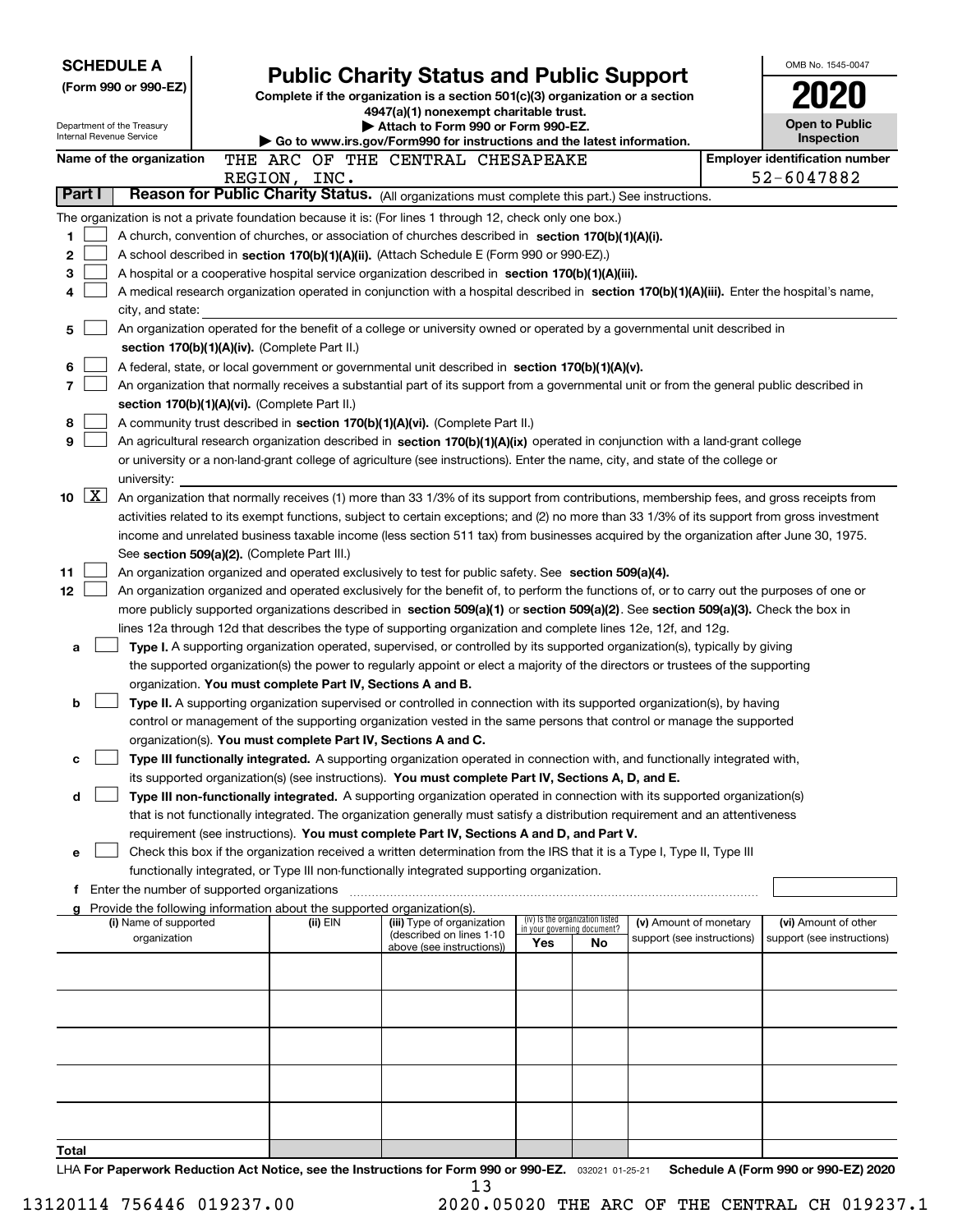| <b>SCHEDULE A</b>                                      |                                                                                                                           |              |                                                                                                                                                                                                                                                    |                             |                                 |                            |  | OMB No. 1545-0047                     |  |  |
|--------------------------------------------------------|---------------------------------------------------------------------------------------------------------------------------|--------------|----------------------------------------------------------------------------------------------------------------------------------------------------------------------------------------------------------------------------------------------------|-----------------------------|---------------------------------|----------------------------|--|---------------------------------------|--|--|
| (Form 990 or 990-EZ)                                   |                                                                                                                           |              | <b>Public Charity Status and Public Support</b><br>Complete if the organization is a section 501(c)(3) organization or a section                                                                                                                   |                             |                                 |                            |  |                                       |  |  |
|                                                        |                                                                                                                           |              | 4947(a)(1) nonexempt charitable trust.                                                                                                                                                                                                             |                             |                                 |                            |  |                                       |  |  |
| Department of the Treasury<br>Internal Revenue Service |                                                                                                                           |              | Attach to Form 990 or Form 990-EZ.<br>Go to www.irs.gov/Form990 for instructions and the latest information.                                                                                                                                       |                             |                                 |                            |  | Open to Public<br>Inspection          |  |  |
| Name of the organization                               |                                                                                                                           |              | THE ARC OF THE CENTRAL CHESAPEAKE                                                                                                                                                                                                                  |                             |                                 |                            |  | <b>Employer identification number</b> |  |  |
|                                                        |                                                                                                                           | REGION, INC. |                                                                                                                                                                                                                                                    |                             |                                 |                            |  | 52-6047882                            |  |  |
| Part I                                                 |                                                                                                                           |              | Reason for Public Charity Status. (All organizations must complete this part.) See instructions.                                                                                                                                                   |                             |                                 |                            |  |                                       |  |  |
|                                                        |                                                                                                                           |              | The organization is not a private foundation because it is: (For lines 1 through 12, check only one box.)                                                                                                                                          |                             |                                 |                            |  |                                       |  |  |
| 1                                                      |                                                                                                                           |              | A church, convention of churches, or association of churches described in section 170(b)(1)(A)(i).                                                                                                                                                 |                             |                                 |                            |  |                                       |  |  |
| 2<br>3                                                 |                                                                                                                           |              | A school described in section 170(b)(1)(A)(ii). (Attach Schedule E (Form 990 or 990-EZ).)                                                                                                                                                          |                             |                                 |                            |  |                                       |  |  |
| 4                                                      |                                                                                                                           |              | A hospital or a cooperative hospital service organization described in section $170(b)(1)(A)(iii)$ .<br>A medical research organization operated in conjunction with a hospital described in section 170(b)(1)(A)(iii). Enter the hospital's name, |                             |                                 |                            |  |                                       |  |  |
| city, and state:                                       |                                                                                                                           |              |                                                                                                                                                                                                                                                    |                             |                                 |                            |  |                                       |  |  |
| 5                                                      | An organization operated for the benefit of a college or university owned or operated by a governmental unit described in |              |                                                                                                                                                                                                                                                    |                             |                                 |                            |  |                                       |  |  |
|                                                        | section 170(b)(1)(A)(iv). (Complete Part II.)                                                                             |              |                                                                                                                                                                                                                                                    |                             |                                 |                            |  |                                       |  |  |
| 6                                                      |                                                                                                                           |              | A federal, state, or local government or governmental unit described in section 170(b)(1)(A)(v).                                                                                                                                                   |                             |                                 |                            |  |                                       |  |  |
| 7                                                      |                                                                                                                           |              | An organization that normally receives a substantial part of its support from a governmental unit or from the general public described in                                                                                                          |                             |                                 |                            |  |                                       |  |  |
| 8                                                      | section 170(b)(1)(A)(vi). (Complete Part II.)                                                                             |              | A community trust described in section 170(b)(1)(A)(vi). (Complete Part II.)                                                                                                                                                                       |                             |                                 |                            |  |                                       |  |  |
| 9                                                      |                                                                                                                           |              | An agricultural research organization described in section 170(b)(1)(A)(ix) operated in conjunction with a land-grant college                                                                                                                      |                             |                                 |                            |  |                                       |  |  |
|                                                        |                                                                                                                           |              | or university or a non-land-grant college of agriculture (see instructions). Enter the name, city, and state of the college or                                                                                                                     |                             |                                 |                            |  |                                       |  |  |
| university:                                            |                                                                                                                           |              |                                                                                                                                                                                                                                                    |                             |                                 |                            |  |                                       |  |  |
| $\vert X \vert$<br>10                                  |                                                                                                                           |              | An organization that normally receives (1) more than 33 1/3% of its support from contributions, membership fees, and gross receipts from                                                                                                           |                             |                                 |                            |  |                                       |  |  |
|                                                        |                                                                                                                           |              | activities related to its exempt functions, subject to certain exceptions; and (2) no more than 33 1/3% of its support from gross investment                                                                                                       |                             |                                 |                            |  |                                       |  |  |
|                                                        |                                                                                                                           |              | income and unrelated business taxable income (less section 511 tax) from businesses acquired by the organization after June 30, 1975.                                                                                                              |                             |                                 |                            |  |                                       |  |  |
| 11                                                     | See section 509(a)(2). (Complete Part III.)                                                                               |              | An organization organized and operated exclusively to test for public safety. See section 509(a)(4).                                                                                                                                               |                             |                                 |                            |  |                                       |  |  |
| 12                                                     |                                                                                                                           |              | An organization organized and operated exclusively for the benefit of, to perform the functions of, or to carry out the purposes of one or                                                                                                         |                             |                                 |                            |  |                                       |  |  |
|                                                        |                                                                                                                           |              | more publicly supported organizations described in section 509(a)(1) or section 509(a)(2). See section 509(a)(3). Check the box in                                                                                                                 |                             |                                 |                            |  |                                       |  |  |
|                                                        |                                                                                                                           |              | lines 12a through 12d that describes the type of supporting organization and complete lines 12e, 12f, and 12g.                                                                                                                                     |                             |                                 |                            |  |                                       |  |  |
| a                                                      |                                                                                                                           |              | Type I. A supporting organization operated, supervised, or controlled by its supported organization(s), typically by giving                                                                                                                        |                             |                                 |                            |  |                                       |  |  |
|                                                        |                                                                                                                           |              | the supported organization(s) the power to regularly appoint or elect a majority of the directors or trustees of the supporting                                                                                                                    |                             |                                 |                            |  |                                       |  |  |
|                                                        | organization. You must complete Part IV, Sections A and B.                                                                |              |                                                                                                                                                                                                                                                    |                             |                                 |                            |  |                                       |  |  |
| b                                                      |                                                                                                                           |              | Type II. A supporting organization supervised or controlled in connection with its supported organization(s), by having<br>control or management of the supporting organization vested in the same persons that control or manage the supported    |                             |                                 |                            |  |                                       |  |  |
|                                                        | organization(s). You must complete Part IV, Sections A and C.                                                             |              |                                                                                                                                                                                                                                                    |                             |                                 |                            |  |                                       |  |  |
| c                                                      |                                                                                                                           |              | Type III functionally integrated. A supporting organization operated in connection with, and functionally integrated with,                                                                                                                         |                             |                                 |                            |  |                                       |  |  |
|                                                        |                                                                                                                           |              | its supported organization(s) (see instructions). You must complete Part IV, Sections A, D, and E.                                                                                                                                                 |                             |                                 |                            |  |                                       |  |  |
| d                                                      |                                                                                                                           |              | Type III non-functionally integrated. A supporting organization operated in connection with its supported organization(s)                                                                                                                          |                             |                                 |                            |  |                                       |  |  |
|                                                        |                                                                                                                           |              | that is not functionally integrated. The organization generally must satisfy a distribution requirement and an attentiveness                                                                                                                       |                             |                                 |                            |  |                                       |  |  |
|                                                        |                                                                                                                           |              | requirement (see instructions). You must complete Part IV, Sections A and D, and Part V.                                                                                                                                                           |                             |                                 |                            |  |                                       |  |  |
| е                                                      |                                                                                                                           |              | Check this box if the organization received a written determination from the IRS that it is a Type I, Type II, Type III<br>functionally integrated, or Type III non-functionally integrated supporting organization.                               |                             |                                 |                            |  |                                       |  |  |
| f                                                      | Enter the number of supported organizations                                                                               |              |                                                                                                                                                                                                                                                    |                             |                                 |                            |  |                                       |  |  |
|                                                        | Provide the following information about the supported organization(s).                                                    |              |                                                                                                                                                                                                                                                    |                             |                                 |                            |  |                                       |  |  |
| (i) Name of supported                                  |                                                                                                                           | (ii) EIN     | (iii) Type of organization<br>(described on lines 1-10                                                                                                                                                                                             | in your governing document? | (iv) Is the organization listed | (v) Amount of monetary     |  | (vi) Amount of other                  |  |  |
| organization                                           |                                                                                                                           |              | above (see instructions))                                                                                                                                                                                                                          | Yes                         | No                              | support (see instructions) |  | support (see instructions)            |  |  |
|                                                        |                                                                                                                           |              |                                                                                                                                                                                                                                                    |                             |                                 |                            |  |                                       |  |  |
|                                                        |                                                                                                                           |              |                                                                                                                                                                                                                                                    |                             |                                 |                            |  |                                       |  |  |
|                                                        |                                                                                                                           |              |                                                                                                                                                                                                                                                    |                             |                                 |                            |  |                                       |  |  |
|                                                        |                                                                                                                           |              |                                                                                                                                                                                                                                                    |                             |                                 |                            |  |                                       |  |  |
|                                                        |                                                                                                                           |              |                                                                                                                                                                                                                                                    |                             |                                 |                            |  |                                       |  |  |
|                                                        |                                                                                                                           |              |                                                                                                                                                                                                                                                    |                             |                                 |                            |  |                                       |  |  |
|                                                        |                                                                                                                           |              |                                                                                                                                                                                                                                                    |                             |                                 |                            |  |                                       |  |  |
|                                                        |                                                                                                                           |              |                                                                                                                                                                                                                                                    |                             |                                 |                            |  |                                       |  |  |
| Total                                                  |                                                                                                                           |              |                                                                                                                                                                                                                                                    |                             |                                 |                            |  |                                       |  |  |
|                                                        |                                                                                                                           |              |                                                                                                                                                                                                                                                    |                             |                                 |                            |  |                                       |  |  |

LHA For Paperwork Reduction Act Notice, see the Instructions for Form 990 or 990-EZ. <sub>032021</sub> o1-25-21 Schedule A (Form 990 or 990-EZ) 2020 13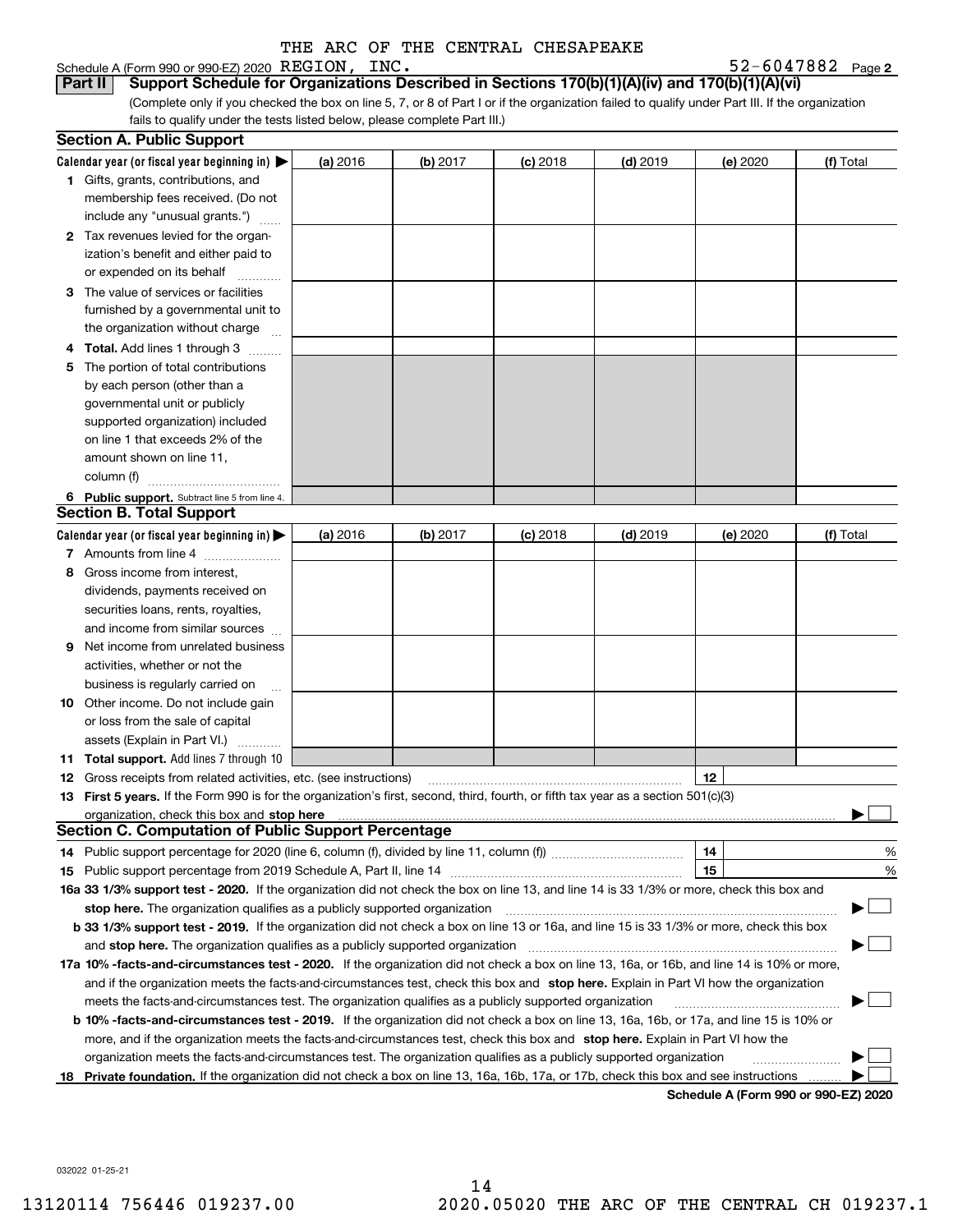**6** Public support. Subtract line 5 from line 4. **Calendar year (or fiscal year beginning in)**  | **Calendar year (or fiscal year beginning in) | 2**REGION, INC. 52-6047882 **(a)** 2016 **| (b)** 2017 **| (c)** 2018 **| (d)** 2019 **| (e)** 2020 **| (f) 1**Gifts, grants, contributions, and **2**Tax revenues levied for the organ-**3**The value of services or facilities **4 Total.** Add lines 1 through 3  $\quad$ **5** The portion of total contributions **(a)** 2016 **| (b)** 2017 **| (c)** 2018 **| (d)** 2019 **| (e)** 2020 **| (f) 7** Amounts from line 4  $\ldots$  **Amounts 8**Gross income from interest, **9** Net income from unrelated business **10** Other income. Do not include gain **11Total support.**  Add lines 7 through 10 **12** Gross receipts from related activities, etc. (see instructions) ~~~~~~~~~~~~~~~~~~~~~~~ **13First 5 years.**  If the Form 990 is for the organization's first, second, third, fourth, or fifth tax year as a section 501(c)(3) **12stop here** organization, check this box and | **141514** Public support percentage for 2020 (line 6, column (f), divided by line 11, column (f))  $\ldots$  $\ldots$  $\ldots$  $\ldots$  $\ldots$  $\ldots$ **15** Public support percentage from 2019 Schedule A, Part II, line 14 ~~~~~~~~~~~~~~~~~~~~~**16a 33 1/3% support test - 2020.** If the organization did not check the box on line 13, and line 14 is 33 1/3% or more, check this box and **17a10% -facts-and-circumstances test - 2020.**  If the organization did not check a box on line 13, 16a, or 16b, and line 14 is 10% or more, **b** 33 1/3% support test - 2019. If the organization did not check a box on line 13 or 16a, and line 15 is 33 1/3% or more, check this box **b 10% -facts-and-circumstances test - 2019.** If the organization did not check a box on line 13, 16a, 16b, or 17a, and line 15 is 10% or **stop here.**  The organization qualifies as a publicly supported organization ~~~~~~~~~~~~~~~~~~~~~~~~~~~~~~ | **stop here.**  and The organization qualifies as a publicly supported organization ~~~~~~~~~~~~~~~~~~~~~~~~~~~~ | and if the organization meets the facts-and-circumstances test, check this box and **stop here.** Explain in Part VI how the organization more, and if the organization meets the facts-and-circumstances test, check this box and **stop here.** Explain in Part VI how the Schedule A (Form 990 or 990-EZ) 2020  $\,$  REGION , INC (Complete only if you checked the box on line 5, 7, or 8 of Part I or if the organization failed to qualify under Part III. If the organization fails to qualify under the tests listed below, please complete Part III.) (a) 2016 16 **| (b)** 2017 **| (c)** 2018 **| (d)** 2019 **| (e)** 2020 **| (f)** Total membership fees received. (Do not include any "unusual grants.") ization's benefit and either paid to or expended on its behalf ~~~~furnished by a governmental unit to the organization without charge by each person (other than a governmental unit or publicly supported organization) included on line 1 that exceeds 2% of the amount shown on line 11, column (f) <sub>……………………………</sub>… (a) 2016 16 **| (b)** 2017 **| (c)** 2018 **| (d)** 2019 **| (e)** 2020 **| (f)** Total dividends, payments received on securities loans, rents, royalties, and income from similar sources activities, whether or not the business is regularly carried on <sup>~</sup> or loss from the sale of capital assets (Explain in Part VI.) .......... % % meets the facts-and-circumstances test. The organization qualifies as a publicly supported organization *~~~~~~~~~~~~~~~~~~~~* organization meets the facts-and-circumstances test. The organization qualifies as a publicly supported organization **Part II Support Schedule for Organizations Described in Sections 170(b)(1)(A)(iv) and 170(b)(1)(A)(vi) Section A. Public Support Section B. Total Support Section C. Computation of Public Support Percentage**  $\mathcal{L}^{\text{max}}$  $\mathcal{L}^{\text{max}}$  $\mathcal{L}^{\text{max}}$  $\mathcal{L}^{\text{max}}$  $\mathcal{L}^{\text{max}}$  $\mathcal{L}^{\text{max}}$ 

18 Private foundation. If the organization did not check a box on line 13, 16a, 16b, 17a, or 17b, check this box and see instructions .........

**Schedule A (Form 990 or 990-EZ) 2020**

032022 01-25-21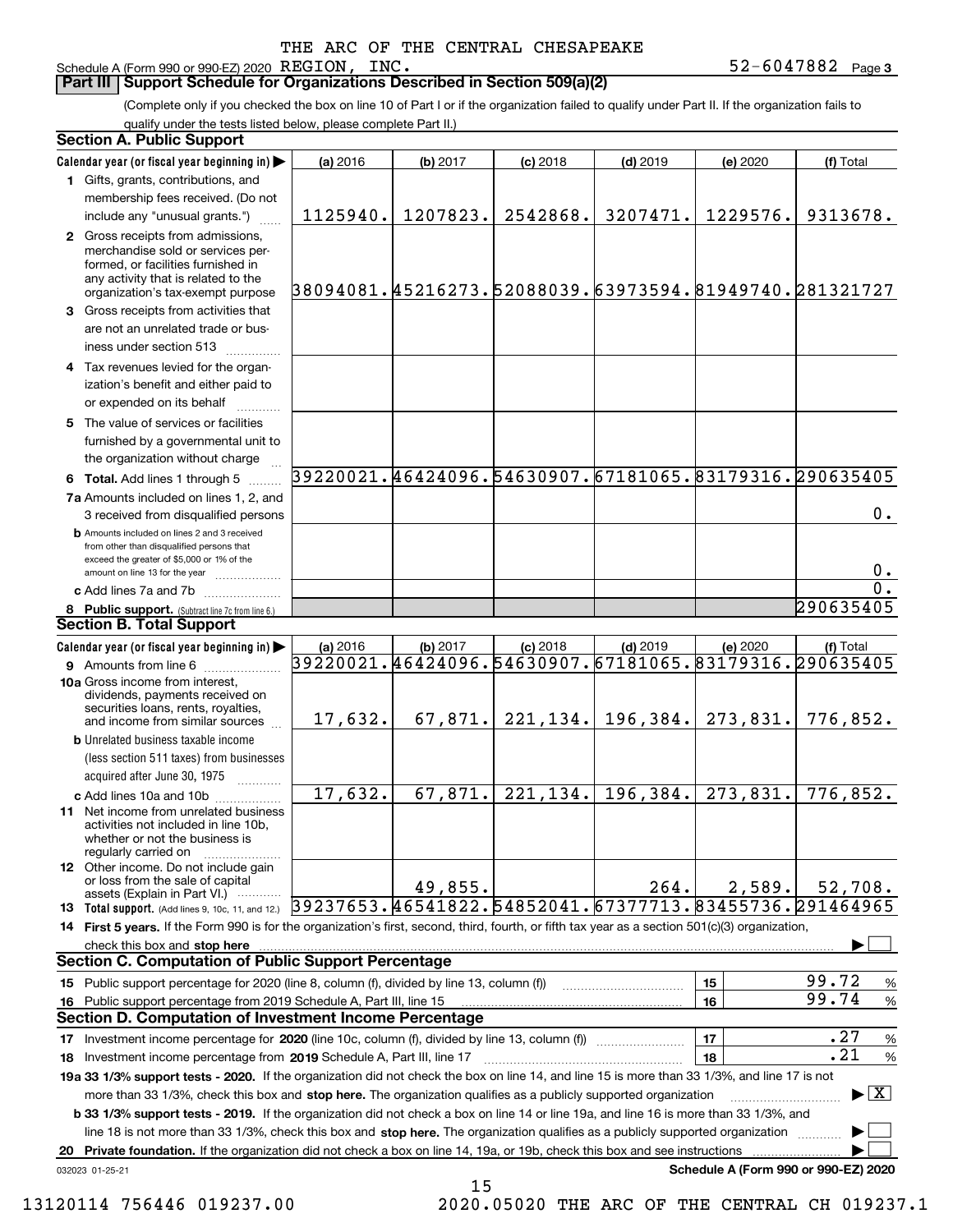Schedule A (Form 990 or 990-EZ) 2020 REGION, INC.

**REGION, INC.** 52-6047882 Page 3

#### **Part III Support Schedule for Organizations Described in Section 509(a)(2)**

(Complete only if you checked the box on line 10 of Part I or if the organization failed to qualify under Part II. If the organization fails to qualify under the tests listed below, please complete Part II.)

|    | <b>Section A. Public Support</b>                                                                                                                                                                                              |                                                             |          |                                                        |            |          |                                                        |
|----|-------------------------------------------------------------------------------------------------------------------------------------------------------------------------------------------------------------------------------|-------------------------------------------------------------|----------|--------------------------------------------------------|------------|----------|--------------------------------------------------------|
|    | Calendar year (or fiscal year beginning in)                                                                                                                                                                                   | (a) 2016                                                    | (b) 2017 | $(c)$ 2018                                             | $(d)$ 2019 | (e) 2020 | (f) Total                                              |
|    | 1 Gifts, grants, contributions, and                                                                                                                                                                                           |                                                             |          |                                                        |            |          |                                                        |
|    | membership fees received. (Do not                                                                                                                                                                                             |                                                             |          |                                                        |            |          |                                                        |
|    | include any "unusual grants.")                                                                                                                                                                                                | 1125940.                                                    | 1207823. | 2542868.                                               | 3207471.   | 1229576. | 9313678.                                               |
|    | 2 Gross receipts from admissions,<br>merchandise sold or services per-<br>formed, or facilities furnished in<br>any activity that is related to the<br>organization's tax-exempt purpose                                      | 38094081. 45216273. 52088039. 63973594. 81949740. 281321727 |          |                                                        |            |          |                                                        |
|    | 3 Gross receipts from activities that<br>are not an unrelated trade or bus-<br>iness under section 513                                                                                                                        |                                                             |          |                                                        |            |          |                                                        |
|    | 4 Tax revenues levied for the organ-                                                                                                                                                                                          |                                                             |          |                                                        |            |          |                                                        |
|    | ization's benefit and either paid to                                                                                                                                                                                          |                                                             |          |                                                        |            |          |                                                        |
|    | or expended on its behalf                                                                                                                                                                                                     |                                                             |          |                                                        |            |          |                                                        |
|    | 5 The value of services or facilities<br>furnished by a governmental unit to<br>the organization without charge                                                                                                               |                                                             |          |                                                        |            |          |                                                        |
|    | 6 Total. Add lines 1 through 5                                                                                                                                                                                                |                                                             |          |                                                        |            |          | 39220021.46424096.54630907.67181065.83179316.290635405 |
|    | 7a Amounts included on lines 1, 2, and                                                                                                                                                                                        |                                                             |          |                                                        |            |          |                                                        |
|    | 3 received from disqualified persons                                                                                                                                                                                          |                                                             |          |                                                        |            |          | $0$ .                                                  |
|    | <b>b</b> Amounts included on lines 2 and 3 received<br>from other than disqualified persons that<br>exceed the greater of \$5,000 or 1% of the<br>amount on line 13 for the year                                              |                                                             |          |                                                        |            |          | 0.                                                     |
|    | c Add lines 7a and 7b                                                                                                                                                                                                         |                                                             |          |                                                        |            |          | $\overline{0}$ .                                       |
|    | 8 Public support. (Subtract line 7c from line 6.)                                                                                                                                                                             |                                                             |          |                                                        |            |          | 290635405                                              |
|    | <b>Section B. Total Support</b>                                                                                                                                                                                               |                                                             |          |                                                        |            |          |                                                        |
|    | Calendar year (or fiscal year beginning in)                                                                                                                                                                                   | (a) 2016                                                    | (b) 2017 | $(c)$ 2018                                             | $(d)$ 2019 | (e) 2020 | (f) Total                                              |
|    | <b>9</b> Amounts from line 6                                                                                                                                                                                                  |                                                             |          | 39220021.46424096.54630907.67181065.83179316.290635405 |            |          |                                                        |
|    | 10a Gross income from interest,<br>dividends, payments received on<br>securities loans, rents, royalties,<br>and income from similar sources                                                                                  | 17,632.                                                     |          | $67,871.$ 221, 134. 196, 384.                          |            | 273,831. | 776,852.                                               |
|    | <b>b</b> Unrelated business taxable income                                                                                                                                                                                    |                                                             |          |                                                        |            |          |                                                        |
|    | (less section 511 taxes) from businesses<br>acquired after June 30, 1975                                                                                                                                                      |                                                             |          |                                                        |            |          |                                                        |
|    | c Add lines 10a and 10b                                                                                                                                                                                                       | 17,632.                                                     | 67,871.  | 221, 134.                                              | 196,384.   | 273,831. | 776,852.                                               |
|    | <b>11</b> Net income from unrelated business<br>activities not included in line 10b,<br>whether or not the business is<br>regularly carried on                                                                                |                                                             |          |                                                        |            |          |                                                        |
|    | 12 Other income. Do not include gain                                                                                                                                                                                          |                                                             |          |                                                        |            |          |                                                        |
|    | or loss from the sale of capital<br>assets (Explain in Part VI.)                                                                                                                                                              |                                                             | 49,855.  |                                                        | 264.       | 2,589.   | 52,708.                                                |
|    | 13 Total support. (Add lines 9, 10c, 11, and 12.)                                                                                                                                                                             | 39237653.46541822.54852041.67377713.83455736.291464965      |          |                                                        |            |          |                                                        |
|    | 14 First 5 years. If the Form 990 is for the organization's first, second, third, fourth, or fifth tax year as a section 501(c)(3) organization,                                                                              |                                                             |          |                                                        |            |          |                                                        |
|    | check this box and stop here with the continuum control to the control of the state of the state of the control of the state of the control of the control of the control of the control of the control of the control of the |                                                             |          |                                                        |            |          |                                                        |
|    | <b>Section C. Computation of Public Support Percentage</b>                                                                                                                                                                    |                                                             |          |                                                        |            |          |                                                        |
|    | 15 Public support percentage for 2020 (line 8, column (f), divided by line 13, column (f))                                                                                                                                    |                                                             |          |                                                        |            | 15       | 99.72<br>$\%$<br>99.74                                 |
| 16 | Public support percentage from 2019 Schedule A, Part III, line 15<br><b>Section D. Computation of Investment Income Percentage</b>                                                                                            |                                                             |          |                                                        |            | 16       | $\%$                                                   |
|    |                                                                                                                                                                                                                               |                                                             |          |                                                        |            |          | .27                                                    |
| 17 | Investment income percentage for 2020 (line 10c, column (f), divided by line 13, column (f))                                                                                                                                  |                                                             |          |                                                        |            | 17       | %<br>.21                                               |
|    | 18 Investment income percentage from 2019 Schedule A, Part III, line 17<br>19a 33 1/3% support tests - 2020. If the organization did not check the box on line 14, and line 15 is more than 33 1/3%, and line 17 is not       |                                                             |          |                                                        |            | 18       | %                                                      |
|    | more than 33 1/3%, check this box and stop here. The organization qualifies as a publicly supported organization                                                                                                              |                                                             |          |                                                        |            |          | $\blacktriangleright$ $\boxed{\text{X}}$               |
|    | <b>b 33 1/3% support tests - 2019.</b> If the organization did not check a box on line 14 or line 19a, and line 16 is more than 33 1/3%, and                                                                                  |                                                             |          |                                                        |            |          |                                                        |
|    | line 18 is not more than 33 1/3%, check this box and stop here. The organization qualifies as a publicly supported organization                                                                                               |                                                             |          |                                                        |            |          |                                                        |
| 20 | Private foundation. If the organization did not check a box on line 14, 19a, or 19b, check this box and see instructions                                                                                                      |                                                             |          |                                                        |            |          | Schedule A (Form 990 or 990-EZ) 2020                   |
|    | 032023 01-25-21                                                                                                                                                                                                               |                                                             |          |                                                        |            |          |                                                        |

15

13120114 756446 019237.00 2020.05020 THE ARC OF THE CENTRAL CH 019237.1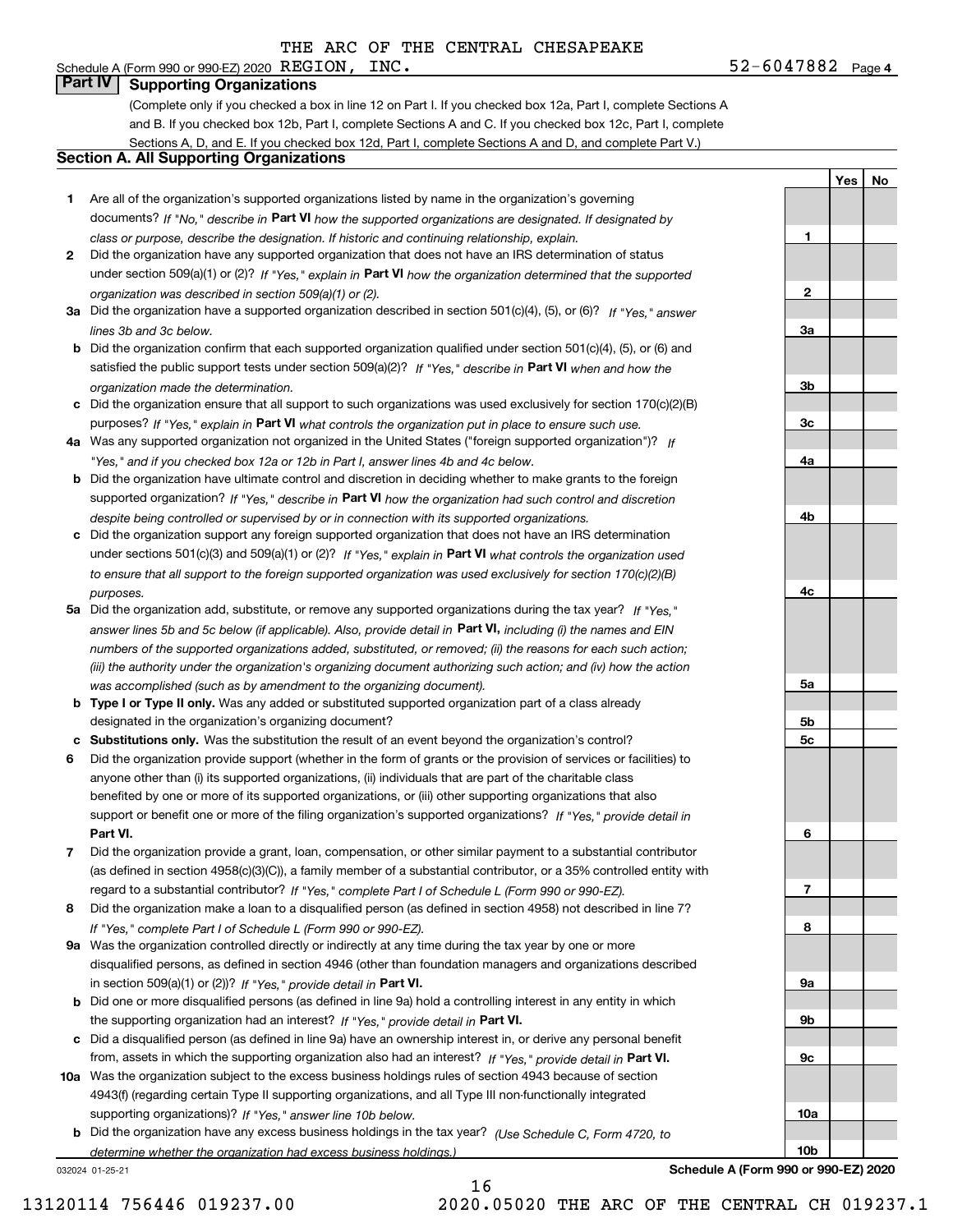### Schedule A (Form 990 or 990-EZ) 2020  $\,$  REGION, INC. **Part IV Supporting Organizations**

(Complete only if you checked a box in line 12 on Part I. If you checked box 12a, Part I, complete Sections A

and B. If you checked box 12b, Part I, complete Sections A and C. If you checked box 12c, Part I, complete Sections A, D, and E. If you checked box 12d, Part I, complete Sections A and D, and complete Part V.)

#### **Section A. All Supporting Organizations**

- **1** Are all of the organization's supported organizations listed by name in the organization's governing documents? If "No," describe in **Part VI** how the supported organizations are designated. If designated by *class or purpose, describe the designation. If historic and continuing relationship, explain.*
- **2** Did the organization have any supported organization that does not have an IRS determination of status under section 509(a)(1) or (2)? If "Yes," explain in Part VI how the organization determined that the supported *organization was described in section 509(a)(1) or (2).*
- **3a** Did the organization have a supported organization described in section 501(c)(4), (5), or (6)? If "Yes," answer *lines 3b and 3c below.*
- **b** Did the organization confirm that each supported organization qualified under section 501(c)(4), (5), or (6) and satisfied the public support tests under section 509(a)(2)? If "Yes," describe in **Part VI** when and how the *organization made the determination.*
- **c**Did the organization ensure that all support to such organizations was used exclusively for section 170(c)(2)(B) purposes? If "Yes," explain in **Part VI** what controls the organization put in place to ensure such use.
- **4a***If* Was any supported organization not organized in the United States ("foreign supported organization")? *"Yes," and if you checked box 12a or 12b in Part I, answer lines 4b and 4c below.*
- **b** Did the organization have ultimate control and discretion in deciding whether to make grants to the foreign supported organization? If "Yes," describe in **Part VI** how the organization had such control and discretion *despite being controlled or supervised by or in connection with its supported organizations.*
- **c** Did the organization support any foreign supported organization that does not have an IRS determination under sections 501(c)(3) and 509(a)(1) or (2)? If "Yes," explain in **Part VI** what controls the organization used *to ensure that all support to the foreign supported organization was used exclusively for section 170(c)(2)(B) purposes.*
- **5a** Did the organization add, substitute, or remove any supported organizations during the tax year? If "Yes," answer lines 5b and 5c below (if applicable). Also, provide detail in **Part VI,** including (i) the names and EIN *numbers of the supported organizations added, substituted, or removed; (ii) the reasons for each such action; (iii) the authority under the organization's organizing document authorizing such action; and (iv) how the action was accomplished (such as by amendment to the organizing document).*
- **b** Type I or Type II only. Was any added or substituted supported organization part of a class already designated in the organization's organizing document?
- **cSubstitutions only.**  Was the substitution the result of an event beyond the organization's control?
- **6** Did the organization provide support (whether in the form of grants or the provision of services or facilities) to **Part VI.** *If "Yes," provide detail in* support or benefit one or more of the filing organization's supported organizations? anyone other than (i) its supported organizations, (ii) individuals that are part of the charitable class benefited by one or more of its supported organizations, or (iii) other supporting organizations that also
- **7**Did the organization provide a grant, loan, compensation, or other similar payment to a substantial contributor *If "Yes," complete Part I of Schedule L (Form 990 or 990-EZ).* regard to a substantial contributor? (as defined in section 4958(c)(3)(C)), a family member of a substantial contributor, or a 35% controlled entity with
- **8** Did the organization make a loan to a disqualified person (as defined in section 4958) not described in line 7? *If "Yes," complete Part I of Schedule L (Form 990 or 990-EZ).*
- **9a** Was the organization controlled directly or indirectly at any time during the tax year by one or more in section 509(a)(1) or (2))? If "Yes," *provide detail in* <code>Part VI.</code> disqualified persons, as defined in section 4946 (other than foundation managers and organizations described
- **b**the supporting organization had an interest? If "Yes," provide detail in P**art VI**. Did one or more disqualified persons (as defined in line 9a) hold a controlling interest in any entity in which
- **c**Did a disqualified person (as defined in line 9a) have an ownership interest in, or derive any personal benefit from, assets in which the supporting organization also had an interest? If "Yes," provide detail in P**art VI.**
- **10a** Was the organization subject to the excess business holdings rules of section 4943 because of section supporting organizations)? If "Yes," answer line 10b below. 4943(f) (regarding certain Type II supporting organizations, and all Type III non-functionally integrated
- **b** Did the organization have any excess business holdings in the tax year? (Use Schedule C, Form 4720, to *determine whether the organization had excess business holdings.)*

16

032024 01-25-21

**Schedule A (Form 990 or 990-EZ) 2020**

13120114 756446 019237.00 2020.05020 THE ARC OF THE CENTRAL CH 019237.1

**23a3b3c4a4b4c5a 5b5c6789a 9b9c10a10b**

**1**

**YesNo**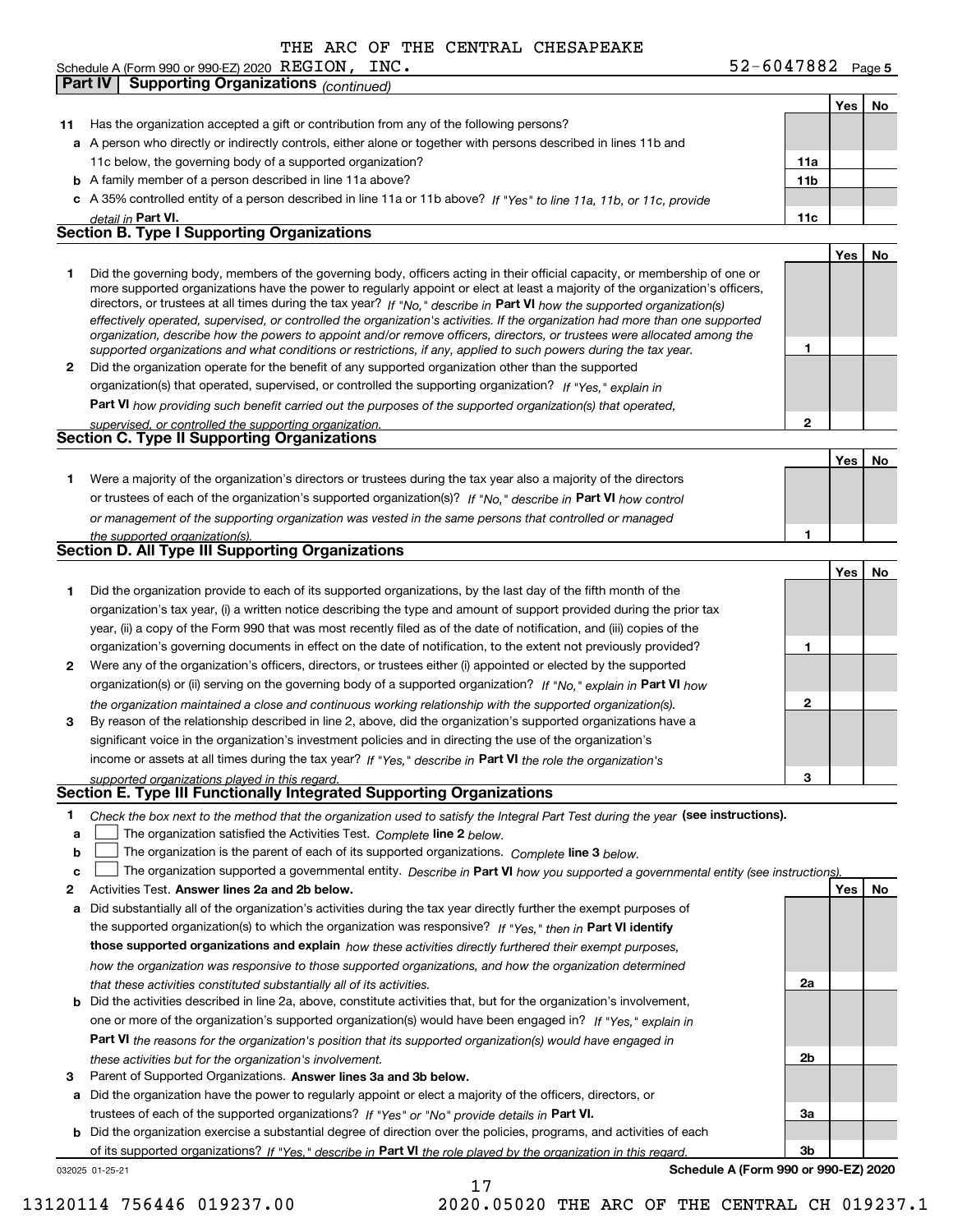**11** Has the organization accepted a gift or contribution from any of the following persons? **a**A person who directly or indirectly controls, either alone or together with persons described in lines 11b and **b** A family member of a person described in line 11a above? Schedule A (Form 990 or 990-EZ) 2020 REGION, INC. 11c below, the governing body of a supported organization? **Part IV Supporting Organizations** *(continued)*

**c** A 35% controlled entity of a person described in line 11a or 11b above? If "Yes" to line 11a, 11b, or 11c, provide **Part VI. 11c** *detail in* 

#### **Section B. Type I Supporting Organizations**

|   | Did the governing body, members of the governing body, officers acting in their official capacity, or membership of one or<br>more supported organizations have the power to regularly appoint or elect at least a majority of the organization's officers,<br>directors, or trustees at all times during the tax year? If "No," describe in Part VI how the supported organization(s)<br>effectively operated, supervised, or controlled the organization's activities. If the organization had more than one supported<br>organization, describe how the powers to appoint and/or remove officers, directors, or trustees were allocated among the<br>supported organizations and what conditions or restrictions, if any, applied to such powers during the tax year. |
|---|--------------------------------------------------------------------------------------------------------------------------------------------------------------------------------------------------------------------------------------------------------------------------------------------------------------------------------------------------------------------------------------------------------------------------------------------------------------------------------------------------------------------------------------------------------------------------------------------------------------------------------------------------------------------------------------------------------------------------------------------------------------------------|
| 2 | Did the organization operate for the benefit of any supported organization other than the supported                                                                                                                                                                                                                                                                                                                                                                                                                                                                                                                                                                                                                                                                      |

*If "Yes," explain in* organization(s) that operated, supervised, or controlled the supporting organization?

**Part VI**  *how providing such benefit carried out the purposes of the supported organization(s) that operated,*

|  | supervised, or controlled the supporting organization. |  |  |  |  |     |
|--|--------------------------------------------------------|--|--|--|--|-----|
|  | <b>Section C. Type II Supporting Organizations</b>     |  |  |  |  |     |
|  |                                                        |  |  |  |  | Yes |

**1**or trustees of each of the organization's supported organization(s)? If "No," describe in **Part VI** how control *or management of the supporting organization was vested in the same persons that controlled or managed the supported organization(s).* Were a majority of the organization's directors or trustees during the tax year also a majority of the directors

|  | Section D. All Type III Supporting Organizations |  |
|--|--------------------------------------------------|--|

|                |                                                                                                                        |   | Yes l | No |
|----------------|------------------------------------------------------------------------------------------------------------------------|---|-------|----|
|                | Did the organization provide to each of its supported organizations, by the last day of the fifth month of the         |   |       |    |
|                | organization's tax year, (i) a written notice describing the type and amount of support provided during the prior tax  |   |       |    |
|                | year, (ii) a copy of the Form 990 that was most recently filed as of the date of notification, and (iii) copies of the |   |       |    |
|                | organization's governing documents in effect on the date of notification, to the extent not previously provided?       |   |       |    |
| $\overline{2}$ | Were any of the organization's officers, directors, or trustees either (i) appointed or elected by the supported       |   |       |    |
|                | organization(s) or (ii) serving on the governing body of a supported organization? If "No," explain in Part VI how     |   |       |    |
|                | the organization maintained a close and continuous working relationship with the supported organization(s).            | 2 |       |    |
| 3              | By reason of the relationship described in line 2, above, did the organization's supported organizations have a        |   |       |    |
|                | significant voice in the organization's investment policies and in directing the use of the organization's             |   |       |    |
|                | income or assets at all times during the tax year? If "Yes," describe in Part VI the role the organization's           |   |       |    |
|                | supported organizations played in this regard.                                                                         | з |       |    |

# *supported organizations played in this regard.* **Section E. Type III Functionally Integrated Supporting Organizations**

- **1**Check the box next to the method that the organization used to satisfy the Integral Part Test during the year (see instructions).
- **alinupy** The organization satisfied the Activities Test. Complete line 2 below.
- **b**The organization is the parent of each of its supported organizations. *Complete* line 3 *below.*  $\mathcal{L}^{\text{max}}$

|  |  | c <u>□</u> The organization supported a governmental entity. Describe in Part VI how you supported a governmental entity (see instructions) |  |  |
|--|--|---------------------------------------------------------------------------------------------------------------------------------------------|--|--|
|--|--|---------------------------------------------------------------------------------------------------------------------------------------------|--|--|

- **2Answer lines 2a and 2b below. Yes No** Activities Test.
- **a** Did substantially all of the organization's activities during the tax year directly further the exempt purposes of the supported organization(s) to which the organization was responsive? If "Yes," then in **Part VI identify those supported organizations and explain**  *how these activities directly furthered their exempt purposes, how the organization was responsive to those supported organizations, and how the organization determined that these activities constituted substantially all of its activities.*
- **b** Did the activities described in line 2a, above, constitute activities that, but for the organization's involvement, **Part VI**  *the reasons for the organization's position that its supported organization(s) would have engaged in* one or more of the organization's supported organization(s) would have been engaged in? If "Yes," e*xplain in these activities but for the organization's involvement.*
- **3** Parent of Supported Organizations. Answer lines 3a and 3b below.

**a** Did the organization have the power to regularly appoint or elect a majority of the officers, directors, or trustees of each of the supported organizations? If "Yes" or "No" provide details in **Part VI.** 

**b** Did the organization exercise a substantial degree of direction over the policies, programs, and activities of each of its supported organizations? If "Yes," describe in Part VI the role played by the organization in this regard.

032025 01-25-21

**Schedule A (Form 990 or 990-EZ) 2020**

**2a**

**2b**

**3a**

**3b**

**5**REGION, INC. 52-6047882

**Yes**

**YesNo**

**11a11b**

**1**

**1**

**No**

**No**

17 13120114 756446 019237.00 2020.05020 THE ARC OF THE CENTRAL CH 019237.1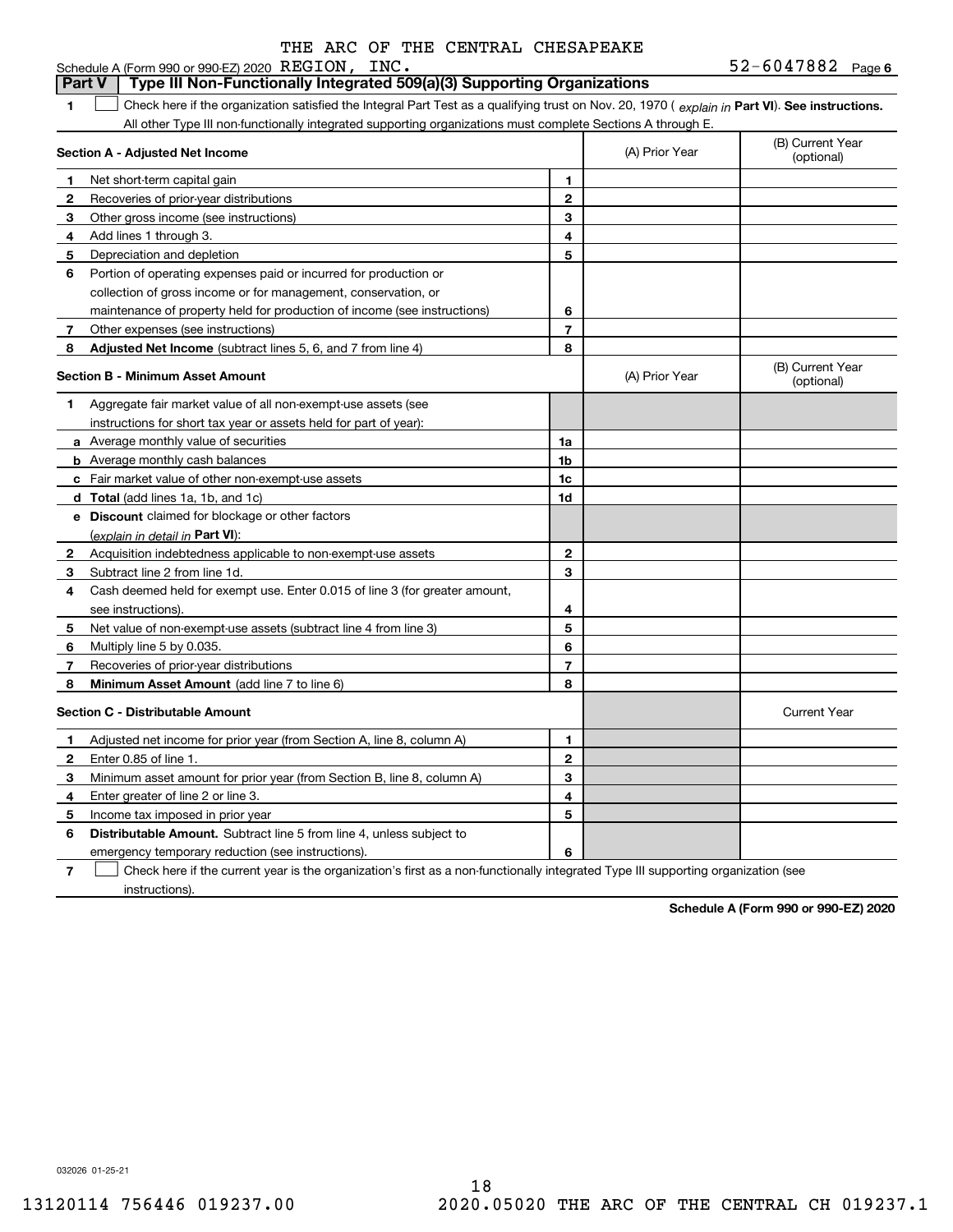#### **1Part VI** Check here if the organization satisfied the Integral Part Test as a qualifying trust on Nov. 20, 1970 ( explain in Part **VI**). See instructions. **Section A - Adjusted Net Income 123** Other gross income (see instructions) **456** Portion of operating expenses paid or incurred for production or **7** Other expenses (see instructions) **8** Adjusted Net Income (subtract lines 5, 6, and 7 from line 4) **8 8 1234567Section B - Minimum Asset Amount 1**Aggregate fair market value of all non-exempt-use assets (see **2**Acquisition indebtedness applicable to non-exempt-use assets **3** Subtract line 2 from line 1d. **4**Cash deemed held for exempt use. Enter 0.015 of line 3 (for greater amount, **5** Net value of non-exempt-use assets (subtract line 4 from line 3) **678a** Average monthly value of securities **b** Average monthly cash balances **c**Fair market value of other non-exempt-use assets **dTotal**  (add lines 1a, 1b, and 1c) **eDiscount** claimed for blockage or other factors **1a1b1c1d2345678**(explain in detail in Part VI): **Minimum Asset Amount**  (add line 7 to line 6) **Section C - Distributable Amount 123456123456Distributable Amount.** Subtract line 5 from line 4, unless subject to Schedule A (Form 990 or 990-EZ) 2020 REGION, INC All other Type III non-functionally integrated supporting organizations must complete Sections A through E. (B) Current Year (optional)(A) Prior Year Net short-term capital gain Recoveries of prior-year distributions Add lines 1 through 3. Depreciation and depletion collection of gross income or for management, conservation, or maintenance of property held for production of income (see instructions) (B) Current Year (optional)(A) Prior Year instructions for short tax year or assets held for part of year): see instructions). Multiply line 5 by 0.035. Recoveries of prior-year distributions Current Year Adjusted net income for prior year (from Section A, line 8, column A) Enter 0.85 of line 1. Minimum asset amount for prior year (from Section B, line 8, column A) Enter greater of line 2 or line 3. Income tax imposed in prior year emergency temporary reduction (see instructions). **Part V Type III Non-Functionally Integrated 509(a)(3) Supporting Organizations**   $\mathcal{L}^{\text{max}}$

**7**Check here if the current year is the organization's first as a non-functionally integrated Type III supporting organization (see instructions). $\mathcal{L}^{\text{max}}$ 

**Schedule A (Form 990 or 990-EZ) 2020**

032026 01-25-21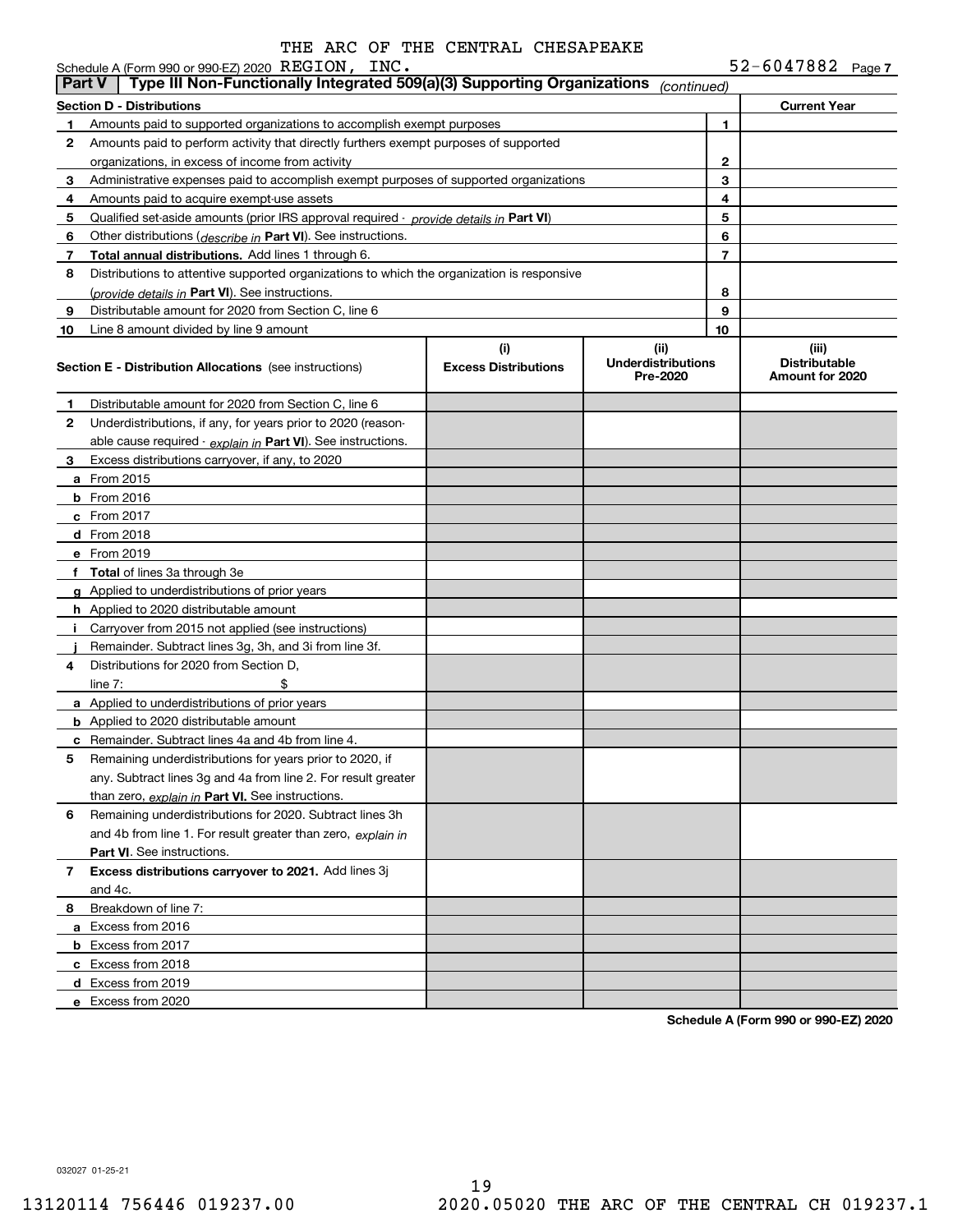52-6047882 Page 7

| 100 FZ) 2020 RECION |  | ⊤м∂ |
|---------------------|--|-----|

|        | Schedule A (Form 990 or 990-EZ) 2020 REGION, INC.                                          |                                    |                                               |                | $52 - 6047882$ Page 7                            |
|--------|--------------------------------------------------------------------------------------------|------------------------------------|-----------------------------------------------|----------------|--------------------------------------------------|
| Part V | Type III Non-Functionally Integrated 509(a)(3) Supporting Organizations                    |                                    | (continued)                                   |                |                                                  |
|        | <b>Section D - Distributions</b>                                                           |                                    |                                               |                | <b>Current Year</b>                              |
| 1      | Amounts paid to supported organizations to accomplish exempt purposes                      |                                    |                                               | 1              |                                                  |
| 2      | Amounts paid to perform activity that directly furthers exempt purposes of supported       |                                    |                                               |                |                                                  |
|        | organizations, in excess of income from activity                                           |                                    |                                               | 2              |                                                  |
| 3      | Administrative expenses paid to accomplish exempt purposes of supported organizations      |                                    |                                               | 3              |                                                  |
| 4      | Amounts paid to acquire exempt-use assets                                                  |                                    |                                               | 4              |                                                  |
| 5      | Qualified set-aside amounts (prior IRS approval required - provide details in Part VI)     |                                    |                                               | 5              |                                                  |
| 6      | Other distributions ( <i>describe in</i> Part VI). See instructions.                       |                                    |                                               | 6              |                                                  |
| 7      | Total annual distributions. Add lines 1 through 6.                                         |                                    |                                               | $\overline{7}$ |                                                  |
| 8      | Distributions to attentive supported organizations to which the organization is responsive |                                    |                                               |                |                                                  |
|        | (provide details in Part VI). See instructions.                                            |                                    |                                               | 8              |                                                  |
| 9      | Distributable amount for 2020 from Section C, line 6                                       |                                    |                                               | 9              |                                                  |
| 10     | Line 8 amount divided by line 9 amount                                                     |                                    |                                               | 10             |                                                  |
|        | <b>Section E - Distribution Allocations</b> (see instructions)                             | (i)<br><b>Excess Distributions</b> | (ii)<br><b>Underdistributions</b><br>Pre-2020 |                | (iii)<br><b>Distributable</b><br>Amount for 2020 |
| 1      | Distributable amount for 2020 from Section C, line 6                                       |                                    |                                               |                |                                                  |
| 2      | Underdistributions, if any, for years prior to 2020 (reason-                               |                                    |                                               |                |                                                  |
|        | able cause required - explain in Part VI). See instructions.                               |                                    |                                               |                |                                                  |
| 3      | Excess distributions carryover, if any, to 2020                                            |                                    |                                               |                |                                                  |
|        | <b>a</b> From 2015                                                                         |                                    |                                               |                |                                                  |
|        | <b>b</b> From 2016                                                                         |                                    |                                               |                |                                                  |
|        | $c$ From 2017                                                                              |                                    |                                               |                |                                                  |
|        | <b>d</b> From 2018                                                                         |                                    |                                               |                |                                                  |
|        | e From 2019                                                                                |                                    |                                               |                |                                                  |
|        | f Total of lines 3a through 3e                                                             |                                    |                                               |                |                                                  |
|        | g Applied to underdistributions of prior years                                             |                                    |                                               |                |                                                  |
|        | <b>h</b> Applied to 2020 distributable amount                                              |                                    |                                               |                |                                                  |
|        | i Carryover from 2015 not applied (see instructions)                                       |                                    |                                               |                |                                                  |
|        | Remainder. Subtract lines 3g, 3h, and 3i from line 3f.                                     |                                    |                                               |                |                                                  |
| 4      | Distributions for 2020 from Section D,                                                     |                                    |                                               |                |                                                  |
|        | \$<br>line $7:$                                                                            |                                    |                                               |                |                                                  |
|        | a Applied to underdistributions of prior years                                             |                                    |                                               |                |                                                  |
|        | <b>b</b> Applied to 2020 distributable amount                                              |                                    |                                               |                |                                                  |
|        | <b>c</b> Remainder. Subtract lines 4a and 4b from line 4.                                  |                                    |                                               |                |                                                  |
|        | Remaining underdistributions for years prior to 2020, if                                   |                                    |                                               |                |                                                  |
|        | any. Subtract lines 3g and 4a from line 2. For result greater                              |                                    |                                               |                |                                                  |
|        | than zero, explain in Part VI. See instructions.                                           |                                    |                                               |                |                                                  |
| 6      | Remaining underdistributions for 2020. Subtract lines 3h                                   |                                    |                                               |                |                                                  |
|        | and 4b from line 1. For result greater than zero, explain in                               |                                    |                                               |                |                                                  |
|        | <b>Part VI.</b> See instructions.                                                          |                                    |                                               |                |                                                  |
| 7      | Excess distributions carryover to 2021. Add lines 3j                                       |                                    |                                               |                |                                                  |
|        | and 4c.                                                                                    |                                    |                                               |                |                                                  |
| 8      | Breakdown of line 7:                                                                       |                                    |                                               |                |                                                  |
|        | a Excess from 2016                                                                         |                                    |                                               |                |                                                  |
|        | <b>b</b> Excess from 2017                                                                  |                                    |                                               |                |                                                  |
|        | c Excess from 2018                                                                         |                                    |                                               |                |                                                  |
|        | d Excess from 2019                                                                         |                                    |                                               |                |                                                  |
|        | e Excess from 2020                                                                         |                                    |                                               |                |                                                  |

**Schedule A (Form 990 or 990-EZ) 2020**

032027 01-25-21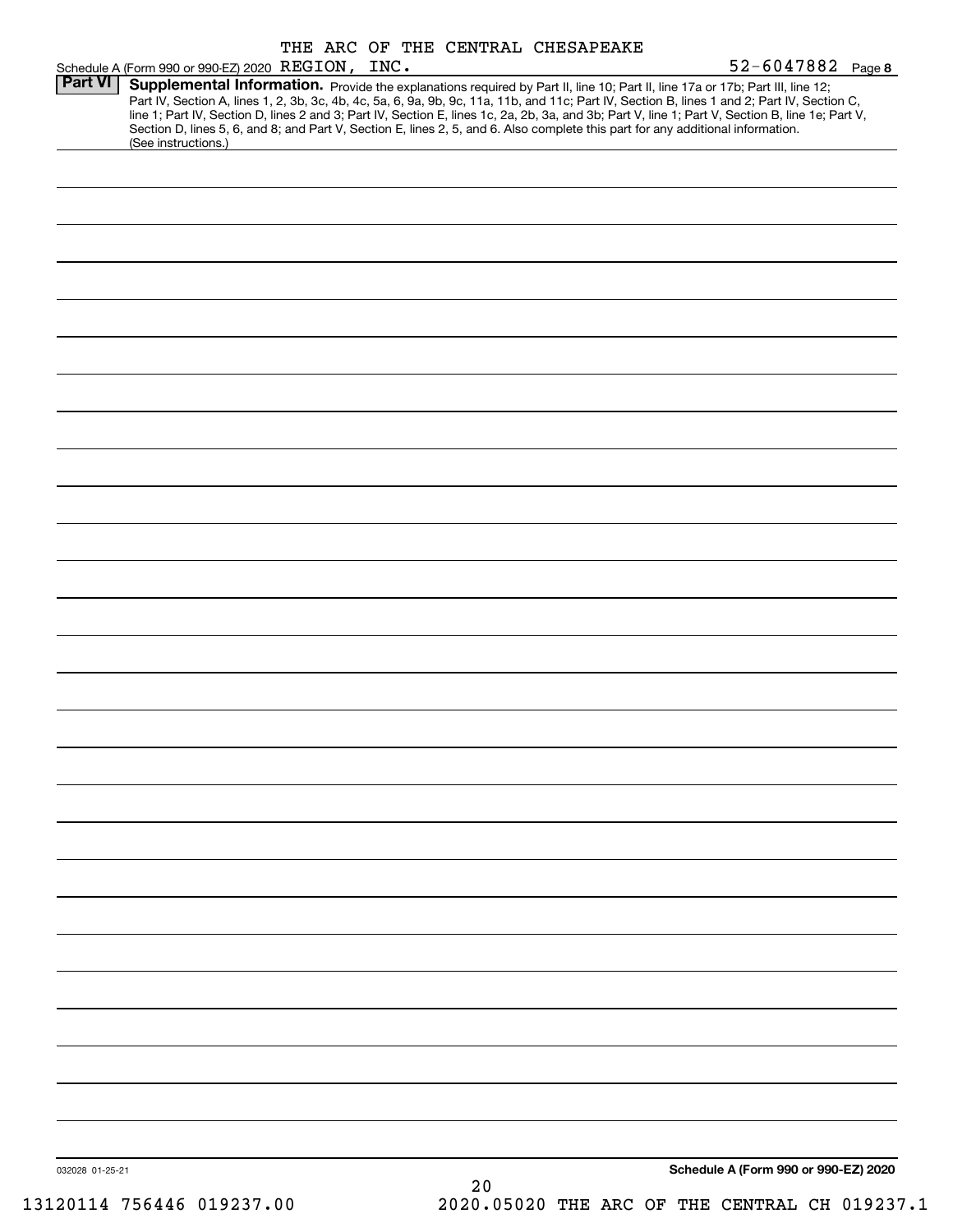|                 |                                                                                                                                                                                                                                                                                                                                                                                                                                                                                                                                                                                             |  |    | THE ARC OF THE CENTRAL CHESAPEAKE |                                      |                       |  |
|-----------------|---------------------------------------------------------------------------------------------------------------------------------------------------------------------------------------------------------------------------------------------------------------------------------------------------------------------------------------------------------------------------------------------------------------------------------------------------------------------------------------------------------------------------------------------------------------------------------------------|--|----|-----------------------------------|--------------------------------------|-----------------------|--|
| <b>Part VI</b>  | Schedule A (Form 990 or 990-EZ) 2020 REGION, INC.                                                                                                                                                                                                                                                                                                                                                                                                                                                                                                                                           |  |    |                                   |                                      | $52 - 6047882$ Page 8 |  |
|                 | Supplemental Information. Provide the explanations required by Part II, line 10; Part II, line 17a or 17b; Part III, line 12;<br>Part IV, Section A, lines 1, 2, 3b, 3c, 4b, 4c, 5a, 6, 9a, 9b, 9c, 11a, 11b, and 11c; Part IV, Section B, lines 1 and 2; Part IV, Section C,<br>line 1; Part IV, Section D, lines 2 and 3; Part IV, Section E, lines 1c, 2a, 2b, 3a, and 3b; Part V, line 1; Part V, Section B, line 1e; Part V,<br>Section D, lines 5, 6, and 8; and Part V, Section E, lines 2, 5, and 6. Also complete this part for any additional information.<br>(See instructions.) |  |    |                                   |                                      |                       |  |
|                 |                                                                                                                                                                                                                                                                                                                                                                                                                                                                                                                                                                                             |  |    |                                   |                                      |                       |  |
|                 |                                                                                                                                                                                                                                                                                                                                                                                                                                                                                                                                                                                             |  |    |                                   |                                      |                       |  |
|                 |                                                                                                                                                                                                                                                                                                                                                                                                                                                                                                                                                                                             |  |    |                                   |                                      |                       |  |
|                 |                                                                                                                                                                                                                                                                                                                                                                                                                                                                                                                                                                                             |  |    |                                   |                                      |                       |  |
|                 |                                                                                                                                                                                                                                                                                                                                                                                                                                                                                                                                                                                             |  |    |                                   |                                      |                       |  |
|                 |                                                                                                                                                                                                                                                                                                                                                                                                                                                                                                                                                                                             |  |    |                                   |                                      |                       |  |
|                 |                                                                                                                                                                                                                                                                                                                                                                                                                                                                                                                                                                                             |  |    |                                   |                                      |                       |  |
|                 |                                                                                                                                                                                                                                                                                                                                                                                                                                                                                                                                                                                             |  |    |                                   |                                      |                       |  |
|                 |                                                                                                                                                                                                                                                                                                                                                                                                                                                                                                                                                                                             |  |    |                                   |                                      |                       |  |
|                 |                                                                                                                                                                                                                                                                                                                                                                                                                                                                                                                                                                                             |  |    |                                   |                                      |                       |  |
|                 |                                                                                                                                                                                                                                                                                                                                                                                                                                                                                                                                                                                             |  |    |                                   |                                      |                       |  |
|                 |                                                                                                                                                                                                                                                                                                                                                                                                                                                                                                                                                                                             |  |    |                                   |                                      |                       |  |
|                 |                                                                                                                                                                                                                                                                                                                                                                                                                                                                                                                                                                                             |  |    |                                   |                                      |                       |  |
|                 |                                                                                                                                                                                                                                                                                                                                                                                                                                                                                                                                                                                             |  |    |                                   |                                      |                       |  |
|                 |                                                                                                                                                                                                                                                                                                                                                                                                                                                                                                                                                                                             |  |    |                                   |                                      |                       |  |
|                 |                                                                                                                                                                                                                                                                                                                                                                                                                                                                                                                                                                                             |  |    |                                   |                                      |                       |  |
|                 |                                                                                                                                                                                                                                                                                                                                                                                                                                                                                                                                                                                             |  |    |                                   |                                      |                       |  |
|                 |                                                                                                                                                                                                                                                                                                                                                                                                                                                                                                                                                                                             |  |    |                                   |                                      |                       |  |
|                 |                                                                                                                                                                                                                                                                                                                                                                                                                                                                                                                                                                                             |  |    |                                   |                                      |                       |  |
|                 |                                                                                                                                                                                                                                                                                                                                                                                                                                                                                                                                                                                             |  |    |                                   |                                      |                       |  |
|                 |                                                                                                                                                                                                                                                                                                                                                                                                                                                                                                                                                                                             |  |    |                                   |                                      |                       |  |
|                 |                                                                                                                                                                                                                                                                                                                                                                                                                                                                                                                                                                                             |  |    |                                   |                                      |                       |  |
|                 |                                                                                                                                                                                                                                                                                                                                                                                                                                                                                                                                                                                             |  |    |                                   |                                      |                       |  |
|                 |                                                                                                                                                                                                                                                                                                                                                                                                                                                                                                                                                                                             |  |    |                                   |                                      |                       |  |
|                 |                                                                                                                                                                                                                                                                                                                                                                                                                                                                                                                                                                                             |  |    |                                   |                                      |                       |  |
|                 |                                                                                                                                                                                                                                                                                                                                                                                                                                                                                                                                                                                             |  |    |                                   |                                      |                       |  |
|                 |                                                                                                                                                                                                                                                                                                                                                                                                                                                                                                                                                                                             |  |    |                                   |                                      |                       |  |
|                 |                                                                                                                                                                                                                                                                                                                                                                                                                                                                                                                                                                                             |  |    |                                   |                                      |                       |  |
|                 |                                                                                                                                                                                                                                                                                                                                                                                                                                                                                                                                                                                             |  |    |                                   |                                      |                       |  |
|                 |                                                                                                                                                                                                                                                                                                                                                                                                                                                                                                                                                                                             |  |    |                                   |                                      |                       |  |
|                 |                                                                                                                                                                                                                                                                                                                                                                                                                                                                                                                                                                                             |  |    |                                   |                                      |                       |  |
|                 |                                                                                                                                                                                                                                                                                                                                                                                                                                                                                                                                                                                             |  |    |                                   | Schedule A (Form 990 or 990-EZ) 2020 |                       |  |
| 032028 01-25-21 |                                                                                                                                                                                                                                                                                                                                                                                                                                                                                                                                                                                             |  | 20 |                                   |                                      |                       |  |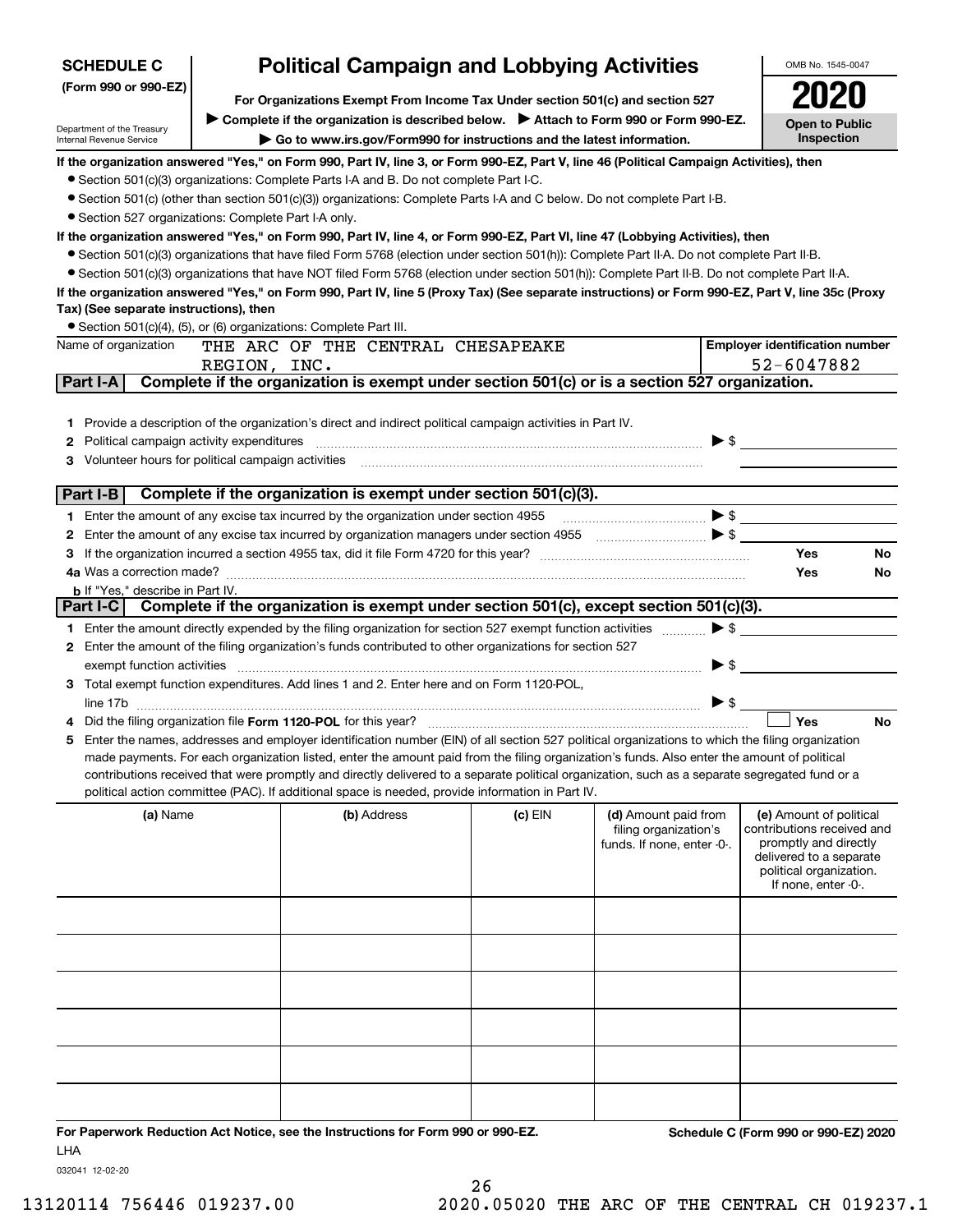| <b>SCHEDULE C</b>                                                                                                       |              | <b>Political Campaign and Lobbying Activities</b>                                                                                                                                                                                                                                                                                                                                                                                                                                                                                                                                                                                                                                                                                                                                                                                                                                                                                                                                                                           |           |                                                                             | OMB No. 1545-0047                                                                                                                                           |
|-------------------------------------------------------------------------------------------------------------------------|--------------|-----------------------------------------------------------------------------------------------------------------------------------------------------------------------------------------------------------------------------------------------------------------------------------------------------------------------------------------------------------------------------------------------------------------------------------------------------------------------------------------------------------------------------------------------------------------------------------------------------------------------------------------------------------------------------------------------------------------------------------------------------------------------------------------------------------------------------------------------------------------------------------------------------------------------------------------------------------------------------------------------------------------------------|-----------|-----------------------------------------------------------------------------|-------------------------------------------------------------------------------------------------------------------------------------------------------------|
| (Form 990 or 990-EZ)                                                                                                    |              |                                                                                                                                                                                                                                                                                                                                                                                                                                                                                                                                                                                                                                                                                                                                                                                                                                                                                                                                                                                                                             |           |                                                                             |                                                                                                                                                             |
|                                                                                                                         |              | For Organizations Exempt From Income Tax Under section 501(c) and section 527<br>► Complete if the organization is described below. ► Attach to Form 990 or Form 990-EZ.                                                                                                                                                                                                                                                                                                                                                                                                                                                                                                                                                                                                                                                                                                                                                                                                                                                    |           |                                                                             | <b>Open to Public</b>                                                                                                                                       |
| Department of the Treasury<br>Internal Revenue Service                                                                  |              | Go to www.irs.gov/Form990 for instructions and the latest information.                                                                                                                                                                                                                                                                                                                                                                                                                                                                                                                                                                                                                                                                                                                                                                                                                                                                                                                                                      |           |                                                                             | Inspection                                                                                                                                                  |
| • Section 527 organizations: Complete Part I-A only.<br>Tax) (See separate instructions), then                          |              | If the organization answered "Yes," on Form 990, Part IV, line 3, or Form 990-EZ, Part V, line 46 (Political Campaign Activities), then<br>• Section 501(c)(3) organizations: Complete Parts I-A and B. Do not complete Part I-C.<br>● Section 501(c) (other than section 501(c)(3)) organizations: Complete Parts I-A and C below. Do not complete Part I-B.<br>If the organization answered "Yes," on Form 990, Part IV, line 4, or Form 990-EZ, Part VI, line 47 (Lobbying Activities), then<br>• Section 501(c)(3) organizations that have filed Form 5768 (election under section 501(h)): Complete Part II-A. Do not complete Part II-B.<br>• Section 501(c)(3) organizations that have NOT filed Form 5768 (election under section 501(h)): Complete Part II-B. Do not complete Part II-A.<br>If the organization answered "Yes," on Form 990, Part IV, line 5 (Proxy Tax) (See separate instructions) or Form 990-EZ, Part V, line 35c (Proxy<br>• Section 501(c)(4), (5), or (6) organizations: Complete Part III. |           |                                                                             |                                                                                                                                                             |
| Name of organization                                                                                                    |              | THE ARC OF THE CENTRAL CHESAPEAKE                                                                                                                                                                                                                                                                                                                                                                                                                                                                                                                                                                                                                                                                                                                                                                                                                                                                                                                                                                                           |           |                                                                             | <b>Employer identification number</b>                                                                                                                       |
| Part I-A                                                                                                                | REGION, INC. | Complete if the organization is exempt under section 501(c) or is a section 527 organization.                                                                                                                                                                                                                                                                                                                                                                                                                                                                                                                                                                                                                                                                                                                                                                                                                                                                                                                               |           |                                                                             | 52-6047882                                                                                                                                                  |
| <b>2</b> Political campaign activity expenditures<br>Volunteer hours for political campaign activities<br>З<br>Part I-B |              | 1 Provide a description of the organization's direct and indirect political campaign activities in Part IV.<br>Complete if the organization is exempt under section 501(c)(3).                                                                                                                                                                                                                                                                                                                                                                                                                                                                                                                                                                                                                                                                                                                                                                                                                                              |           |                                                                             | $\triangleright$ \$                                                                                                                                         |
|                                                                                                                         |              | 1 Enter the amount of any excise tax incurred by the organization under section 4955                                                                                                                                                                                                                                                                                                                                                                                                                                                                                                                                                                                                                                                                                                                                                                                                                                                                                                                                        |           |                                                                             | $\blacktriangleright$ \$                                                                                                                                    |
|                                                                                                                         |              |                                                                                                                                                                                                                                                                                                                                                                                                                                                                                                                                                                                                                                                                                                                                                                                                                                                                                                                                                                                                                             |           |                                                                             |                                                                                                                                                             |
|                                                                                                                         |              |                                                                                                                                                                                                                                                                                                                                                                                                                                                                                                                                                                                                                                                                                                                                                                                                                                                                                                                                                                                                                             |           |                                                                             | Yes<br>No                                                                                                                                                   |
| 4a Was a correction made?                                                                                               |              |                                                                                                                                                                                                                                                                                                                                                                                                                                                                                                                                                                                                                                                                                                                                                                                                                                                                                                                                                                                                                             |           |                                                                             | Yes<br>No.                                                                                                                                                  |
| <b>b</b> If "Yes," describe in Part IV.                                                                                 |              |                                                                                                                                                                                                                                                                                                                                                                                                                                                                                                                                                                                                                                                                                                                                                                                                                                                                                                                                                                                                                             |           |                                                                             |                                                                                                                                                             |
|                                                                                                                         |              | Part I-C Complete if the organization is exempt under section 501(c), except section 501(c)(3).                                                                                                                                                                                                                                                                                                                                                                                                                                                                                                                                                                                                                                                                                                                                                                                                                                                                                                                             |           |                                                                             |                                                                                                                                                             |
|                                                                                                                         |              | 1 Enter the amount directly expended by the filing organization for section 527 exempt function activities<br>2 Enter the amount of the filing organization's funds contributed to other organizations for section 527                                                                                                                                                                                                                                                                                                                                                                                                                                                                                                                                                                                                                                                                                                                                                                                                      |           |                                                                             | $\blacktriangleright$ \$                                                                                                                                    |
| exempt function activities                                                                                              |              |                                                                                                                                                                                                                                                                                                                                                                                                                                                                                                                                                                                                                                                                                                                                                                                                                                                                                                                                                                                                                             |           |                                                                             | $\blacktriangleright$ \$                                                                                                                                    |
|                                                                                                                         |              | 3 Total exempt function expenditures. Add lines 1 and 2. Enter here and on Form 1120-POL,                                                                                                                                                                                                                                                                                                                                                                                                                                                                                                                                                                                                                                                                                                                                                                                                                                                                                                                                   |           |                                                                             |                                                                                                                                                             |
|                                                                                                                         |              |                                                                                                                                                                                                                                                                                                                                                                                                                                                                                                                                                                                                                                                                                                                                                                                                                                                                                                                                                                                                                             |           |                                                                             | $\blacktriangleright$ \$                                                                                                                                    |
|                                                                                                                         |              | Did the filing organization file Form 1120-POL for this year?                                                                                                                                                                                                                                                                                                                                                                                                                                                                                                                                                                                                                                                                                                                                                                                                                                                                                                                                                               |           |                                                                             | Yes<br>No                                                                                                                                                   |
|                                                                                                                         |              | 5 Enter the names, addresses and employer identification number (EIN) of all section 527 political organizations to which the filing organization<br>made payments. For each organization listed, enter the amount paid from the filing organization's funds. Also enter the amount of political<br>contributions received that were promptly and directly delivered to a separate political organization, such as a separate segregated fund or a<br>political action committee (PAC). If additional space is needed, provide information in Part IV.                                                                                                                                                                                                                                                                                                                                                                                                                                                                      |           |                                                                             |                                                                                                                                                             |
| (a) Name                                                                                                                |              | (b) Address                                                                                                                                                                                                                                                                                                                                                                                                                                                                                                                                                                                                                                                                                                                                                                                                                                                                                                                                                                                                                 | $(c)$ EIN | (d) Amount paid from<br>filing organization's<br>funds. If none, enter -0-. | (e) Amount of political<br>contributions received and<br>promptly and directly<br>delivered to a separate<br>political organization.<br>If none, enter -0-. |
|                                                                                                                         |              |                                                                                                                                                                                                                                                                                                                                                                                                                                                                                                                                                                                                                                                                                                                                                                                                                                                                                                                                                                                                                             |           |                                                                             |                                                                                                                                                             |
|                                                                                                                         |              |                                                                                                                                                                                                                                                                                                                                                                                                                                                                                                                                                                                                                                                                                                                                                                                                                                                                                                                                                                                                                             |           |                                                                             |                                                                                                                                                             |
|                                                                                                                         |              |                                                                                                                                                                                                                                                                                                                                                                                                                                                                                                                                                                                                                                                                                                                                                                                                                                                                                                                                                                                                                             |           |                                                                             |                                                                                                                                                             |
|                                                                                                                         |              |                                                                                                                                                                                                                                                                                                                                                                                                                                                                                                                                                                                                                                                                                                                                                                                                                                                                                                                                                                                                                             |           |                                                                             |                                                                                                                                                             |
|                                                                                                                         |              |                                                                                                                                                                                                                                                                                                                                                                                                                                                                                                                                                                                                                                                                                                                                                                                                                                                                                                                                                                                                                             |           |                                                                             |                                                                                                                                                             |
|                                                                                                                         |              |                                                                                                                                                                                                                                                                                                                                                                                                                                                                                                                                                                                                                                                                                                                                                                                                                                                                                                                                                                                                                             |           |                                                                             |                                                                                                                                                             |

**For Paperwork Reduction Act Notice, see the Instructions for Form 990 or 990-EZ. Schedule C (Form 990 or 990-EZ) 2020** LHA

032041 12-02-20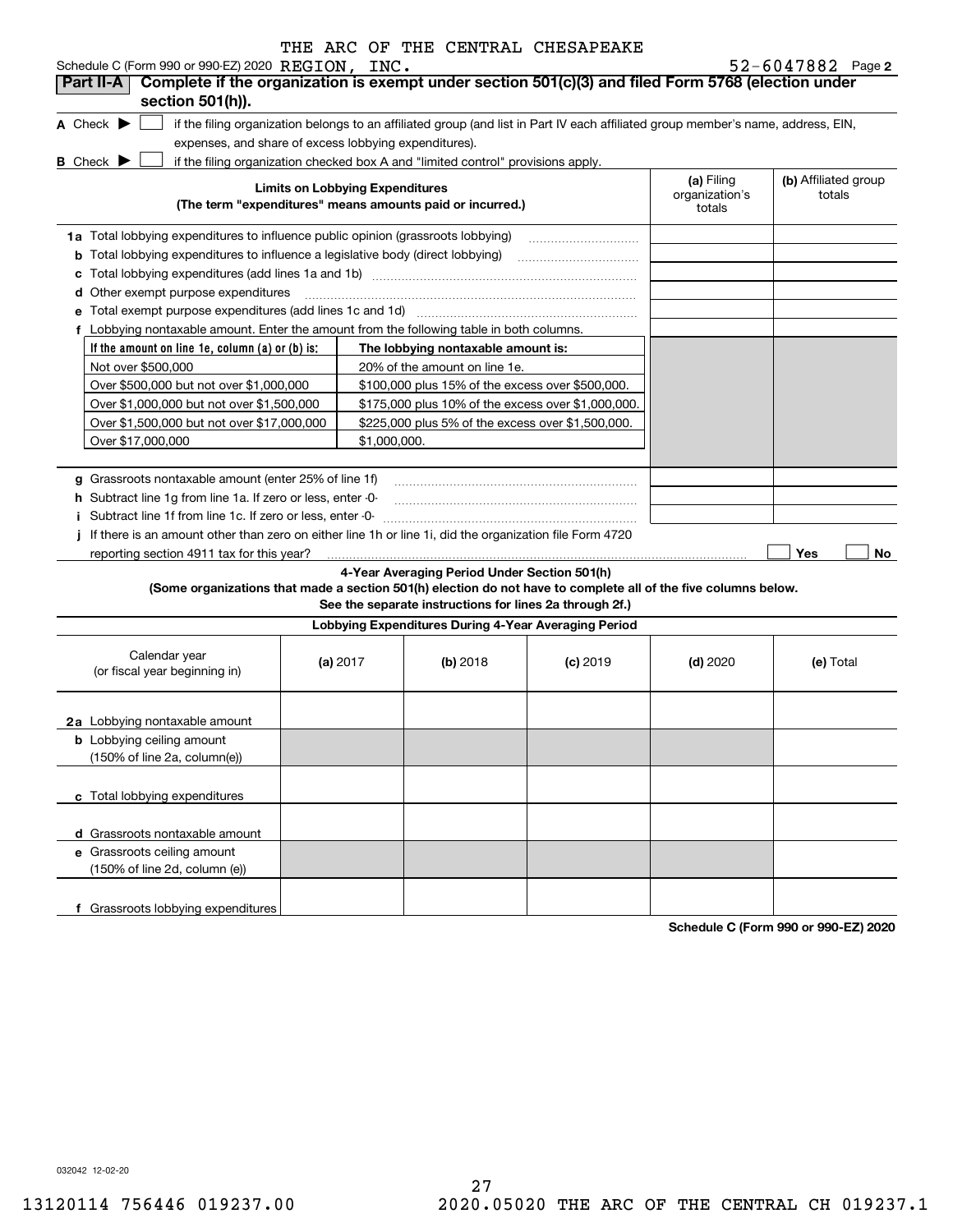| Schedule C (Form 990 or 990-EZ) 2020 REGION, INC.                                                                                                                                                                                                                                                                                                       |                                        |                                                                                                         |            |                                        | $52 - 6047882$ Page 2          |
|---------------------------------------------------------------------------------------------------------------------------------------------------------------------------------------------------------------------------------------------------------------------------------------------------------------------------------------------------------|----------------------------------------|---------------------------------------------------------------------------------------------------------|------------|----------------------------------------|--------------------------------|
| Part II-A   Complete if the organization is exempt under section 501(c)(3) and filed Form 5768 (election under<br>section 501(h)).                                                                                                                                                                                                                      |                                        |                                                                                                         |            |                                        |                                |
| A Check $\blacktriangleright$<br>if the filing organization belongs to an affiliated group (and list in Part IV each affiliated group member's name, address, EIN,<br>expenses, and share of excess lobbying expenditures).<br>if the filing organization checked box A and "limited control" provisions apply.<br><b>B</b> Check $\blacktriangleright$ |                                        |                                                                                                         |            |                                        |                                |
| (The term "expenditures" means amounts paid or incurred.)                                                                                                                                                                                                                                                                                               | <b>Limits on Lobbying Expenditures</b> |                                                                                                         |            | (a) Filing<br>organization's<br>totals | (b) Affiliated group<br>totals |
| 1a Total lobbying expenditures to influence public opinion (grassroots lobbying)                                                                                                                                                                                                                                                                        |                                        |                                                                                                         |            |                                        |                                |
| <b>b</b> Total lobbying expenditures to influence a legislative body (direct lobbying)                                                                                                                                                                                                                                                                  |                                        |                                                                                                         |            |                                        |                                |
|                                                                                                                                                                                                                                                                                                                                                         |                                        |                                                                                                         |            |                                        |                                |
| d Other exempt purpose expenditures                                                                                                                                                                                                                                                                                                                     |                                        |                                                                                                         |            |                                        |                                |
|                                                                                                                                                                                                                                                                                                                                                         |                                        |                                                                                                         |            |                                        |                                |
| f Lobbying nontaxable amount. Enter the amount from the following table in both columns.                                                                                                                                                                                                                                                                |                                        |                                                                                                         |            |                                        |                                |
| If the amount on line 1e, column (a) or (b) is:                                                                                                                                                                                                                                                                                                         |                                        | The lobbying nontaxable amount is:                                                                      |            |                                        |                                |
| Not over \$500,000                                                                                                                                                                                                                                                                                                                                      |                                        | 20% of the amount on line 1e.                                                                           |            |                                        |                                |
| Over \$500,000 but not over \$1,000,000                                                                                                                                                                                                                                                                                                                 |                                        | \$100,000 plus 15% of the excess over \$500,000.                                                        |            |                                        |                                |
| Over \$1,000,000 but not over \$1,500,000                                                                                                                                                                                                                                                                                                               |                                        | \$175,000 plus 10% of the excess over \$1,000,000.                                                      |            |                                        |                                |
| Over \$1,500,000 but not over \$17,000,000                                                                                                                                                                                                                                                                                                              |                                        | \$225,000 plus 5% of the excess over \$1,500,000.                                                       |            |                                        |                                |
| Over \$17,000,000                                                                                                                                                                                                                                                                                                                                       | \$1,000,000.                           |                                                                                                         |            |                                        |                                |
| g Grassroots nontaxable amount (enter 25% of line 1f)<br>h Subtract line 1g from line 1a. If zero or less, enter -0-<br>i Subtract line 1f from line 1c. If zero or less, enter -0-                                                                                                                                                                     |                                        |                                                                                                         |            |                                        |                                |
| j If there is an amount other than zero on either line 1h or line 1i, did the organization file Form 4720<br>reporting section 4911 tax for this year?                                                                                                                                                                                                  |                                        |                                                                                                         |            |                                        | Yes<br>No.                     |
| (Some organizations that made a section 501(h) election do not have to complete all of the five columns below.                                                                                                                                                                                                                                          |                                        | 4-Year Averaging Period Under Section 501(h)<br>See the separate instructions for lines 2a through 2f.) |            |                                        |                                |
|                                                                                                                                                                                                                                                                                                                                                         |                                        | Lobbying Expenditures During 4-Year Averaging Period                                                    |            |                                        |                                |
| Calendar year<br>(or fiscal year beginning in)                                                                                                                                                                                                                                                                                                          | (a) $2017$                             | $(b)$ 2018                                                                                              | $(c)$ 2019 | $(d)$ 2020                             | (e) Total                      |
| 2a Lobbying nontaxable amount                                                                                                                                                                                                                                                                                                                           |                                        |                                                                                                         |            |                                        |                                |
| <b>b</b> Lobbying ceiling amount<br>(150% of line 2a, column(e))                                                                                                                                                                                                                                                                                        |                                        |                                                                                                         |            |                                        |                                |
| c Total lobbying expenditures                                                                                                                                                                                                                                                                                                                           |                                        |                                                                                                         |            |                                        |                                |
| d Grassroots nontaxable amount                                                                                                                                                                                                                                                                                                                          |                                        |                                                                                                         |            |                                        |                                |
| e Grassroots ceiling amount<br>(150% of line 2d, column (e))                                                                                                                                                                                                                                                                                            |                                        |                                                                                                         |            |                                        |                                |
| f Grassroots lobbying expenditures                                                                                                                                                                                                                                                                                                                      |                                        |                                                                                                         |            |                                        |                                |

**Schedule C (Form 990 or 990-EZ) 2020**

032042 12-02-20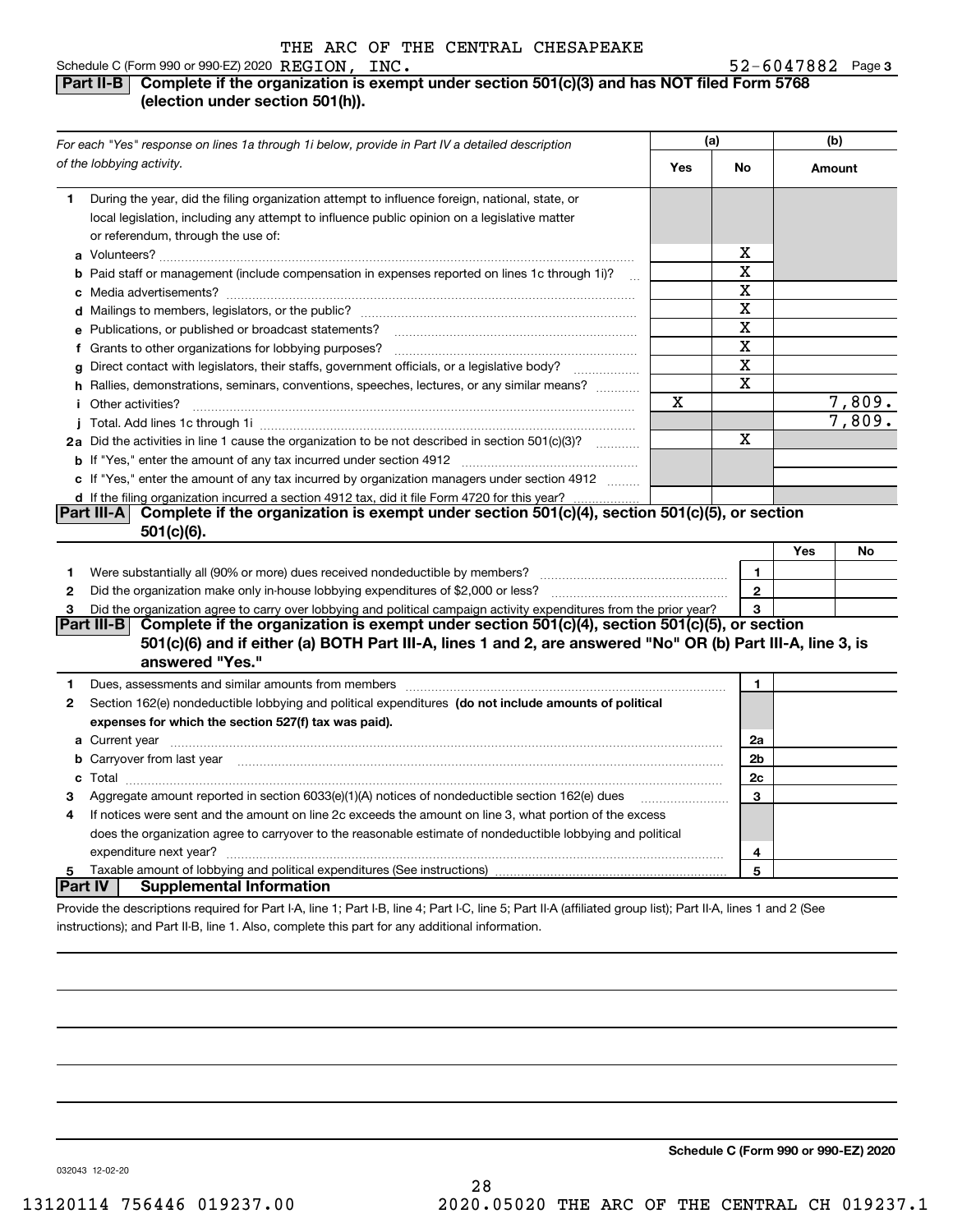**3** Schedule C (Form 990 or 990-EZ) 2020  $\texttt{REGION}$ ,  $\texttt{INC.}$   $\texttt{S2-6047882}$  Page

### **Part II-B** Complete if the organization is exempt under section 501(c)(3) and has NOT filed Form 5768 **(election under section 501(h)).**

| For each "Yes" response on lines 1a through 1i below, provide in Part IV a detailed description                                                                                                                                           |     | (a)                   |        | (b)    |
|-------------------------------------------------------------------------------------------------------------------------------------------------------------------------------------------------------------------------------------------|-----|-----------------------|--------|--------|
| of the lobbying activity.                                                                                                                                                                                                                 | Yes | No                    | Amount |        |
| During the year, did the filing organization attempt to influence foreign, national, state, or<br>1<br>local legislation, including any attempt to influence public opinion on a legislative matter<br>or referendum, through the use of: |     |                       |        |        |
|                                                                                                                                                                                                                                           |     | х                     |        |        |
| <b>b</b> Paid staff or management (include compensation in expenses reported on lines 1c through 1i)?<br>$\ddotsc$                                                                                                                        |     | X                     |        |        |
|                                                                                                                                                                                                                                           |     | X                     |        |        |
|                                                                                                                                                                                                                                           |     | X                     |        |        |
| e Publications, or published or broadcast statements?                                                                                                                                                                                     |     | $\overline{\text{X}}$ |        |        |
|                                                                                                                                                                                                                                           |     | X                     |        |        |
| Direct contact with legislators, their staffs, government officials, or a legislative body?<br>g<br>.                                                                                                                                     |     | X                     |        |        |
| h Rallies, demonstrations, seminars, conventions, speeches, lectures, or any similar means?                                                                                                                                               |     | х                     |        |        |
| <i>i</i> Other activities?                                                                                                                                                                                                                | X   |                       |        | 7,809. |
|                                                                                                                                                                                                                                           |     |                       |        | 7,809. |
| 2a Did the activities in line 1 cause the organization to be not described in section 501(c)(3)?                                                                                                                                          |     | X                     |        |        |
|                                                                                                                                                                                                                                           |     |                       |        |        |
| c If "Yes," enter the amount of any tax incurred by organization managers under section 4912                                                                                                                                              |     |                       |        |        |
| d If the filing organization incurred a section 4912 tax, did it file Form 4720 for this year?                                                                                                                                            |     |                       |        |        |
| Complete if the organization is exempt under section 501(c)(4), section 501(c)(5), or section<br> Part III-A                                                                                                                              |     |                       |        |        |
| $501(c)(6)$ .                                                                                                                                                                                                                             |     |                       |        |        |
|                                                                                                                                                                                                                                           |     |                       | Yes    | No     |
| 1                                                                                                                                                                                                                                         |     | $\mathbf{1}$          |        |        |
| $\mathbf{2}$                                                                                                                                                                                                                              |     | $\mathbf{2}$          |        |        |
| Did the organization agree to carry over lobbying and political campaign activity expenditures from the prior year?<br>3                                                                                                                  |     | 3                     |        |        |
| Complete if the organization is exempt under section 501(c)(4), section 501(c)(5), or section<br> Part III-B                                                                                                                              |     |                       |        |        |
| 501(c)(6) and if either (a) BOTH Part III-A, lines 1 and 2, are answered "No" OR (b) Part III-A, line 3, is<br>answered "Yes."                                                                                                            |     |                       |        |        |
|                                                                                                                                                                                                                                           |     |                       |        |        |
| 1                                                                                                                                                                                                                                         |     | 1                     |        |        |
| Section 162(e) nondeductible lobbying and political expenditures (do not include amounts of political<br>2                                                                                                                                |     |                       |        |        |
| expenses for which the section 527(f) tax was paid).                                                                                                                                                                                      |     |                       |        |        |
| <b>a</b> Current year                                                                                                                                                                                                                     |     | 2a                    |        |        |
| b Carryover from last year manufactured and contain a series of the contract of the contract of the contract of the contract of the contract of the contract of the contract of the contract of the contract of the contract o            |     | 2 <sub>b</sub>        |        |        |
|                                                                                                                                                                                                                                           |     | 2c                    |        |        |
| Aggregate amount reported in section 6033(e)(1)(A) notices of nondeductible section 162(e) dues<br>З                                                                                                                                      |     | з                     |        |        |
| If notices were sent and the amount on line 2c exceeds the amount on line 3, what portion of the excess<br>4                                                                                                                              |     |                       |        |        |
| does the organization agree to carryover to the reasonable estimate of nondeductible lobbying and political                                                                                                                               |     |                       |        |        |
| expenditure next year?                                                                                                                                                                                                                    |     | 4<br>5                |        |        |
| 5<br> Part IV  <br><b>Supplemental Information</b>                                                                                                                                                                                        |     |                       |        |        |
| Provide the descriptions required for Part I-A, line 1; Part I-B, line 4; Part I-C, line 5; Part II-A (affiliated group list); Part II-A, lines 1 and 2 (See                                                                              |     |                       |        |        |

instructions); and Part II-B, line 1. Also, complete this part for any additional information.

**Schedule C (Form 990 or 990-EZ) 2020**

032043 12-02-20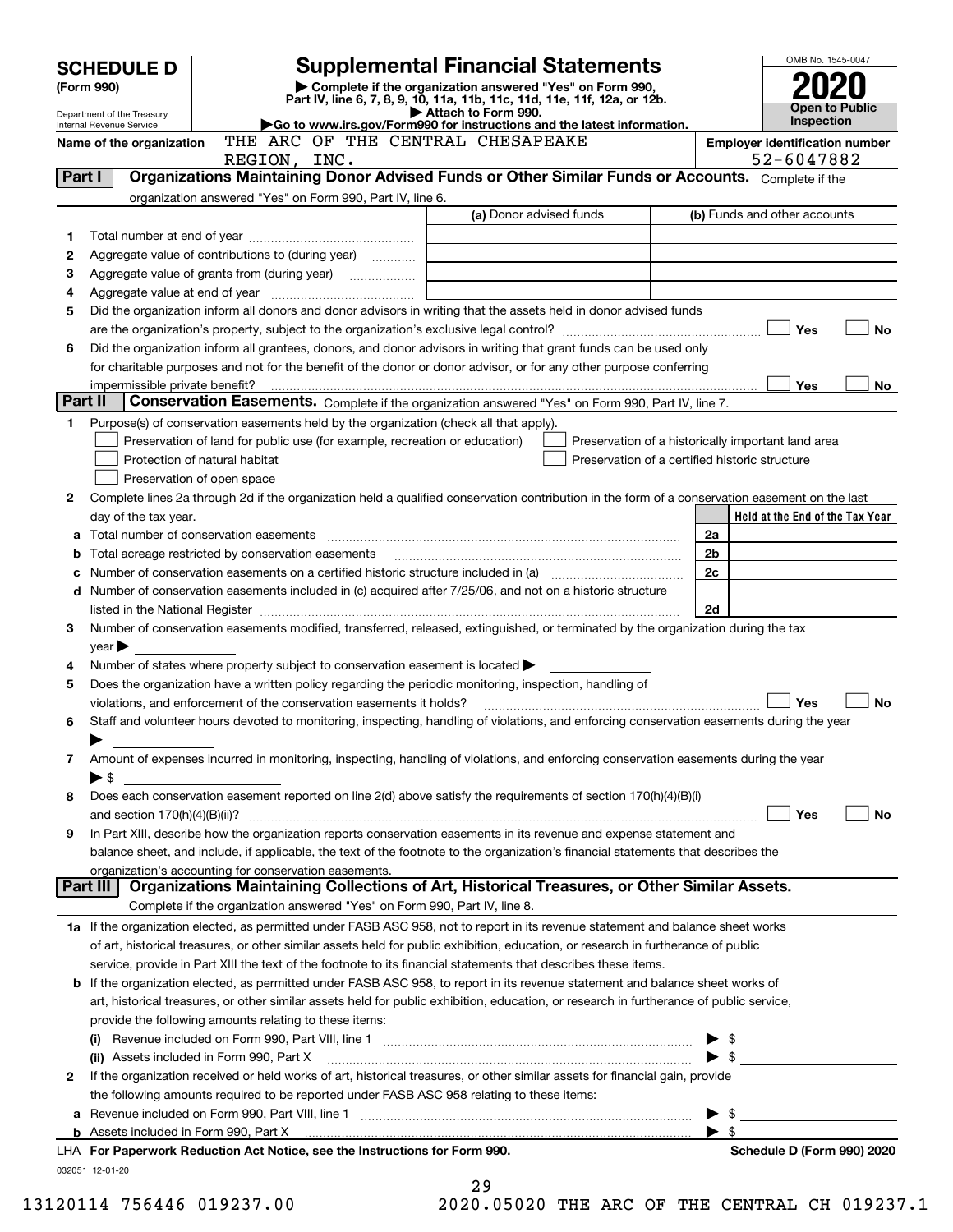|         | <b>SCHEDULE D</b>                                                                                                                                                                                                              | <b>Supplemental Financial Statements</b>                                                                                             |                          | OMB No. 1545-0047                     |
|---------|--------------------------------------------------------------------------------------------------------------------------------------------------------------------------------------------------------------------------------|--------------------------------------------------------------------------------------------------------------------------------------|--------------------------|---------------------------------------|
|         | (Form 990)                                                                                                                                                                                                                     | Complete if the organization answered "Yes" on Form 990,<br>Part IV, line 6, 7, 8, 9, 10, 11a, 11b, 11c, 11d, 11e, 11f, 12a, or 12b. |                          |                                       |
|         | Department of the Treasury                                                                                                                                                                                                     | Attach to Form 990.                                                                                                                  |                          | <b>Open to Public</b>                 |
|         | Internal Revenue Service                                                                                                                                                                                                       | Go to www.irs.gov/Form990 for instructions and the latest information.                                                               |                          | Inspection                            |
|         | THE ARC OF THE CENTRAL CHESAPEAKE<br>Name of the organization                                                                                                                                                                  |                                                                                                                                      |                          | <b>Employer identification number</b> |
| Part I  | REGION, INC.<br>Organizations Maintaining Donor Advised Funds or Other Similar Funds or Accounts. Complete if the                                                                                                              |                                                                                                                                      |                          | 52-6047882                            |
|         |                                                                                                                                                                                                                                |                                                                                                                                      |                          |                                       |
|         | organization answered "Yes" on Form 990, Part IV, line 6.                                                                                                                                                                      | (a) Donor advised funds                                                                                                              |                          | (b) Funds and other accounts          |
|         |                                                                                                                                                                                                                                |                                                                                                                                      |                          |                                       |
| 1<br>2  | Aggregate value of contributions to (during year)                                                                                                                                                                              |                                                                                                                                      |                          |                                       |
| з       | Aggregate value of grants from (during year)                                                                                                                                                                                   |                                                                                                                                      |                          |                                       |
| 4       |                                                                                                                                                                                                                                |                                                                                                                                      |                          |                                       |
| 5       | Did the organization inform all donors and donor advisors in writing that the assets held in donor advised funds                                                                                                               |                                                                                                                                      |                          |                                       |
|         |                                                                                                                                                                                                                                |                                                                                                                                      |                          | Yes<br>No                             |
| 6       | Did the organization inform all grantees, donors, and donor advisors in writing that grant funds can be used only                                                                                                              |                                                                                                                                      |                          |                                       |
|         | for charitable purposes and not for the benefit of the donor or donor advisor, or for any other purpose conferring                                                                                                             |                                                                                                                                      |                          |                                       |
|         | impermissible private benefit?                                                                                                                                                                                                 |                                                                                                                                      |                          | <b>Yes</b><br>No                      |
| Part II | Conservation Easements. Complete if the organization answered "Yes" on Form 990, Part IV, line 7.                                                                                                                              |                                                                                                                                      |                          |                                       |
| 1       | Purpose(s) of conservation easements held by the organization (check all that apply).                                                                                                                                          |                                                                                                                                      |                          |                                       |
|         | Preservation of land for public use (for example, recreation or education)                                                                                                                                                     | Preservation of a historically important land area                                                                                   |                          |                                       |
|         | Protection of natural habitat                                                                                                                                                                                                  | Preservation of a certified historic structure                                                                                       |                          |                                       |
|         | Preservation of open space                                                                                                                                                                                                     |                                                                                                                                      |                          |                                       |
| 2       | Complete lines 2a through 2d if the organization held a qualified conservation contribution in the form of a conservation easement on the last                                                                                 |                                                                                                                                      |                          |                                       |
|         | day of the tax year.                                                                                                                                                                                                           |                                                                                                                                      |                          | Held at the End of the Tax Year       |
| а       | Total number of conservation easements [111] matter conservation conservation of conservation easements [11] matter conservation easements [11] matter conservation easements [11] matter conservation entries in the conserva |                                                                                                                                      | 2a                       |                                       |
|         |                                                                                                                                                                                                                                |                                                                                                                                      | 2b                       |                                       |
|         |                                                                                                                                                                                                                                |                                                                                                                                      | 2c                       |                                       |
| d       | Number of conservation easements included in (c) acquired after 7/25/06, and not on a historic structure                                                                                                                       |                                                                                                                                      |                          |                                       |
|         | listed in the National Register [[11] matter contract the National Register of the National Register [11] matter of the National Register [11] matter of the National Register [11] matter of the National Register [11] matte |                                                                                                                                      | 2d                       |                                       |
| з       | Number of conservation easements modified, transferred, released, extinguished, or terminated by the organization during the tax                                                                                               |                                                                                                                                      |                          |                                       |
|         | $year \triangleright$                                                                                                                                                                                                          |                                                                                                                                      |                          |                                       |
| 4       | Number of states where property subject to conservation easement is located $\blacktriangleright$                                                                                                                              |                                                                                                                                      |                          |                                       |
| 5       | Does the organization have a written policy regarding the periodic monitoring, inspection, handling of                                                                                                                         |                                                                                                                                      |                          |                                       |
|         | violations, and enforcement of the conservation easements it holds?<br>Staff and volunteer hours devoted to monitoring, inspecting, handling of violations, and enforcing conservation easements during the year               |                                                                                                                                      |                          | Yes<br><b>No</b>                      |
| 6       |                                                                                                                                                                                                                                |                                                                                                                                      |                          |                                       |
| 7       | Amount of expenses incurred in monitoring, inspecting, handling of violations, and enforcing conservation easements during the year                                                                                            |                                                                                                                                      |                          |                                       |
|         | ▶ \$                                                                                                                                                                                                                           |                                                                                                                                      |                          |                                       |
| 8       | Does each conservation easement reported on line 2(d) above satisfy the requirements of section 170(h)(4)(B)(i)                                                                                                                |                                                                                                                                      |                          |                                       |
|         |                                                                                                                                                                                                                                |                                                                                                                                      |                          | Yes<br>No                             |
| 9       | In Part XIII, describe how the organization reports conservation easements in its revenue and expense statement and                                                                                                            |                                                                                                                                      |                          |                                       |
|         | balance sheet, and include, if applicable, the text of the footnote to the organization's financial statements that describes the                                                                                              |                                                                                                                                      |                          |                                       |
|         | organization's accounting for conservation easements.                                                                                                                                                                          |                                                                                                                                      |                          |                                       |
|         | Organizations Maintaining Collections of Art, Historical Treasures, or Other Similar Assets.<br>Part III                                                                                                                       |                                                                                                                                      |                          |                                       |
|         | Complete if the organization answered "Yes" on Form 990, Part IV, line 8.                                                                                                                                                      |                                                                                                                                      |                          |                                       |
|         | 1a If the organization elected, as permitted under FASB ASC 958, not to report in its revenue statement and balance sheet works                                                                                                |                                                                                                                                      |                          |                                       |
|         | of art, historical treasures, or other similar assets held for public exhibition, education, or research in furtherance of public                                                                                              |                                                                                                                                      |                          |                                       |
|         | service, provide in Part XIII the text of the footnote to its financial statements that describes these items.                                                                                                                 |                                                                                                                                      |                          |                                       |
|         | <b>b</b> If the organization elected, as permitted under FASB ASC 958, to report in its revenue statement and balance sheet works of                                                                                           |                                                                                                                                      |                          |                                       |
|         | art, historical treasures, or other similar assets held for public exhibition, education, or research in furtherance of public service,                                                                                        |                                                                                                                                      |                          |                                       |
|         | provide the following amounts relating to these items:                                                                                                                                                                         |                                                                                                                                      |                          |                                       |
|         |                                                                                                                                                                                                                                |                                                                                                                                      |                          |                                       |
|         | (ii) Assets included in Form 990, Part X                                                                                                                                                                                       |                                                                                                                                      |                          | $\bullet$ \$                          |
| 2       | If the organization received or held works of art, historical treasures, or other similar assets for financial gain, provide                                                                                                   |                                                                                                                                      |                          |                                       |
|         | the following amounts required to be reported under FASB ASC 958 relating to these items:                                                                                                                                      |                                                                                                                                      |                          |                                       |
|         |                                                                                                                                                                                                                                |                                                                                                                                      |                          |                                       |
| а       |                                                                                                                                                                                                                                |                                                                                                                                      | $\blacktriangleright$ s  |                                       |
|         |                                                                                                                                                                                                                                |                                                                                                                                      | $\blacktriangleright$ \$ |                                       |
|         | LHA For Paperwork Reduction Act Notice, see the Instructions for Form 990.<br>032051 12-01-20                                                                                                                                  |                                                                                                                                      |                          | Schedule D (Form 990) 2020            |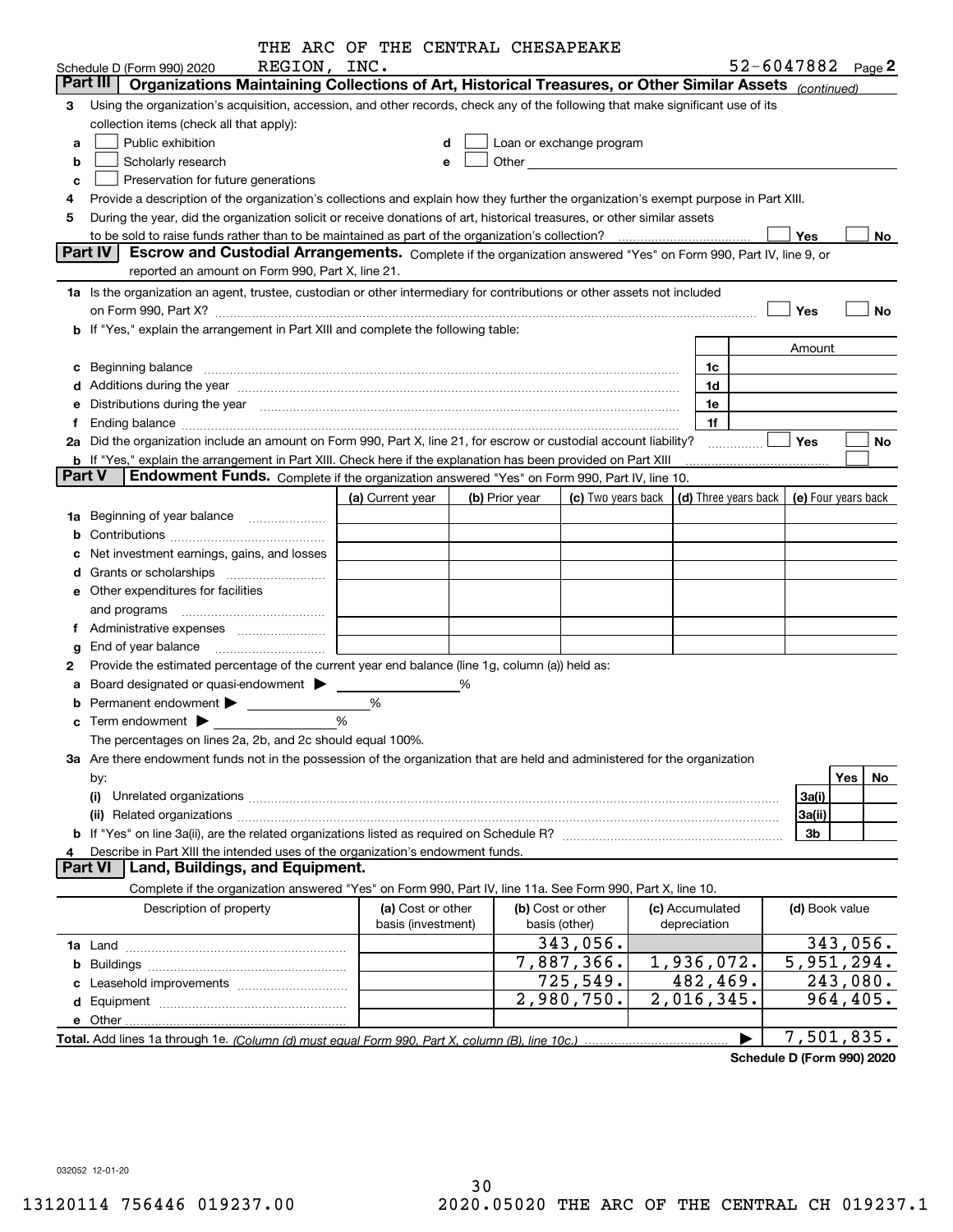|               |                                                                                                                                                                                                                                | THE ARC OF THE CENTRAL CHESAPEAKE       |   |                |                                                                                                                                                                                                                               |                                            |                   |                |                            |
|---------------|--------------------------------------------------------------------------------------------------------------------------------------------------------------------------------------------------------------------------------|-----------------------------------------|---|----------------|-------------------------------------------------------------------------------------------------------------------------------------------------------------------------------------------------------------------------------|--------------------------------------------|-------------------|----------------|----------------------------|
|               | REGION, INC.<br>Schedule D (Form 990) 2020                                                                                                                                                                                     |                                         |   |                |                                                                                                                                                                                                                               |                                            | 52-6047882 Page 2 |                |                            |
|               | Organizations Maintaining Collections of Art, Historical Treasures, or Other Similar Assets <sub>(continued)</sub><br>Part III                                                                                                 |                                         |   |                |                                                                                                                                                                                                                               |                                            |                   |                |                            |
| З             | Using the organization's acquisition, accession, and other records, check any of the following that make significant use of its                                                                                                |                                         |   |                |                                                                                                                                                                                                                               |                                            |                   |                |                            |
|               | collection items (check all that apply):                                                                                                                                                                                       |                                         |   |                |                                                                                                                                                                                                                               |                                            |                   |                |                            |
| a             | Public exhibition                                                                                                                                                                                                              |                                         | d |                | Loan or exchange program                                                                                                                                                                                                      |                                            |                   |                |                            |
| b             | Scholarly research                                                                                                                                                                                                             |                                         | е |                | Other and the contract of the contract of the contract of the contract of the contract of the contract of the contract of the contract of the contract of the contract of the contract of the contract of the contract of the |                                            |                   |                |                            |
| c             | Preservation for future generations                                                                                                                                                                                            |                                         |   |                |                                                                                                                                                                                                                               |                                            |                   |                |                            |
|               | Provide a description of the organization's collections and explain how they further the organization's exempt purpose in Part XIII.                                                                                           |                                         |   |                |                                                                                                                                                                                                                               |                                            |                   |                |                            |
| 5             | During the year, did the organization solicit or receive donations of art, historical treasures, or other similar assets                                                                                                       |                                         |   |                |                                                                                                                                                                                                                               |                                            |                   |                |                            |
|               |                                                                                                                                                                                                                                |                                         |   |                |                                                                                                                                                                                                                               |                                            | Yes               |                | No                         |
|               | Part IV<br>Escrow and Custodial Arrangements. Complete if the organization answered "Yes" on Form 990, Part IV, line 9, or                                                                                                     |                                         |   |                |                                                                                                                                                                                                                               |                                            |                   |                |                            |
|               | reported an amount on Form 990, Part X, line 21.                                                                                                                                                                               |                                         |   |                |                                                                                                                                                                                                                               |                                            |                   |                |                            |
|               | 1a Is the organization an agent, trustee, custodian or other intermediary for contributions or other assets not included                                                                                                       |                                         |   |                |                                                                                                                                                                                                                               |                                            |                   |                |                            |
|               | on Form 990, Part X? [11] matter and the contract of the contract of the contract of the contract of the contract of the contract of the contract of the contract of the contract of the contract of the contract of the contr |                                         |   |                |                                                                                                                                                                                                                               |                                            | Yes               |                | No                         |
|               | b If "Yes," explain the arrangement in Part XIII and complete the following table:                                                                                                                                             |                                         |   |                |                                                                                                                                                                                                                               |                                            |                   |                |                            |
|               |                                                                                                                                                                                                                                |                                         |   |                |                                                                                                                                                                                                                               |                                            |                   | Amount         |                            |
| c             | Beginning balance entrance and contain an account of the state of the state of the state of the state of the state of the state of the state of the state of the state of the state of the state of the state of the state of  |                                         |   |                |                                                                                                                                                                                                                               | 1c                                         |                   |                |                            |
|               |                                                                                                                                                                                                                                |                                         |   |                |                                                                                                                                                                                                                               | 1d                                         |                   |                |                            |
|               | Distributions during the year manufactured and continuum and contact the year manufactured and contact the year                                                                                                                |                                         |   |                |                                                                                                                                                                                                                               | 1e                                         |                   |                |                            |
|               |                                                                                                                                                                                                                                |                                         |   |                |                                                                                                                                                                                                                               | 1f                                         |                   |                |                            |
|               | 2a Did the organization include an amount on Form 990, Part X, line 21, for escrow or custodial account liability?                                                                                                             |                                         |   |                |                                                                                                                                                                                                                               |                                            | Yes               |                | No                         |
|               | <b>b</b> If "Yes," explain the arrangement in Part XIII. Check here if the explanation has been provided on Part XIII                                                                                                          |                                         |   |                |                                                                                                                                                                                                                               |                                            |                   |                |                            |
| <b>Part V</b> | Endowment Funds. Complete if the organization answered "Yes" on Form 990, Part IV, line 10.                                                                                                                                    |                                         |   |                |                                                                                                                                                                                                                               |                                            |                   |                |                            |
|               |                                                                                                                                                                                                                                | (a) Current year                        |   | (b) Prior year | (c) Two years back                                                                                                                                                                                                            | (d) Three years back   (e) Four years back |                   |                |                            |
| 1a            | Beginning of year balance                                                                                                                                                                                                      |                                         |   |                |                                                                                                                                                                                                                               |                                            |                   |                |                            |
|               |                                                                                                                                                                                                                                |                                         |   |                |                                                                                                                                                                                                                               |                                            |                   |                |                            |
|               | Net investment earnings, gains, and losses                                                                                                                                                                                     |                                         |   |                |                                                                                                                                                                                                                               |                                            |                   |                |                            |
|               | Grants or scholarships                                                                                                                                                                                                         |                                         |   |                |                                                                                                                                                                                                                               |                                            |                   |                |                            |
|               | e Other expenditures for facilities                                                                                                                                                                                            |                                         |   |                |                                                                                                                                                                                                                               |                                            |                   |                |                            |
|               |                                                                                                                                                                                                                                |                                         |   |                |                                                                                                                                                                                                                               |                                            |                   |                |                            |
|               |                                                                                                                                                                                                                                |                                         |   |                |                                                                                                                                                                                                                               |                                            |                   |                |                            |
|               | End of year balance                                                                                                                                                                                                            |                                         |   |                |                                                                                                                                                                                                                               |                                            |                   |                |                            |
| 2             | Provide the estimated percentage of the current year end balance (line 1g, column (a)) held as:                                                                                                                                |                                         |   |                |                                                                                                                                                                                                                               |                                            |                   |                |                            |
|               | Board designated or quasi-endowment >                                                                                                                                                                                          |                                         | % |                |                                                                                                                                                                                                                               |                                            |                   |                |                            |
|               |                                                                                                                                                                                                                                | %                                       |   |                |                                                                                                                                                                                                                               |                                            |                   |                |                            |
|               |                                                                                                                                                                                                                                | %                                       |   |                |                                                                                                                                                                                                                               |                                            |                   |                |                            |
|               | The percentages on lines 2a, 2b, and 2c should equal 100%.                                                                                                                                                                     |                                         |   |                |                                                                                                                                                                                                                               |                                            |                   |                |                            |
|               | 3a Are there endowment funds not in the possession of the organization that are held and administered for the organization                                                                                                     |                                         |   |                |                                                                                                                                                                                                                               |                                            |                   |                |                            |
|               | by:                                                                                                                                                                                                                            |                                         |   |                |                                                                                                                                                                                                                               |                                            |                   | Yes            | No                         |
|               | (i)                                                                                                                                                                                                                            |                                         |   |                |                                                                                                                                                                                                                               |                                            |                   | 3a(i)          |                            |
|               | (ii)                                                                                                                                                                                                                           |                                         |   |                |                                                                                                                                                                                                                               |                                            |                   | 3a(ii)         |                            |
|               |                                                                                                                                                                                                                                |                                         |   |                |                                                                                                                                                                                                                               |                                            |                   | 3b             |                            |
|               | Describe in Part XIII the intended uses of the organization's endowment funds.                                                                                                                                                 |                                         |   |                |                                                                                                                                                                                                                               |                                            |                   |                |                            |
|               | Land, Buildings, and Equipment.<br><b>Part VI</b>                                                                                                                                                                              |                                         |   |                |                                                                                                                                                                                                                               |                                            |                   |                |                            |
|               | Complete if the organization answered "Yes" on Form 990, Part IV, line 11a. See Form 990, Part X, line 10.                                                                                                                     |                                         |   |                |                                                                                                                                                                                                                               |                                            |                   |                |                            |
|               | Description of property                                                                                                                                                                                                        | (a) Cost or other<br>basis (investment) |   |                | (b) Cost or other<br>basis (other)                                                                                                                                                                                            | (c) Accumulated<br>depreciation            |                   | (d) Book value |                            |
|               |                                                                                                                                                                                                                                |                                         |   |                | 343,056.                                                                                                                                                                                                                      |                                            |                   |                | 343,056.                   |
|               |                                                                                                                                                                                                                                |                                         |   |                | 7,887,366.                                                                                                                                                                                                                    | 1,936,072.                                 |                   |                | $\overline{5}$ , 951, 294. |
|               |                                                                                                                                                                                                                                |                                         |   |                | $\overline{725}$ , 549.                                                                                                                                                                                                       | 482,469.                                   |                   |                | 243,080.                   |
|               |                                                                                                                                                                                                                                |                                         |   |                | 2,980,750.                                                                                                                                                                                                                    | 2,016,345.                                 |                   |                | 964,405.                   |
|               |                                                                                                                                                                                                                                |                                         |   |                |                                                                                                                                                                                                                               |                                            |                   |                |                            |
|               |                                                                                                                                                                                                                                |                                         |   |                |                                                                                                                                                                                                                               |                                            |                   |                | 7,501,835.                 |
|               |                                                                                                                                                                                                                                |                                         |   |                |                                                                                                                                                                                                                               |                                            |                   |                |                            |

**Schedule D (Form 990) 2020**

032052 12-01-20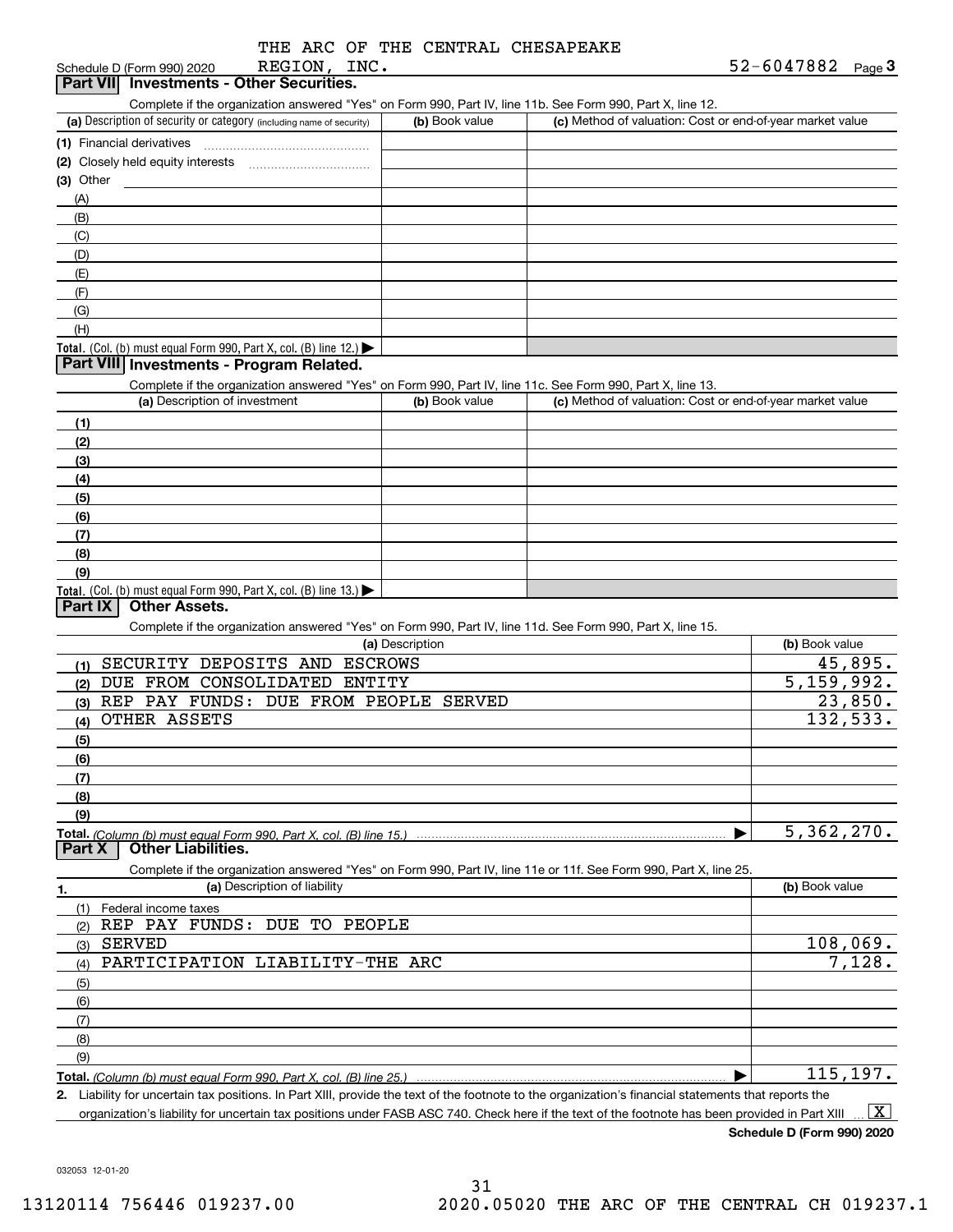|              |  | THE ARC OF THE CENTRAL CHESAPEAKE |
|--------------|--|-----------------------------------|
| REGION. INC. |  |                                   |

| REGION, INC.<br>Schedule D (Form 990) 2020                                                                                                           |                 |                                                           | 52-6047882<br>Page $3$ |
|------------------------------------------------------------------------------------------------------------------------------------------------------|-----------------|-----------------------------------------------------------|------------------------|
| Part VII Investments - Other Securities.                                                                                                             |                 |                                                           |                        |
| Complete if the organization answered "Yes" on Form 990, Part IV, line 11b. See Form 990, Part X, line 12.                                           |                 |                                                           |                        |
| (a) Description of security or category (including name of security)                                                                                 | (b) Book value  | (c) Method of valuation: Cost or end-of-year market value |                        |
| (1) Financial derivatives                                                                                                                            |                 |                                                           |                        |
|                                                                                                                                                      |                 |                                                           |                        |
| (3) Other                                                                                                                                            |                 |                                                           |                        |
| (A)                                                                                                                                                  |                 |                                                           |                        |
| (B)                                                                                                                                                  |                 |                                                           |                        |
|                                                                                                                                                      |                 |                                                           |                        |
| (C)                                                                                                                                                  |                 |                                                           |                        |
| (D)                                                                                                                                                  |                 |                                                           |                        |
| (E)                                                                                                                                                  |                 |                                                           |                        |
| (F)                                                                                                                                                  |                 |                                                           |                        |
| (G)                                                                                                                                                  |                 |                                                           |                        |
| (H)                                                                                                                                                  |                 |                                                           |                        |
| Total. (Col. (b) must equal Form 990, Part X, col. (B) line 12.)                                                                                     |                 |                                                           |                        |
| Part VIII Investments - Program Related.                                                                                                             |                 |                                                           |                        |
| Complete if the organization answered "Yes" on Form 990, Part IV, line 11c. See Form 990, Part X, line 13.                                           |                 |                                                           |                        |
| (a) Description of investment                                                                                                                        | (b) Book value  | (c) Method of valuation: Cost or end-of-year market value |                        |
| (1)                                                                                                                                                  |                 |                                                           |                        |
| (2)                                                                                                                                                  |                 |                                                           |                        |
| (3)                                                                                                                                                  |                 |                                                           |                        |
| (4)                                                                                                                                                  |                 |                                                           |                        |
| (5)                                                                                                                                                  |                 |                                                           |                        |
| (6)                                                                                                                                                  |                 |                                                           |                        |
| (7)                                                                                                                                                  |                 |                                                           |                        |
|                                                                                                                                                      |                 |                                                           |                        |
| (8)                                                                                                                                                  |                 |                                                           |                        |
| (9)                                                                                                                                                  |                 |                                                           |                        |
| <b>Total.</b> (Col. (b) must equal Form 990, Part X, col. (B) line 13.)<br><b>Part IX</b><br><b>Other Assets.</b>                                    |                 |                                                           |                        |
|                                                                                                                                                      |                 |                                                           |                        |
| Complete if the organization answered "Yes" on Form 990, Part IV, line 11d. See Form 990, Part X, line 15.                                           |                 |                                                           |                        |
|                                                                                                                                                      | (a) Description |                                                           | (b) Book value         |
| (1) SECURITY DEPOSITS AND ESCROWS                                                                                                                    |                 |                                                           | 45,895.                |
| (2) DUE FROM CONSOLIDATED ENTITY                                                                                                                     |                 |                                                           | 5,159,992.             |
| (3) REP PAY FUNDS: DUE FROM PEOPLE SERVED                                                                                                            |                 |                                                           | 23,850.                |
| (4) OTHER ASSETS                                                                                                                                     |                 |                                                           | 132,533.               |
| (5)                                                                                                                                                  |                 |                                                           |                        |
| (6)                                                                                                                                                  |                 |                                                           |                        |
| (7)                                                                                                                                                  |                 |                                                           |                        |
| (8)                                                                                                                                                  |                 |                                                           |                        |
| (9)                                                                                                                                                  |                 |                                                           |                        |
|                                                                                                                                                      |                 |                                                           | 5,362,270.             |
| <b>Other Liabilities.</b><br>Part X                                                                                                                  |                 |                                                           |                        |
| Complete if the organization answered "Yes" on Form 990, Part IV, line 11e or 11f. See Form 990, Part X, line 25.                                    |                 |                                                           |                        |
| (a) Description of liability                                                                                                                         |                 |                                                           | (b) Book value         |
| 1.                                                                                                                                                   |                 |                                                           |                        |
| (1) Federal income taxes                                                                                                                             |                 |                                                           |                        |
| REP PAY FUNDS: DUE TO PEOPLE<br>(2)                                                                                                                  |                 |                                                           |                        |
| <b>SERVED</b><br>(3)                                                                                                                                 |                 |                                                           | 108,069.               |
| PARTICIPATION LIABILITY-THE ARC<br>(4)                                                                                                               |                 |                                                           | 7,128.                 |
| (5)                                                                                                                                                  |                 |                                                           |                        |
| (6)                                                                                                                                                  |                 |                                                           |                        |
| (7)                                                                                                                                                  |                 |                                                           |                        |
| (8)                                                                                                                                                  |                 |                                                           |                        |
| (9)                                                                                                                                                  |                 |                                                           |                        |
|                                                                                                                                                      |                 |                                                           | 115, 197.              |
| 2. Liability for uncertain tax positions. In Part XIII, provide the text of the footnote to the organization's financial statements that reports the |                 |                                                           |                        |

organization's liability for uncertain tax positions under FASB ASC 740. Check here if the text of the footnote has been provided in Part XIII.

**Schedule D (Form 990) 2020**

 $\boxed{\text{X}}$ 

032053 12-01-20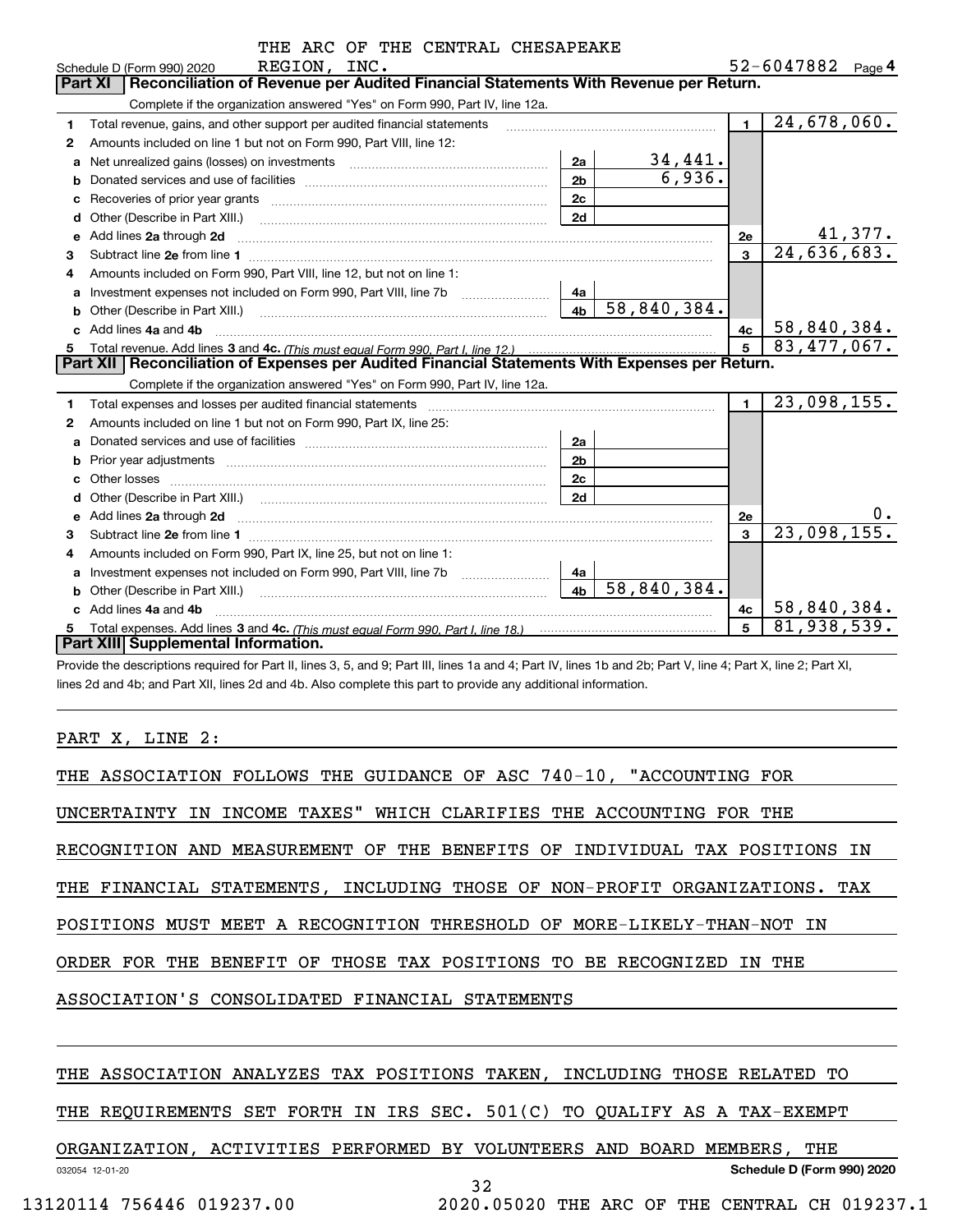|   | THE ARC OF THE CENTRAL CHESAPEAKE                                                                                                                                                                                                   |                |  |             |                |                             |
|---|-------------------------------------------------------------------------------------------------------------------------------------------------------------------------------------------------------------------------------------|----------------|--|-------------|----------------|-----------------------------|
|   | REGION, INC.<br>Schedule D (Form 990) 2020                                                                                                                                                                                          |                |  |             |                | 52-6047882 Page 4           |
|   | Reconciliation of Revenue per Audited Financial Statements With Revenue per Return.<br><b>Part XI</b>                                                                                                                               |                |  |             |                |                             |
|   | Complete if the organization answered "Yes" on Form 990, Part IV, line 12a.                                                                                                                                                         |                |  |             |                |                             |
| 1 | Total revenue, gains, and other support per audited financial statements                                                                                                                                                            |                |  |             | $\blacksquare$ | $\overline{24}$ , 678, 060. |
| 2 | Amounts included on line 1 but not on Form 990, Part VIII, line 12:                                                                                                                                                                 |                |  |             |                |                             |
| a |                                                                                                                                                                                                                                     | 2a             |  | 34,441.     |                |                             |
|   |                                                                                                                                                                                                                                     | 2 <sub>b</sub> |  | 6,936.      |                |                             |
|   |                                                                                                                                                                                                                                     | 2c             |  |             |                |                             |
| d |                                                                                                                                                                                                                                     | 2d             |  |             |                |                             |
| е | Add lines 2a through 2d                                                                                                                                                                                                             |                |  |             | 2e             | 41,377.                     |
| 3 |                                                                                                                                                                                                                                     |                |  |             | $\mathbf{a}$   | 24,636,683.                 |
| 4 | Amounts included on Form 990, Part VIII, line 12, but not on line 1:                                                                                                                                                                |                |  |             |                |                             |
| a | Investment expenses not included on Form 990, Part VIII, line 7b [1000000000000000000000000000000000                                                                                                                                | 4a             |  |             |                |                             |
| b |                                                                                                                                                                                                                                     | 4 <sub>b</sub> |  | 58,840,384. |                |                             |
|   | Add lines 4a and 4b                                                                                                                                                                                                                 |                |  |             | 4c             | 58,840,384.                 |
| 5 |                                                                                                                                                                                                                                     |                |  |             |                | 83,477,067.                 |
|   | Part XII   Reconciliation of Expenses per Audited Financial Statements With Expenses per Return.                                                                                                                                    |                |  |             |                |                             |
|   | Complete if the organization answered "Yes" on Form 990, Part IV, line 12a.                                                                                                                                                         |                |  |             |                |                             |
| 1 | Total expenses and losses per audited financial statements [11] [11] Total expenses and losses per audited financial statements [11] [11] Total expenses and losses per audited financial statements                                |                |  |             | $\mathbf{1}$   | 23,098,155.                 |
| 2 | Amounts included on line 1 but not on Form 990, Part IX, line 25:                                                                                                                                                                   |                |  |             |                |                             |
| a |                                                                                                                                                                                                                                     | 2a             |  |             |                |                             |
|   |                                                                                                                                                                                                                                     | 2 <sub>b</sub> |  |             |                |                             |
|   |                                                                                                                                                                                                                                     | 2 <sub>c</sub> |  |             |                |                             |
| d |                                                                                                                                                                                                                                     | 2d             |  |             |                |                             |
| e | Add lines 2a through 2d <b>manufactures</b> and contract the contract of the contract of the contract of the contract of the contract of the contract of the contract of the contract of the contract of the contract of the contra |                |  |             | 2e             |                             |
| 3 |                                                                                                                                                                                                                                     |                |  |             | 3              | 23,098,155.                 |
| 4 | Amounts included on Form 990, Part IX, line 25, but not on line 1:                                                                                                                                                                  |                |  |             |                |                             |
| a | Investment expenses not included on Form 990, Part VIII, line 7b [1000000000000000000000000000000000                                                                                                                                | 4a             |  |             |                |                             |
| b |                                                                                                                                                                                                                                     | 4 <sub>b</sub> |  | 58,840,384. |                |                             |
|   | Add lines 4a and 4b                                                                                                                                                                                                                 |                |  |             | 4c             | 58,840,384.                 |
| 5 |                                                                                                                                                                                                                                     |                |  |             | 5              | 81,938,539.                 |
|   | Part XIII Supplemental Information.                                                                                                                                                                                                 |                |  |             |                |                             |

Provide the descriptions required for Part II, lines 3, 5, and 9; Part III, lines 1a and 4; Part IV, lines 1b and 2b; Part V, line 4; Part X, line 2; Part XI, lines 2d and 4b; and Part XII, lines 2d and 4b. Also complete this part to provide any additional information.

#### PART X, LINE 2:

| THE ASSOCIATION FOLLOWS THE GUIDANCE OF ASC 740-10, "ACCOUNTING FOR        |  |  |  |  |  |
|----------------------------------------------------------------------------|--|--|--|--|--|
| UNCERTAINTY IN INCOME TAXES" WHICH CLARIFIES THE ACCOUNTING FOR THE        |  |  |  |  |  |
| RECOGNITION AND MEASUREMENT OF THE BENEFITS OF INDIVIDUAL TAX POSITIONS IN |  |  |  |  |  |
| THE FINANCIAL STATEMENTS, INCLUDING THOSE OF NON-PROFIT ORGANIZATIONS. TAX |  |  |  |  |  |
| POSITIONS MUST MEET A RECOGNITION THRESHOLD OF MORE-LIKELY-THAN-NOT IN     |  |  |  |  |  |
| ORDER FOR THE BENEFIT OF THOSE TAX POSITIONS TO BE RECOGNIZED IN THE       |  |  |  |  |  |
| ASSOCIATION'S CONSOLIDATED FINANCIAL STATEMENTS                            |  |  |  |  |  |
|                                                                            |  |  |  |  |  |

### THE ASSOCIATION ANALYZES TAX POSITIONS TAKEN, INCLUDING THOSE RELATED TO

THE REQUIREMENTS SET FORTH IN IRS SEC. 501(C) TO QUALIFY AS A TAX-EXEMPT

032054 12-01-20 **Schedule D (Form 990) 2020** ORGANIZATION, ACTIVITIES PERFORMED BY VOLUNTEERS AND BOARD MEMBERS, THE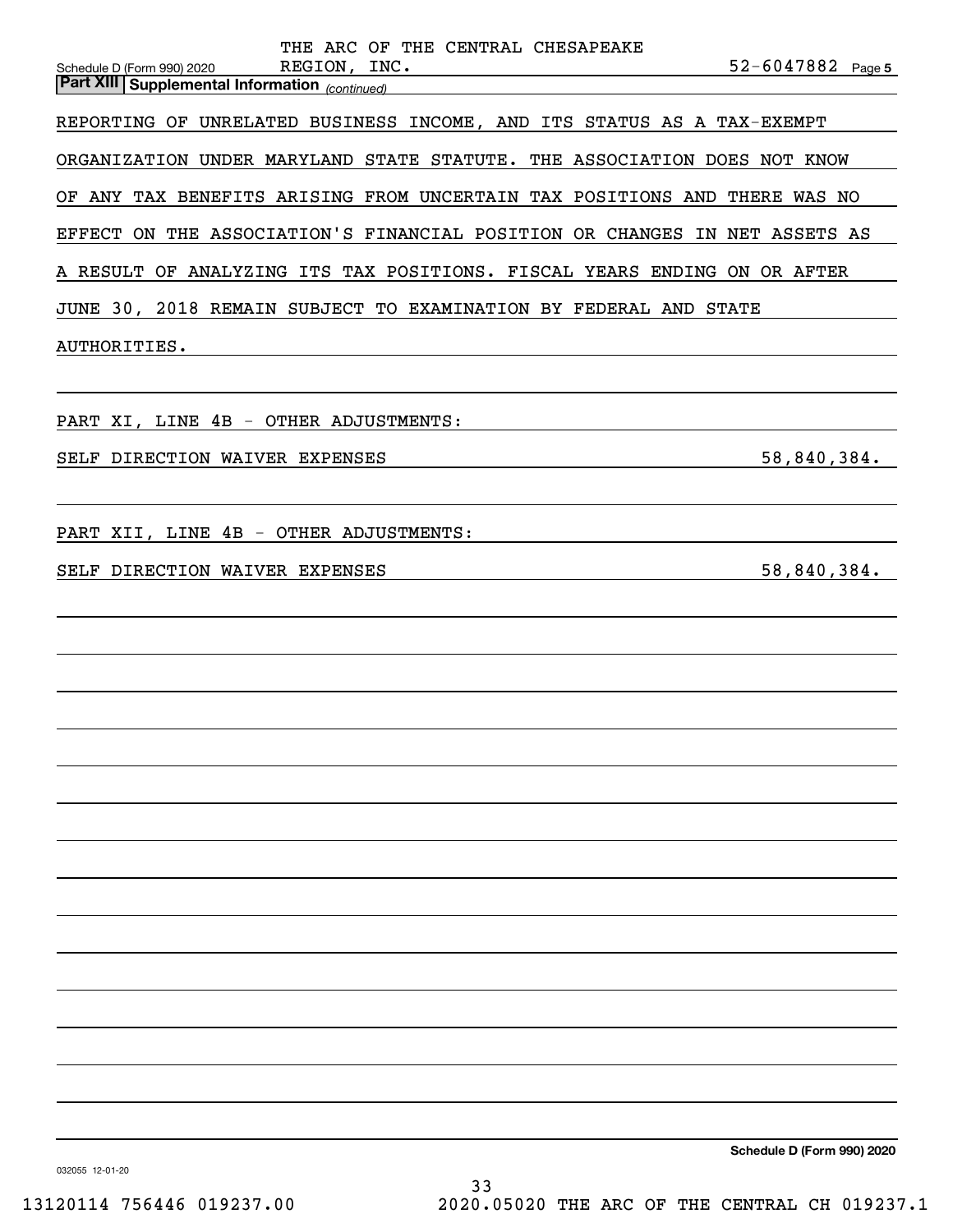| THE ARC OF THE CENTRAL CHESAPEAKE                                                                                                     |  |
|---------------------------------------------------------------------------------------------------------------------------------------|--|
| $52-6047882$ Page 5<br>REGION, INC.<br>Schedule D (Form 990) 2020<br><b>Part XIII Supplemental Information</b> (continued)            |  |
| REPORTING OF UNRELATED BUSINESS INCOME, AND ITS STATUS AS A TAX-EXEMPT                                                                |  |
| ORGANIZATION UNDER MARYLAND STATE STATUTE. THE ASSOCIATION DOES NOT KNOW                                                              |  |
| OF ANY TAX BENEFITS ARISING FROM UNCERTAIN TAX POSITIONS AND THERE WAS NO                                                             |  |
| EFFECT ON THE ASSOCIATION'S FINANCIAL POSITION OR CHANGES IN NET ASSETS AS                                                            |  |
| A RESULT OF ANALYZING ITS TAX POSITIONS. FISCAL YEARS ENDING ON OR AFTER                                                              |  |
| JUNE 30, 2018 REMAIN SUBJECT TO EXAMINATION BY FEDERAL AND STATE                                                                      |  |
| AUTHORITIES.<br><u> 1989 - Johann Harry Barn, mars ar breist fan de Fryske kommunent fan de Fryske kommunent fan de Fryske kommun</u> |  |
|                                                                                                                                       |  |
| PART XI, LINE 4B - OTHER ADJUSTMENTS:                                                                                                 |  |
| SELF DIRECTION WAIVER EXPENSES<br>58,840,384.<br><u> 1989 - Johann Barn, fransk politik (f. 1989)</u>                                 |  |
|                                                                                                                                       |  |
| PART XII, LINE 4B - OTHER ADJUSTMENTS:                                                                                                |  |
| SELF DIRECTION WAIVER EXPENSES<br>58,840,384.                                                                                         |  |
|                                                                                                                                       |  |
|                                                                                                                                       |  |
|                                                                                                                                       |  |
|                                                                                                                                       |  |
|                                                                                                                                       |  |
|                                                                                                                                       |  |
|                                                                                                                                       |  |
|                                                                                                                                       |  |
|                                                                                                                                       |  |
|                                                                                                                                       |  |
|                                                                                                                                       |  |
|                                                                                                                                       |  |
|                                                                                                                                       |  |
|                                                                                                                                       |  |
|                                                                                                                                       |  |
| Schedule D (Form 990) 2020                                                                                                            |  |

032055 12-01-20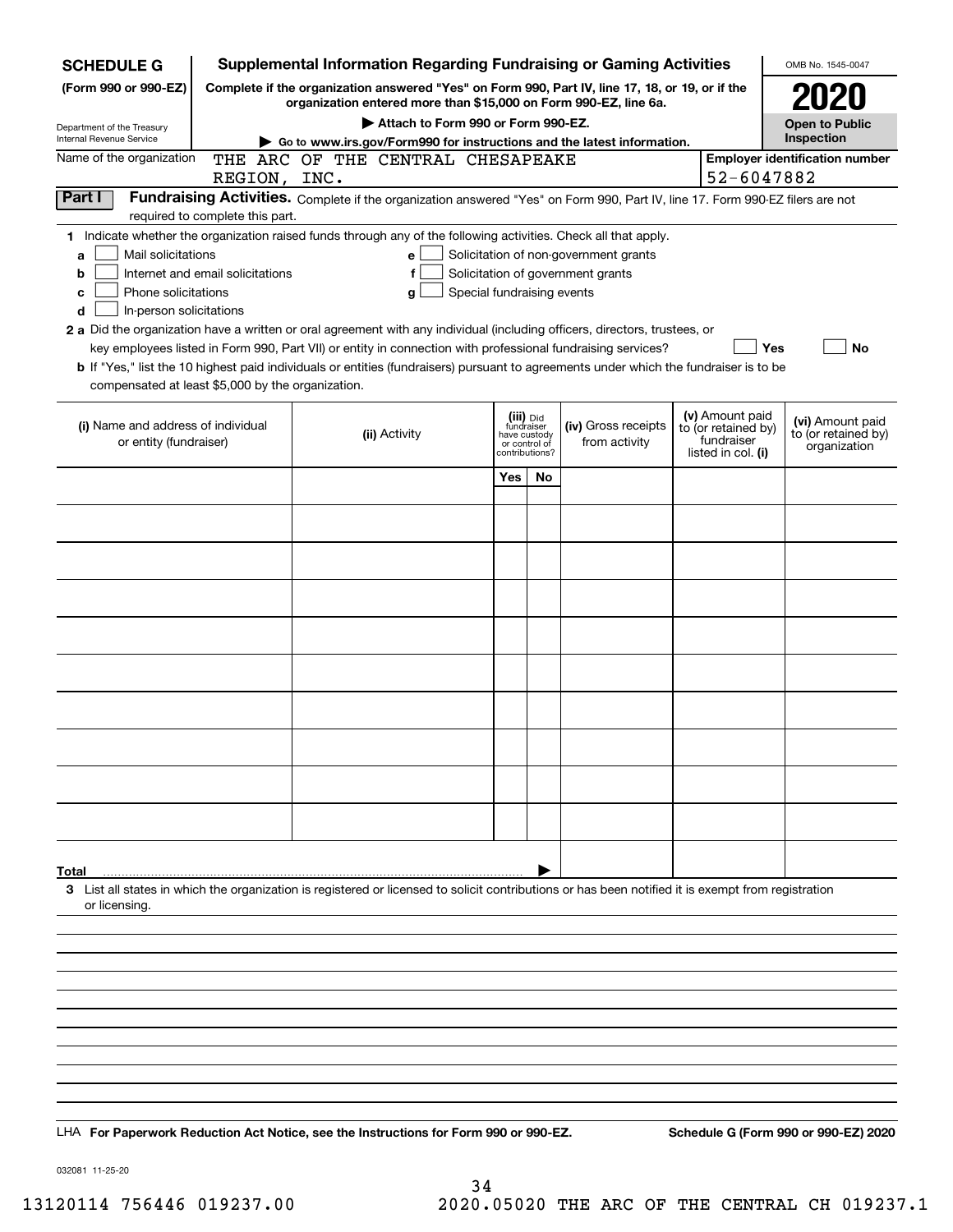| <b>SCHEDULE G</b>                                                                                                                                                                                                                                                                                                                                                                              |                                                                                                 | <b>Supplemental Information Regarding Fundraising or Gaming Activities</b>                                                                                                                                                                                                                               |                                                                            |           |                                                                            |  |                                                                            | OMB No. 1545-0047                                       |
|------------------------------------------------------------------------------------------------------------------------------------------------------------------------------------------------------------------------------------------------------------------------------------------------------------------------------------------------------------------------------------------------|-------------------------------------------------------------------------------------------------|----------------------------------------------------------------------------------------------------------------------------------------------------------------------------------------------------------------------------------------------------------------------------------------------------------|----------------------------------------------------------------------------|-----------|----------------------------------------------------------------------------|--|----------------------------------------------------------------------------|---------------------------------------------------------|
| (Form 990 or 990-EZ)                                                                                                                                                                                                                                                                                                                                                                           | Complete if the organization answered "Yes" on Form 990, Part IV, line 17, 18, or 19, or if the |                                                                                                                                                                                                                                                                                                          |                                                                            |           |                                                                            |  |                                                                            |                                                         |
|                                                                                                                                                                                                                                                                                                                                                                                                |                                                                                                 | organization entered more than \$15,000 on Form 990-EZ, line 6a.<br>Attach to Form 990 or Form 990-EZ.                                                                                                                                                                                                   |                                                                            |           |                                                                            |  |                                                                            | <b>Open to Public</b>                                   |
| Department of the Treasury<br>Internal Revenue Service                                                                                                                                                                                                                                                                                                                                         |                                                                                                 | Go to www.irs.gov/Form990 for instructions and the latest information.                                                                                                                                                                                                                                   |                                                                            |           |                                                                            |  |                                                                            | Inspection                                              |
| Name of the organization                                                                                                                                                                                                                                                                                                                                                                       | REGION, INC.                                                                                    | THE ARC OF THE CENTRAL CHESAPEAKE                                                                                                                                                                                                                                                                        |                                                                            |           |                                                                            |  | 52-6047882                                                                 | <b>Employer identification number</b>                   |
| Part I                                                                                                                                                                                                                                                                                                                                                                                         | required to complete this part.                                                                 | Fundraising Activities. Complete if the organization answered "Yes" on Form 990, Part IV, line 17. Form 990-EZ filers are not                                                                                                                                                                            |                                                                            |           |                                                                            |  |                                                                            |                                                         |
| 1 Indicate whether the organization raised funds through any of the following activities. Check all that apply.<br>Mail solicitations<br>a<br>b<br>Phone solicitations<br>с<br>In-person solicitations<br>d<br>2 a Did the organization have a written or oral agreement with any individual (including officers, directors, trustees, or<br>compensated at least \$5,000 by the organization. | Internet and email solicitations                                                                | e<br>f<br>Special fundraising events<br>a<br>key employees listed in Form 990, Part VII) or entity in connection with professional fundraising services?<br><b>b</b> If "Yes," list the 10 highest paid individuals or entities (fundraisers) pursuant to agreements under which the fundraiser is to be |                                                                            |           | Solicitation of non-government grants<br>Solicitation of government grants |  | Yes                                                                        | No                                                      |
| (i) Name and address of individual<br>or entity (fundraiser)                                                                                                                                                                                                                                                                                                                                   |                                                                                                 | (ii) Activity                                                                                                                                                                                                                                                                                            | (iii) Did<br>fundraiser<br>have custody<br>or control of<br>contributions? |           | (iv) Gross receipts<br>from activity                                       |  | (v) Amount paid<br>to (or retained by)<br>fundraiser<br>listed in col. (i) | (vi) Amount paid<br>to (or retained by)<br>organization |
|                                                                                                                                                                                                                                                                                                                                                                                                |                                                                                                 |                                                                                                                                                                                                                                                                                                          | Yes                                                                        | <b>No</b> |                                                                            |  |                                                                            |                                                         |
|                                                                                                                                                                                                                                                                                                                                                                                                |                                                                                                 |                                                                                                                                                                                                                                                                                                          |                                                                            |           |                                                                            |  |                                                                            |                                                         |
|                                                                                                                                                                                                                                                                                                                                                                                                |                                                                                                 |                                                                                                                                                                                                                                                                                                          |                                                                            |           |                                                                            |  |                                                                            |                                                         |
|                                                                                                                                                                                                                                                                                                                                                                                                |                                                                                                 |                                                                                                                                                                                                                                                                                                          |                                                                            |           |                                                                            |  |                                                                            |                                                         |
|                                                                                                                                                                                                                                                                                                                                                                                                |                                                                                                 |                                                                                                                                                                                                                                                                                                          |                                                                            |           |                                                                            |  |                                                                            |                                                         |
|                                                                                                                                                                                                                                                                                                                                                                                                |                                                                                                 |                                                                                                                                                                                                                                                                                                          |                                                                            |           |                                                                            |  |                                                                            |                                                         |
|                                                                                                                                                                                                                                                                                                                                                                                                |                                                                                                 |                                                                                                                                                                                                                                                                                                          |                                                                            |           |                                                                            |  |                                                                            |                                                         |
|                                                                                                                                                                                                                                                                                                                                                                                                |                                                                                                 |                                                                                                                                                                                                                                                                                                          |                                                                            |           |                                                                            |  |                                                                            |                                                         |
|                                                                                                                                                                                                                                                                                                                                                                                                |                                                                                                 |                                                                                                                                                                                                                                                                                                          |                                                                            |           |                                                                            |  |                                                                            |                                                         |
|                                                                                                                                                                                                                                                                                                                                                                                                |                                                                                                 |                                                                                                                                                                                                                                                                                                          |                                                                            |           |                                                                            |  |                                                                            |                                                         |
|                                                                                                                                                                                                                                                                                                                                                                                                |                                                                                                 |                                                                                                                                                                                                                                                                                                          |                                                                            |           |                                                                            |  |                                                                            |                                                         |
|                                                                                                                                                                                                                                                                                                                                                                                                |                                                                                                 |                                                                                                                                                                                                                                                                                                          |                                                                            |           |                                                                            |  |                                                                            |                                                         |
|                                                                                                                                                                                                                                                                                                                                                                                                |                                                                                                 |                                                                                                                                                                                                                                                                                                          |                                                                            |           |                                                                            |  |                                                                            |                                                         |
| Total<br>3 List all states in which the organization is registered or licensed to solicit contributions or has been notified it is exempt from registration<br>or licensing.                                                                                                                                                                                                                   |                                                                                                 |                                                                                                                                                                                                                                                                                                          |                                                                            |           |                                                                            |  |                                                                            |                                                         |
|                                                                                                                                                                                                                                                                                                                                                                                                |                                                                                                 |                                                                                                                                                                                                                                                                                                          |                                                                            |           |                                                                            |  |                                                                            |                                                         |
|                                                                                                                                                                                                                                                                                                                                                                                                |                                                                                                 |                                                                                                                                                                                                                                                                                                          |                                                                            |           |                                                                            |  |                                                                            |                                                         |
|                                                                                                                                                                                                                                                                                                                                                                                                |                                                                                                 |                                                                                                                                                                                                                                                                                                          |                                                                            |           |                                                                            |  |                                                                            |                                                         |
|                                                                                                                                                                                                                                                                                                                                                                                                |                                                                                                 |                                                                                                                                                                                                                                                                                                          |                                                                            |           |                                                                            |  |                                                                            |                                                         |
|                                                                                                                                                                                                                                                                                                                                                                                                |                                                                                                 |                                                                                                                                                                                                                                                                                                          |                                                                            |           |                                                                            |  |                                                                            |                                                         |
|                                                                                                                                                                                                                                                                                                                                                                                                |                                                                                                 |                                                                                                                                                                                                                                                                                                          |                                                                            |           |                                                                            |  |                                                                            |                                                         |
| LHA For Paperwork Reduction Act Notice, see the Instructions for Form 990 or 990-EZ.                                                                                                                                                                                                                                                                                                           |                                                                                                 |                                                                                                                                                                                                                                                                                                          |                                                                            |           |                                                                            |  |                                                                            | Schedule G (Form 990 or 990-EZ) 2020                    |

032081 11-25-20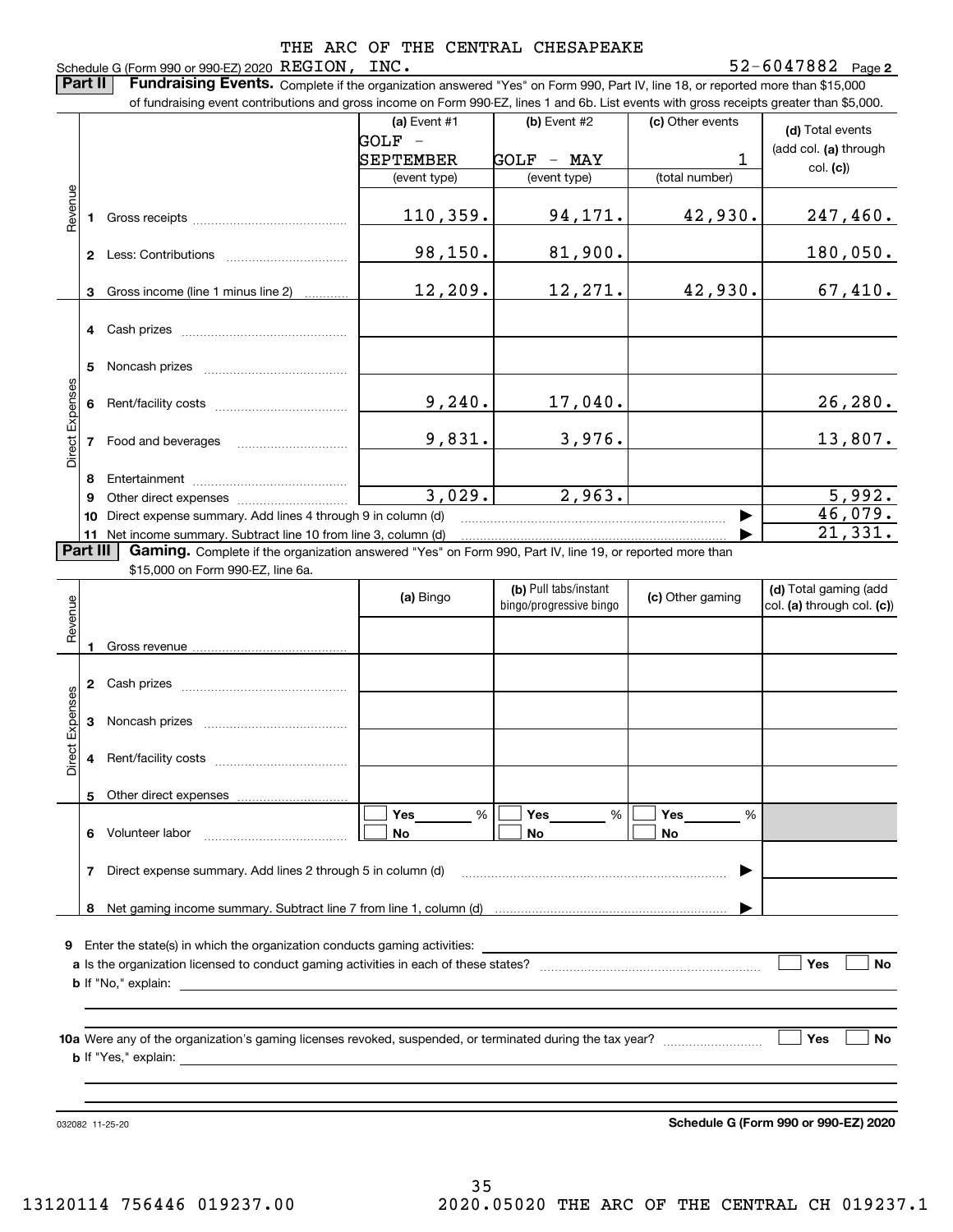|                 |         | Schedule G (Form 990 or 990-EZ) 2020 REGION, INC.                                                                                                                                                                                                                                                                                                                                  |                                                       | THE ARC OF THE CENTRAL CHESAPEAKE                |                                         | $52 - 6047882$ Page 2                                 |
|-----------------|---------|------------------------------------------------------------------------------------------------------------------------------------------------------------------------------------------------------------------------------------------------------------------------------------------------------------------------------------------------------------------------------------|-------------------------------------------------------|--------------------------------------------------|-----------------------------------------|-------------------------------------------------------|
|                 | Part II | Fundraising Events. Complete if the organization answered "Yes" on Form 990, Part IV, line 18, or reported more than \$15,000<br>of fundraising event contributions and gross income on Form 990-EZ, lines 1 and 6b. List events with gross receipts greater than \$5,000.                                                                                                         |                                                       |                                                  |                                         |                                                       |
|                 |         |                                                                                                                                                                                                                                                                                                                                                                                    | (a) Event $#1$<br>GOLF -<br>SEPTEMBER<br>(event type) | $(b)$ Event #2<br>GOLF - MAY<br>(event type)     | (c) Other events<br>1<br>(total number) | (d) Total events<br>(add col. (a) through<br>col. (c) |
| Revenue         | 1.      |                                                                                                                                                                                                                                                                                                                                                                                    | 110,359.                                              | 94,171.                                          | 42,930.                                 | 247,460.                                              |
|                 |         | 2 Less: Contributions                                                                                                                                                                                                                                                                                                                                                              | 98,150.                                               | 81,900.                                          |                                         | 180,050.                                              |
|                 |         | 3 Gross income (line 1 minus line 2)                                                                                                                                                                                                                                                                                                                                               | 12,209.                                               | 12,271.                                          | 42,930.                                 | 67,410.                                               |
|                 |         |                                                                                                                                                                                                                                                                                                                                                                                    |                                                       |                                                  |                                         |                                                       |
|                 | 5       |                                                                                                                                                                                                                                                                                                                                                                                    |                                                       |                                                  |                                         |                                                       |
|                 | 6       | Rent/facility costs                                                                                                                                                                                                                                                                                                                                                                | 9,240.                                                | 17,040.                                          |                                         | 26, 280.                                              |
| Direct Expenses | 7       | Food and beverages                                                                                                                                                                                                                                                                                                                                                                 | 9,831.                                                | 3,976.                                           |                                         | 13,807.                                               |
|                 | 9       | 10 Direct expense summary. Add lines 4 through 9 in column (d)                                                                                                                                                                                                                                                                                                                     | 3,029.                                                | 2,963.                                           |                                         | 5,992.<br>46,079.                                     |
|                 |         | 11 Net income summary. Subtract line 10 from line 3, column (d)<br>Part III<br>Gaming. Complete if the organization answered "Yes" on Form 990, Part IV, line 19, or reported more than                                                                                                                                                                                            |                                                       |                                                  |                                         | 21,331.                                               |
| Revenue         |         | \$15,000 on Form 990-EZ, line 6a.                                                                                                                                                                                                                                                                                                                                                  | (a) Bingo                                             | (b) Pull tabs/instant<br>bingo/progressive bingo | (c) Other gaming                        | (d) Total gaming (add<br>col. (a) through col. (c))   |
|                 |         |                                                                                                                                                                                                                                                                                                                                                                                    |                                                       |                                                  |                                         |                                                       |
|                 |         |                                                                                                                                                                                                                                                                                                                                                                                    |                                                       |                                                  |                                         |                                                       |
| Direct Expenses | 3       |                                                                                                                                                                                                                                                                                                                                                                                    |                                                       |                                                  |                                         |                                                       |
|                 | 4       |                                                                                                                                                                                                                                                                                                                                                                                    |                                                       |                                                  |                                         |                                                       |
|                 |         |                                                                                                                                                                                                                                                                                                                                                                                    | Yes<br>%                                              | Yes<br>%                                         | Yes<br>%                                |                                                       |
|                 |         | 6 Volunteer labor<br>$\mathcal{L} = \{1, 2, \ldots, 2, \ldots, 2, \ldots, 2, \ldots, 2, \ldots, 2, \ldots, 2, \ldots, 2, \ldots, 2, \ldots, 2, \ldots, 2, \ldots, 2, \ldots, 2, \ldots, 2, \ldots, 2, \ldots, 2, \ldots, 2, \ldots, 2, \ldots, 2, \ldots, 2, \ldots, 2, \ldots, 2, \ldots, 2, \ldots, 2, \ldots, 2, \ldots, 2, \ldots, 2, \ldots, 2, \ldots, 2, \ldots, 2, \ldots$ | No                                                    | No                                               | No                                      |                                                       |
|                 | 7       | Direct expense summary. Add lines 2 through 5 in column (d)                                                                                                                                                                                                                                                                                                                        |                                                       |                                                  | ▶                                       |                                                       |
|                 | 8       |                                                                                                                                                                                                                                                                                                                                                                                    |                                                       |                                                  |                                         |                                                       |
| 9               |         | Enter the state(s) in which the organization conducts gaming activities:                                                                                                                                                                                                                                                                                                           |                                                       |                                                  |                                         | Yes<br><b>No</b>                                      |
|                 |         |                                                                                                                                                                                                                                                                                                                                                                                    |                                                       |                                                  |                                         |                                                       |
|                 |         |                                                                                                                                                                                                                                                                                                                                                                                    |                                                       |                                                  |                                         | Yes<br><b>No</b>                                      |

**Schedule G (Form 990 or 990-EZ) 2020**

032082 11-25-20

35 13120114 756446 019237.00 2020.05020 THE ARC OF THE CENTRAL CH 019237.1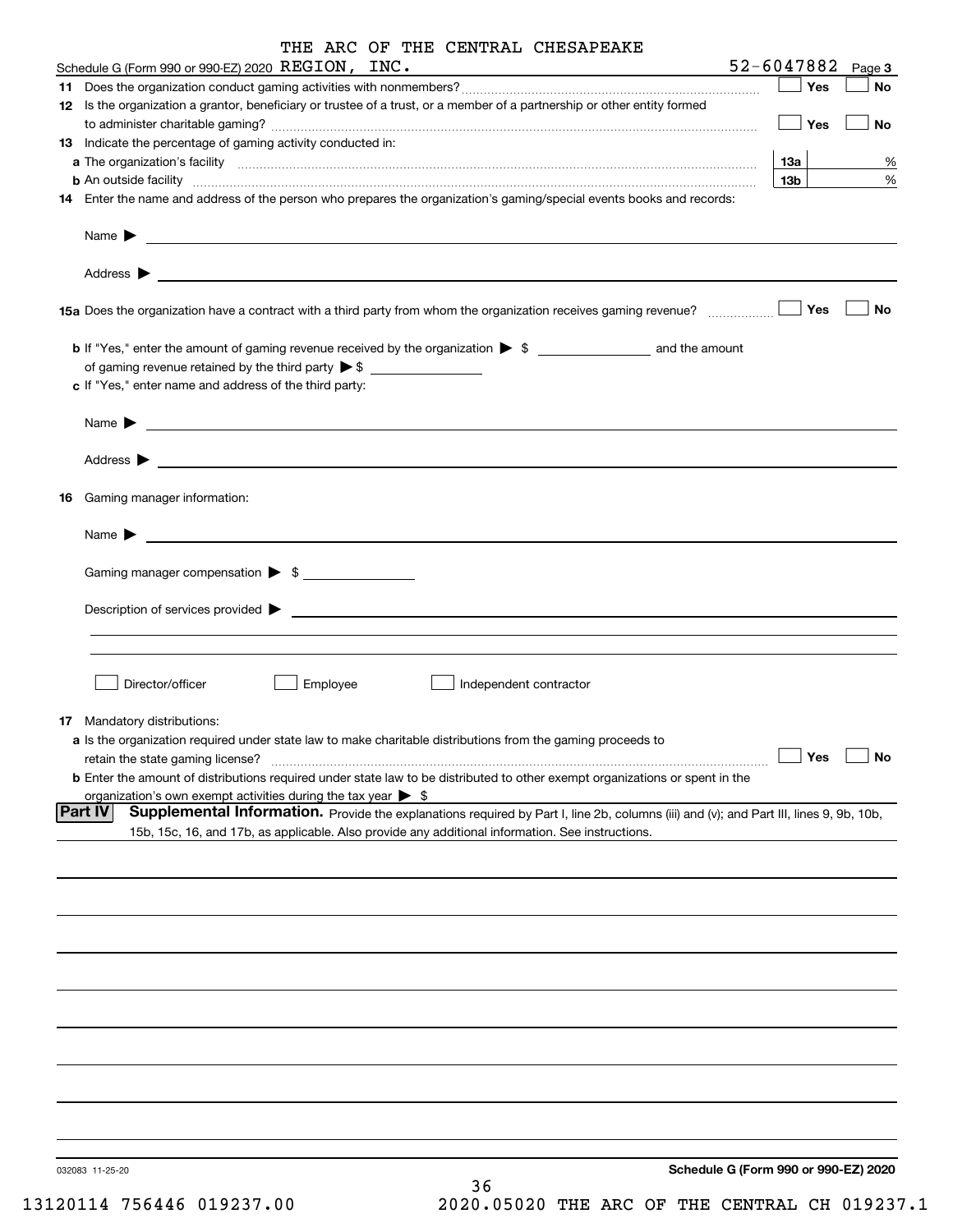|    | THE ARC OF THE CENTRAL CHESAPEAKE                                                                                                                                                                                                                            |                       |    |
|----|--------------------------------------------------------------------------------------------------------------------------------------------------------------------------------------------------------------------------------------------------------------|-----------------------|----|
|    | Schedule G (Form 990 or 990-EZ) 2020 REGION, INC.                                                                                                                                                                                                            | $52 - 6047882$ Page 3 |    |
|    |                                                                                                                                                                                                                                                              | Yes                   | No |
|    | 12 Is the organization a grantor, beneficiary or trustee of a trust, or a member of a partnership or other entity formed                                                                                                                                     |                       |    |
|    | 13 Indicate the percentage of gaming activity conducted in:                                                                                                                                                                                                  | Yes                   | No |
|    |                                                                                                                                                                                                                                                              | <b>13a</b>            | %  |
|    | <b>b</b> An outside facility <i>www.communicality www.communicality.communicality www.communicality www.communicality.com</i>                                                                                                                                | 13 <sub>b</sub>       | %  |
|    | 14 Enter the name and address of the person who prepares the organization's gaming/special events books and records:                                                                                                                                         |                       |    |
|    | Name $\triangleright$ $\underbrace{\phantom{aaaaa}}$                                                                                                                                                                                                         |                       |    |
|    | 15a Does the organization have a contract with a third party from whom the organization receives gaming revenue?                                                                                                                                             | Yes                   | No |
|    | of gaming revenue retained by the third party $\triangleright$ \$<br>c If "Yes," enter name and address of the third party:                                                                                                                                  |                       |    |
|    |                                                                                                                                                                                                                                                              |                       |    |
| 16 | Gaming manager information:                                                                                                                                                                                                                                  |                       |    |
|    | Name $\blacktriangleright$ $\lrcorner$                                                                                                                                                                                                                       |                       |    |
|    | Gaming manager compensation > \$                                                                                                                                                                                                                             |                       |    |
|    |                                                                                                                                                                                                                                                              |                       |    |
|    |                                                                                                                                                                                                                                                              |                       |    |
|    | Director/officer<br>Employee<br>Independent contractor                                                                                                                                                                                                       |                       |    |
|    | <b>17</b> Mandatory distributions:                                                                                                                                                                                                                           |                       |    |
|    | a Is the organization required under state law to make charitable distributions from the gaming proceeds to<br>retain the state gaming license?                                                                                                              | Yes                   | No |
|    | <b>b</b> Enter the amount of distributions required under state law to be distributed to other exempt organizations or spent in the<br>organization's own exempt activities during the tax year $\triangleright$ \$                                          |                       |    |
|    | <b>Part IV</b><br>Supplemental Information. Provide the explanations required by Part I, line 2b, columns (iii) and (v); and Part III, lines 9, 9b, 10b,<br>15b, 15c, 16, and 17b, as applicable. Also provide any additional information. See instructions. |                       |    |
|    |                                                                                                                                                                                                                                                              |                       |    |
|    |                                                                                                                                                                                                                                                              |                       |    |
|    |                                                                                                                                                                                                                                                              |                       |    |
|    |                                                                                                                                                                                                                                                              |                       |    |
|    |                                                                                                                                                                                                                                                              |                       |    |
|    |                                                                                                                                                                                                                                                              |                       |    |
|    |                                                                                                                                                                                                                                                              |                       |    |
|    |                                                                                                                                                                                                                                                              |                       |    |
|    |                                                                                                                                                                                                                                                              |                       |    |
|    | Schedule G (Form 990 or 990-EZ) 2020<br>032083 11-25-20                                                                                                                                                                                                      |                       |    |
|    | 36                                                                                                                                                                                                                                                           |                       |    |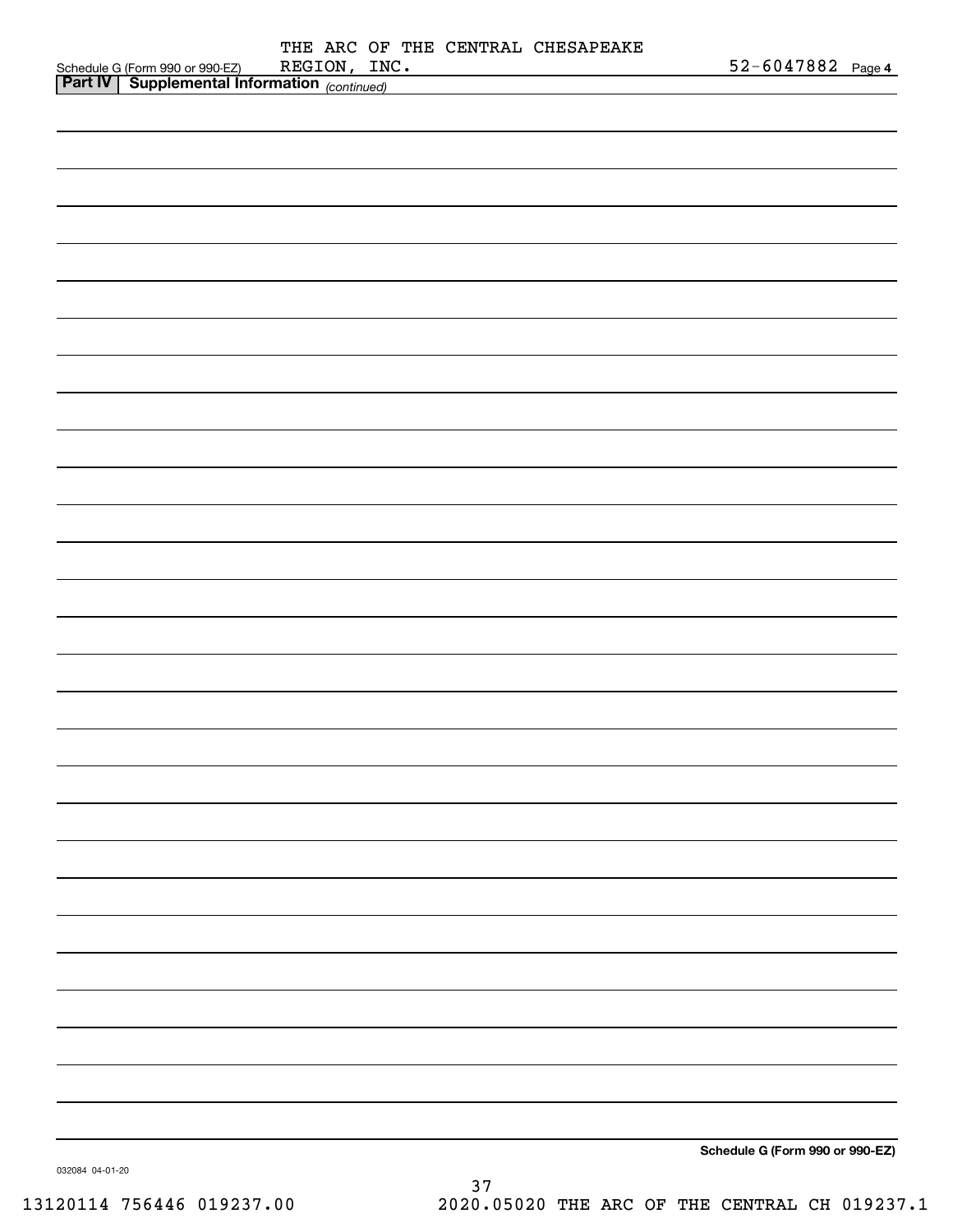|  |         |                    |  | THE ARC OF THE CENTRAL CHESAPEAKE |                       |  |
|--|---------|--------------------|--|-----------------------------------|-----------------------|--|
|  | REGION, | $\mathsf{C}$ ind . |  |                                   | $52 - 6047882$ Page 4 |  |
|  |         |                    |  |                                   |                       |  |

|                                                                                              |  | 52-6047882 Page 4               |  |
|----------------------------------------------------------------------------------------------|--|---------------------------------|--|
| Schedule G (Form 990 or 990-EZ) REGION, INC.<br>Part IV Supplemental Information (continued) |  |                                 |  |
|                                                                                              |  |                                 |  |
|                                                                                              |  |                                 |  |
|                                                                                              |  |                                 |  |
|                                                                                              |  |                                 |  |
|                                                                                              |  |                                 |  |
|                                                                                              |  |                                 |  |
|                                                                                              |  |                                 |  |
|                                                                                              |  |                                 |  |
|                                                                                              |  |                                 |  |
|                                                                                              |  |                                 |  |
|                                                                                              |  |                                 |  |
|                                                                                              |  |                                 |  |
|                                                                                              |  |                                 |  |
|                                                                                              |  |                                 |  |
|                                                                                              |  |                                 |  |
|                                                                                              |  |                                 |  |
|                                                                                              |  |                                 |  |
|                                                                                              |  |                                 |  |
|                                                                                              |  |                                 |  |
|                                                                                              |  |                                 |  |
|                                                                                              |  |                                 |  |
|                                                                                              |  |                                 |  |
|                                                                                              |  |                                 |  |
|                                                                                              |  |                                 |  |
|                                                                                              |  |                                 |  |
|                                                                                              |  |                                 |  |
|                                                                                              |  |                                 |  |
|                                                                                              |  |                                 |  |
|                                                                                              |  |                                 |  |
|                                                                                              |  |                                 |  |
|                                                                                              |  |                                 |  |
|                                                                                              |  |                                 |  |
|                                                                                              |  |                                 |  |
|                                                                                              |  |                                 |  |
|                                                                                              |  |                                 |  |
|                                                                                              |  |                                 |  |
|                                                                                              |  |                                 |  |
|                                                                                              |  |                                 |  |
|                                                                                              |  |                                 |  |
|                                                                                              |  |                                 |  |
|                                                                                              |  |                                 |  |
|                                                                                              |  |                                 |  |
|                                                                                              |  |                                 |  |
|                                                                                              |  |                                 |  |
|                                                                                              |  |                                 |  |
|                                                                                              |  |                                 |  |
|                                                                                              |  |                                 |  |
|                                                                                              |  |                                 |  |
|                                                                                              |  |                                 |  |
|                                                                                              |  |                                 |  |
|                                                                                              |  |                                 |  |
|                                                                                              |  |                                 |  |
|                                                                                              |  |                                 |  |
|                                                                                              |  |                                 |  |
|                                                                                              |  |                                 |  |
|                                                                                              |  |                                 |  |
|                                                                                              |  |                                 |  |
|                                                                                              |  |                                 |  |
|                                                                                              |  | Schedule G (Form 990 or 990-EZ) |  |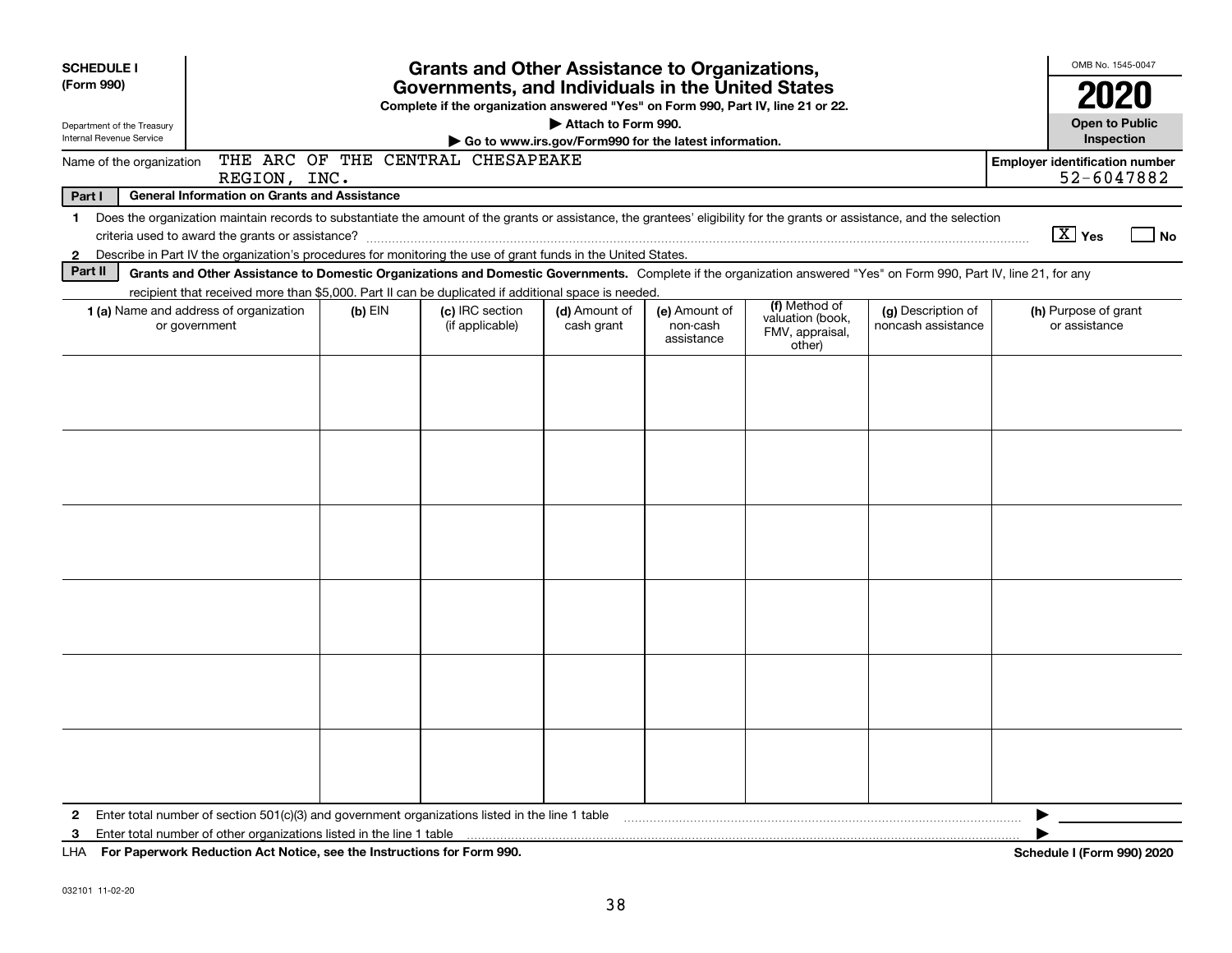| <b>Grants and Other Assistance to Organizations,</b><br>(Form 990)<br>Governments, and Individuals in the United States<br>2020<br>Complete if the organization answered "Yes" on Form 990, Part IV, line 21 or 22.<br>Attach to Form 990.<br><b>Open to Public</b><br>Department of the Treasury<br>Internal Revenue Service<br>Inspection<br>Go to www.irs.gov/Form990 for the latest information.<br>THE ARC OF THE CENTRAL CHESAPEAKE<br><b>Employer identification number</b><br>Name of the organization<br>52-6047882 |             |  |  |  |  |  |  |  |  |
|------------------------------------------------------------------------------------------------------------------------------------------------------------------------------------------------------------------------------------------------------------------------------------------------------------------------------------------------------------------------------------------------------------------------------------------------------------------------------------------------------------------------------|-------------|--|--|--|--|--|--|--|--|
|                                                                                                                                                                                                                                                                                                                                                                                                                                                                                                                              |             |  |  |  |  |  |  |  |  |
|                                                                                                                                                                                                                                                                                                                                                                                                                                                                                                                              |             |  |  |  |  |  |  |  |  |
| REGION, INC.                                                                                                                                                                                                                                                                                                                                                                                                                                                                                                                 |             |  |  |  |  |  |  |  |  |
| Part I<br><b>General Information on Grants and Assistance</b>                                                                                                                                                                                                                                                                                                                                                                                                                                                                |             |  |  |  |  |  |  |  |  |
| Does the organization maintain records to substantiate the amount of the grants or assistance, the grantees' eligibility for the grants or assistance, and the selection<br>1.<br>$\boxed{\text{X}}$ Yes<br>Describe in Part IV the organization's procedures for monitoring the use of grant funds in the United States.<br>$\mathbf{2}$                                                                                                                                                                                    | $\sqcup$ No |  |  |  |  |  |  |  |  |
| Part II<br>Grants and Other Assistance to Domestic Organizations and Domestic Governments. Complete if the organization answered "Yes" on Form 990, Part IV, line 21, for any                                                                                                                                                                                                                                                                                                                                                |             |  |  |  |  |  |  |  |  |
| recipient that received more than \$5,000. Part II can be duplicated if additional space is needed.<br>(f) Method of<br>1 (a) Name and address of organization<br>(c) IRC section<br>(d) Amount of<br>(e) Amount of<br>$(b)$ EIN<br>(g) Description of<br>(h) Purpose of grant<br>valuation (book,<br>or government<br>(if applicable)<br>cash grant<br>noncash assistance<br>or assistance<br>non-cash<br>FMV, appraisal,<br>assistance<br>other)                                                                           |             |  |  |  |  |  |  |  |  |
|                                                                                                                                                                                                                                                                                                                                                                                                                                                                                                                              |             |  |  |  |  |  |  |  |  |
|                                                                                                                                                                                                                                                                                                                                                                                                                                                                                                                              |             |  |  |  |  |  |  |  |  |
|                                                                                                                                                                                                                                                                                                                                                                                                                                                                                                                              |             |  |  |  |  |  |  |  |  |
|                                                                                                                                                                                                                                                                                                                                                                                                                                                                                                                              |             |  |  |  |  |  |  |  |  |
|                                                                                                                                                                                                                                                                                                                                                                                                                                                                                                                              |             |  |  |  |  |  |  |  |  |
|                                                                                                                                                                                                                                                                                                                                                                                                                                                                                                                              |             |  |  |  |  |  |  |  |  |
| 2 Enter total number of section 501(c)(3) and government organizations listed in the line 1 table [1, 11] manumano manumano manumano manumano manumano Enter total number of section 501(c)(3) and government organizations li<br>▶<br>3                                                                                                                                                                                                                                                                                     |             |  |  |  |  |  |  |  |  |

**For Paperwork Reduction Act Notice, see the Instructions for Form 990. Schedule I (Form 990) 2020** LHA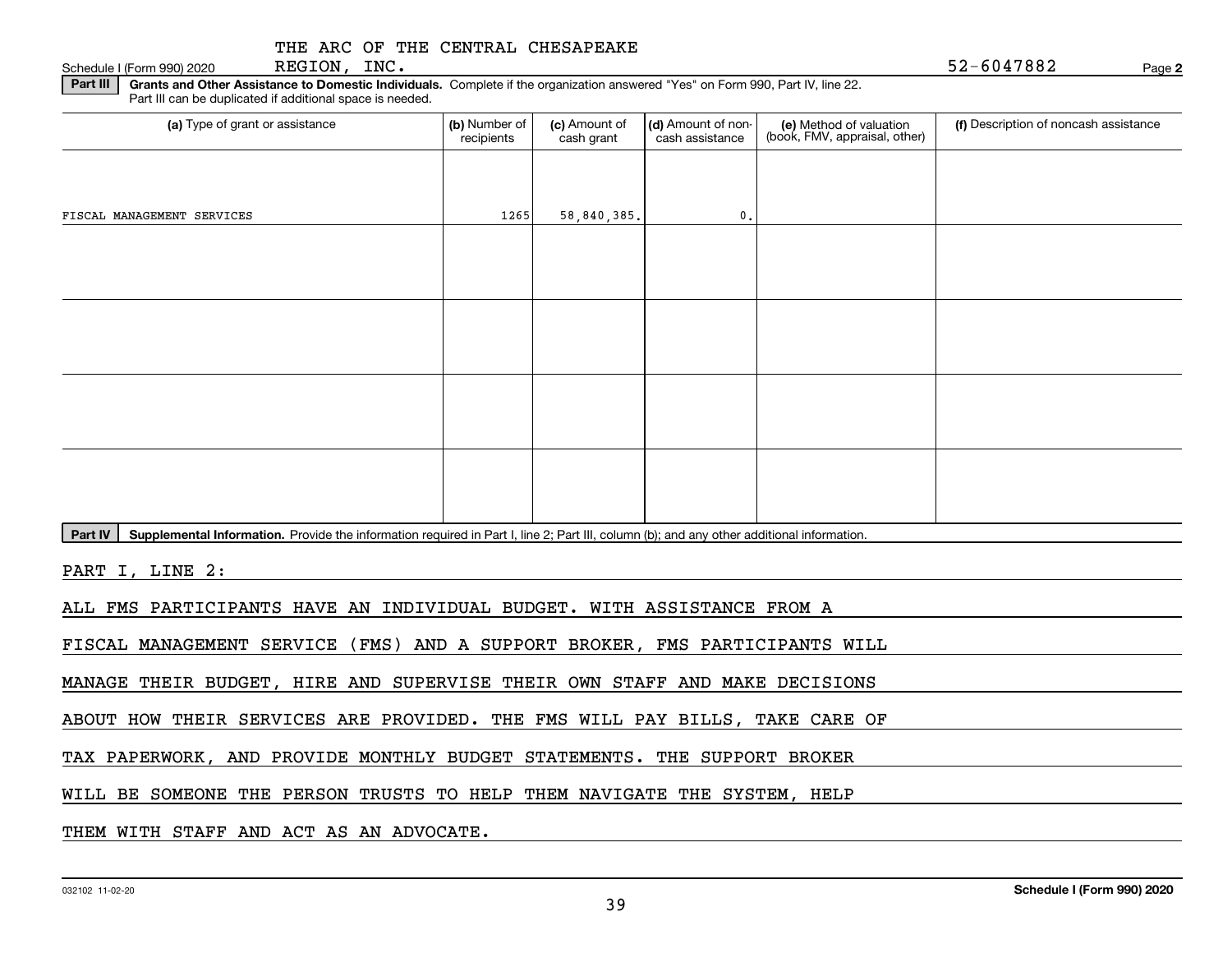| THE ARC OF THE CENTRAL CHESAPEAKE |
|-----------------------------------|
|-----------------------------------|

Schedule I (Form 990) 2020 REGION, INC.  $52-6047882$ REGION, INC.

**2**

**Part III | Grants and Other Assistance to Domestic Individuals. Complete if the organization answered "Yes" on Form 990, Part IV, line 22.** Part III can be duplicated if additional space is needed.

| (a) Type of grant or assistance                                                                                                                      | (b) Number of<br>recipients                                                | (c) Amount of<br>cash grant | (d) Amount of non-<br>cash assistance | (e) Method of valuation<br>(book, FMV, appraisal, other) | (f) Description of noncash assistance |  |  |  |  |  |
|------------------------------------------------------------------------------------------------------------------------------------------------------|----------------------------------------------------------------------------|-----------------------------|---------------------------------------|----------------------------------------------------------|---------------------------------------|--|--|--|--|--|
|                                                                                                                                                      |                                                                            |                             |                                       |                                                          |                                       |  |  |  |  |  |
| FISCAL MANAGEMENT SERVICES                                                                                                                           | 1265                                                                       | 58,840,385.                 | $\mathbf{0}$ .                        |                                                          |                                       |  |  |  |  |  |
|                                                                                                                                                      |                                                                            |                             |                                       |                                                          |                                       |  |  |  |  |  |
|                                                                                                                                                      |                                                                            |                             |                                       |                                                          |                                       |  |  |  |  |  |
|                                                                                                                                                      |                                                                            |                             |                                       |                                                          |                                       |  |  |  |  |  |
|                                                                                                                                                      |                                                                            |                             |                                       |                                                          |                                       |  |  |  |  |  |
|                                                                                                                                                      |                                                                            |                             |                                       |                                                          |                                       |  |  |  |  |  |
|                                                                                                                                                      |                                                                            |                             |                                       |                                                          |                                       |  |  |  |  |  |
|                                                                                                                                                      |                                                                            |                             |                                       |                                                          |                                       |  |  |  |  |  |
|                                                                                                                                                      |                                                                            |                             |                                       |                                                          |                                       |  |  |  |  |  |
| Supplemental Information. Provide the information required in Part I, line 2; Part III, column (b); and any other additional information.<br>Part IV |                                                                            |                             |                                       |                                                          |                                       |  |  |  |  |  |
| PART I, LINE 2:                                                                                                                                      |                                                                            |                             |                                       |                                                          |                                       |  |  |  |  |  |
| ALL FMS PARTICIPANTS HAVE AN INDIVIDUAL BUDGET. WITH ASSISTANCE FROM A                                                                               |                                                                            |                             |                                       |                                                          |                                       |  |  |  |  |  |
| FISCAL MANAGEMENT SERVICE (FMS) AND A SUPPORT BROKER, FMS PARTICIPANTS WILL                                                                          |                                                                            |                             |                                       |                                                          |                                       |  |  |  |  |  |
|                                                                                                                                                      | MANAGE THEIR BUDGET, HIRE AND SUPERVISE THEIR OWN STAFF AND MAKE DECISIONS |                             |                                       |                                                          |                                       |  |  |  |  |  |
| ABOUT HOW THEIR SERVICES ARE PROVIDED. THE FMS WILL PAY BILLS, TAKE CARE OF                                                                          |                                                                            |                             |                                       |                                                          |                                       |  |  |  |  |  |

TAX PAPERWORK, AND PROVIDE MONTHLY BUDGET STATEMENTS. THE SUPPORT BROKER

WILL BE SOMEONE THE PERSON TRUSTS TO HELP THEM NAVIGATE THE SYSTEM, HELP

THEM WITH STAFF AND ACT AS AN ADVOCATE.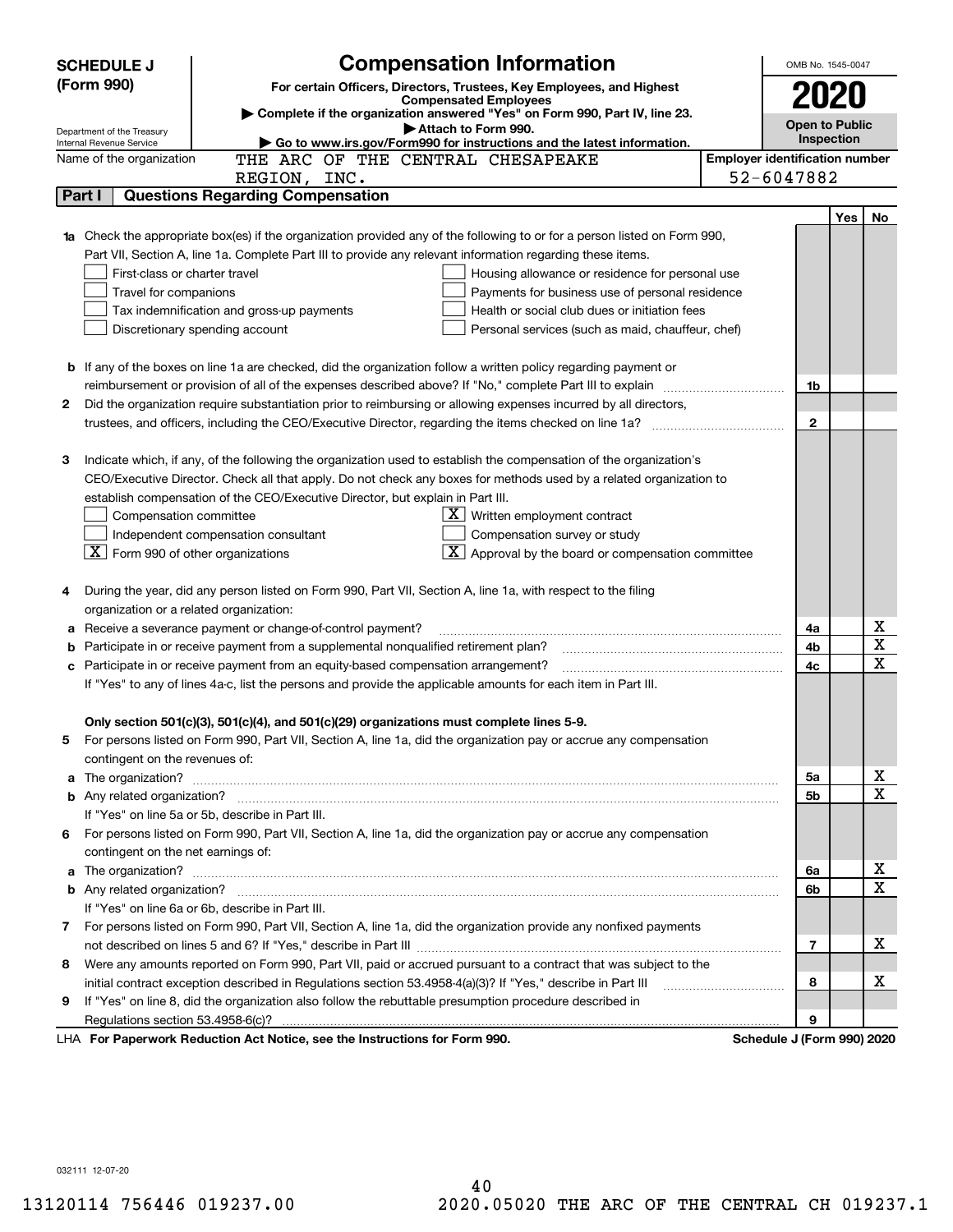|   | <b>SCHEDULE J</b>                                    | <b>Compensation Information</b>                                                                                                                                                                                                    | OMB No. 1545-0047                     |     |    |  |  |
|---|------------------------------------------------------|------------------------------------------------------------------------------------------------------------------------------------------------------------------------------------------------------------------------------------|---------------------------------------|-----|----|--|--|
|   | (Form 990)                                           | For certain Officers, Directors, Trustees, Key Employees, and Highest                                                                                                                                                              |                                       |     |    |  |  |
|   |                                                      | <b>Compensated Employees</b>                                                                                                                                                                                                       | 2020                                  |     |    |  |  |
|   | Department of the Treasury                           | Complete if the organization answered "Yes" on Form 990, Part IV, line 23.<br>Attach to Form 990.                                                                                                                                  | <b>Open to Public</b>                 |     |    |  |  |
|   | Internal Revenue Service                             | Go to www.irs.gov/Form990 for instructions and the latest information.                                                                                                                                                             | Inspection                            |     |    |  |  |
|   | Name of the organization                             | THE ARC OF THE CENTRAL CHESAPEAKE                                                                                                                                                                                                  | <b>Employer identification number</b> |     |    |  |  |
|   |                                                      | REGION, INC.                                                                                                                                                                                                                       | 52-6047882                            |     |    |  |  |
|   | Part I                                               | <b>Questions Regarding Compensation</b>                                                                                                                                                                                            |                                       |     |    |  |  |
|   |                                                      |                                                                                                                                                                                                                                    |                                       | Yes | No |  |  |
|   |                                                      | Check the appropriate box(es) if the organization provided any of the following to or for a person listed on Form 990,                                                                                                             |                                       |     |    |  |  |
|   |                                                      | Part VII, Section A, line 1a. Complete Part III to provide any relevant information regarding these items.                                                                                                                         |                                       |     |    |  |  |
|   | First-class or charter travel                        | Housing allowance or residence for personal use                                                                                                                                                                                    |                                       |     |    |  |  |
|   | Travel for companions                                | Payments for business use of personal residence                                                                                                                                                                                    |                                       |     |    |  |  |
|   |                                                      | Tax indemnification and gross-up payments<br>Health or social club dues or initiation fees                                                                                                                                         |                                       |     |    |  |  |
|   |                                                      | Discretionary spending account<br>Personal services (such as maid, chauffeur, chef)                                                                                                                                                |                                       |     |    |  |  |
|   |                                                      |                                                                                                                                                                                                                                    |                                       |     |    |  |  |
|   |                                                      | <b>b</b> If any of the boxes on line 1a are checked, did the organization follow a written policy regarding payment or<br>reimbursement or provision of all of the expenses described above? If "No," complete Part III to explain | 1b                                    |     |    |  |  |
|   |                                                      |                                                                                                                                                                                                                                    |                                       |     |    |  |  |
| 2 |                                                      | Did the organization require substantiation prior to reimbursing or allowing expenses incurred by all directors,                                                                                                                   | $\mathbf{2}$                          |     |    |  |  |
|   |                                                      |                                                                                                                                                                                                                                    |                                       |     |    |  |  |
| з |                                                      | Indicate which, if any, of the following the organization used to establish the compensation of the organization's                                                                                                                 |                                       |     |    |  |  |
|   |                                                      | CEO/Executive Director. Check all that apply. Do not check any boxes for methods used by a related organization to                                                                                                                 |                                       |     |    |  |  |
|   |                                                      | establish compensation of the CEO/Executive Director, but explain in Part III.                                                                                                                                                     |                                       |     |    |  |  |
|   | Compensation committee                               | $\underline{X}$ Written employment contract                                                                                                                                                                                        |                                       |     |    |  |  |
|   |                                                      | Independent compensation consultant<br>Compensation survey or study                                                                                                                                                                |                                       |     |    |  |  |
|   | $\boxed{\textbf{X}}$ Form 990 of other organizations | $\boxed{\textbf{X}}$ Approval by the board or compensation committee                                                                                                                                                               |                                       |     |    |  |  |
|   |                                                      |                                                                                                                                                                                                                                    |                                       |     |    |  |  |
| 4 |                                                      | During the year, did any person listed on Form 990, Part VII, Section A, line 1a, with respect to the filing                                                                                                                       |                                       |     |    |  |  |
|   | organization or a related organization:              |                                                                                                                                                                                                                                    |                                       |     |    |  |  |
| а |                                                      | Receive a severance payment or change-of-control payment?                                                                                                                                                                          | 4a                                    |     | х  |  |  |
| b |                                                      | Participate in or receive payment from a supplemental nonqualified retirement plan?                                                                                                                                                | 4b                                    |     | X  |  |  |
| с |                                                      | Participate in or receive payment from an equity-based compensation arrangement?                                                                                                                                                   | 4c                                    |     | X  |  |  |
|   |                                                      | If "Yes" to any of lines 4a-c, list the persons and provide the applicable amounts for each item in Part III.                                                                                                                      |                                       |     |    |  |  |
|   |                                                      |                                                                                                                                                                                                                                    |                                       |     |    |  |  |
|   |                                                      | Only section 501(c)(3), 501(c)(4), and 501(c)(29) organizations must complete lines 5-9.                                                                                                                                           |                                       |     |    |  |  |
| 5 |                                                      | For persons listed on Form 990, Part VII, Section A, line 1a, did the organization pay or accrue any compensation                                                                                                                  |                                       |     |    |  |  |
|   | contingent on the revenues of:                       |                                                                                                                                                                                                                                    |                                       |     |    |  |  |
| a |                                                      |                                                                                                                                                                                                                                    | 5a                                    |     | x  |  |  |
|   |                                                      |                                                                                                                                                                                                                                    | 5b                                    |     | Χ  |  |  |
|   |                                                      | If "Yes" on line 5a or 5b, describe in Part III.                                                                                                                                                                                   |                                       |     |    |  |  |
|   |                                                      | 6 For persons listed on Form 990, Part VII, Section A, line 1a, did the organization pay or accrue any compensation                                                                                                                |                                       |     |    |  |  |
|   | contingent on the net earnings of:                   |                                                                                                                                                                                                                                    |                                       |     |    |  |  |
| a |                                                      |                                                                                                                                                                                                                                    | 6a                                    |     | x  |  |  |
|   |                                                      |                                                                                                                                                                                                                                    | 6b                                    |     | Χ  |  |  |
|   |                                                      | If "Yes" on line 6a or 6b, describe in Part III.                                                                                                                                                                                   |                                       |     |    |  |  |
|   |                                                      | 7 For persons listed on Form 990, Part VII, Section A, line 1a, did the organization provide any nonfixed payments                                                                                                                 |                                       |     |    |  |  |
|   |                                                      |                                                                                                                                                                                                                                    | 7                                     |     | х  |  |  |
| 8 |                                                      | Were any amounts reported on Form 990, Part VII, paid or accrued pursuant to a contract that was subject to the                                                                                                                    |                                       |     |    |  |  |
|   |                                                      | initial contract exception described in Regulations section 53.4958-4(a)(3)? If "Yes," describe in Part III                                                                                                                        | 8                                     |     | х  |  |  |
| 9 |                                                      | If "Yes" on line 8, did the organization also follow the rebuttable presumption procedure described in                                                                                                                             |                                       |     |    |  |  |
|   |                                                      |                                                                                                                                                                                                                                    | 9                                     |     |    |  |  |
|   |                                                      | LHA For Paperwork Reduction Act Notice, see the Instructions for Form 990.                                                                                                                                                         | Schedule J (Form 990) 2020            |     |    |  |  |

032111 12-07-20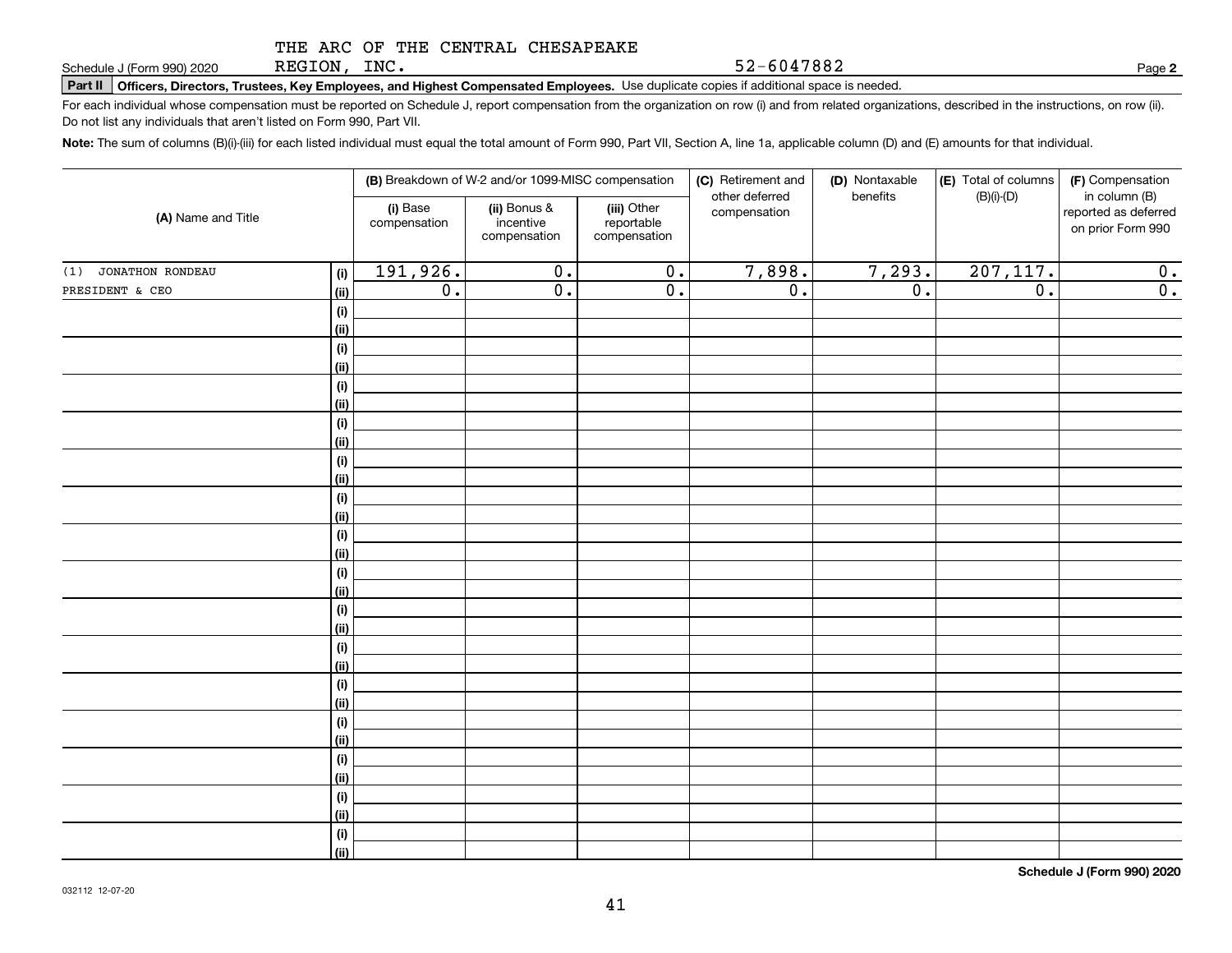REGION, INC.

52-6047882

**2**

**Part II Officers, Directors, Trustees, Key Employees, and Highest Compensated Employees.**  Schedule J (Form 990) 2020 Page Use duplicate copies if additional space is needed.

For each individual whose compensation must be reported on Schedule J, report compensation from the organization on row (i) and from related organizations, described in the instructions, on row (ii). Do not list any individuals that aren't listed on Form 990, Part VII.

**Note:**  The sum of columns (B)(i)-(iii) for each listed individual must equal the total amount of Form 990, Part VII, Section A, line 1a, applicable column (D) and (E) amounts for that individual.

| (A) Name and Title      |                           |                          | (B) Breakdown of W-2 and/or 1099-MISC compensation |                                           | (C) Retirement and<br>other deferred | (D) Nontaxable<br>benefits | (E) Total of columns<br>$(B)(i)-(D)$ | (F) Compensation<br>in column (B)         |
|-------------------------|---------------------------|--------------------------|----------------------------------------------------|-------------------------------------------|--------------------------------------|----------------------------|--------------------------------------|-------------------------------------------|
|                         |                           | (i) Base<br>compensation | (ii) Bonus &<br>incentive<br>compensation          | (iii) Other<br>reportable<br>compensation | compensation                         |                            |                                      | reported as deferred<br>on prior Form 990 |
| JONATHON RONDEAU<br>(1) | (i)                       | 191,926.                 | $\overline{0}$ .                                   | $\overline{\mathbf{0}}$ .                 | 7,898.                               | 7,293.                     | 207, 117.                            | 0.                                        |
| PRESIDENT & CEO         | <u>(ii)</u>               | $\overline{0}$ .         | $\overline{0}$ .                                   | $\overline{0}$ .                          | $\overline{0}$ .                     | $\overline{0}$ .           | $\overline{0}$ .                     | $\overline{0}$ .                          |
|                         | (i)                       |                          |                                                    |                                           |                                      |                            |                                      |                                           |
|                         | <u>(ii)</u>               |                          |                                                    |                                           |                                      |                            |                                      |                                           |
|                         | (i)                       |                          |                                                    |                                           |                                      |                            |                                      |                                           |
|                         | <u>(ii)</u>               |                          |                                                    |                                           |                                      |                            |                                      |                                           |
|                         | $(\sf{i})$                |                          |                                                    |                                           |                                      |                            |                                      |                                           |
|                         | <u>(ii)</u>               |                          |                                                    |                                           |                                      |                            |                                      |                                           |
|                         | $(\sf{i})$                |                          |                                                    |                                           |                                      |                            |                                      |                                           |
|                         | <u>(ii)</u>               |                          |                                                    |                                           |                                      |                            |                                      |                                           |
|                         | $(\sf{i})$                |                          |                                                    |                                           |                                      |                            |                                      |                                           |
|                         | <u>(ii)</u>               |                          |                                                    |                                           |                                      |                            |                                      |                                           |
|                         | $(\sf{i})$                |                          |                                                    |                                           |                                      |                            |                                      |                                           |
|                         | <u>(ii)</u>               |                          |                                                    |                                           |                                      |                            |                                      |                                           |
|                         | $(\sf{i})$<br><u>(ii)</u> |                          |                                                    |                                           |                                      |                            |                                      |                                           |
|                         | (i)                       |                          |                                                    |                                           |                                      |                            |                                      |                                           |
|                         | <u>(ii)</u>               |                          |                                                    |                                           |                                      |                            |                                      |                                           |
|                         | (i)                       |                          |                                                    |                                           |                                      |                            |                                      |                                           |
|                         | <u>(ii)</u>               |                          |                                                    |                                           |                                      |                            |                                      |                                           |
|                         | (i)                       |                          |                                                    |                                           |                                      |                            |                                      |                                           |
|                         | <u>(ii)</u>               |                          |                                                    |                                           |                                      |                            |                                      |                                           |
|                         | (i)                       |                          |                                                    |                                           |                                      |                            |                                      |                                           |
|                         | <u>(ii)</u>               |                          |                                                    |                                           |                                      |                            |                                      |                                           |
|                         | (i)                       |                          |                                                    |                                           |                                      |                            |                                      |                                           |
|                         | <u>(ii)</u>               |                          |                                                    |                                           |                                      |                            |                                      |                                           |
|                         | (i)                       |                          |                                                    |                                           |                                      |                            |                                      |                                           |
|                         | <u>(ii)</u>               |                          |                                                    |                                           |                                      |                            |                                      |                                           |
|                         | (i)                       |                          |                                                    |                                           |                                      |                            |                                      |                                           |
|                         | <u>(ii)</u>               |                          |                                                    |                                           |                                      |                            |                                      |                                           |
|                         | (i)                       |                          |                                                    |                                           |                                      |                            |                                      |                                           |
|                         | (ii)                      |                          |                                                    |                                           |                                      |                            |                                      |                                           |

**Schedule J (Form 990) 2020**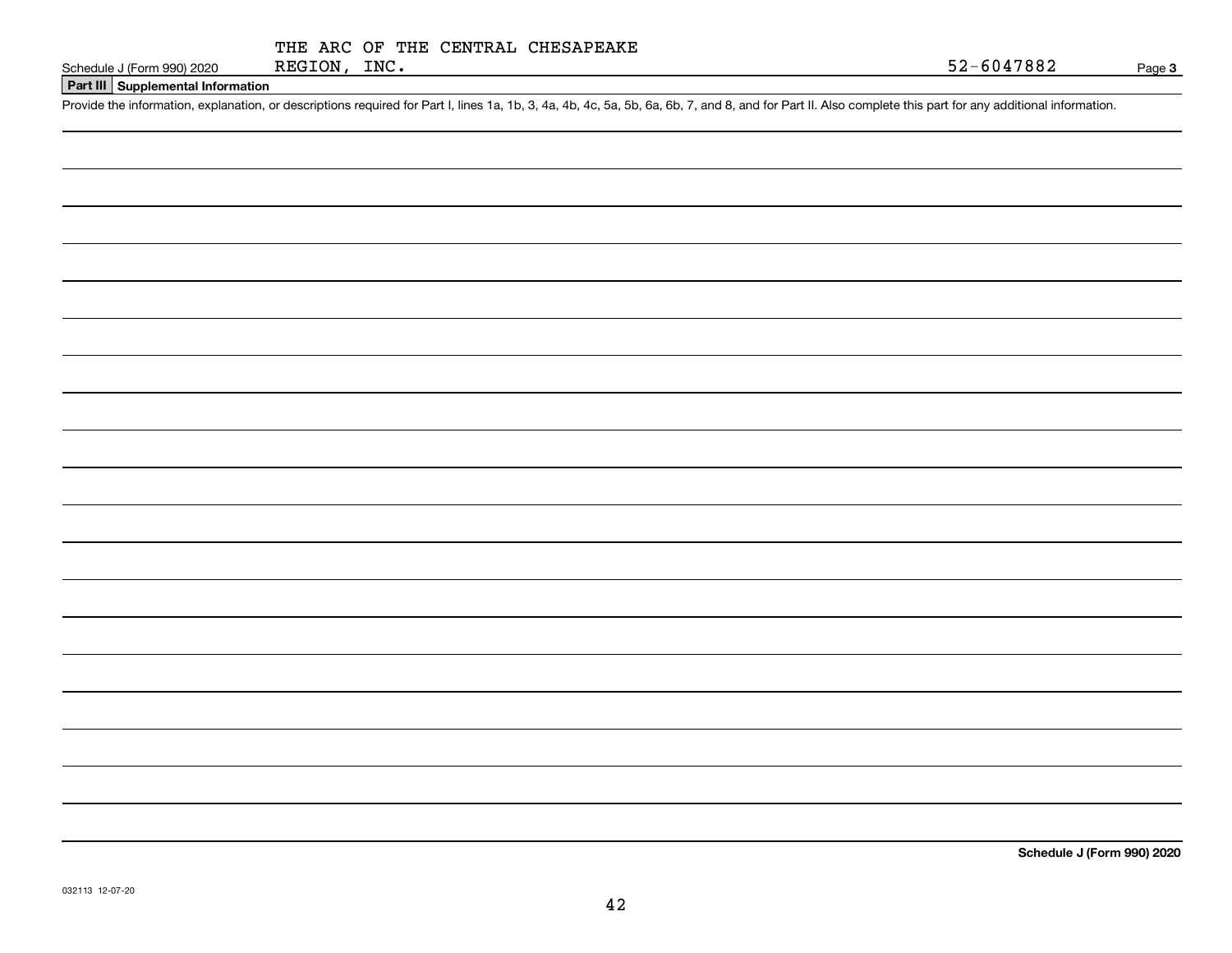# **Part III Supplemental Information**

Schedule J (Form 990) 2020 REGION, INC.<br>Part III Supplemental Information<br>Provide the information, explanation, or descriptions required for Part I, lines 1a, 1b, 3, 4a, 4b, 4c, 5a, 5b, 6a, 6b, 7, and 8, and for Part II. A

**Schedule J (Form 990) 2020**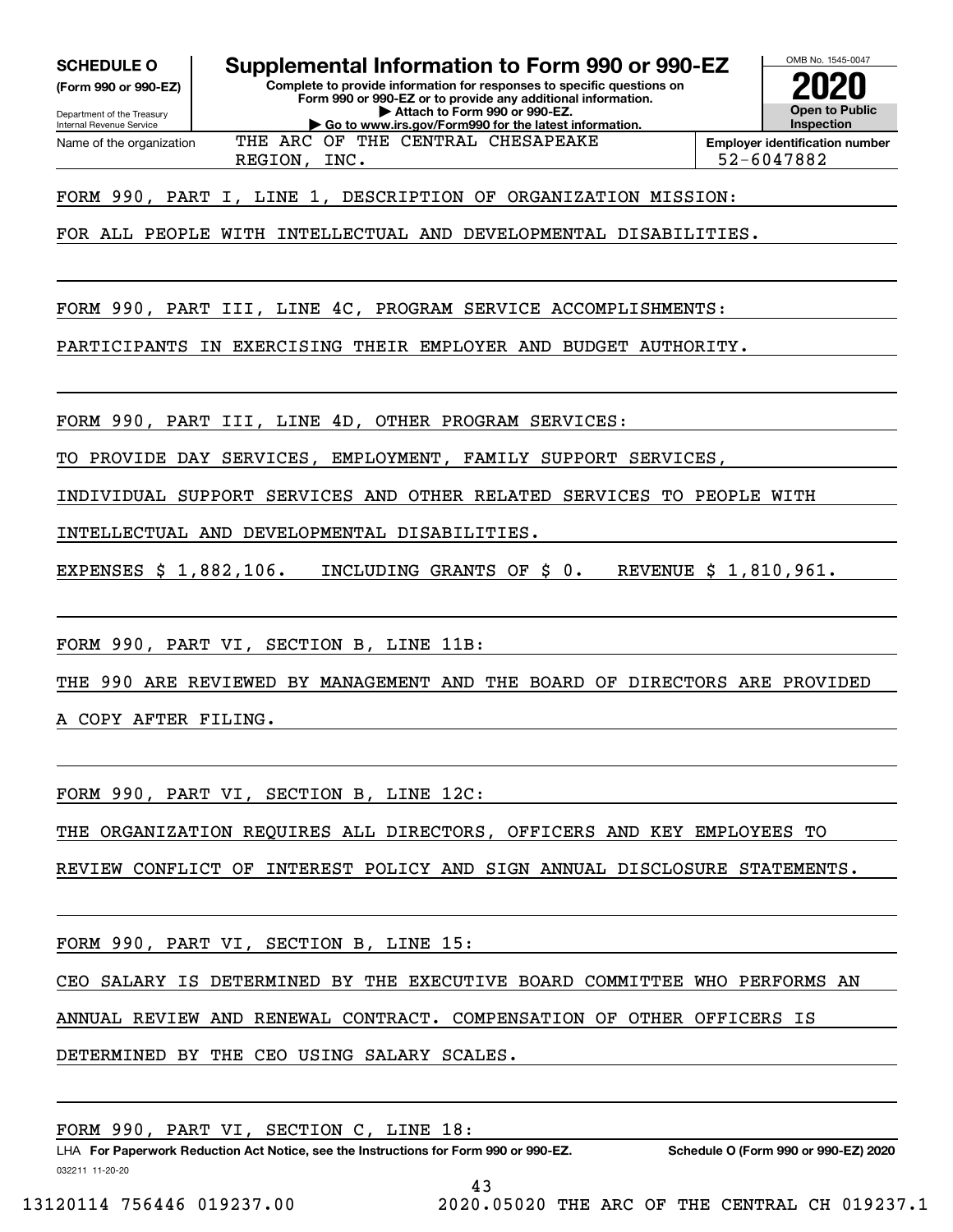**(Form 990 or 990-EZ)**

Department of the Treasury Internal Revenue Service Name of the organization

**Complete to provide information for responses to specific questions on SCHEDULE O Supplemental Information to Form 990 or 990-EZ**

**Form 990 or 990-EZ or to provide any additional information. | Attach to Form 990 or 990-EZ. | Go to www.irs.gov/Form990 for the latest information.** THE ARC OF THE CENTRAL CHESAPEAKE

OMB No. 1545-0047 **Open to Public InspectionEmployer identification number 2020**

REGION, INC. 52-6047882

FORM 990, PART I, LINE 1, DESCRIPTION OF ORGANIZATION MISSION:

FOR ALL PEOPLE WITH INTELLECTUAL AND DEVELOPMENTAL DISABILITIES.

FORM 990, PART III, LINE 4C, PROGRAM SERVICE ACCOMPLISHMENTS:

PARTICIPANTS IN EXERCISING THEIR EMPLOYER AND BUDGET AUTHORITY.

FORM 990, PART III, LINE 4D, OTHER PROGRAM SERVICES:

TO PROVIDE DAY SERVICES, EMPLOYMENT, FAMILY SUPPORT SERVICES,

INDIVIDUAL SUPPORT SERVICES AND OTHER RELATED SERVICES TO PEOPLE WITH

INTELLECTUAL AND DEVELOPMENTAL DISABILITIES.

EXPENSES \$ 1,882,106. INCLUDING GRANTS OF \$ 0. REVENUE \$ 1,810,961.

FORM 990, PART VI, SECTION B, LINE 11B:

THE 990 ARE REVIEWED BY MANAGEMENT AND THE BOARD OF DIRECTORS ARE PROVIDED

A COPY AFTER FILING.

FORM 990, PART VI, SECTION B, LINE 12C:

THE ORGANIZATION REQUIRES ALL DIRECTORS, OFFICERS AND KEY EMPLOYEES TO

REVIEW CONFLICT OF INTEREST POLICY AND SIGN ANNUAL DISCLOSURE STATEMENTS.

FORM 990, PART VI, SECTION B, LINE 15:

CEO SALARY IS DETERMINED BY THE EXECUTIVE BOARD COMMITTEE WHO PERFORMS AN

ANNUAL REVIEW AND RENEWAL CONTRACT. COMPENSATION OF OTHER OFFICERS IS

DETERMINED BY THE CEO USING SALARY SCALES.

FORM 990, PART VI, SECTION C, LINE 18:

032211 11-20-20 LHA For Paperwork Reduction Act Notice, see the Instructions for Form 990 or 990-EZ. Schedule O (Form 990 or 990-EZ) 2020 43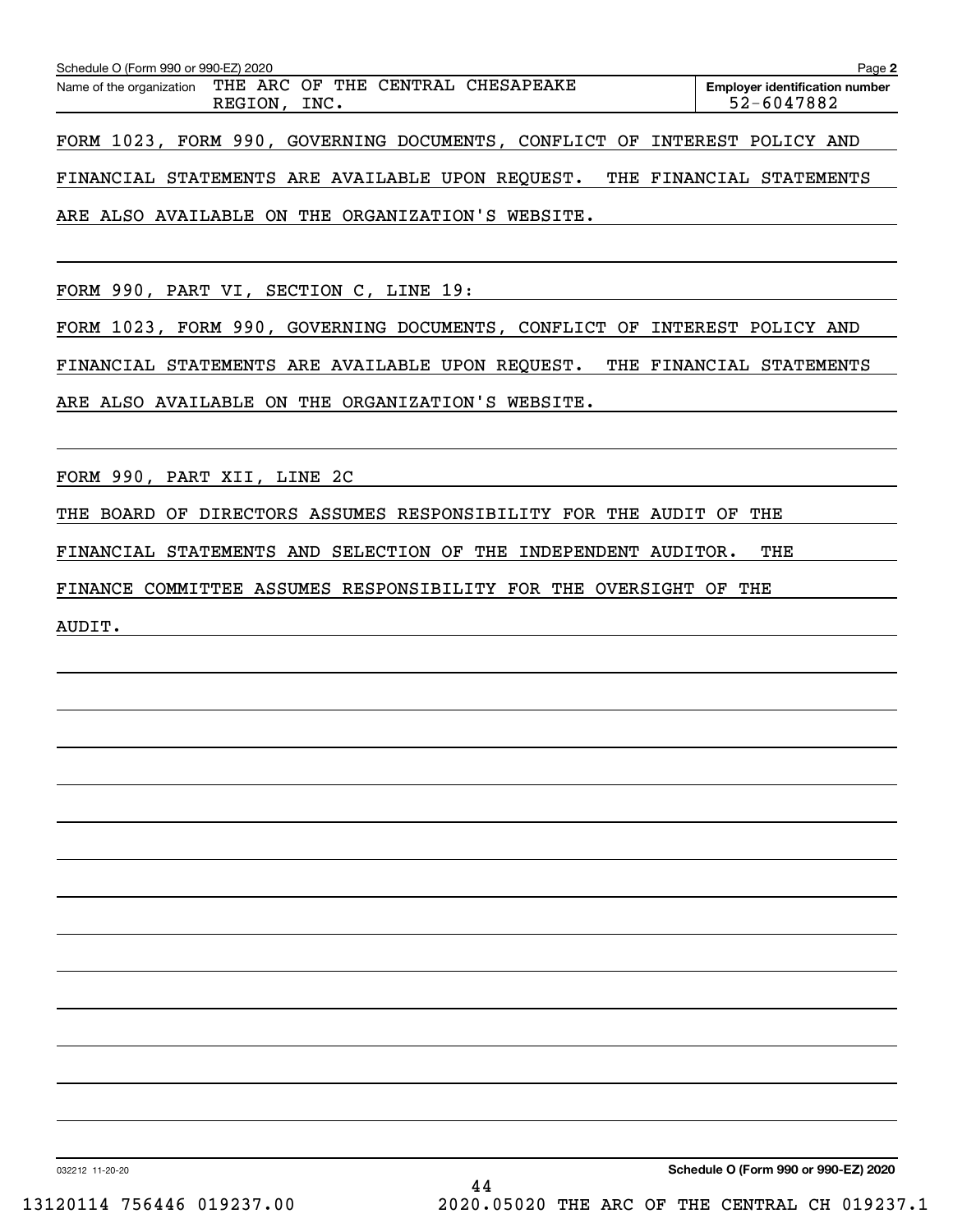| Schedule O (Form 990 or 990-EZ) 2020                                       | Page 2 |  |  |  |                                                     |                                                                           |
|----------------------------------------------------------------------------|--------|--|--|--|-----------------------------------------------------|---------------------------------------------------------------------------|
| Name of the organization THE ARC OF THE CENTRAL CHESAPEAKE<br>REGION, INC. |        |  |  |  | <b>Employer identification number</b><br>52-6047882 |                                                                           |
|                                                                            |        |  |  |  |                                                     | FORM 1023, FORM 990, GOVERNING DOCUMENTS, CONFLICT OF INTEREST POLICY AND |

FINANCIAL STATEMENTS ARE AVAILABLE UPON REQUEST. THE FINANCIAL STATEMENTS

ARE ALSO AVAILABLE ON THE ORGANIZATION'S WEBSITE.

FORM 990, PART VI, SECTION C, LINE 19:

FORM 1023, FORM 990, GOVERNING DOCUMENTS, CONFLICT OF INTEREST POLICY AND

FINANCIAL STATEMENTS ARE AVAILABLE UPON REQUEST. THE FINANCIAL STATEMENTS

ARE ALSO AVAILABLE ON THE ORGANIZATION'S WEBSITE.

FORM 990, PART XII, LINE 2C

THE BOARD OF DIRECTORS ASSUMES RESPONSIBILITY FOR THE AUDIT OF THE

FINANCIAL STATEMENTS AND SELECTION OF THE INDEPENDENT AUDITOR. THE

FINANCE COMMITTEE ASSUMES RESPONSIBILITY FOR THE OVERSIGHT OF THE

AUDIT.

**Schedule O (Form 990 or 990-EZ) 2020**

032212 11-20-20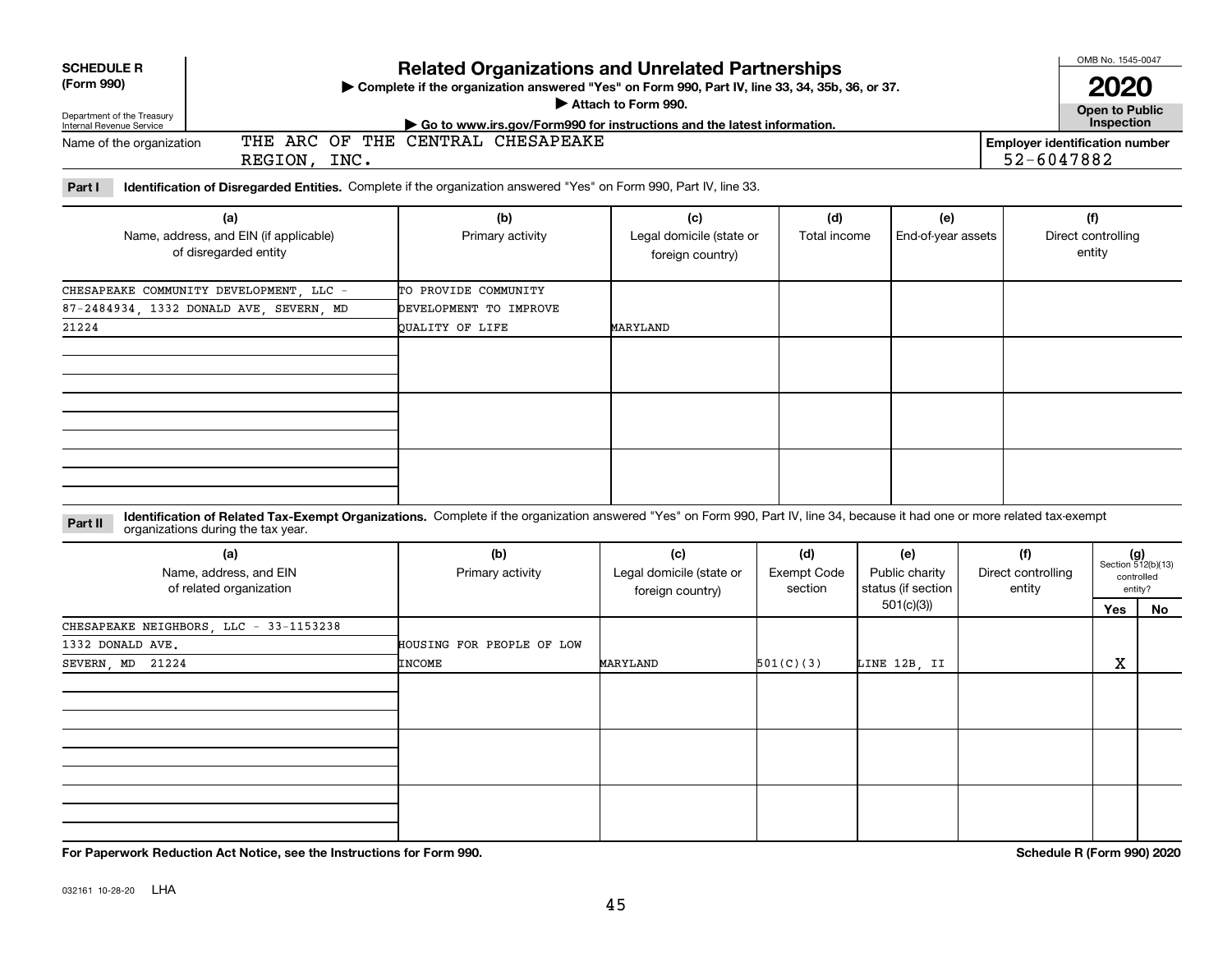| <b>SCHEDULE R</b> |  |
|-------------------|--|
|                   |  |

#### **(Form 990)**

# **Related Organizations and Unrelated Partnerships**

**Complete if the organization answered "Yes" on Form 990, Part IV, line 33, 34, 35b, 36, or 37.** |

**Attach to Form 990.**  |

| Department of the Treasury | $\blacktriangleright$ Allach to Form 330.                              |            |                                |  |  |  |  |  |
|----------------------------|------------------------------------------------------------------------|------------|--------------------------------|--|--|--|--|--|
| Internal Revenue Service   | Go to www.irs.gov/Form990 for instructions and the latest information. |            | <b>Inspection</b>              |  |  |  |  |  |
| Name of the organization   | THE CENTRAL CHESAPEAKE<br>THE<br>ARC<br>OF                             |            | Emplover identification number |  |  |  |  |  |
|                            | INC.<br><b>REGION</b>                                                  | 52-6047882 |                                |  |  |  |  |  |

**Part I Identification of Disregarded Entities.**  Complete if the organization answered "Yes" on Form 990, Part IV, line 33.

| (a)<br>Name, address, and EIN (if applicable)<br>of disregarded entity | (b)<br>Primary activity | (c)<br>Legal domicile (state or<br>foreign country) | (d)<br>Total income | (e)<br>End-of-year assets | (f)<br>Direct controlling<br>entity |
|------------------------------------------------------------------------|-------------------------|-----------------------------------------------------|---------------------|---------------------------|-------------------------------------|
| CHESAPEAKE COMMUNITY DEVELOPMENT, LLC -                                | TO PROVIDE COMMUNITY    |                                                     |                     |                           |                                     |
| 87-2484934, 1332 DONALD AVE, SEVERN, MD                                | DEVELOPMENT TO IMPROVE  |                                                     |                     |                           |                                     |
| 21224                                                                  | QUALITY OF LIFE         | MARYLAND                                            |                     |                           |                                     |
|                                                                        |                         |                                                     |                     |                           |                                     |
|                                                                        |                         |                                                     |                     |                           |                                     |
|                                                                        |                         |                                                     |                     |                           |                                     |

#### **Identification of Related Tax-Exempt Organizations.** Complete if the organization answered "Yes" on Form 990, Part IV, line 34, because it had one or more related tax-exempt **Part II** organizations during the tax year.

| (a)<br>Name, address, and EIN<br>of related organization | (b)<br>Primary activity   | (c)<br>Legal domicile (state or<br>foreign country) | (d)<br><b>Exempt Code</b><br>section | (e)<br>Public charity<br>status (if section | (f)<br>Direct controlling<br>entity |     | $(g)$<br>Section 512(b)(13)<br>controlled<br>entity? |
|----------------------------------------------------------|---------------------------|-----------------------------------------------------|--------------------------------------|---------------------------------------------|-------------------------------------|-----|------------------------------------------------------|
|                                                          |                           |                                                     |                                      | 501(c)(3))                                  |                                     | Yes | No                                                   |
| CHESAPEAKE NEIGHBORS, LLC - 33-1153238                   |                           |                                                     |                                      |                                             |                                     |     |                                                      |
| 1332 DONALD AVE.                                         | HOUSING FOR PEOPLE OF LOW |                                                     |                                      |                                             |                                     |     |                                                      |
| SEVERN, MD 21224                                         | INCOME                    | MARYLAND                                            | 501(C)(3)                            | LINE 12B, II                                |                                     | X   |                                                      |
|                                                          |                           |                                                     |                                      |                                             |                                     |     |                                                      |
|                                                          |                           |                                                     |                                      |                                             |                                     |     |                                                      |
|                                                          |                           |                                                     |                                      |                                             |                                     |     |                                                      |

**For Paperwork Reduction Act Notice, see the Instructions for Form 990. Schedule R (Form 990) 2020**

OMB No. 1545-0047

**2020**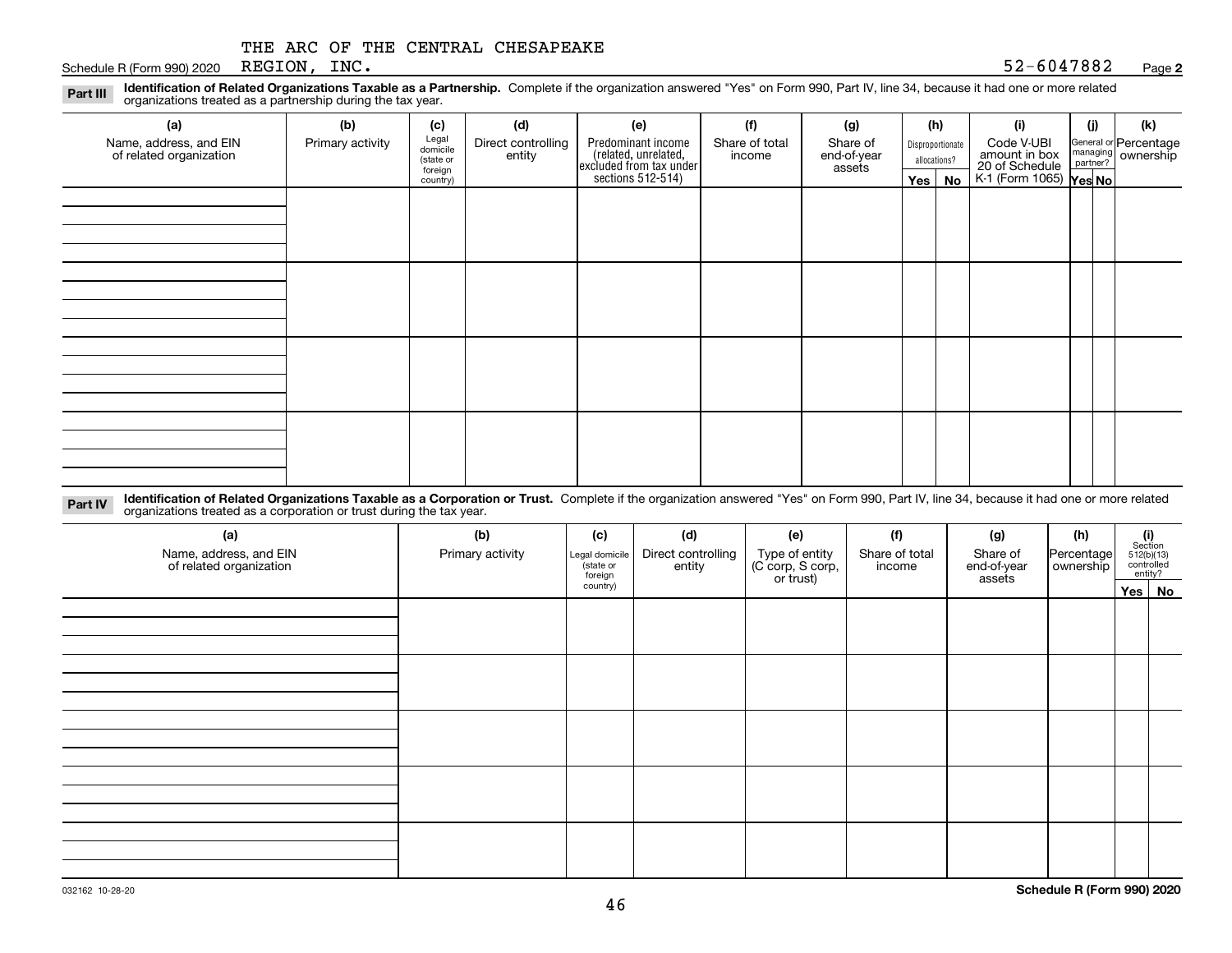#### Schedule R (Form 990) 2020 REGION, INC.  $52-6047882$ REGION, INC.

#### **2**

**Identification of Related Organizations Taxable as a Partnership.** Complete if the organization answered "Yes" on Form 990, Part IV, line 34, because it had one or more related **Part III** organizations treated as a partnership during the tax year.

| (a)                     | (b)              | (c)                  | (d)                | (e)                                                                 | (f)            | (g)                   | (h)              | (i)                                               | (j) | (k)                   |
|-------------------------|------------------|----------------------|--------------------|---------------------------------------------------------------------|----------------|-----------------------|------------------|---------------------------------------------------|-----|-----------------------|
| Name, address, and EIN  | Primary activity | Legal<br>domicile    | Direct controlling | Predominant income                                                  | Share of total | Share of              | Disproportionate | Code V-UBI                                        |     | General or Percentage |
| of related organization |                  | (state or<br>foreign | entity             | related, unrelated,<br>excluded from tax under<br>sections 512-514) | income         | end-of-year<br>assets | allocations?     | amount in box                                     |     | managing ownership    |
|                         |                  | country)             |                    |                                                                     |                |                       | Yes   No         | 20 of Schedule Partner?<br>K-1 (Form 1065) Yes No |     |                       |
|                         |                  |                      |                    |                                                                     |                |                       |                  |                                                   |     |                       |
|                         |                  |                      |                    |                                                                     |                |                       |                  |                                                   |     |                       |
|                         |                  |                      |                    |                                                                     |                |                       |                  |                                                   |     |                       |
|                         |                  |                      |                    |                                                                     |                |                       |                  |                                                   |     |                       |
|                         |                  |                      |                    |                                                                     |                |                       |                  |                                                   |     |                       |
|                         |                  |                      |                    |                                                                     |                |                       |                  |                                                   |     |                       |
|                         |                  |                      |                    |                                                                     |                |                       |                  |                                                   |     |                       |
|                         |                  |                      |                    |                                                                     |                |                       |                  |                                                   |     |                       |
|                         |                  |                      |                    |                                                                     |                |                       |                  |                                                   |     |                       |
|                         |                  |                      |                    |                                                                     |                |                       |                  |                                                   |     |                       |
|                         |                  |                      |                    |                                                                     |                |                       |                  |                                                   |     |                       |
|                         |                  |                      |                    |                                                                     |                |                       |                  |                                                   |     |                       |
|                         |                  |                      |                    |                                                                     |                |                       |                  |                                                   |     |                       |
|                         |                  |                      |                    |                                                                     |                |                       |                  |                                                   |     |                       |
|                         |                  |                      |                    |                                                                     |                |                       |                  |                                                   |     |                       |
|                         |                  |                      |                    |                                                                     |                |                       |                  |                                                   |     |                       |
|                         |                  |                      |                    |                                                                     |                |                       |                  |                                                   |     |                       |

**Identification of Related Organizations Taxable as a Corporation or Trust.** Complete if the organization answered "Yes" on Form 990, Part IV, line 34, because it had one or more related **Part IV** organizations treated as a corporation or trust during the tax year.

| (a)<br>Name, address, and EIN<br>of related organization | (b)<br>Primary activity | (c)<br>Legal domicile<br>(state or<br>foreign | (d)<br>Direct controlling<br>entity | (e)<br>Type of entity<br>(C corp, S corp,<br>or trust) | (f)<br>Share of total<br>income | (g)<br>Share of<br>end-of-year<br>assets | (h)<br>Percentage<br>ownership | (i)<br>Section<br>$512(b)(13)$<br>controlled | entity? |
|----------------------------------------------------------|-------------------------|-----------------------------------------------|-------------------------------------|--------------------------------------------------------|---------------------------------|------------------------------------------|--------------------------------|----------------------------------------------|---------|
|                                                          |                         | country)                                      |                                     |                                                        |                                 |                                          |                                |                                              | Yes No  |
|                                                          |                         |                                               |                                     |                                                        |                                 |                                          |                                |                                              |         |
|                                                          |                         |                                               |                                     |                                                        |                                 |                                          |                                |                                              |         |
|                                                          |                         |                                               |                                     |                                                        |                                 |                                          |                                |                                              |         |
|                                                          |                         |                                               |                                     |                                                        |                                 |                                          |                                |                                              |         |
|                                                          |                         |                                               |                                     |                                                        |                                 |                                          |                                |                                              |         |
|                                                          |                         |                                               |                                     |                                                        |                                 |                                          |                                |                                              |         |
|                                                          |                         |                                               |                                     |                                                        |                                 |                                          |                                |                                              |         |
|                                                          |                         |                                               |                                     |                                                        |                                 |                                          |                                |                                              |         |
|                                                          |                         |                                               |                                     |                                                        |                                 |                                          |                                |                                              |         |
|                                                          |                         |                                               |                                     |                                                        |                                 |                                          |                                |                                              |         |
|                                                          |                         |                                               |                                     |                                                        |                                 |                                          |                                |                                              |         |
|                                                          |                         |                                               |                                     |                                                        |                                 |                                          |                                |                                              |         |
|                                                          |                         |                                               |                                     |                                                        |                                 |                                          |                                |                                              |         |
|                                                          |                         |                                               |                                     |                                                        |                                 |                                          |                                |                                              |         |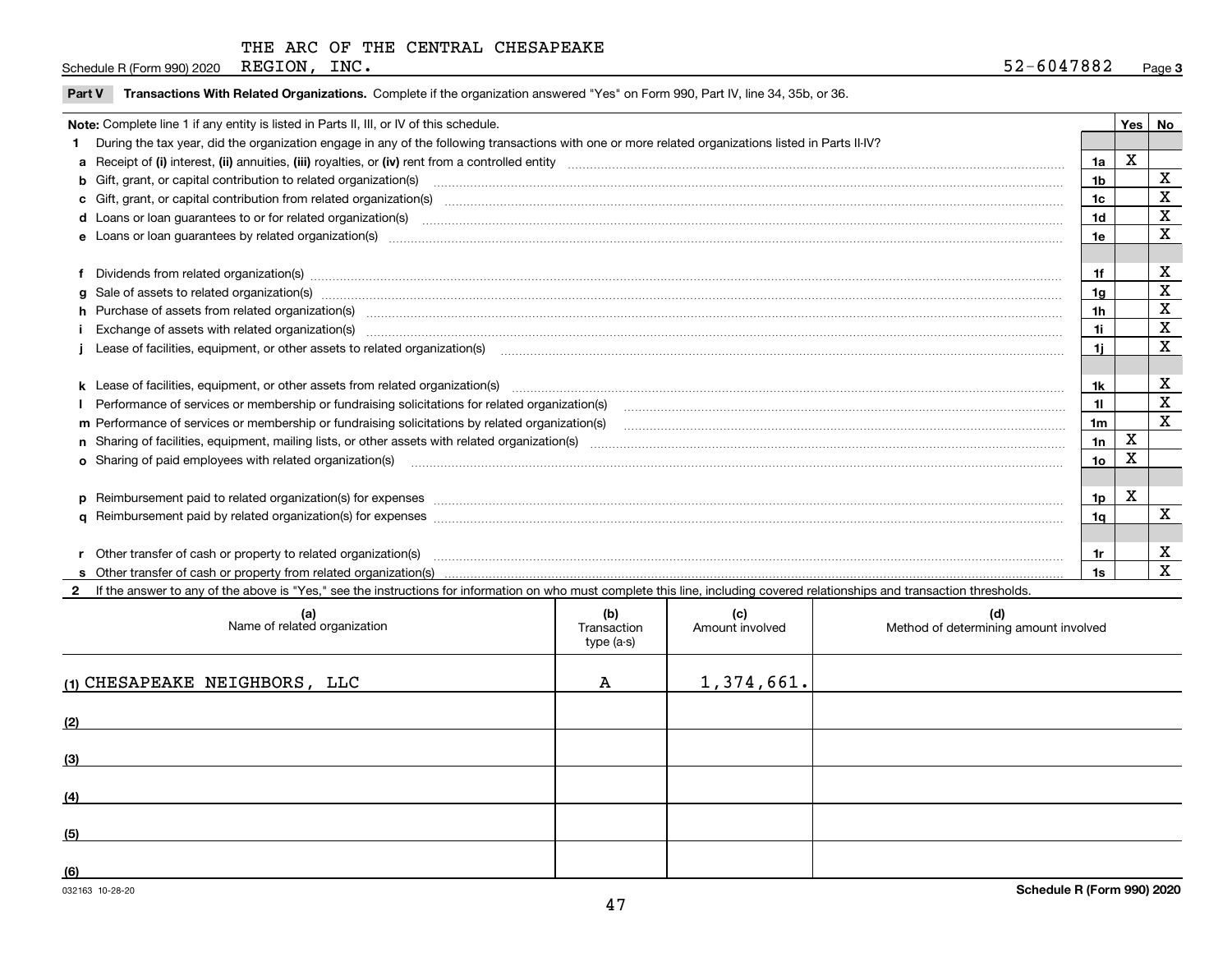Schedule R (Form 990) 2020 REGION,  $INC.$ REGION, INC.

|  | Part V Transactions With Related Organizations. Complete if the organization answered "Yes" on Form 990, Part IV, line 34, 35b, or 36. |  |  |
|--|----------------------------------------------------------------------------------------------------------------------------------------|--|--|
|--|----------------------------------------------------------------------------------------------------------------------------------------|--|--|

| Note: Complete line 1 if any entity is listed in Parts II, III, or IV of this schedule.                                                                                                                                        |                | Yes | No          |
|--------------------------------------------------------------------------------------------------------------------------------------------------------------------------------------------------------------------------------|----------------|-----|-------------|
| During the tax year, did the organization engage in any of the following transactions with one or more related organizations listed in Parts II-IV?                                                                            |                |     |             |
|                                                                                                                                                                                                                                | 1a             | X   |             |
| b Gift, grant, or capital contribution to related organization(s) manufaction(s) and content to related organization (s) and contribution to related organization(s) manufactured content and content of the state of Gift, gr | 1 <sub>b</sub> |     | х           |
|                                                                                                                                                                                                                                | 1c             |     | x           |
|                                                                                                                                                                                                                                | 1d             |     | X           |
|                                                                                                                                                                                                                                | 1e             |     | X           |
|                                                                                                                                                                                                                                |                |     |             |
| f Dividends from related organization(s) manufactured and contract the contract of the contract of the contract of the contract of the contract of the contract of the contract of the contract of the contract of the contrac | 1f             |     | X           |
| g Sale of assets to related organization(s) manufactured contains and contained contained and contained and contained and contained and contained and contained and contained and contained and contained and contained and co | 1a             |     | X           |
| h Purchase of assets from related organization(s) manufactured and content to the content of the content of the content of the content of the content of the content of the content of the content of the content of the conte | 1h             |     | X           |
| Exchange of assets with related organization(s) www.assettion.com/www.assettion.com/www.assettion.com/www.assettion.com/www.assettion.com/www.assettion.com/www.assettion.com/www.assettion.com/www.assettion.com/www.assettio | 1i             |     | $\mathbf x$ |
|                                                                                                                                                                                                                                | 1i.            |     | X           |
|                                                                                                                                                                                                                                |                |     |             |
| <b>k</b> Lease of facilities, equipment, or other assets from related organization(s)                                                                                                                                          | 1k             |     | X           |
| Performance of services or membership or fundraising solicitations for related organization(s)                                                                                                                                 | 11             |     | $\mathbf x$ |
| m Performance of services or membership or fundraising solicitations by related organization(s)                                                                                                                                | 1 <sub>m</sub> |     | $\mathbf x$ |
|                                                                                                                                                                                                                                | 1n             | X   |             |
| <b>o</b> Sharing of paid employees with related organization(s)                                                                                                                                                                | 1o             | Χ   |             |
|                                                                                                                                                                                                                                |                |     |             |
| p Reimbursement paid to related organization(s) for expenses [111] resummand content to content the set of the set of the set of the set of the set of the set of the set of the set of the set of the set of the set of the s | 1p             | х   |             |
|                                                                                                                                                                                                                                | 1a             |     | х           |
|                                                                                                                                                                                                                                |                |     |             |
| r Other transfer of cash or property to related organization(s)                                                                                                                                                                |                |     | х           |
| s Other transfer of cash or property from related organization(s)                                                                                                                                                              | 1s             |     | $\mathbf x$ |

**2**If the answer to any of the above is "Yes," see the instructions for information on who must complete this line, including covered relationships and transaction thresholds.

| (a)<br>Name of related organization | (b)<br>Transaction<br>type (a-s) | (c)<br>Amount involved | (d)<br>Method of determining amount involved |
|-------------------------------------|----------------------------------|------------------------|----------------------------------------------|
| (1) CHESAPEAKE NEIGHBORS, LLC       | A                                | 1,374,661.             |                                              |
| (2)                                 |                                  |                        |                                              |
| (3)                                 |                                  |                        |                                              |
| (4)                                 |                                  |                        |                                              |
| (5)                                 |                                  |                        |                                              |
| (6)                                 |                                  |                        |                                              |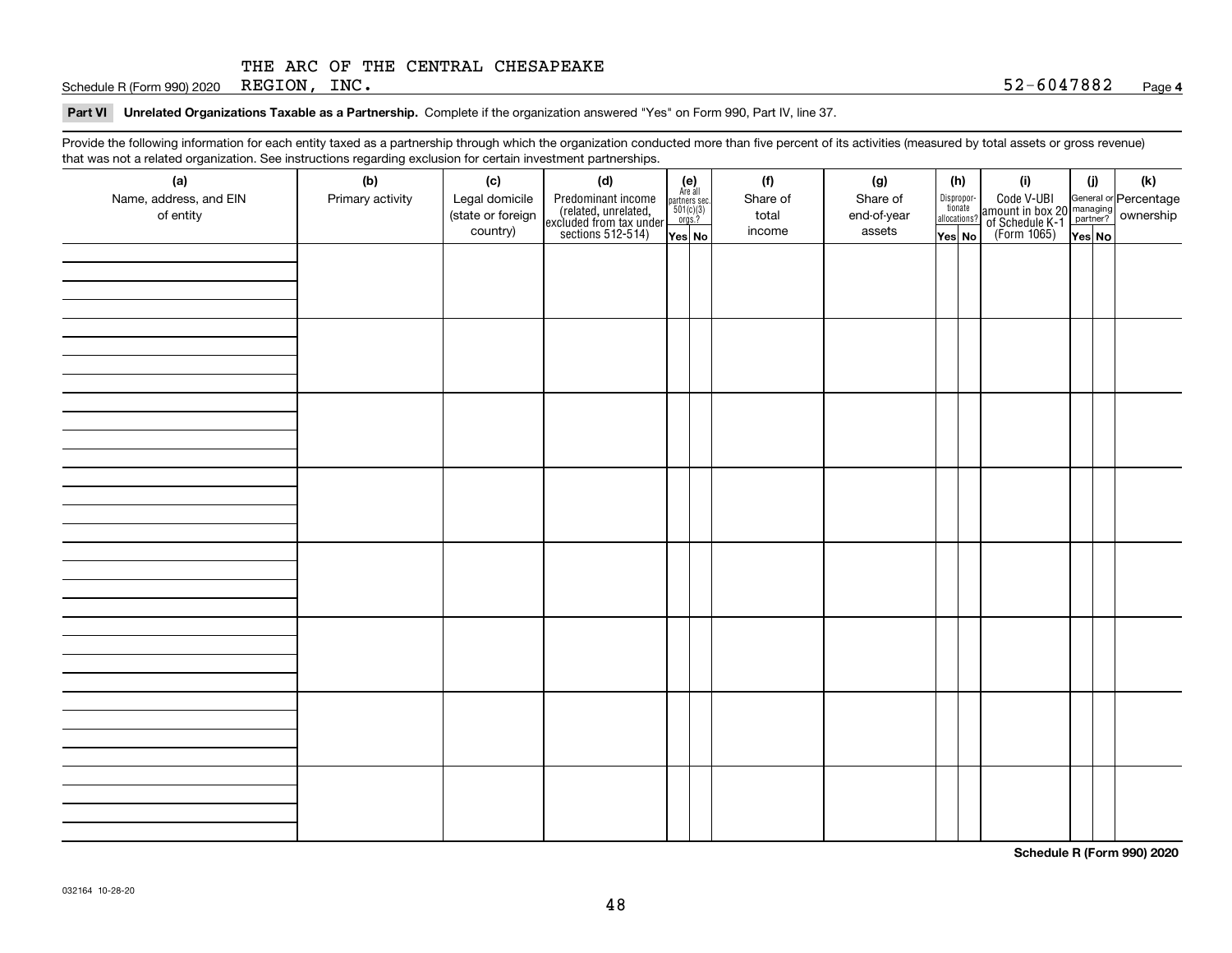Schedule R (Form 990) 2020 Page REGION, INC. 52-6047882

#### **Part VI Unrelated Organizations Taxable as a Partnership. Complete if the organization answered "Yes" on Form 990, Part IV, line 37.**

Provide the following information for each entity taxed as a partnership through which the organization conducted more than five percent of its activities (measured by total assets or gross revenue) that was not a related organization. See instructions regarding exclusion for certain investment partnerships.

| (a)<br>Name, address, and EIN<br>of entity | ໍ່ວ່<br>(b)<br>Primary activity | (c)<br>Legal domicile<br>(state or foreign<br>country) | (d)<br>Predominant income<br>(related, unrelated,<br>excluded from tax under<br>sections 512-514) | (e)<br>Are all<br>partners sec.<br>$501(c)(3)$<br>orgs.?<br>Yes No | (f)<br>Share of<br>total<br>income | (g)<br>Share of<br>end-of-year<br>assets | (h)<br>Dispropor-<br>tionate<br>allocations?<br>Yes No | (i)<br>Code V-UBI<br>amount in box 20 managing<br>of Schedule K-1<br>(Form 1065)<br>$\overline{Yes}$ No | (i)<br>Yes No | (k) |
|--------------------------------------------|---------------------------------|--------------------------------------------------------|---------------------------------------------------------------------------------------------------|--------------------------------------------------------------------|------------------------------------|------------------------------------------|--------------------------------------------------------|---------------------------------------------------------------------------------------------------------|---------------|-----|
|                                            |                                 |                                                        |                                                                                                   |                                                                    |                                    |                                          |                                                        |                                                                                                         |               |     |
|                                            |                                 |                                                        |                                                                                                   |                                                                    |                                    |                                          |                                                        |                                                                                                         |               |     |
|                                            |                                 |                                                        |                                                                                                   |                                                                    |                                    |                                          |                                                        |                                                                                                         |               |     |
|                                            |                                 |                                                        |                                                                                                   |                                                                    |                                    |                                          |                                                        |                                                                                                         |               |     |
|                                            |                                 |                                                        |                                                                                                   |                                                                    |                                    |                                          |                                                        |                                                                                                         |               |     |
|                                            |                                 |                                                        |                                                                                                   |                                                                    |                                    |                                          |                                                        |                                                                                                         |               |     |
|                                            |                                 |                                                        |                                                                                                   |                                                                    |                                    |                                          |                                                        |                                                                                                         |               |     |
|                                            |                                 |                                                        |                                                                                                   |                                                                    |                                    |                                          |                                                        |                                                                                                         |               |     |

**Schedule R (Form 990) 2020**